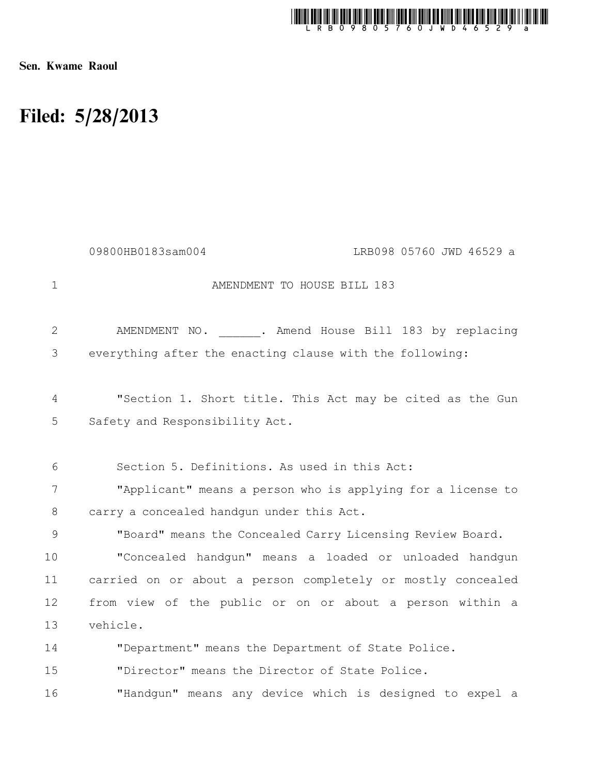

Sen. Kwame Raoul

## Filed: 5/28/2013

|             | 09800HB0183sam004<br>LRB098 05760 JWD 46529 a                                               |
|-------------|---------------------------------------------------------------------------------------------|
| $\mathbf 1$ | AMENDMENT TO HOUSE BILL 183                                                                 |
| 2           | AMENDMENT NO. . Amend House Bill 183 by replacing                                           |
| 3           | everything after the enacting clause with the following:                                    |
| 4<br>5      | "Section 1. Short title. This Act may be cited as the Gun<br>Safety and Responsibility Act. |
| 6           | Section 5. Definitions. As used in this Act:                                                |
| 7           | "Applicant" means a person who is applying for a license to                                 |
| 8           | carry a concealed handgun under this Act.                                                   |
| 9           | "Board" means the Concealed Carry Licensing Review Board.                                   |
| 10          | "Concealed handgun" means a loaded or unloaded handgun                                      |
| 11          | carried on or about a person completely or mostly concealed                                 |
| 12          | from view of the public or on or about a person within a                                    |
| 13          | vehicle.                                                                                    |
| 14          | "Department" means the Department of State Police.                                          |
| 15          | "Director" means the Director of State Police.                                              |

"Handgun" means any device which is designed to expel a 16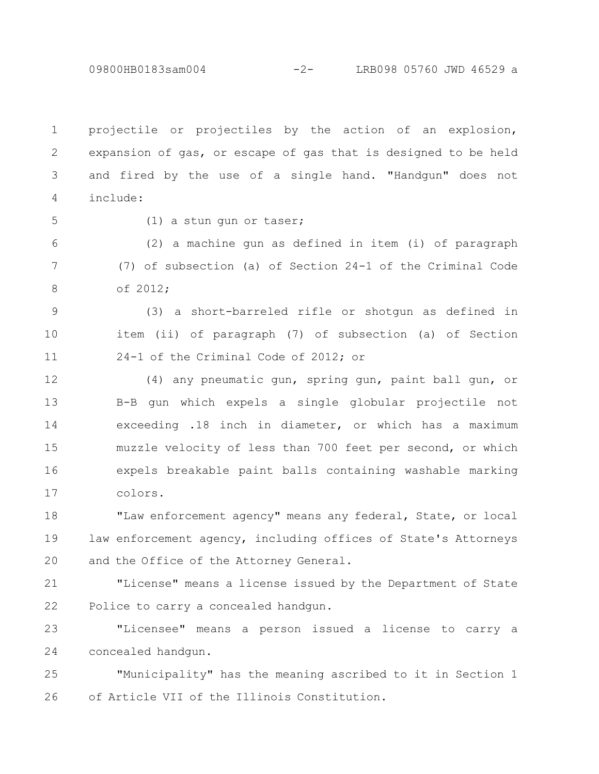09800HB0183sam004 -2- LRB098 05760 JWD 46529 a

projectile or projectiles by the action of an explosion, expansion of gas, or escape of gas that is designed to be held and fired by the use of a single hand. "Handgun" does not include: 1 2 3 4

5

(1) a stun gun or taser;

(2) a machine gun as defined in item (i) of paragraph (7) of subsection (a) of Section 24-1 of the Criminal Code of 2012; 6 7 8

(3) a short-barreled rifle or shotgun as defined in item (ii) of paragraph (7) of subsection (a) of Section 24-1 of the Criminal Code of 2012; or 9 10 11

(4) any pneumatic gun, spring gun, paint ball gun, or B-B gun which expels a single globular projectile not exceeding .18 inch in diameter, or which has a maximum muzzle velocity of less than 700 feet per second, or which expels breakable paint balls containing washable marking colors. 12 13 14 15 16 17

"Law enforcement agency" means any federal, State, or local law enforcement agency, including offices of State's Attorneys and the Office of the Attorney General. 18 19 20

"License" means a license issued by the Department of State Police to carry a concealed handgun. 21 22

"Licensee" means a person issued a license to carry a concealed handgun. 23 24

"Municipality" has the meaning ascribed to it in Section 1 of Article VII of the Illinois Constitution. 25 26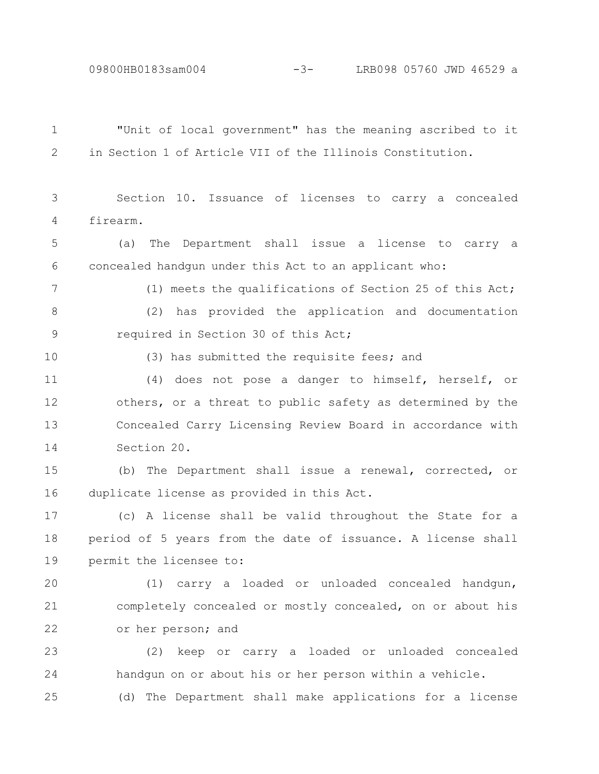09800HB0183sam004 -3- LRB098 05760 JWD 46529 a

| $\mathbf 1$ | "Unit of local government" has the meaning ascribed to it    |
|-------------|--------------------------------------------------------------|
| 2           | in Section 1 of Article VII of the Illinois Constitution.    |
|             |                                                              |
| 3           | Section 10. Issuance of licenses to carry a concealed        |
| 4           | firearm.                                                     |
| 5           | The Department shall issue a license to carry a<br>(a)       |
| 6           | concealed handgun under this Act to an applicant who:        |
| 7           | (1) meets the qualifications of Section 25 of this Act;      |
| 8           | has provided the application and documentation<br>(2)        |
| 9           | required in Section 30 of this Act;                          |
| 10          | (3) has submitted the requisite fees; and                    |
| 11          | (4) does not pose a danger to himself, herself, or           |
| 12          | others, or a threat to public safety as determined by the    |
| 13          | Concealed Carry Licensing Review Board in accordance with    |
| 14          | Section 20.                                                  |
| 15          | (b) The Department shall issue a renewal, corrected, or      |
| 16          | duplicate license as provided in this Act.                   |
| 17          | (c) A license shall be valid throughout the State for a      |
| 18          | period of 5 years from the date of issuance. A license shall |
| 19          | permit the licensee to:                                      |
| 20          | carry a loaded or unloaded concealed handgun,<br>(1)         |
| 21          | completely concealed or mostly concealed, on or about his    |
| 22          | or her person; and                                           |
| 23          | keep or carry a loaded or unloaded concealed<br>(2)          |
| 24          | handqun on or about his or her person within a vehicle.      |
| 25          | (d) The Department shall make applications for a license     |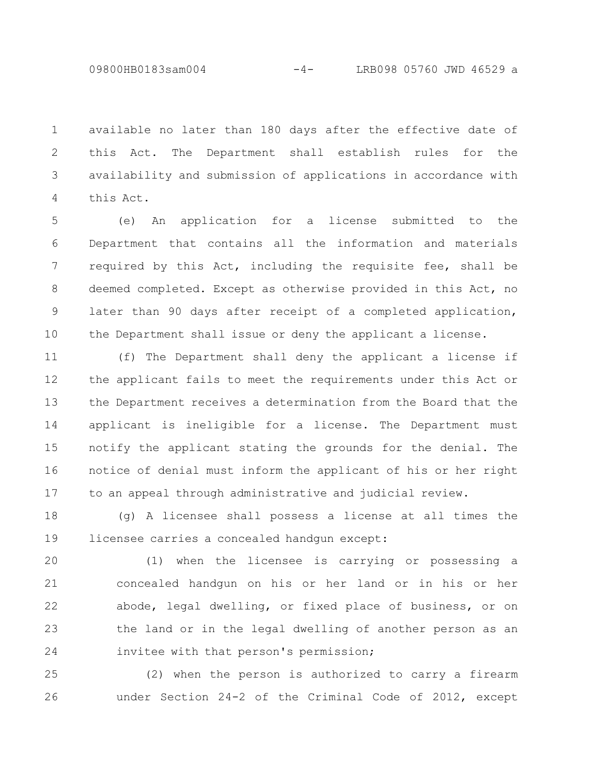available no later than 180 days after the effective date of this Act. The Department shall establish rules for the availability and submission of applications in accordance with this Act. 1 2 3 4

(e) An application for a license submitted to the Department that contains all the information and materials required by this Act, including the requisite fee, shall be deemed completed. Except as otherwise provided in this Act, no later than 90 days after receipt of a completed application, the Department shall issue or deny the applicant a license. 5 6 7 8 9 10

(f) The Department shall deny the applicant a license if the applicant fails to meet the requirements under this Act or the Department receives a determination from the Board that the applicant is ineligible for a license. The Department must notify the applicant stating the grounds for the denial. The notice of denial must inform the applicant of his or her right to an appeal through administrative and judicial review. 11 12 13 14 15 16 17

(g) A licensee shall possess a license at all times the licensee carries a concealed handgun except: 18 19

(1) when the licensee is carrying or possessing a concealed handgun on his or her land or in his or her abode, legal dwelling, or fixed place of business, or on the land or in the legal dwelling of another person as an invitee with that person's permission; 20 21 22 23 24

(2) when the person is authorized to carry a firearm under Section 24-2 of the Criminal Code of 2012, except 25 26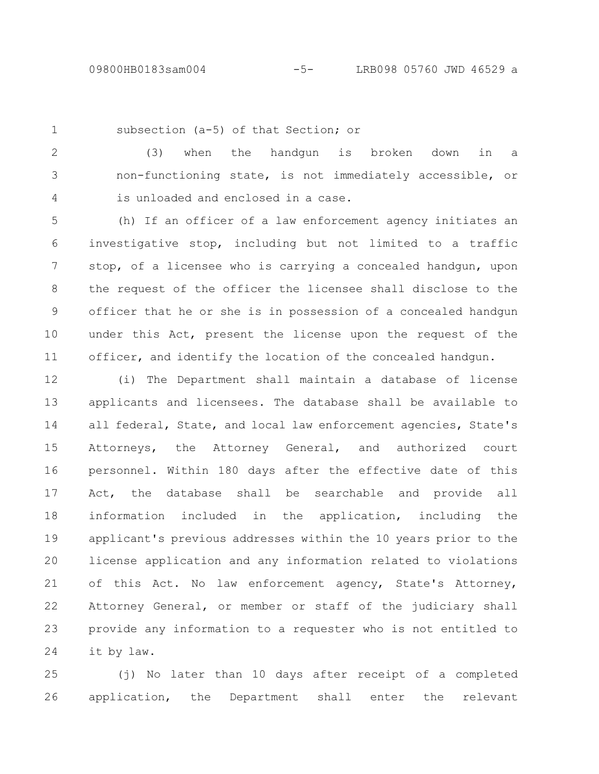1

subsection (a-5) of that Section; or

(3) when the handgun is broken down in a non-functioning state, is not immediately accessible, or is unloaded and enclosed in a case. 2 3 4

(h) If an officer of a law enforcement agency initiates an investigative stop, including but not limited to a traffic stop, of a licensee who is carrying a concealed handgun, upon the request of the officer the licensee shall disclose to the officer that he or she is in possession of a concealed handgun under this Act, present the license upon the request of the officer, and identify the location of the concealed handgun. 5 6 7 8 9 10 11

(i) The Department shall maintain a database of license applicants and licensees. The database shall be available to all federal, State, and local law enforcement agencies, State's Attorneys, the Attorney General, and authorized court personnel. Within 180 days after the effective date of this Act, the database shall be searchable and provide all information included in the application, including the applicant's previous addresses within the 10 years prior to the license application and any information related to violations of this Act. No law enforcement agency, State's Attorney, Attorney General, or member or staff of the judiciary shall provide any information to a requester who is not entitled to it by law. 12 13 14 15 16 17 18 19 20 21 22 23 24

(j) No later than 10 days after receipt of a completed application, the Department shall enter the relevant 25 26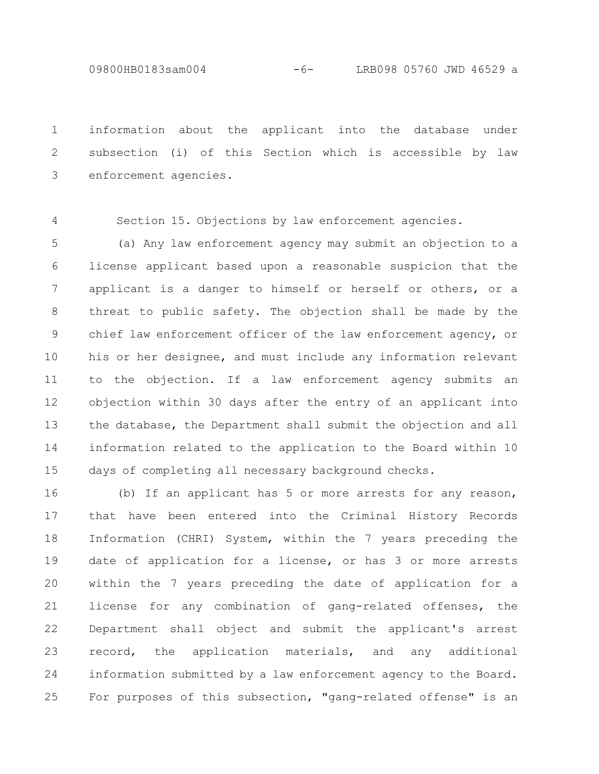information about the applicant into the database under subsection (i) of this Section which is accessible by law enforcement agencies. 1 2 3

4

Section 15. Objections by law enforcement agencies.

(a) Any law enforcement agency may submit an objection to a license applicant based upon a reasonable suspicion that the applicant is a danger to himself or herself or others, or a threat to public safety. The objection shall be made by the chief law enforcement officer of the law enforcement agency, or his or her designee, and must include any information relevant to the objection. If a law enforcement agency submits an objection within 30 days after the entry of an applicant into the database, the Department shall submit the objection and all information related to the application to the Board within 10 days of completing all necessary background checks. 5 6 7 8 9 10 11 12 13 14 15

(b) If an applicant has 5 or more arrests for any reason, that have been entered into the Criminal History Records Information (CHRI) System, within the 7 years preceding the date of application for a license, or has 3 or more arrests within the 7 years preceding the date of application for a license for any combination of gang-related offenses, the Department shall object and submit the applicant's arrest record, the application materials, and any additional information submitted by a law enforcement agency to the Board. For purposes of this subsection, "gang-related offense" is an 16 17 18 19 20 21 22 23 24 25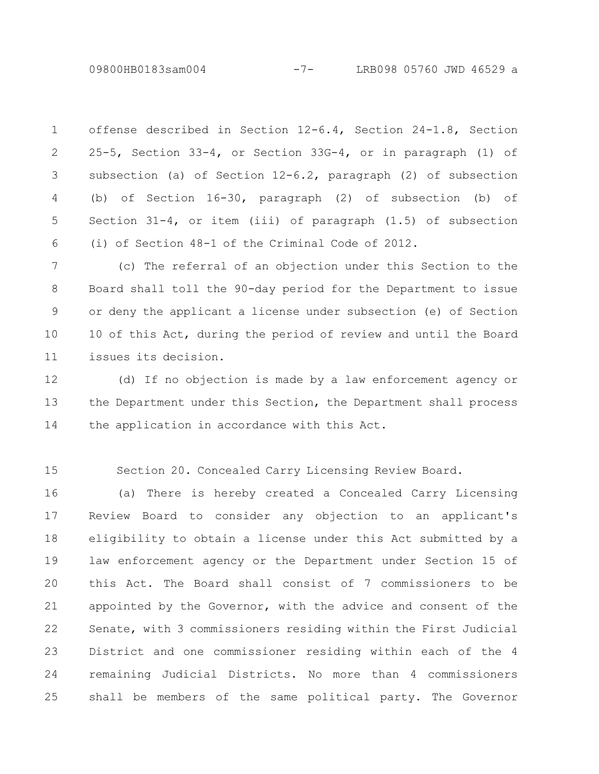09800HB0183sam004 -7- LRB098 05760 JWD 46529 a

offense described in Section 12-6.4, Section 24-1.8, Section 25-5, Section 33-4, or Section 33G-4, or in paragraph (1) of subsection (a) of Section  $12-6.2$ , paragraph (2) of subsection (b) of Section 16-30, paragraph (2) of subsection (b) of Section 31-4, or item (iii) of paragraph (1.5) of subsection (i) of Section 48-1 of the Criminal Code of 2012. 1 2 3 4 5 6

(c) The referral of an objection under this Section to the Board shall toll the 90-day period for the Department to issue or deny the applicant a license under subsection (e) of Section 10 of this Act, during the period of review and until the Board issues its decision. 7 8 9 10 11

(d) If no objection is made by a law enforcement agency or the Department under this Section, the Department shall process the application in accordance with this Act. 12 13 14

15

Section 20. Concealed Carry Licensing Review Board.

(a) There is hereby created a Concealed Carry Licensing Review Board to consider any objection to an applicant's eligibility to obtain a license under this Act submitted by a law enforcement agency or the Department under Section 15 of this Act. The Board shall consist of 7 commissioners to be appointed by the Governor, with the advice and consent of the Senate, with 3 commissioners residing within the First Judicial District and one commissioner residing within each of the 4 remaining Judicial Districts. No more than 4 commissioners shall be members of the same political party. The Governor 16 17 18 19 20 21 22 23 24 25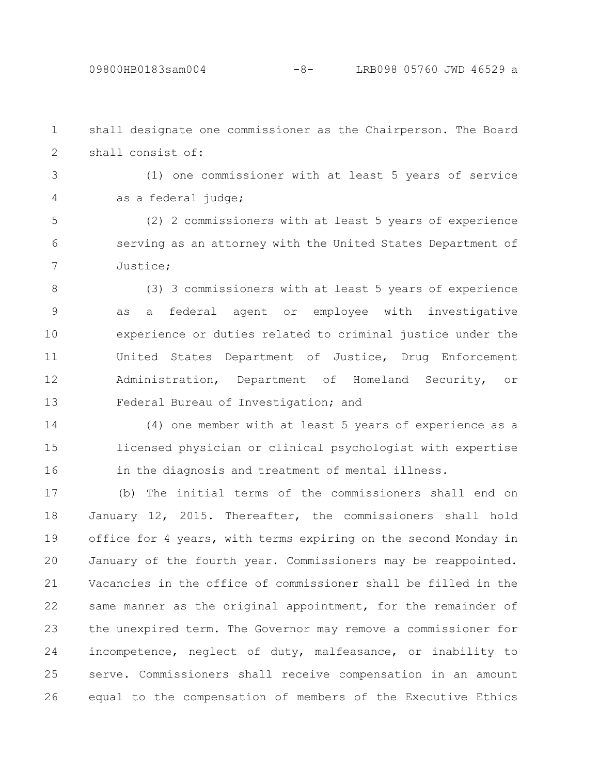shall designate one commissioner as the Chairperson. The Board shall consist of: 1 2

3

4

(1) one commissioner with at least 5 years of service as a federal judge;

(2) 2 commissioners with at least 5 years of experience serving as an attorney with the United States Department of Justice; 5 6 7

(3) 3 commissioners with at least 5 years of experience as a federal agent or employee with investigative experience or duties related to criminal justice under the United States Department of Justice, Drug Enforcement Administration, Department of Homeland Security, or Federal Bureau of Investigation; and 8 9 10 11 12 13

(4) one member with at least 5 years of experience as a licensed physician or clinical psychologist with expertise in the diagnosis and treatment of mental illness. 14 15 16

(b) The initial terms of the commissioners shall end on January 12, 2015. Thereafter, the commissioners shall hold office for 4 years, with terms expiring on the second Monday in January of the fourth year. Commissioners may be reappointed. Vacancies in the office of commissioner shall be filled in the same manner as the original appointment, for the remainder of the unexpired term. The Governor may remove a commissioner for incompetence, neglect of duty, malfeasance, or inability to serve. Commissioners shall receive compensation in an amount equal to the compensation of members of the Executive Ethics 17 18 19 20 21 22 23 24 25 26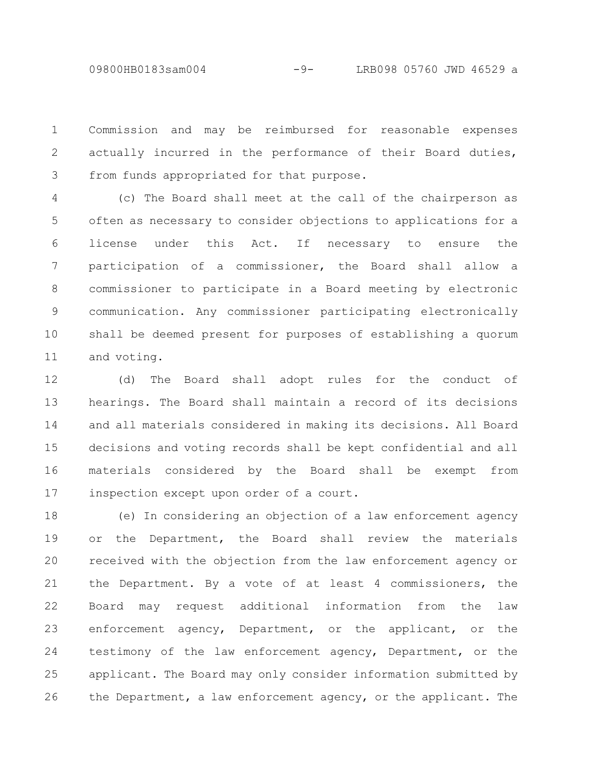09800HB0183sam004 -9- LRB098 05760 JWD 46529 a

Commission and may be reimbursed for reasonable expenses actually incurred in the performance of their Board duties, from funds appropriated for that purpose. 1 2 3

(c) The Board shall meet at the call of the chairperson as often as necessary to consider objections to applications for a license under this Act. If necessary to ensure the participation of a commissioner, the Board shall allow a commissioner to participate in a Board meeting by electronic communication. Any commissioner participating electronically shall be deemed present for purposes of establishing a quorum and voting. 4 5 6 7 8 9 10 11

(d) The Board shall adopt rules for the conduct of hearings. The Board shall maintain a record of its decisions and all materials considered in making its decisions. All Board decisions and voting records shall be kept confidential and all materials considered by the Board shall be exempt from inspection except upon order of a court. 12 13 14 15 16 17

(e) In considering an objection of a law enforcement agency or the Department, the Board shall review the materials received with the objection from the law enforcement agency or the Department. By a vote of at least 4 commissioners, the Board may request additional information from the law enforcement agency, Department, or the applicant, or the testimony of the law enforcement agency, Department, or the applicant. The Board may only consider information submitted by the Department, a law enforcement agency, or the applicant. The 18 19 20 21 22 23 24 25 26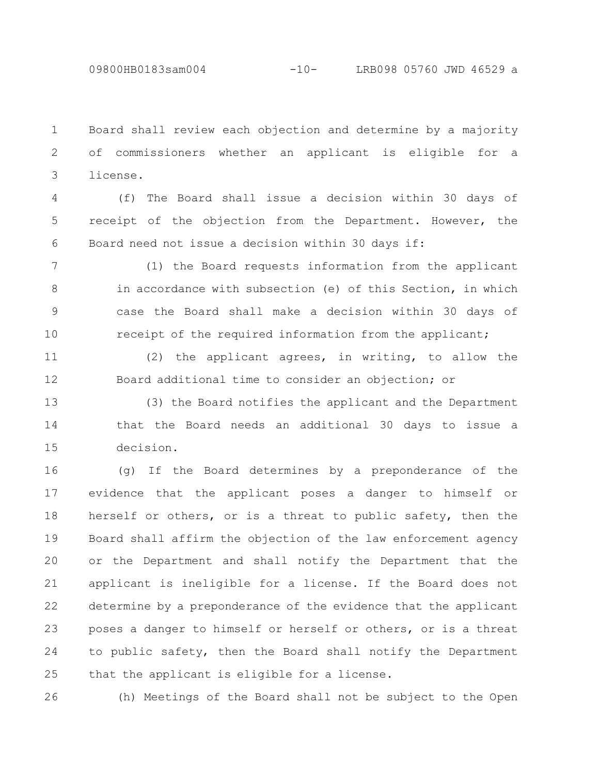Board shall review each objection and determine by a majority of commissioners whether an applicant is eligible for a license. 1 2 3

(f) The Board shall issue a decision within 30 days of receipt of the objection from the Department. However, the Board need not issue a decision within 30 days if: 4 5 6

(1) the Board requests information from the applicant in accordance with subsection (e) of this Section, in which case the Board shall make a decision within 30 days of receipt of the required information from the applicant; 7 8 9 10

(2) the applicant agrees, in writing, to allow the Board additional time to consider an objection; or 11 12

(3) the Board notifies the applicant and the Department that the Board needs an additional 30 days to issue a decision. 13 14 15

(g) If the Board determines by a preponderance of the evidence that the applicant poses a danger to himself or herself or others, or is a threat to public safety, then the Board shall affirm the objection of the law enforcement agency or the Department and shall notify the Department that the applicant is ineligible for a license. If the Board does not determine by a preponderance of the evidence that the applicant poses a danger to himself or herself or others, or is a threat to public safety, then the Board shall notify the Department that the applicant is eligible for a license. 16 17 18 19 20 21 22 23 24 25

26

(h) Meetings of the Board shall not be subject to the Open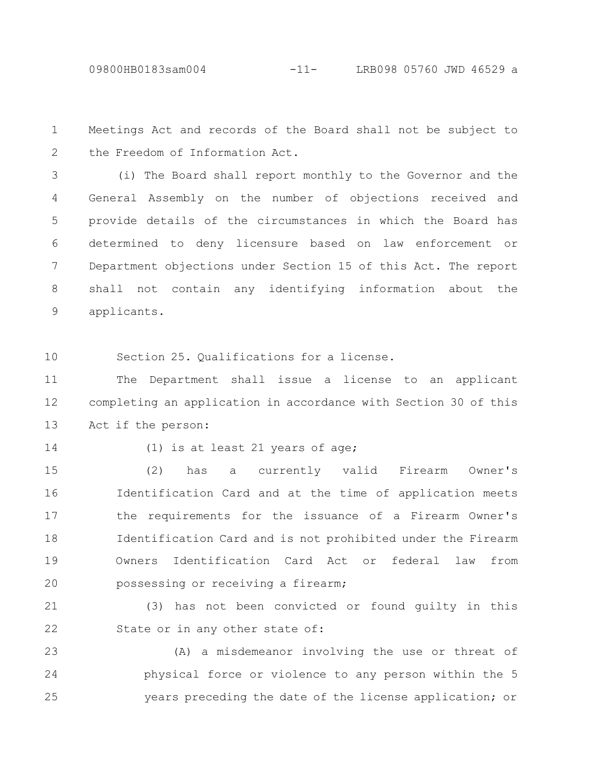Meetings Act and records of the Board shall not be subject to the Freedom of Information Act. 1 2

(i) The Board shall report monthly to the Governor and the General Assembly on the number of objections received and provide details of the circumstances in which the Board has determined to deny licensure based on law enforcement or Department objections under Section 15 of this Act. The report shall not contain any identifying information about the applicants. 3 4 5 6 7 8 9

Section 25. Qualifications for a license. 10

The Department shall issue a license to an applicant completing an application in accordance with Section 30 of this Act if the person: 11 12 13

14

(1) is at least 21 years of age;

(2) has a currently valid Firearm Owner's Identification Card and at the time of application meets the requirements for the issuance of a Firearm Owner's Identification Card and is not prohibited under the Firearm Owners Identification Card Act or federal law from possessing or receiving a firearm; 15 16 17 18 19 20

(3) has not been convicted or found guilty in this State or in any other state of: 21 22

(A) a misdemeanor involving the use or threat of physical force or violence to any person within the 5 years preceding the date of the license application; or 23 24 25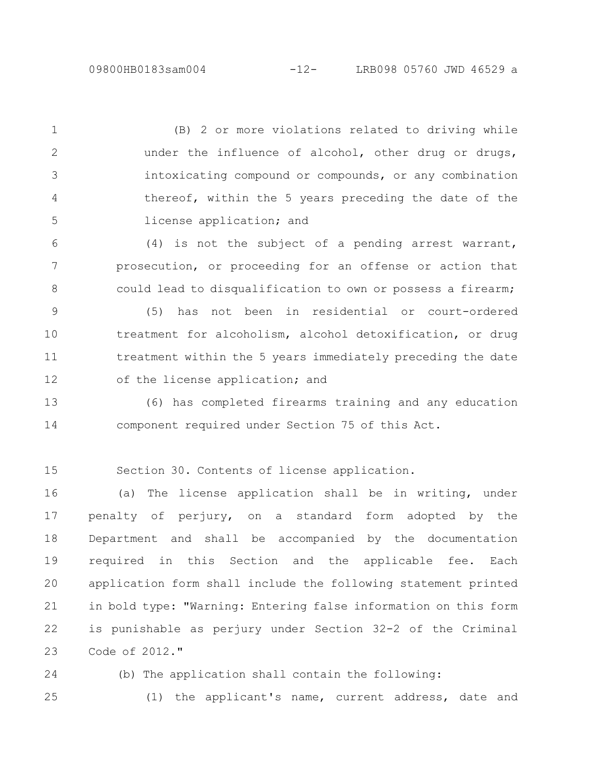25

(B) 2 or more violations related to driving while under the influence of alcohol, other drug or drugs, intoxicating compound or compounds, or any combination thereof, within the 5 years preceding the date of the license application; and 1 2 3 4 5

(4) is not the subject of a pending arrest warrant, prosecution, or proceeding for an offense or action that could lead to disqualification to own or possess a firearm; 6 7 8

(5) has not been in residential or court-ordered treatment for alcoholism, alcohol detoxification, or drug treatment within the 5 years immediately preceding the date of the license application; and 9 10 11 12

(6) has completed firearms training and any education component required under Section 75 of this Act. 13 14

Section 30. Contents of license application. 15

(a) The license application shall be in writing, under penalty of perjury, on a standard form adopted by the Department and shall be accompanied by the documentation required in this Section and the applicable fee. Each application form shall include the following statement printed in bold type: "Warning: Entering false information on this form is punishable as perjury under Section 32-2 of the Criminal Code of 2012." 16 17 18 19 20 21 22 23

(b) The application shall contain the following: 24

(1) the applicant's name, current address, date and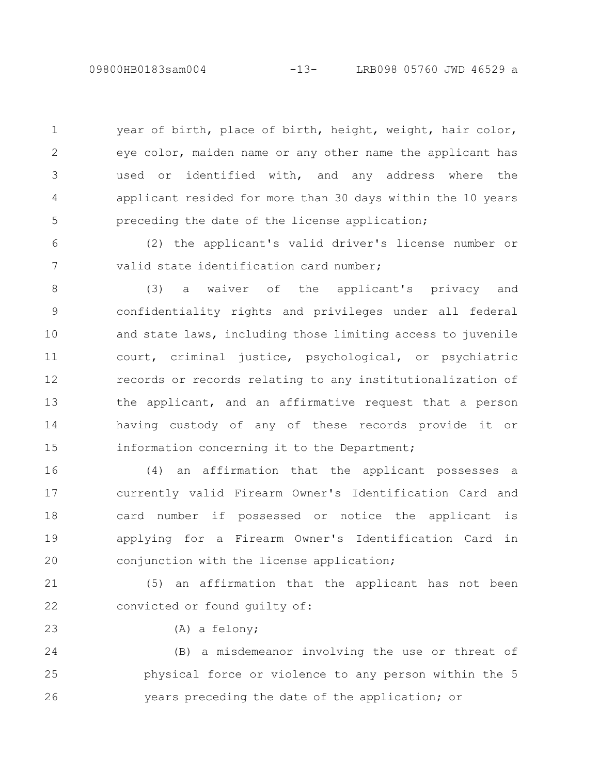09800HB0183sam004 -13- LRB098 05760 JWD 46529 a

year of birth, place of birth, height, weight, hair color, eye color, maiden name or any other name the applicant has used or identified with, and any address where the applicant resided for more than 30 days within the 10 years preceding the date of the license application; 1 2 3 4 5

(2) the applicant's valid driver's license number or valid state identification card number; 6 7

(3) a waiver of the applicant's privacy and confidentiality rights and privileges under all federal and state laws, including those limiting access to juvenile court, criminal justice, psychological, or psychiatric records or records relating to any institutionalization of the applicant, and an affirmative request that a person having custody of any of these records provide it or information concerning it to the Department; 8 9 10 11 12 13 14 15

(4) an affirmation that the applicant possesses a currently valid Firearm Owner's Identification Card and card number if possessed or notice the applicant is applying for a Firearm Owner's Identification Card in conjunction with the license application; 16 17 18 19 20

(5) an affirmation that the applicant has not been convicted or found guilty of: 21 22

(A) a felony;

23

(B) a misdemeanor involving the use or threat of physical force or violence to any person within the 5 years preceding the date of the application; or 24 25 26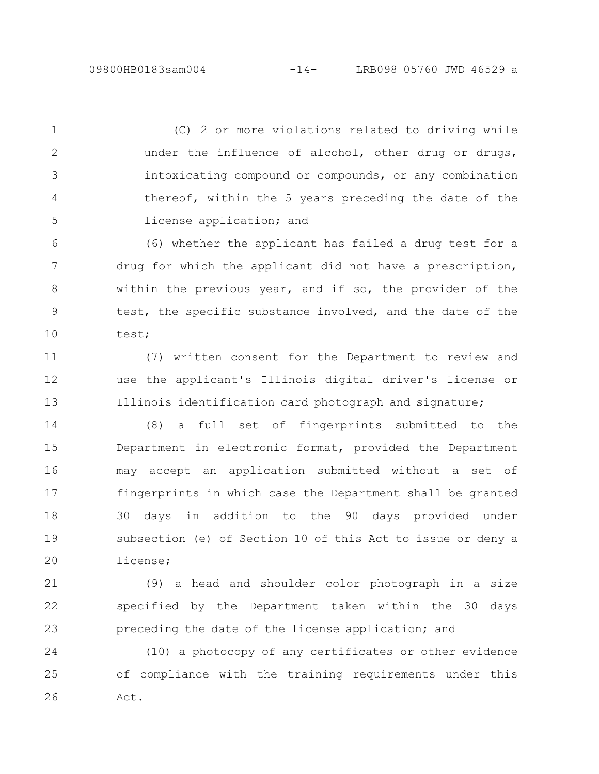(C) 2 or more violations related to driving while under the influence of alcohol, other drug or drugs, intoxicating compound or compounds, or any combination thereof, within the 5 years preceding the date of the license application; and 1 2 3 4 5

(6) whether the applicant has failed a drug test for a drug for which the applicant did not have a prescription, within the previous year, and if so, the provider of the test, the specific substance involved, and the date of the test; 6 7 8 9 10

(7) written consent for the Department to review and use the applicant's Illinois digital driver's license or Illinois identification card photograph and signature; 11 12 13

(8) a full set of fingerprints submitted to the Department in electronic format, provided the Department may accept an application submitted without a set of fingerprints in which case the Department shall be granted 30 days in addition to the 90 days provided under subsection (e) of Section 10 of this Act to issue or deny a license; 14 15 16 17 18 19 20

(9) a head and shoulder color photograph in a size specified by the Department taken within the 30 days preceding the date of the license application; and 21 22 23

(10) a photocopy of any certificates or other evidence of compliance with the training requirements under this Act. 24 25 26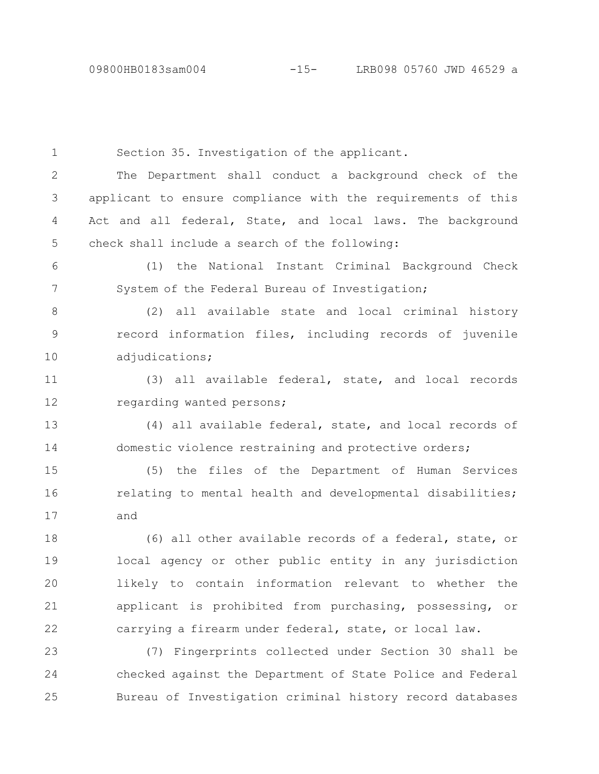Section 35. Investigation of the applicant. The Department shall conduct a background check of the applicant to ensure compliance with the requirements of this Act and all federal, State, and local laws. The background check shall include a search of the following: (1) the National Instant Criminal Background Check System of the Federal Bureau of Investigation; (2) all available state and local criminal history record information files, including records of juvenile adjudications; (3) all available federal, state, and local records regarding wanted persons; (4) all available federal, state, and local records of domestic violence restraining and protective orders; (5) the files of the Department of Human Services relating to mental health and developmental disabilities; and (6) all other available records of a federal, state, or local agency or other public entity in any jurisdiction likely to contain information relevant to whether the applicant is prohibited from purchasing, possessing, or carrying a firearm under federal, state, or local law. (7) Fingerprints collected under Section 30 shall be checked against the Department of State Police and Federal Bureau of Investigation criminal history record databases 1 2 3 4 5 6 7 8 9 10 11 12 13 14 15 16 17 18 19 20 21 22 23 24 25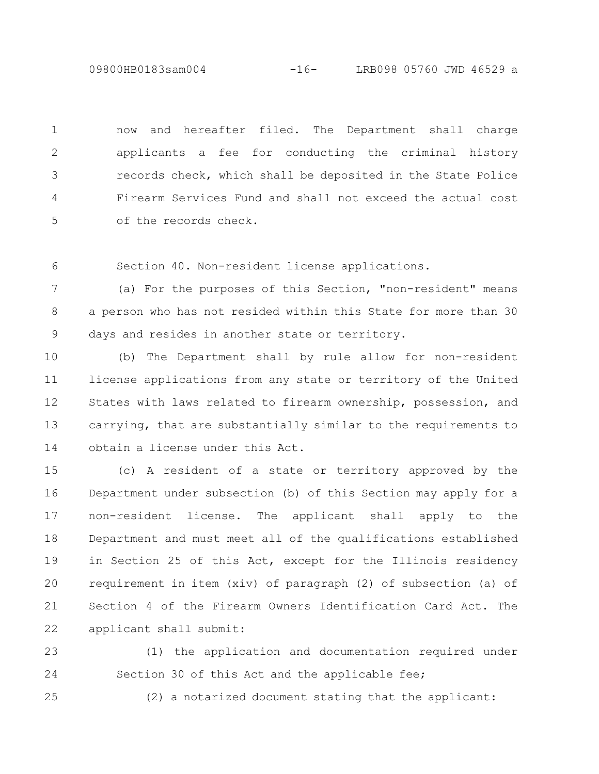09800HB0183sam004 -16- LRB098 05760 JWD 46529 a

now and hereafter filed. The Department shall charge applicants a fee for conducting the criminal history records check, which shall be deposited in the State Police Firearm Services Fund and shall not exceed the actual cost of the records check. 1 2 3 4 5

Section 40. Non-resident license applications. 6

(a) For the purposes of this Section, "non-resident" means a person who has not resided within this State for more than 30 days and resides in another state or territory. 7 8 9

(b) The Department shall by rule allow for non-resident license applications from any state or territory of the United States with laws related to firearm ownership, possession, and carrying, that are substantially similar to the requirements to obtain a license under this Act. 10 11 12 13 14

(c) A resident of a state or territory approved by the Department under subsection (b) of this Section may apply for a non-resident license. The applicant shall apply to the Department and must meet all of the qualifications established in Section 25 of this Act, except for the Illinois residency requirement in item (xiv) of paragraph (2) of subsection (a) of Section 4 of the Firearm Owners Identification Card Act. The applicant shall submit: 15 16 17 18 19 20 21 22

(1) the application and documentation required under Section 30 of this Act and the applicable fee; 23 24

25

(2) a notarized document stating that the applicant: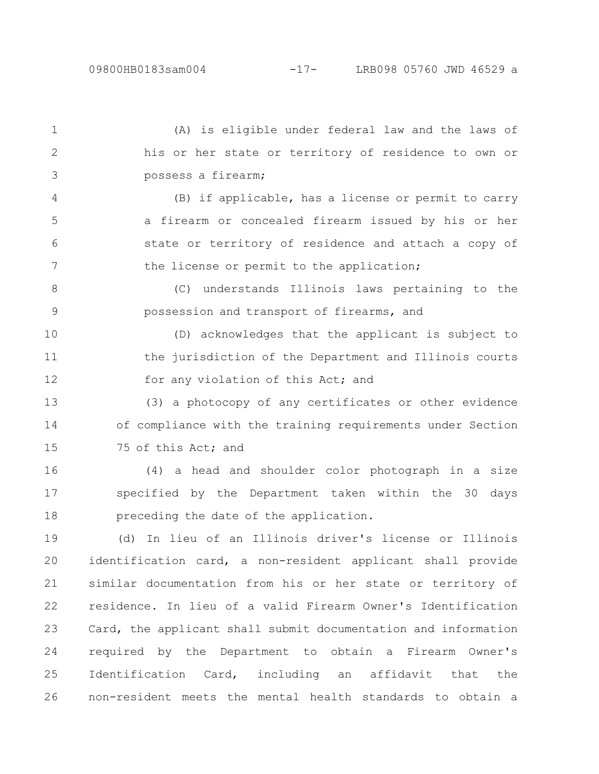(A) is eligible under federal law and the laws of his or her state or territory of residence to own or possess a firearm; (B) if applicable, has a license or permit to carry a firearm or concealed firearm issued by his or her state or territory of residence and attach a copy of the license or permit to the application; (C) understands Illinois laws pertaining to the possession and transport of firearms, and (D) acknowledges that the applicant is subject to the jurisdiction of the Department and Illinois courts for any violation of this Act; and (3) a photocopy of any certificates or other evidence of compliance with the training requirements under Section 75 of this Act; and (4) a head and shoulder color photograph in a size specified by the Department taken within the 30 days preceding the date of the application. (d) In lieu of an Illinois driver's license or Illinois identification card, a non-resident applicant shall provide similar documentation from his or her state or territory of residence. In lieu of a valid Firearm Owner's Identification Card, the applicant shall submit documentation and information 1 2 3 4 5 6 7 8 9 10 11 12 13 14 15 16 17 18 19 20 21 22 23 24

required by the Department to obtain a Firearm Owner's Identification Card, including an affidavit that the non-resident meets the mental health standards to obtain a 25 26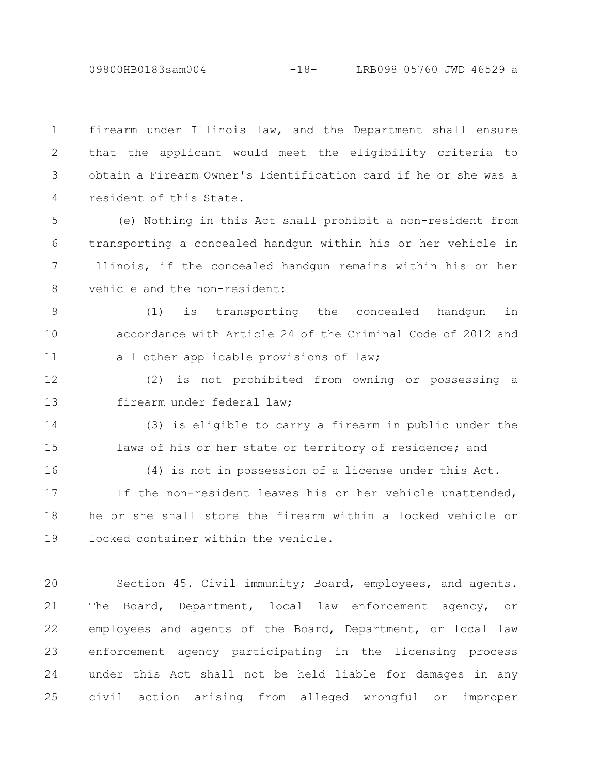09800HB0183sam004 -18- LRB098 05760 JWD 46529 a

firearm under Illinois law, and the Department shall ensure that the applicant would meet the eligibility criteria to obtain a Firearm Owner's Identification card if he or she was a resident of this State. 1 2 3 4

(e) Nothing in this Act shall prohibit a non-resident from transporting a concealed handgun within his or her vehicle in Illinois, if the concealed handgun remains within his or her vehicle and the non-resident: 5 6 7 8

(1) is transporting the concealed handgun in accordance with Article 24 of the Criminal Code of 2012 and all other applicable provisions of law; 9 10 11

(2) is not prohibited from owning or possessing a firearm under federal law; 12 13

(3) is eligible to carry a firearm in public under the laws of his or her state or territory of residence; and 14 15

(4) is not in possession of a license under this Act. If the non-resident leaves his or her vehicle unattended, he or she shall store the firearm within a locked vehicle or locked container within the vehicle. 16 17 18 19

Section 45. Civil immunity; Board, employees, and agents. The Board, Department, local law enforcement agency, or employees and agents of the Board, Department, or local law enforcement agency participating in the licensing process under this Act shall not be held liable for damages in any civil action arising from alleged wrongful or improper 20 21 22 23 24 25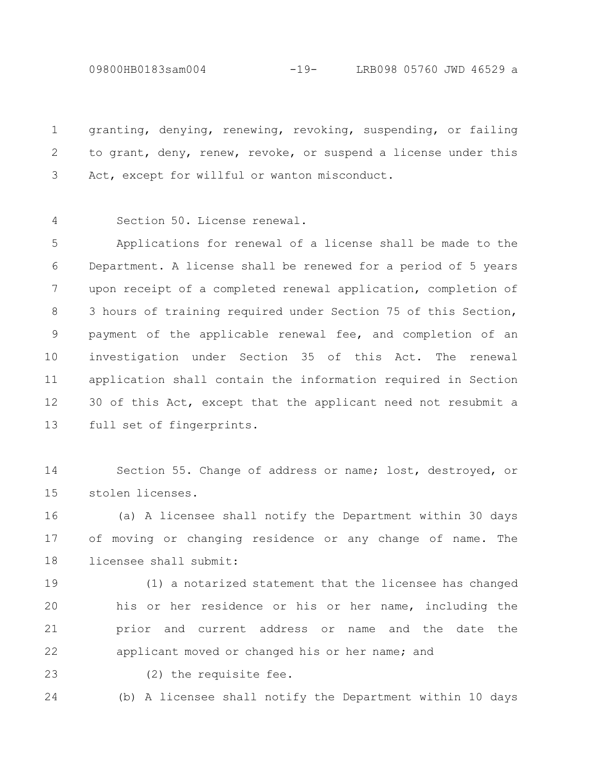09800HB0183sam004 -19- LRB098 05760 JWD 46529 a

granting, denying, renewing, revoking, suspending, or failing to grant, deny, renew, revoke, or suspend a license under this Act, except for willful or wanton misconduct. 1 2 3

Section 50. License renewal. 4

Applications for renewal of a license shall be made to the Department. A license shall be renewed for a period of 5 years upon receipt of a completed renewal application, completion of 3 hours of training required under Section 75 of this Section, payment of the applicable renewal fee, and completion of an investigation under Section 35 of this Act. The renewal application shall contain the information required in Section 30 of this Act, except that the applicant need not resubmit a full set of fingerprints. 5 6 7 8 9 10 11 12 13

Section 55. Change of address or name; lost, destroyed, or stolen licenses. 14 15

(a) A licensee shall notify the Department within 30 days of moving or changing residence or any change of name. The licensee shall submit: 16 17 18

(1) a notarized statement that the licensee has changed his or her residence or his or her name, including the prior and current address or name and the date the applicant moved or changed his or her name; and 19 20 21 22

23

(2) the requisite fee.

(b) A licensee shall notify the Department within 10 days 24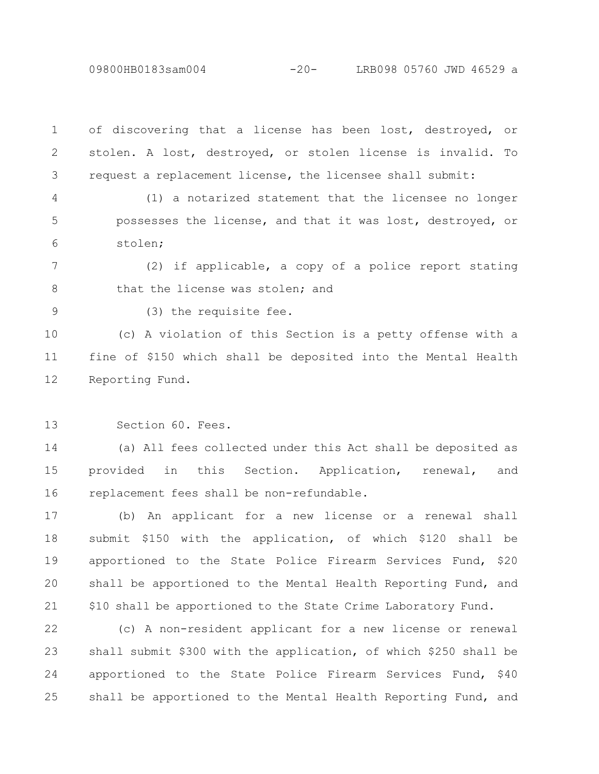09800HB0183sam004 -20- LRB098 05760 JWD 46529 a

of discovering that a license has been lost, destroyed, or stolen. A lost, destroyed, or stolen license is invalid. To request a replacement license, the licensee shall submit: 1 2 3

(1) a notarized statement that the licensee no longer possesses the license, and that it was lost, destroyed, or stolen; 4 5 6

(2) if applicable, a copy of a police report stating that the license was stolen; and 7 8

9

(3) the requisite fee.

(c) A violation of this Section is a petty offense with a fine of \$150 which shall be deposited into the Mental Health Reporting Fund. 10 11 12

Section 60. Fees. 13

(a) All fees collected under this Act shall be deposited as provided in this Section. Application, renewal, and replacement fees shall be non-refundable. 14 15 16

(b) An applicant for a new license or a renewal shall submit \$150 with the application, of which \$120 shall be apportioned to the State Police Firearm Services Fund, \$20 shall be apportioned to the Mental Health Reporting Fund, and \$10 shall be apportioned to the State Crime Laboratory Fund. 17 18 19 20 21

(c) A non-resident applicant for a new license or renewal shall submit \$300 with the application, of which \$250 shall be apportioned to the State Police Firearm Services Fund, \$40 shall be apportioned to the Mental Health Reporting Fund, and 22 23 24 25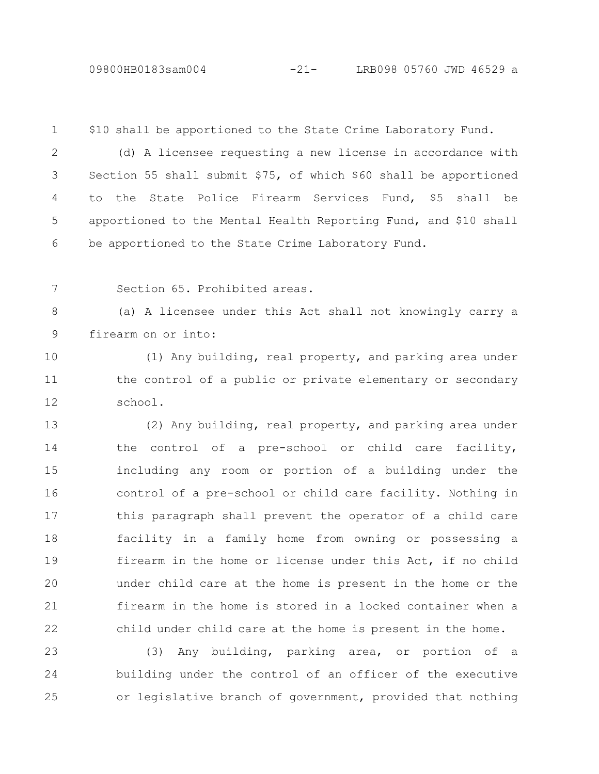## 09800HB0183sam004 -21- LRB098 05760 JWD 46529 a

\$10 shall be apportioned to the State Crime Laboratory Fund. 1

(d) A licensee requesting a new license in accordance with Section 55 shall submit \$75, of which \$60 shall be apportioned to the State Police Firearm Services Fund, \$5 shall be apportioned to the Mental Health Reporting Fund, and \$10 shall be apportioned to the State Crime Laboratory Fund. 2 3 4 5 6

Section 65. Prohibited areas. 7

(a) A licensee under this Act shall not knowingly carry a firearm on or into: 8 9

(1) Any building, real property, and parking area under the control of a public or private elementary or secondary school. 10 11 12

(2) Any building, real property, and parking area under the control of a pre-school or child care facility, including any room or portion of a building under the control of a pre-school or child care facility. Nothing in this paragraph shall prevent the operator of a child care facility in a family home from owning or possessing a firearm in the home or license under this Act, if no child under child care at the home is present in the home or the firearm in the home is stored in a locked container when a child under child care at the home is present in the home. 13 14 15 16 17 18 19 20 21 22

(3) Any building, parking area, or portion of a building under the control of an officer of the executive or legislative branch of government, provided that nothing 23 24 25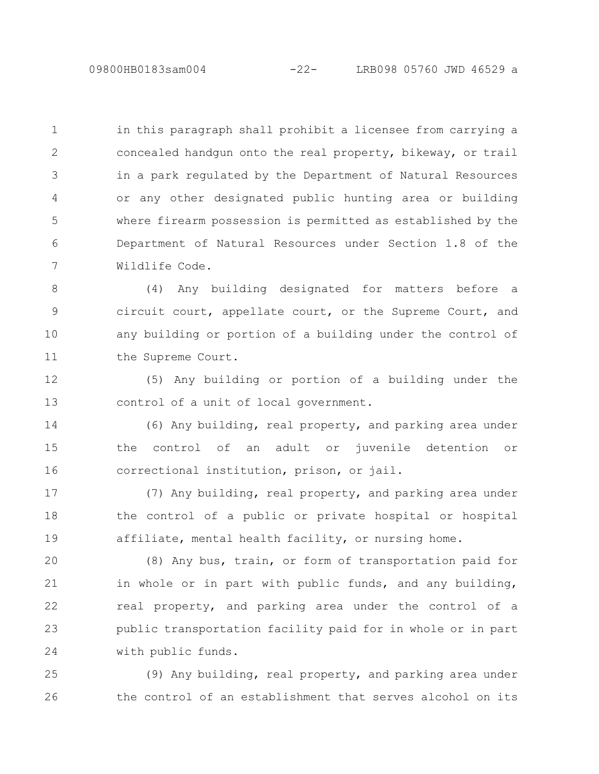in this paragraph shall prohibit a licensee from carrying a concealed handgun onto the real property, bikeway, or trail in a park regulated by the Department of Natural Resources or any other designated public hunting area or building where firearm possession is permitted as established by the Department of Natural Resources under Section 1.8 of the Wildlife Code. 1 2 3 4 5 6 7

(4) Any building designated for matters before a circuit court, appellate court, or the Supreme Court, and any building or portion of a building under the control of the Supreme Court. 8 9 10 11

(5) Any building or portion of a building under the control of a unit of local government. 12 13

(6) Any building, real property, and parking area under the control of an adult or juvenile detention or correctional institution, prison, or jail. 14 15 16

(7) Any building, real property, and parking area under the control of a public or private hospital or hospital affiliate, mental health facility, or nursing home. 17 18 19

(8) Any bus, train, or form of transportation paid for in whole or in part with public funds, and any building, real property, and parking area under the control of a public transportation facility paid for in whole or in part with public funds. 20 21 22 23 24

(9) Any building, real property, and parking area under the control of an establishment that serves alcohol on its 25 26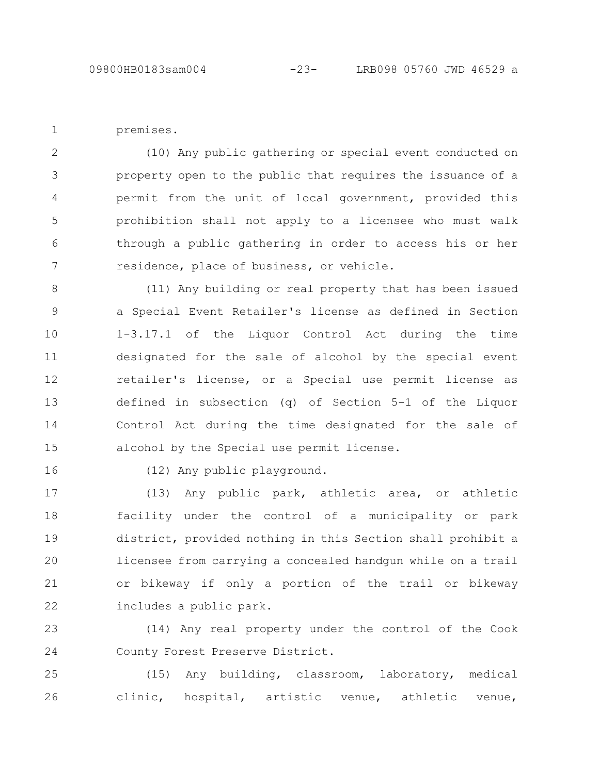premises.

1

(10) Any public gathering or special event conducted on property open to the public that requires the issuance of a permit from the unit of local government, provided this prohibition shall not apply to a licensee who must walk through a public gathering in order to access his or her residence, place of business, or vehicle. 2 3 4 5 6 7

(11) Any building or real property that has been issued a Special Event Retailer's license as defined in Section 1-3.17.1 of the Liquor Control Act during the time designated for the sale of alcohol by the special event retailer's license, or a Special use permit license as defined in subsection (q) of Section 5-1 of the Liquor Control Act during the time designated for the sale of alcohol by the Special use permit license. 8 9 10 11 12 13 14 15

16

(12) Any public playground.

(13) Any public park, athletic area, or athletic facility under the control of a municipality or park district, provided nothing in this Section shall prohibit a licensee from carrying a concealed handgun while on a trail or bikeway if only a portion of the trail or bikeway includes a public park. 17 18 19 20 21 22

(14) Any real property under the control of the Cook County Forest Preserve District. 23 24

(15) Any building, classroom, laboratory, medical clinic, hospital, artistic venue, athletic venue, 25 26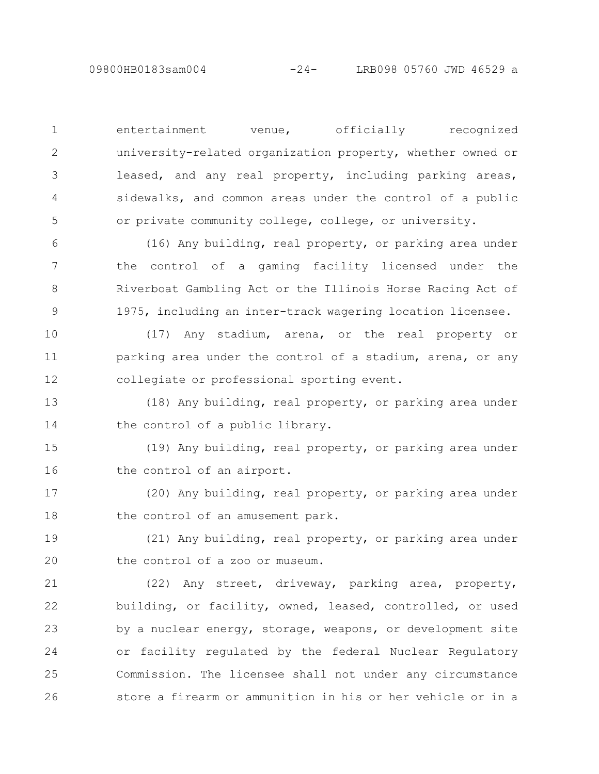entertainment venue, officially recognized university-related organization property, whether owned or leased, and any real property, including parking areas, sidewalks, and common areas under the control of a public or private community college, college, or university. 1 2 3 4 5

(16) Any building, real property, or parking area under the control of a gaming facility licensed under the Riverboat Gambling Act or the Illinois Horse Racing Act of 1975, including an inter-track wagering location licensee. 6 7 8 9

(17) Any stadium, arena, or the real property or parking area under the control of a stadium, arena, or any collegiate or professional sporting event. 10 11 12

(18) Any building, real property, or parking area under the control of a public library. 13 14

(19) Any building, real property, or parking area under the control of an airport. 15 16

(20) Any building, real property, or parking area under the control of an amusement park. 17 18

(21) Any building, real property, or parking area under the control of a zoo or museum. 19 20

(22) Any street, driveway, parking area, property, building, or facility, owned, leased, controlled, or used by a nuclear energy, storage, weapons, or development site or facility regulated by the federal Nuclear Regulatory Commission. The licensee shall not under any circumstance store a firearm or ammunition in his or her vehicle or in a 21 22 23 24 25 26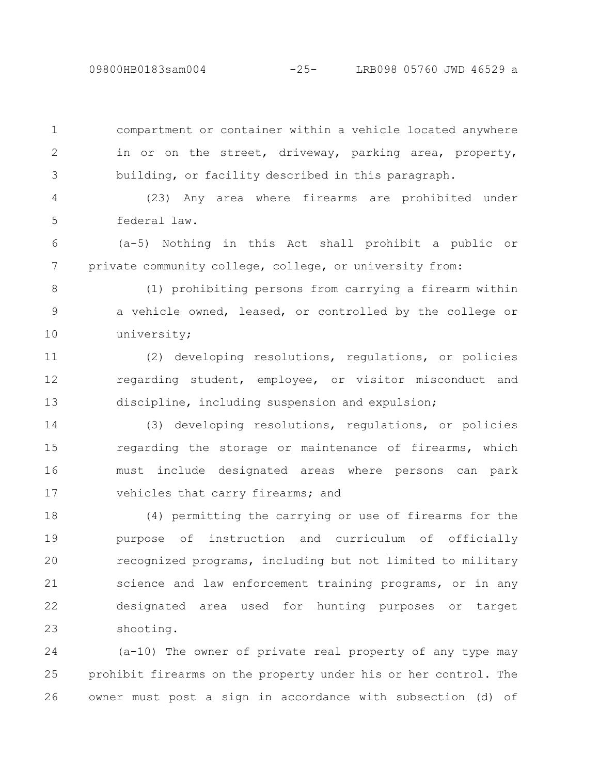1

2

3

09800HB0183sam004 -25- LRB098 05760 JWD 46529 a

compartment or container within a vehicle located anywhere in or on the street, driveway, parking area, property, building, or facility described in this paragraph.

(23) Any area where firearms are prohibited under federal law. 4 5

(a-5) Nothing in this Act shall prohibit a public or private community college, college, or university from: 6 7

(1) prohibiting persons from carrying a firearm within a vehicle owned, leased, or controlled by the college or university; 8 9 10

(2) developing resolutions, regulations, or policies regarding student, employee, or visitor misconduct and discipline, including suspension and expulsion; 11 12 13

(3) developing resolutions, regulations, or policies regarding the storage or maintenance of firearms, which must include designated areas where persons can park vehicles that carry firearms; and 14 15 16 17

(4) permitting the carrying or use of firearms for the purpose of instruction and curriculum of officially recognized programs, including but not limited to military science and law enforcement training programs, or in any designated area used for hunting purposes or target shooting. 18 19 20 21 22 23

(a-10) The owner of private real property of any type may prohibit firearms on the property under his or her control. The owner must post a sign in accordance with subsection (d) of 24 25 26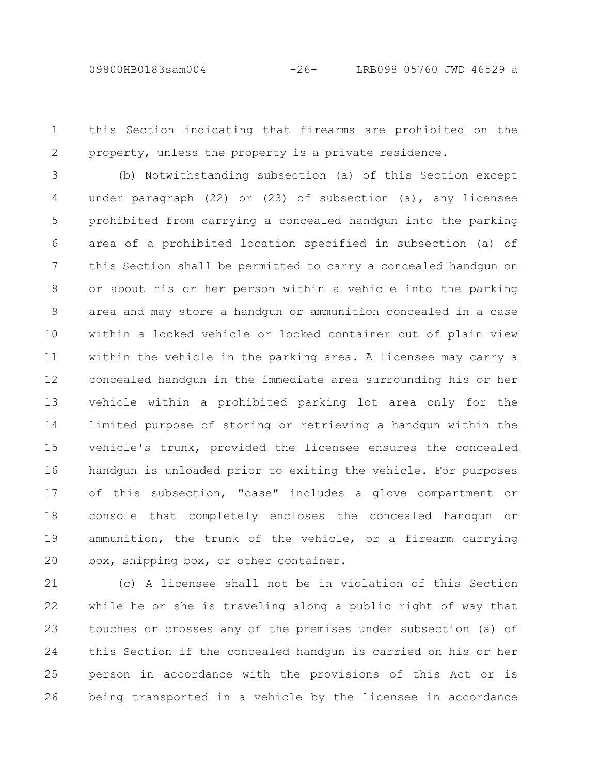this Section indicating that firearms are prohibited on the property, unless the property is a private residence. 1 2

(b) Notwithstanding subsection (a) of this Section except under paragraph (22) or (23) of subsection (a), any licensee prohibited from carrying a concealed handgun into the parking area of a prohibited location specified in subsection (a) of this Section shall be permitted to carry a concealed handgun on or about his or her person within a vehicle into the parking area and may store a handgun or ammunition concealed in a case within a locked vehicle or locked container out of plain view within the vehicle in the parking area. A licensee may carry a concealed handgun in the immediate area surrounding his or her vehicle within a prohibited parking lot area only for the limited purpose of storing or retrieving a handgun within the vehicle's trunk, provided the licensee ensures the concealed handgun is unloaded prior to exiting the vehicle. For purposes of this subsection, "case" includes a glove compartment or console that completely encloses the concealed handgun or ammunition, the trunk of the vehicle, or a firearm carrying box, shipping box, or other container. 3 4 5 6 7 8 9 10 11 12 13 14 15 16 17 18 19 20

(c) A licensee shall not be in violation of this Section while he or she is traveling along a public right of way that touches or crosses any of the premises under subsection (a) of this Section if the concealed handgun is carried on his or her person in accordance with the provisions of this Act or is being transported in a vehicle by the licensee in accordance 21 22 23 24 25 26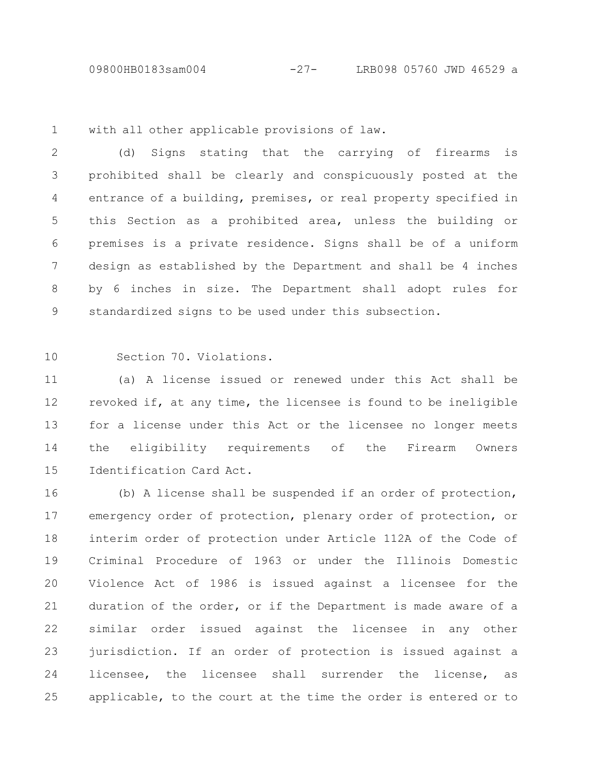09800HB0183sam004 -27- LRB098 05760 JWD 46529 a

with all other applicable provisions of law. 1

(d) Signs stating that the carrying of firearms is prohibited shall be clearly and conspicuously posted at the entrance of a building, premises, or real property specified in this Section as a prohibited area, unless the building or premises is a private residence. Signs shall be of a uniform design as established by the Department and shall be 4 inches by 6 inches in size. The Department shall adopt rules for standardized signs to be used under this subsection. 2 3 4 5 6 7 8 9

10

Section 70. Violations.

(a) A license issued or renewed under this Act shall be revoked if, at any time, the licensee is found to be ineligible for a license under this Act or the licensee no longer meets the eligibility requirements of the Firearm Owners Identification Card Act. 11 12 13 14 15

(b) A license shall be suspended if an order of protection, emergency order of protection, plenary order of protection, or interim order of protection under Article 112A of the Code of Criminal Procedure of 1963 or under the Illinois Domestic Violence Act of 1986 is issued against a licensee for the duration of the order, or if the Department is made aware of a similar order issued against the licensee in any other jurisdiction. If an order of protection is issued against a licensee, the licensee shall surrender the license, as applicable, to the court at the time the order is entered or to 16 17 18 19 20 21 22 23 24 25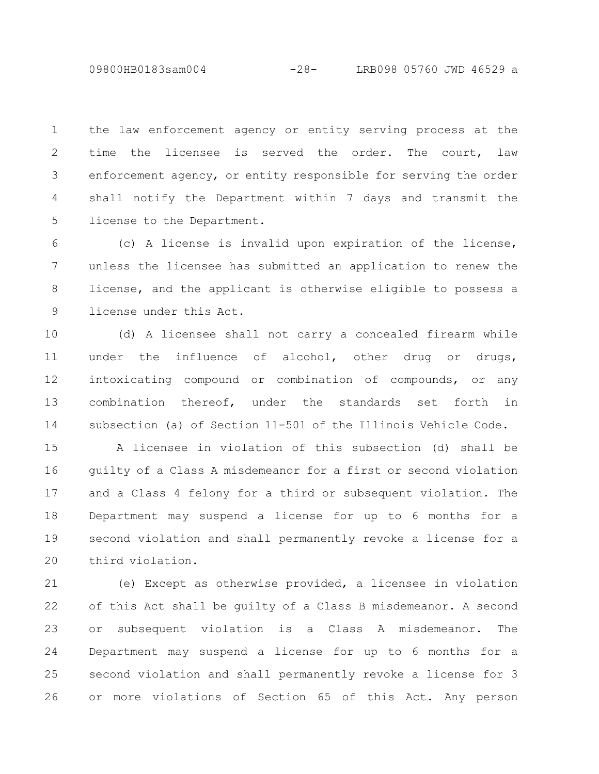09800HB0183sam004 -28- LRB098 05760 JWD 46529 a

the law enforcement agency or entity serving process at the time the licensee is served the order. The court, law enforcement agency, or entity responsible for serving the order shall notify the Department within 7 days and transmit the license to the Department. 1 2 3 4 5

(c) A license is invalid upon expiration of the license, unless the licensee has submitted an application to renew the license, and the applicant is otherwise eligible to possess a license under this Act. 6 7 8 9

(d) A licensee shall not carry a concealed firearm while under the influence of alcohol, other drug or drugs, intoxicating compound or combination of compounds, or any combination thereof, under the standards set forth in subsection (a) of Section 11-501 of the Illinois Vehicle Code. 10 11 12 13 14

A licensee in violation of this subsection (d) shall be guilty of a Class A misdemeanor for a first or second violation and a Class 4 felony for a third or subsequent violation. The Department may suspend a license for up to 6 months for a second violation and shall permanently revoke a license for a third violation. 15 16 17 18 19 20

(e) Except as otherwise provided, a licensee in violation of this Act shall be guilty of a Class B misdemeanor. A second or subsequent violation is a Class A misdemeanor. The Department may suspend a license for up to 6 months for a second violation and shall permanently revoke a license for 3 or more violations of Section 65 of this Act. Any person 21 22 23 24 25 26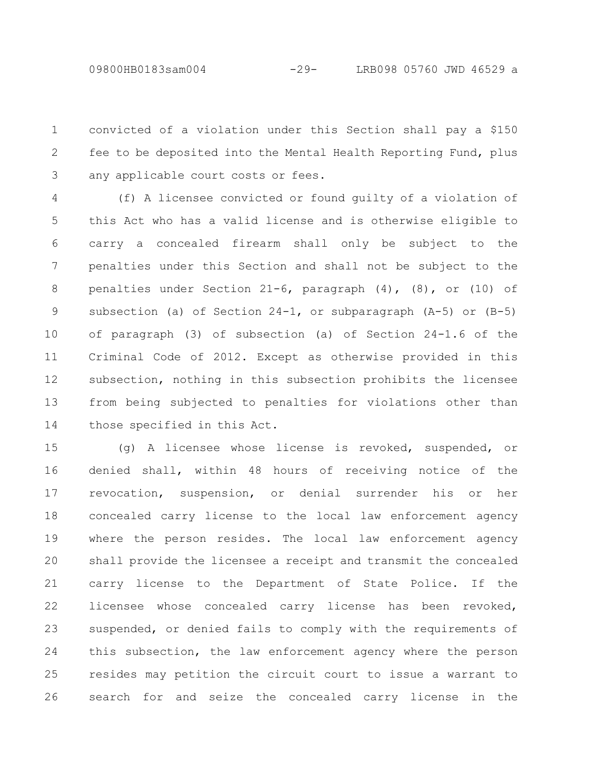convicted of a violation under this Section shall pay a \$150 fee to be deposited into the Mental Health Reporting Fund, plus any applicable court costs or fees. 1 2 3

(f) A licensee convicted or found guilty of a violation of this Act who has a valid license and is otherwise eligible to carry a concealed firearm shall only be subject to the penalties under this Section and shall not be subject to the penalties under Section 21-6, paragraph (4), (8), or (10) of subsection (a) of Section 24-1, or subparagraph (A-5) or (B-5) of paragraph (3) of subsection (a) of Section 24-1.6 of the Criminal Code of 2012. Except as otherwise provided in this subsection, nothing in this subsection prohibits the licensee from being subjected to penalties for violations other than those specified in this Act. 4 5 6 7 8 9 10 11 12 13 14

(g) A licensee whose license is revoked, suspended, or denied shall, within 48 hours of receiving notice of the revocation, suspension, or denial surrender his or her concealed carry license to the local law enforcement agency where the person resides. The local law enforcement agency shall provide the licensee a receipt and transmit the concealed carry license to the Department of State Police. If the licensee whose concealed carry license has been revoked, suspended, or denied fails to comply with the requirements of this subsection, the law enforcement agency where the person resides may petition the circuit court to issue a warrant to search for and seize the concealed carry license in the 15 16 17 18 19 20 21 22 23 24 25 26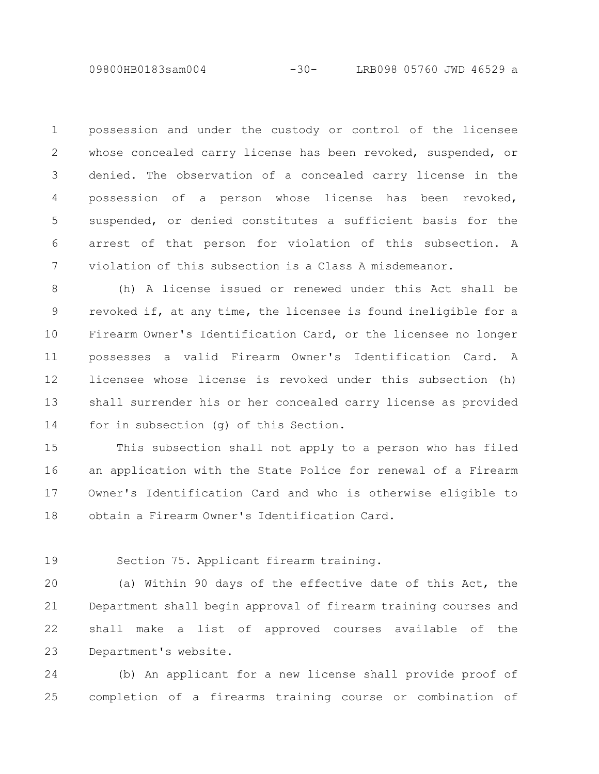09800HB0183sam004 -30- LRB098 05760 JWD 46529 a

possession and under the custody or control of the licensee whose concealed carry license has been revoked, suspended, or denied. The observation of a concealed carry license in the possession of a person whose license has been revoked, suspended, or denied constitutes a sufficient basis for the arrest of that person for violation of this subsection. A violation of this subsection is a Class A misdemeanor. 1 2 3 4 5 6 7

(h) A license issued or renewed under this Act shall be revoked if, at any time, the licensee is found ineligible for a Firearm Owner's Identification Card, or the licensee no longer possesses a valid Firearm Owner's Identification Card. A licensee whose license is revoked under this subsection (h) shall surrender his or her concealed carry license as provided for in subsection (g) of this Section. 8 9 10 11 12 13 14

This subsection shall not apply to a person who has filed an application with the State Police for renewal of a Firearm Owner's Identification Card and who is otherwise eligible to obtain a Firearm Owner's Identification Card. 15 16 17 18

19

Section 75. Applicant firearm training.

(a) Within 90 days of the effective date of this Act, the Department shall begin approval of firearm training courses and shall make a list of approved courses available of the Department's website. 20 21 22 23

(b) An applicant for a new license shall provide proof of completion of a firearms training course or combination of 24 25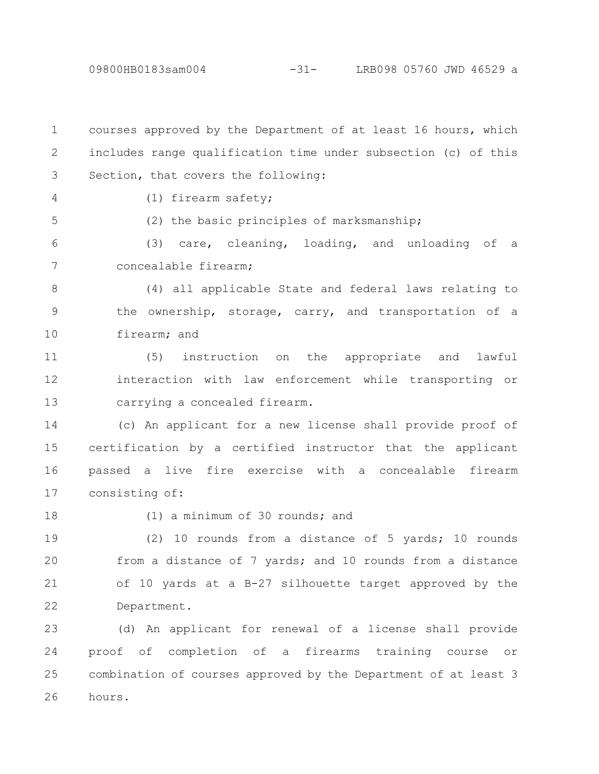courses approved by the Department of at least 16 hours, which includes range qualification time under subsection (c) of this Section, that covers the following: 1 2 3

4

5

(1) firearm safety;

(2) the basic principles of marksmanship;

(3) care, cleaning, loading, and unloading of a concealable firearm; 6 7

(4) all applicable State and federal laws relating to the ownership, storage, carry, and transportation of a firearm; and 8 9 10

(5) instruction on the appropriate and lawful interaction with law enforcement while transporting or carrying a concealed firearm. 11 12 13

(c) An applicant for a new license shall provide proof of certification by a certified instructor that the applicant passed a live fire exercise with a concealable firearm consisting of: 14 15 16 17

18

(1) a minimum of 30 rounds; and

(2) 10 rounds from a distance of 5 yards; 10 rounds from a distance of 7 yards; and 10 rounds from a distance of 10 yards at a B-27 silhouette target approved by the Department. 19 20 21 22

(d) An applicant for renewal of a license shall provide proof of completion of a firearms training course or combination of courses approved by the Department of at least 3 hours. 23 24 25 26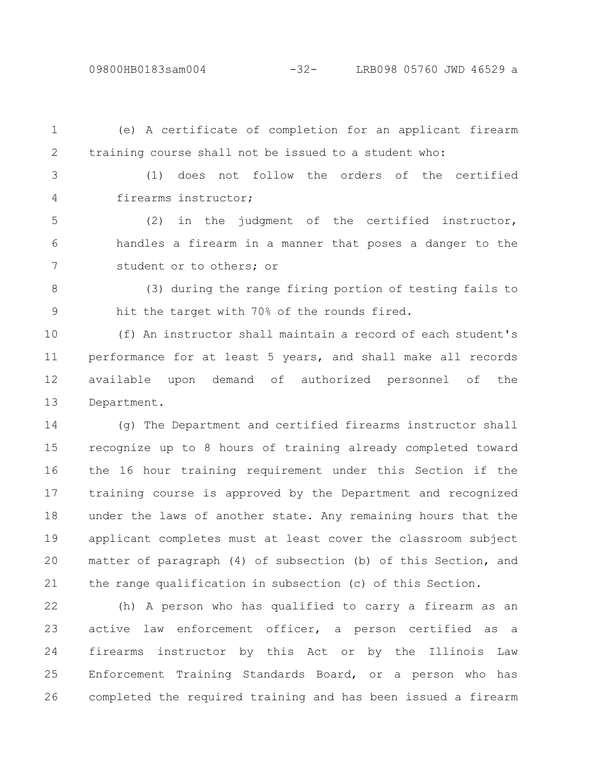09800HB0183sam004 -32- LRB098 05760 JWD 46529 a

(e) A certificate of completion for an applicant firearm training course shall not be issued to a student who: (1) does not follow the orders of the certified firearms instructor; (2) in the judgment of the certified instructor, handles a firearm in a manner that poses a danger to the student or to others; or (3) during the range firing portion of testing fails to hit the target with 70% of the rounds fired. 1 2 3 4 5 6 7 8 9

(f) An instructor shall maintain a record of each student's performance for at least 5 years, and shall make all records available upon demand of authorized personnel of the Department. 10 11 12 13

(g) The Department and certified firearms instructor shall recognize up to 8 hours of training already completed toward the 16 hour training requirement under this Section if the training course is approved by the Department and recognized under the laws of another state. Any remaining hours that the applicant completes must at least cover the classroom subject matter of paragraph (4) of subsection (b) of this Section, and the range qualification in subsection (c) of this Section. 14 15 16 17 18 19 20 21

(h) A person who has qualified to carry a firearm as an active law enforcement officer, a person certified as a firearms instructor by this Act or by the Illinois Law Enforcement Training Standards Board, or a person who has completed the required training and has been issued a firearm 22 23 24 25 26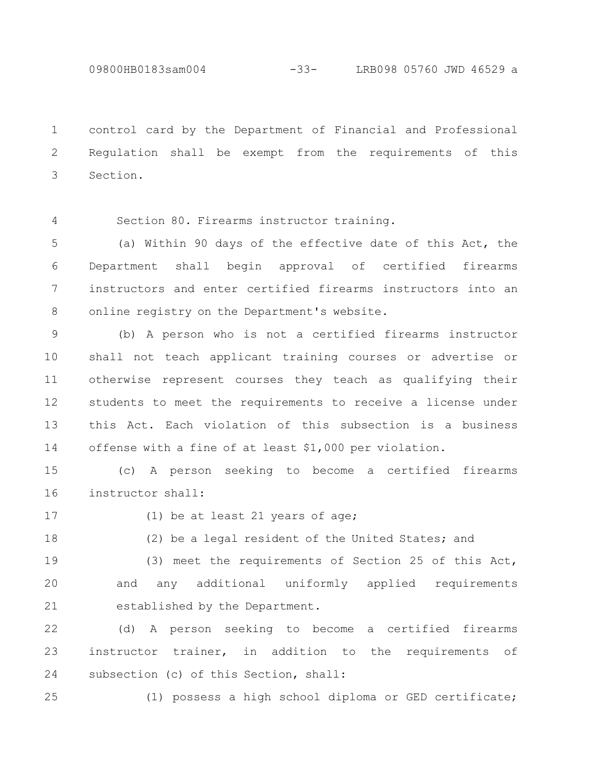09800HB0183sam004 -33- LRB098 05760 JWD 46529 a

control card by the Department of Financial and Professional Regulation shall be exempt from the requirements of this Section. 1 2 3

Section 80. Firearms instructor training. 4

(a) Within 90 days of the effective date of this Act, the Department shall begin approval of certified firearms instructors and enter certified firearms instructors into an online registry on the Department's website. 5 6 7 8

(b) A person who is not a certified firearms instructor shall not teach applicant training courses or advertise or otherwise represent courses they teach as qualifying their students to meet the requirements to receive a license under this Act. Each violation of this subsection is a business offense with a fine of at least \$1,000 per violation. 9 10 11 12 13 14

(c) A person seeking to become a certified firearms instructor shall: 15 16

17

(1) be at least 21 years of age;

(2) be a legal resident of the United States; and 18

(3) meet the requirements of Section 25 of this Act, and any additional uniformly applied requirements established by the Department. 19 20 21

(d) A person seeking to become a certified firearms instructor trainer, in addition to the requirements of subsection (c) of this Section, shall: 22 23 24

(1) possess a high school diploma or GED certificate; 25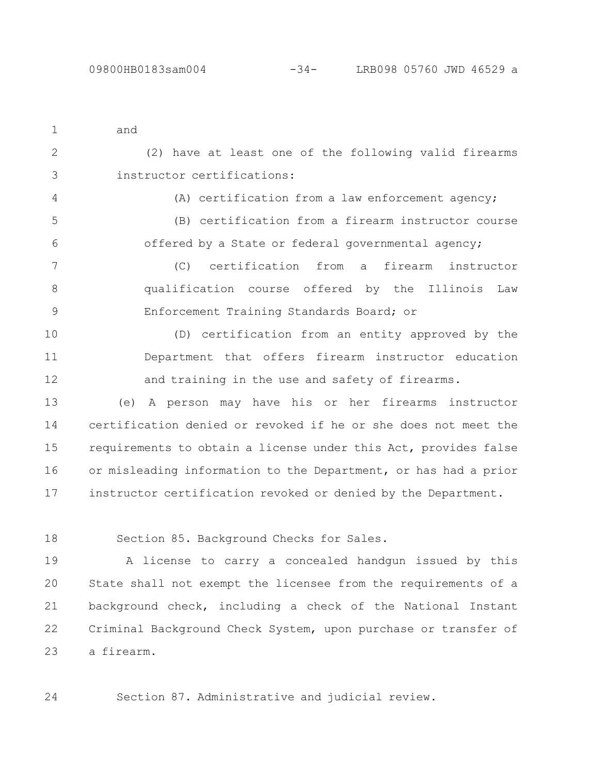| $\mathbf{1}$   | and                                                            |
|----------------|----------------------------------------------------------------|
| $\overline{2}$ | (2) have at least one of the following valid firearms          |
| 3              | instructor certifications:                                     |
| 4              | (A) certification from a law enforcement agency;               |
| 5              | (B) certification from a firearm instructor course             |
| 6              | offered by a State or federal governmental agency;             |
| 7              | (C) certification from a firearm instructor                    |
| 8              | qualification course offered by the Illinois Law               |
| 9              | Enforcement Training Standards Board; or                       |
| 10             | (D) certification from an entity approved by the               |
| 11             | Department that offers firearm instructor education            |
| 12             | and training in the use and safety of firearms.                |
| 13             | A person may have his or her firearms instructor<br>(e)        |
| 14             | certification denied or revoked if he or she does not meet the |

requirements to obtain a license under this Act, provides false or misleading information to the Department, or has had a prior instructor certification revoked or denied by the Department. 15 16 17

18

Section 85. Background Checks for Sales.

A license to carry a concealed handgun issued by this State shall not exempt the licensee from the requirements of a background check, including a check of the National Instant Criminal Background Check System, upon purchase or transfer of a firearm. 19 20 21 22 23

Section 87. Administrative and judicial review. 24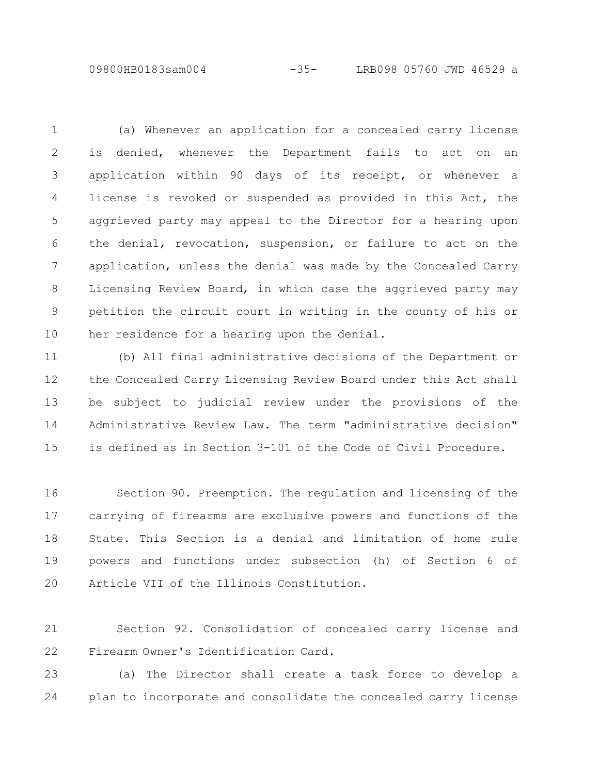09800HB0183sam004 -35- LRB098 05760 JWD 46529 a

(a) Whenever an application for a concealed carry license is denied, whenever the Department fails to act on an application within 90 days of its receipt, or whenever a license is revoked or suspended as provided in this Act, the aggrieved party may appeal to the Director for a hearing upon the denial, revocation, suspension, or failure to act on the application, unless the denial was made by the Concealed Carry Licensing Review Board, in which case the aggrieved party may petition the circuit court in writing in the county of his or her residence for a hearing upon the denial. 1 2 3 4 5 6 7 8 9 10

(b) All final administrative decisions of the Department or the Concealed Carry Licensing Review Board under this Act shall be subject to judicial review under the provisions of the Administrative Review Law. The term "administrative decision" is defined as in Section 3-101 of the Code of Civil Procedure. 11 12 13 14 15

Section 90. Preemption. The regulation and licensing of the carrying of firearms are exclusive powers and functions of the State. This Section is a denial and limitation of home rule powers and functions under subsection (h) of Section 6 of Article VII of the Illinois Constitution. 16 17 18 19 20

Section 92. Consolidation of concealed carry license and Firearm Owner's Identification Card. 21 22

(a) The Director shall create a task force to develop a plan to incorporate and consolidate the concealed carry license 23 24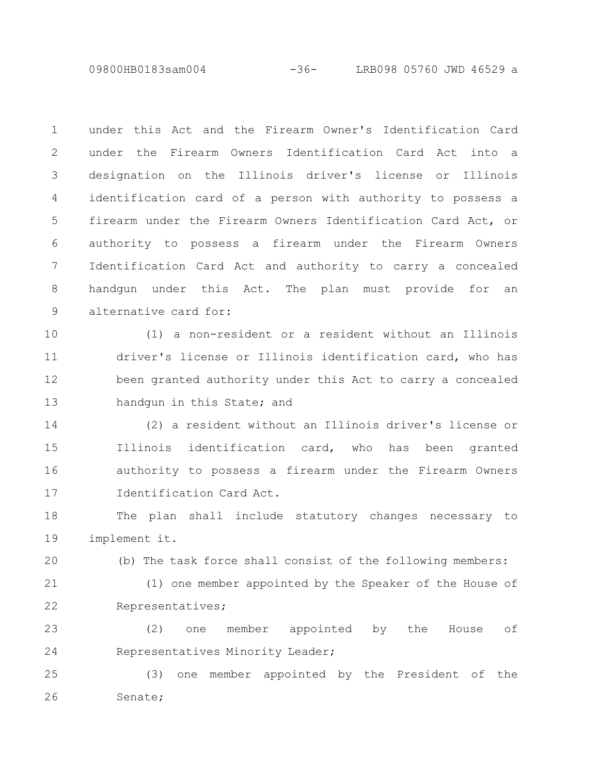09800HB0183sam004 -36- LRB098 05760 JWD 46529 a

under this Act and the Firearm Owner's Identification Card under the Firearm Owners Identification Card Act into a designation on the Illinois driver's license or Illinois identification card of a person with authority to possess a firearm under the Firearm Owners Identification Card Act, or authority to possess a firearm under the Firearm Owners Identification Card Act and authority to carry a concealed handgun under this Act. The plan must provide for an alternative card for: 1 2 3 4 5 6 7 8 9

(1) a non-resident or a resident without an Illinois driver's license or Illinois identification card, who has been granted authority under this Act to carry a concealed handgun in this State; and 10 11 12 13

(2) a resident without an Illinois driver's license or Illinois identification card, who has been granted authority to possess a firearm under the Firearm Owners Identification Card Act. 14 15 16 17

The plan shall include statutory changes necessary to implement it. 18 19

(b) The task force shall consist of the following members:

21

20

22

(1) one member appointed by the Speaker of the House of Representatives;

(2) one member appointed by the House of Representatives Minority Leader; 23 24

(3) one member appointed by the President of the Senate; 25 26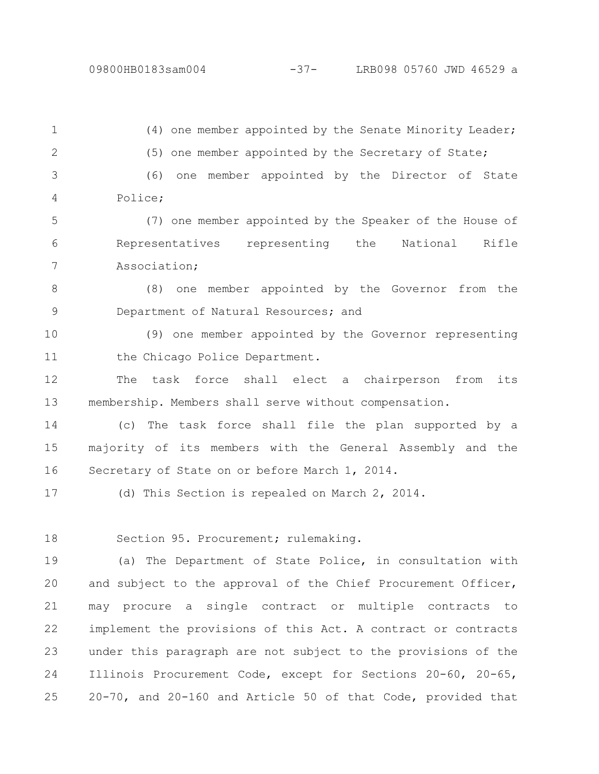(4) one member appointed by the Senate Minority Leader; (5) one member appointed by the Secretary of State; (6) one member appointed by the Director of State 1 2 3 4

Police;

(7) one member appointed by the Speaker of the House of Representatives representing the National Rifle Association; 5 6 7

(8) one member appointed by the Governor from the Department of Natural Resources; and 8 9

(9) one member appointed by the Governor representing the Chicago Police Department. 10 11

The task force shall elect a chairperson from its membership. Members shall serve without compensation. 12 13

(c) The task force shall file the plan supported by a majority of its members with the General Assembly and the Secretary of State on or before March 1, 2014. 14 15 16

(d) This Section is repealed on March 2, 2014. 17

Section 95. Procurement; rulemaking. 18

(a) The Department of State Police, in consultation with and subject to the approval of the Chief Procurement Officer, may procure a single contract or multiple contracts to implement the provisions of this Act. A contract or contracts under this paragraph are not subject to the provisions of the Illinois Procurement Code, except for Sections 20-60, 20-65, 20-70, and 20-160 and Article 50 of that Code, provided that 19 20 21 22 23 24 25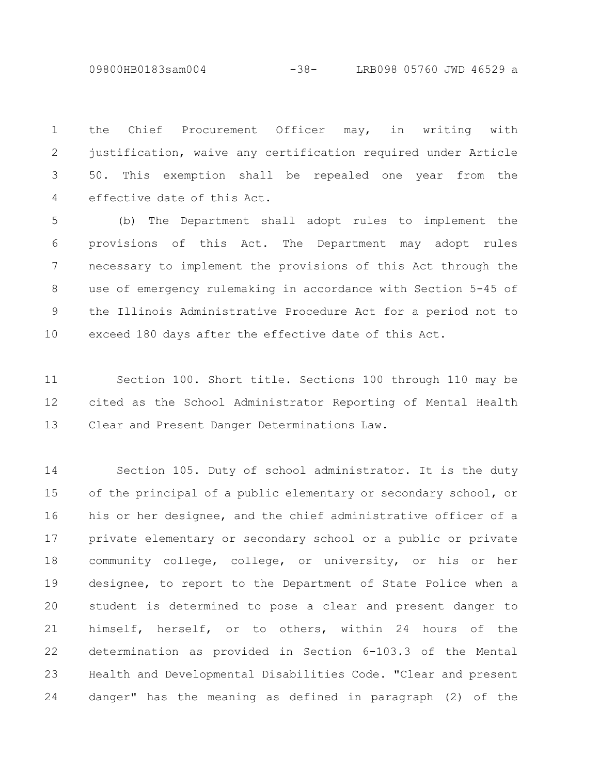09800HB0183sam004 -38- LRB098 05760 JWD 46529 a

the Chief Procurement Officer may, in writing with justification, waive any certification required under Article 50. This exemption shall be repealed one year from the effective date of this Act. 1 2 3 4

(b) The Department shall adopt rules to implement the provisions of this Act. The Department may adopt rules necessary to implement the provisions of this Act through the use of emergency rulemaking in accordance with Section 5-45 of the Illinois Administrative Procedure Act for a period not to exceed 180 days after the effective date of this Act. 5 6 7 8 9 10

Section 100. Short title. Sections 100 through 110 may be cited as the School Administrator Reporting of Mental Health Clear and Present Danger Determinations Law. 11 12 13

Section 105. Duty of school administrator. It is the duty of the principal of a public elementary or secondary school, or his or her designee, and the chief administrative officer of a private elementary or secondary school or a public or private community college, college, or university, or his or her designee, to report to the Department of State Police when a student is determined to pose a clear and present danger to himself, herself, or to others, within 24 hours of the determination as provided in Section 6-103.3 of the Mental Health and Developmental Disabilities Code. "Clear and present danger" has the meaning as defined in paragraph (2) of the 14 15 16 17 18 19 20 21 22 23 24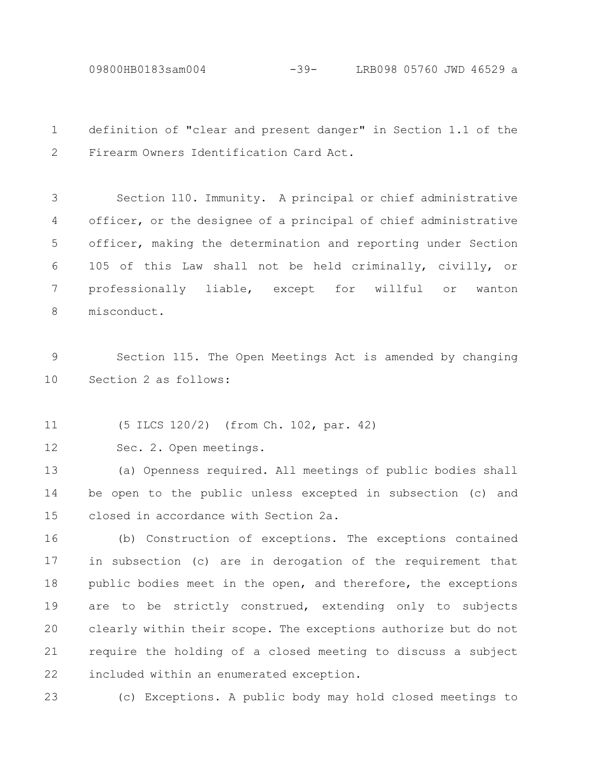09800HB0183sam004 -39- LRB098 05760 JWD 46529 a

definition of "clear and present danger" in Section 1.1 of the Firearm Owners Identification Card Act. 1 2

Section 110. Immunity. A principal or chief administrative officer, or the designee of a principal of chief administrative officer, making the determination and reporting under Section 105 of this Law shall not be held criminally, civilly, or professionally liable, except for willful or wanton misconduct. 3 4 5 6 7 8

Section 115. The Open Meetings Act is amended by changing Section 2 as follows: 9 10

(5 ILCS 120/2) (from Ch. 102, par. 42) 11

Sec. 2. Open meetings. 12

(a) Openness required. All meetings of public bodies shall be open to the public unless excepted in subsection (c) and closed in accordance with Section 2a. 13 14 15

(b) Construction of exceptions. The exceptions contained in subsection (c) are in derogation of the requirement that public bodies meet in the open, and therefore, the exceptions are to be strictly construed, extending only to subjects clearly within their scope. The exceptions authorize but do not require the holding of a closed meeting to discuss a subject included within an enumerated exception. 16 17 18 19 20 21 22

(c) Exceptions. A public body may hold closed meetings to 23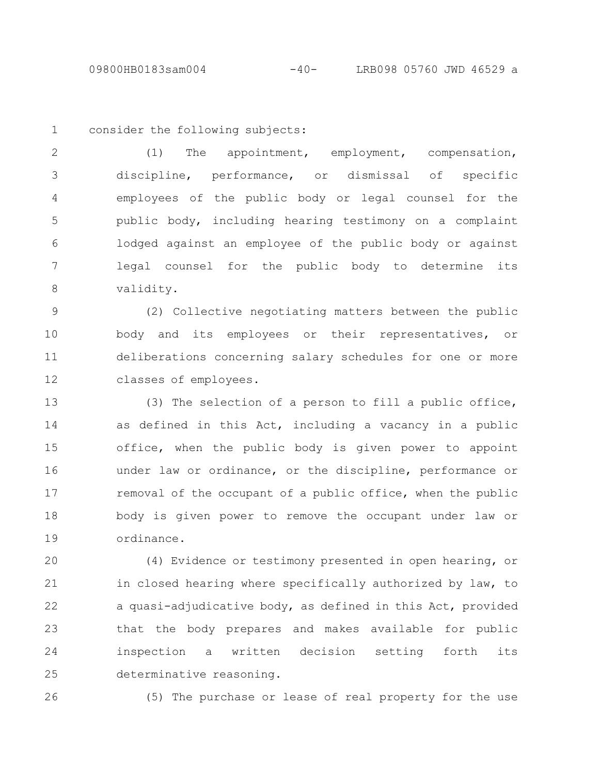1

consider the following subjects:

(1) The appointment, employment, compensation, discipline, performance, or dismissal of specific employees of the public body or legal counsel for the public body, including hearing testimony on a complaint lodged against an employee of the public body or against legal counsel for the public body to determine its validity. 2 3 4 5 6 7 8

(2) Collective negotiating matters between the public body and its employees or their representatives, or deliberations concerning salary schedules for one or more classes of employees. 9 10 11 12

(3) The selection of a person to fill a public office, as defined in this Act, including a vacancy in a public office, when the public body is given power to appoint under law or ordinance, or the discipline, performance or removal of the occupant of a public office, when the public body is given power to remove the occupant under law or ordinance. 13 14 15 16 17 18 19

(4) Evidence or testimony presented in open hearing, or in closed hearing where specifically authorized by law, to a quasi-adjudicative body, as defined in this Act, provided that the body prepares and makes available for public inspection a written decision setting forth its determinative reasoning. 20 21 22 23 24 25

26

(5) The purchase or lease of real property for the use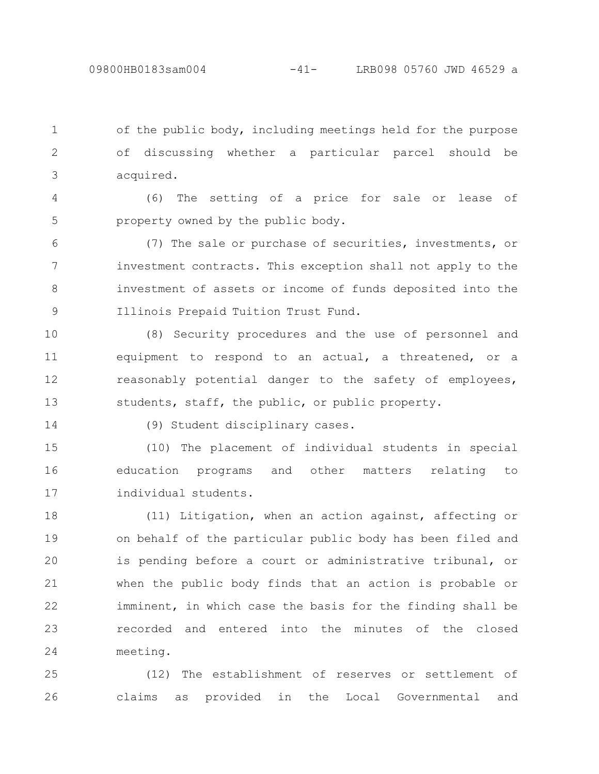of the public body, including meetings held for the purpose of discussing whether a particular parcel should be acquired. 1 2 3

(6) The setting of a price for sale or lease of property owned by the public body. 4 5

(7) The sale or purchase of securities, investments, or investment contracts. This exception shall not apply to the investment of assets or income of funds deposited into the Illinois Prepaid Tuition Trust Fund. 6 7 8 9

(8) Security procedures and the use of personnel and equipment to respond to an actual, a threatened, or a reasonably potential danger to the safety of employees, students, staff, the public, or public property. 10 11 12 13

14

(9) Student disciplinary cases.

(10) The placement of individual students in special education programs and other matters relating to individual students. 15 16 17

(11) Litigation, when an action against, affecting or on behalf of the particular public body has been filed and is pending before a court or administrative tribunal, or when the public body finds that an action is probable or imminent, in which case the basis for the finding shall be recorded and entered into the minutes of the closed meeting. 18 19 20 21 22 23 24

(12) The establishment of reserves or settlement of claims as provided in the Local Governmental and 25 26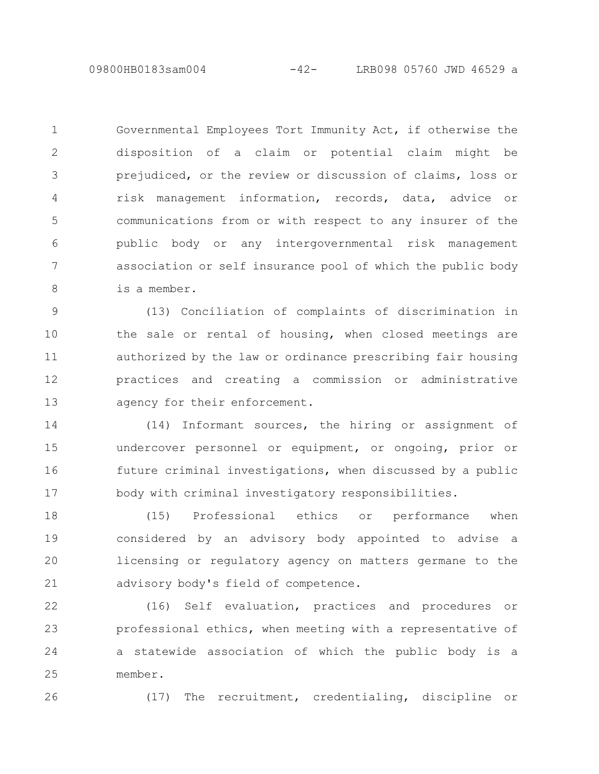09800HB0183sam004 -42- LRB098 05760 JWD 46529 a

Governmental Employees Tort Immunity Act, if otherwise the disposition of a claim or potential claim might be prejudiced, or the review or discussion of claims, loss or risk management information, records, data, advice or communications from or with respect to any insurer of the public body or any intergovernmental risk management association or self insurance pool of which the public body is a member. 1 2 3 4 5 6 7 8

(13) Conciliation of complaints of discrimination in the sale or rental of housing, when closed meetings are authorized by the law or ordinance prescribing fair housing practices and creating a commission or administrative agency for their enforcement. 9 10 11 12 13

(14) Informant sources, the hiring or assignment of undercover personnel or equipment, or ongoing, prior or future criminal investigations, when discussed by a public body with criminal investigatory responsibilities. 14 15 16 17

(15) Professional ethics or performance when considered by an advisory body appointed to advise a licensing or regulatory agency on matters germane to the advisory body's field of competence. 18 19 20 21

(16) Self evaluation, practices and procedures or professional ethics, when meeting with a representative of a statewide association of which the public body is a member. 22 23 24 25

26

(17) The recruitment, credentialing, discipline or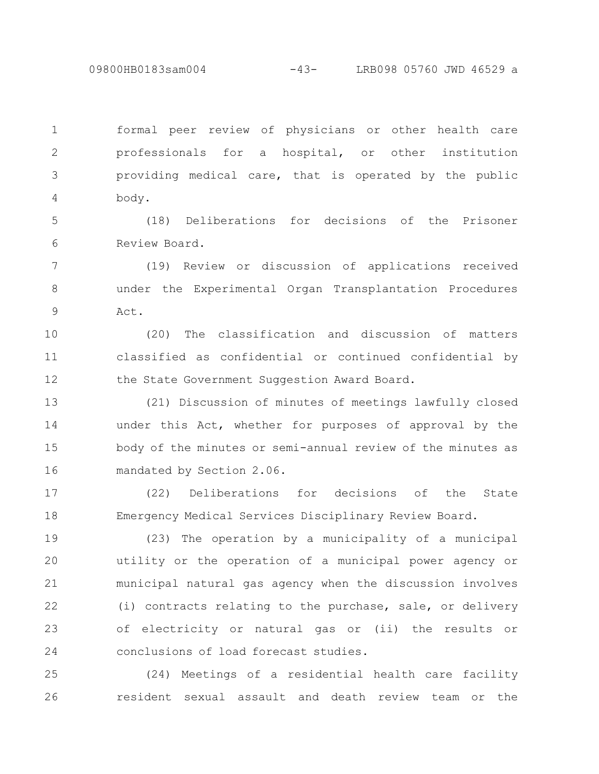09800HB0183sam004 -43- LRB098 05760 JWD 46529 a

formal peer review of physicians or other health care professionals for a hospital, or other institution providing medical care, that is operated by the public body. 1 2 3 4

(18) Deliberations for decisions of the Prisoner Review Board. 5 6

(19) Review or discussion of applications received under the Experimental Organ Transplantation Procedures Act. 7 8 9

(20) The classification and discussion of matters classified as confidential or continued confidential by the State Government Suggestion Award Board. 10 11 12

(21) Discussion of minutes of meetings lawfully closed under this Act, whether for purposes of approval by the body of the minutes or semi-annual review of the minutes as mandated by Section 2.06. 13 14 15 16

(22) Deliberations for decisions of the State Emergency Medical Services Disciplinary Review Board. 17 18

(23) The operation by a municipality of a municipal utility or the operation of a municipal power agency or municipal natural gas agency when the discussion involves (i) contracts relating to the purchase, sale, or delivery of electricity or natural gas or (ii) the results or conclusions of load forecast studies. 19 20 21 22 23 24

(24) Meetings of a residential health care facility resident sexual assault and death review team or the 25 26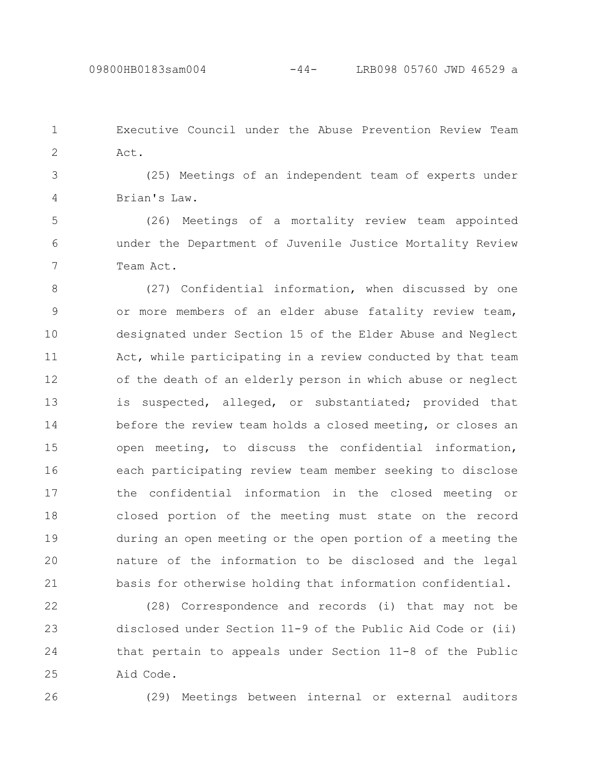Executive Council under the Abuse Prevention Review Team Act. 1 2

(25) Meetings of an independent team of experts under Brian's Law. 3 4

(26) Meetings of a mortality review team appointed under the Department of Juvenile Justice Mortality Review Team Act. 5 6 7

(27) Confidential information, when discussed by one or more members of an elder abuse fatality review team, designated under Section 15 of the Elder Abuse and Neglect Act, while participating in a review conducted by that team of the death of an elderly person in which abuse or neglect is suspected, alleged, or substantiated; provided that before the review team holds a closed meeting, or closes an open meeting, to discuss the confidential information, each participating review team member seeking to disclose the confidential information in the closed meeting or closed portion of the meeting must state on the record during an open meeting or the open portion of a meeting the nature of the information to be disclosed and the legal basis for otherwise holding that information confidential. 8 9 10 11 12 13 14 15 16 17 18 19 20 21

(28) Correspondence and records (i) that may not be disclosed under Section 11-9 of the Public Aid Code or (ii) that pertain to appeals under Section 11-8 of the Public Aid Code. 22 23 24 25

26

(29) Meetings between internal or external auditors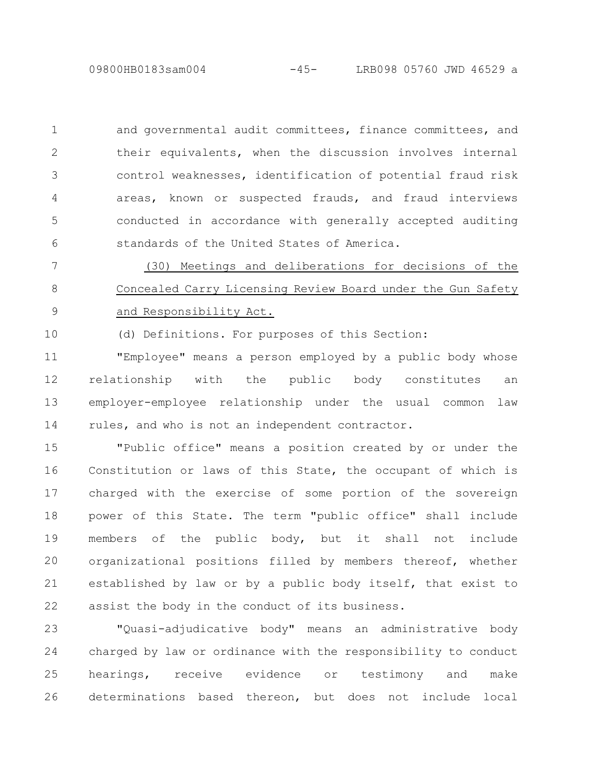09800HB0183sam004 -45- LRB098 05760 JWD 46529 a

and governmental audit committees, finance committees, and their equivalents, when the discussion involves internal control weaknesses, identification of potential fraud risk areas, known or suspected frauds, and fraud interviews conducted in accordance with generally accepted auditing standards of the United States of America. 1 2 3 4 5 6

(30) Meetings and deliberations for decisions of the Concealed Carry Licensing Review Board under the Gun Safety and Responsibility Act. 7 8 9

(d) Definitions. For purposes of this Section: 10

"Employee" means a person employed by a public body whose relationship with the public body constitutes an employer-employee relationship under the usual common law rules, and who is not an independent contractor. 11 12 13 14

"Public office" means a position created by or under the Constitution or laws of this State, the occupant of which is charged with the exercise of some portion of the sovereign power of this State. The term "public office" shall include members of the public body, but it shall not include organizational positions filled by members thereof, whether established by law or by a public body itself, that exist to assist the body in the conduct of its business. 15 16 17 18 19 20 21 22

"Quasi-adjudicative body" means an administrative body charged by law or ordinance with the responsibility to conduct hearings, receive evidence or testimony and make determinations based thereon, but does not include local 23 24 25 26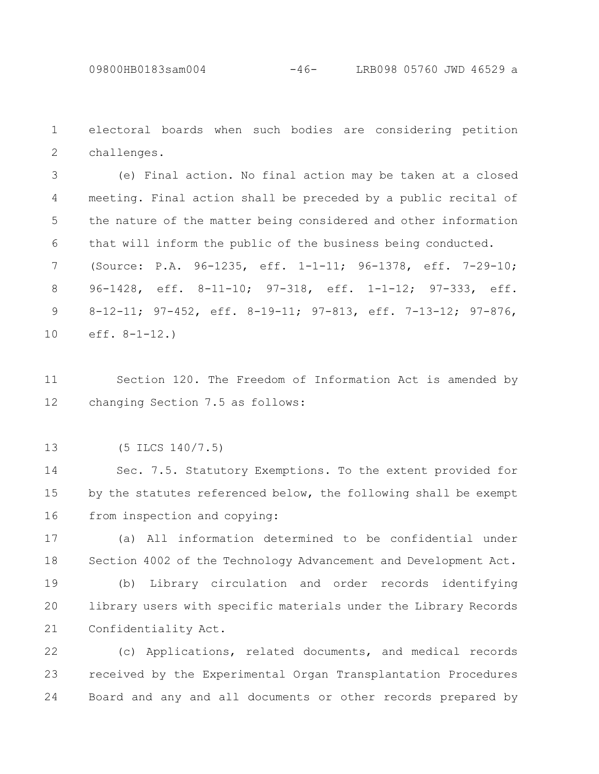electoral boards when such bodies are considering petition challenges. 1 2

(e) Final action. No final action may be taken at a closed meeting. Final action shall be preceded by a public recital of the nature of the matter being considered and other information that will inform the public of the business being conducted. 3 4 5 6

(Source: P.A. 96-1235, eff. 1-1-11; 96-1378, eff. 7-29-10; 96-1428, eff. 8-11-10; 97-318, eff. 1-1-12; 97-333, eff. 8-12-11; 97-452, eff. 8-19-11; 97-813, eff. 7-13-12; 97-876, eff. 8-1-12.) 7 8 9 10

Section 120. The Freedom of Information Act is amended by changing Section 7.5 as follows: 11 12

(5 ILCS 140/7.5) 13

Sec. 7.5. Statutory Exemptions. To the extent provided for by the statutes referenced below, the following shall be exempt from inspection and copying: 14 15 16

(a) All information determined to be confidential under Section 4002 of the Technology Advancement and Development Act. 17 18

(b) Library circulation and order records identifying library users with specific materials under the Library Records Confidentiality Act. 19 20 21

(c) Applications, related documents, and medical records received by the Experimental Organ Transplantation Procedures Board and any and all documents or other records prepared by 22 23 24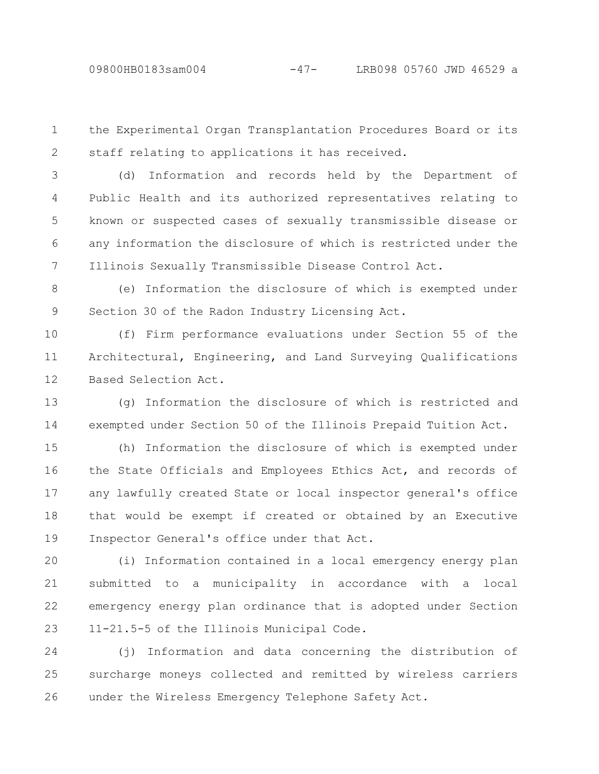the Experimental Organ Transplantation Procedures Board or its staff relating to applications it has received. 1 2

(d) Information and records held by the Department of Public Health and its authorized representatives relating to known or suspected cases of sexually transmissible disease or any information the disclosure of which is restricted under the Illinois Sexually Transmissible Disease Control Act. 3 4 5 6 7

(e) Information the disclosure of which is exempted under Section 30 of the Radon Industry Licensing Act. 8 9

(f) Firm performance evaluations under Section 55 of the Architectural, Engineering, and Land Surveying Qualifications Based Selection Act. 10 11 12

(g) Information the disclosure of which is restricted and exempted under Section 50 of the Illinois Prepaid Tuition Act. 13 14

(h) Information the disclosure of which is exempted under the State Officials and Employees Ethics Act, and records of any lawfully created State or local inspector general's office that would be exempt if created or obtained by an Executive Inspector General's office under that Act. 15 16 17 18 19

(i) Information contained in a local emergency energy plan submitted to a municipality in accordance with a local emergency energy plan ordinance that is adopted under Section 11-21.5-5 of the Illinois Municipal Code. 20 21 22 23

(j) Information and data concerning the distribution of surcharge moneys collected and remitted by wireless carriers under the Wireless Emergency Telephone Safety Act. 24 25 26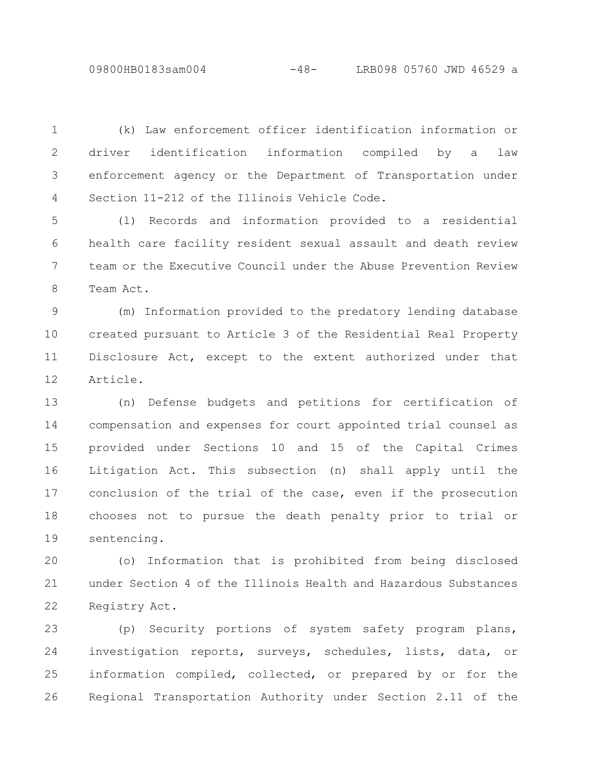09800HB0183sam004 -48- LRB098 05760 JWD 46529 a

(k) Law enforcement officer identification information or driver identification information compiled by a law enforcement agency or the Department of Transportation under Section 11-212 of the Illinois Vehicle Code. 1 2 3 4

(l) Records and information provided to a residential health care facility resident sexual assault and death review team or the Executive Council under the Abuse Prevention Review Team Act. 5 6 7 8

(m) Information provided to the predatory lending database created pursuant to Article 3 of the Residential Real Property Disclosure Act, except to the extent authorized under that Article. 9 10 11 12

(n) Defense budgets and petitions for certification of compensation and expenses for court appointed trial counsel as provided under Sections 10 and 15 of the Capital Crimes Litigation Act. This subsection (n) shall apply until the conclusion of the trial of the case, even if the prosecution chooses not to pursue the death penalty prior to trial or sentencing. 13 14 15 16 17 18 19

(o) Information that is prohibited from being disclosed under Section 4 of the Illinois Health and Hazardous Substances Registry Act. 20 21 22

(p) Security portions of system safety program plans, investigation reports, surveys, schedules, lists, data, or information compiled, collected, or prepared by or for the Regional Transportation Authority under Section 2.11 of the 23 24 25 26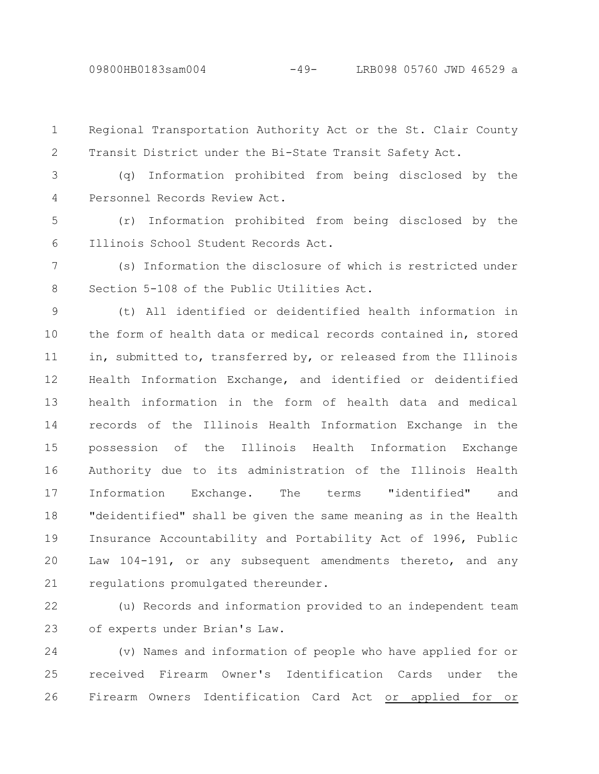Regional Transportation Authority Act or the St. Clair County Transit District under the Bi-State Transit Safety Act. 1 2

(q) Information prohibited from being disclosed by the Personnel Records Review Act. 3 4

(r) Information prohibited from being disclosed by the Illinois School Student Records Act. 5 6

(s) Information the disclosure of which is restricted under Section 5-108 of the Public Utilities Act. 7 8

(t) All identified or deidentified health information in the form of health data or medical records contained in, stored in, submitted to, transferred by, or released from the Illinois Health Information Exchange, and identified or deidentified health information in the form of health data and medical records of the Illinois Health Information Exchange in the possession of the Illinois Health Information Exchange Authority due to its administration of the Illinois Health Information Exchange. The terms "identified" and "deidentified" shall be given the same meaning as in the Health Insurance Accountability and Portability Act of 1996, Public Law 104-191, or any subsequent amendments thereto, and any regulations promulgated thereunder. 9 10 11 12 13 14 15 16 17 18 19 20 21

(u) Records and information provided to an independent team of experts under Brian's Law. 22 23

(v) Names and information of people who have applied for or received Firearm Owner's Identification Cards under the Firearm Owners Identification Card Act or applied for or 24 25 26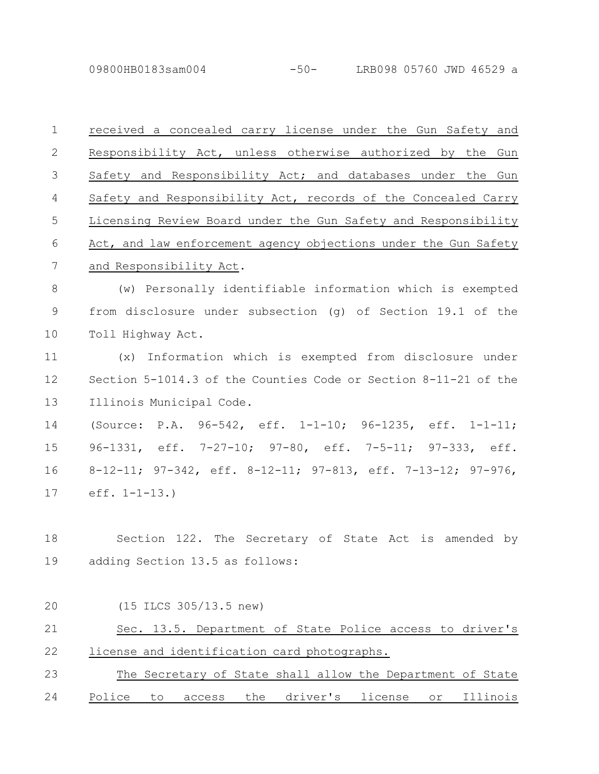09800HB0183sam004 -50- LRB098 05760 JWD 46529 a

received a concealed carry license under the Gun Safety and Responsibility Act, unless otherwise authorized by the Gun Safety and Responsibility Act; and databases under the Gun Safety and Responsibility Act, records of the Concealed Carry Licensing Review Board under the Gun Safety and Responsibility Act, and law enforcement agency objections under the Gun Safety and Responsibility Act. (w) Personally identifiable information which is exempted from disclosure under subsection (g) of Section 19.1 of the Toll Highway Act. (x) Information which is exempted from disclosure under Section 5-1014.3 of the Counties Code or Section 8-11-21 of the Illinois Municipal Code. (Source: P.A. 96-542, eff. 1-1-10; 96-1235, eff. 1-1-11; 96-1331, eff. 7-27-10; 97-80, eff. 7-5-11; 97-333, eff. 8-12-11; 97-342, eff. 8-12-11; 97-813, eff. 7-13-12; 97-976, eff. 1-1-13.) Section 122. The Secretary of State Act is amended by adding Section 13.5 as follows: (15 ILCS 305/13.5 new) Sec. 13.5. Department of State Police access to driver's license and identification card photographs. The Secretary of State shall allow the Department of State 1 2 3 4 5 6 7 8 9 10 11 12 13 14 15 16 17 18 19 20 21 22 23

Police to access the driver's license or Illinois 24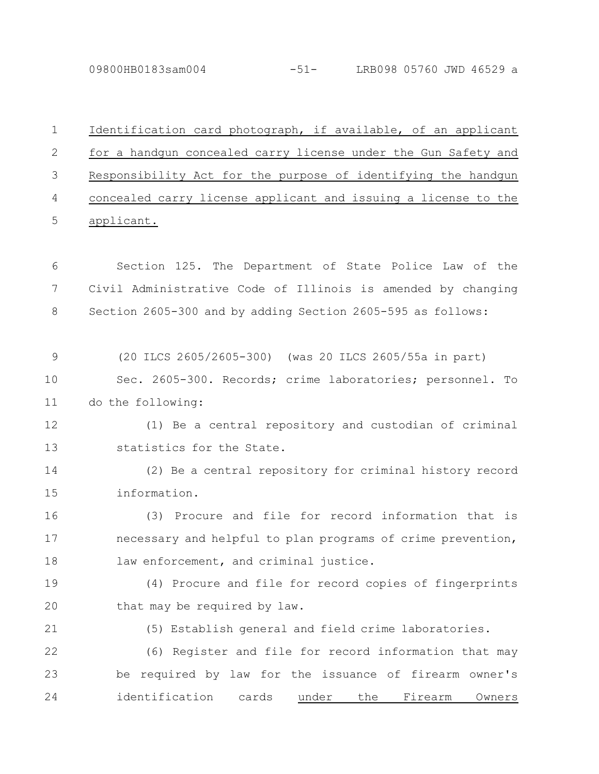09800HB0183sam004 -51- LRB098 05760 JWD 46529 a

1

Identification card photograph, if available, of an applicant for a handgun concealed carry license under the Gun Safety and Responsibility Act for the purpose of identifying the handgun concealed carry license applicant and issuing a license to the applicant. Section 125. The Department of State Police Law of the Civil Administrative Code of Illinois is amended by changing Section 2605-300 and by adding Section 2605-595 as follows: (20 ILCS 2605/2605-300) (was 20 ILCS 2605/55a in part) Sec. 2605-300. Records; crime laboratories; personnel. To do the following: (1) Be a central repository and custodian of criminal statistics for the State. (2) Be a central repository for criminal history record information. (3) Procure and file for record information that is necessary and helpful to plan programs of crime prevention, law enforcement, and criminal justice. (4) Procure and file for record copies of fingerprints that may be required by law. (5) Establish general and field crime laboratories. (6) Register and file for record information that may be required by law for the issuance of firearm owner's identification cards under the Firearm Owners 2 3 4 5 6 7 8 9 10 11 12 13 14 15 16 17 18 19 20 21 22 23 24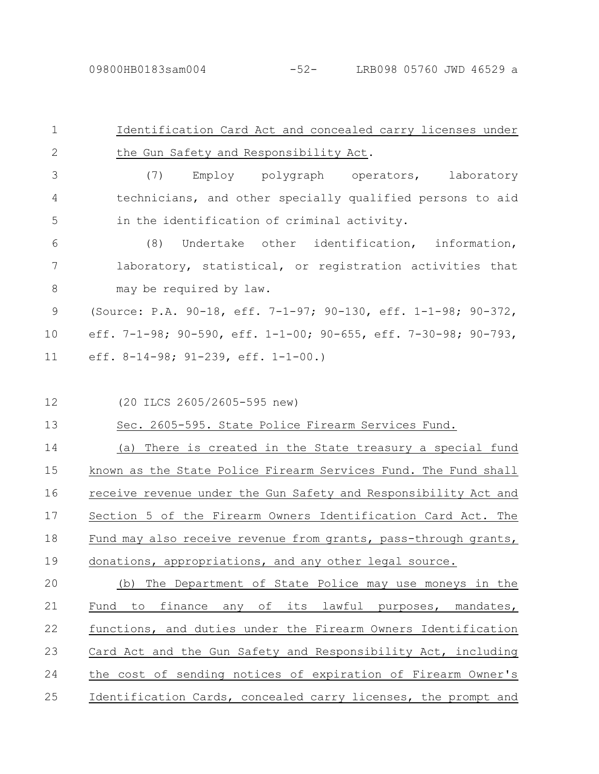| $\mathbf 1$   | Identification Card Act and concealed carry licenses under      |
|---------------|-----------------------------------------------------------------|
| $\mathbf{2}$  | the Gun Safety and Responsibility Act.                          |
| 3             | Employ polygraph operators, laboratory<br>(7)                   |
| 4             | technicians, and other specially qualified persons to aid       |
| 5             | in the identification of criminal activity.                     |
| 6             | Undertake other identification, information,<br>(8)             |
| 7             | laboratory, statistical, or registration activities that        |
| 8             | may be required by law.                                         |
| $\mathcal{G}$ | (Source: P.A. 90-18, eff. 7-1-97; 90-130, eff. 1-1-98; 90-372,  |
| 10            | eff. 7-1-98; 90-590, eff. 1-1-00; 90-655, eff. 7-30-98; 90-793, |
| 11            | eff. $8-14-98$ ; $91-239$ , eff. $1-1-00$ .)                    |
|               |                                                                 |
| 12            | (20 ILCS 2605/2605-595 new)                                     |
| 13            | Sec. 2605-595. State Police Firearm Services Fund.              |
| 14            | (a) There is created in the State treasury a special fund       |
| 15            | known as the State Police Firearm Services Fund. The Fund shall |
| 16            | receive revenue under the Gun Safety and Responsibility Act and |
| 17            | Section 5 of the Firearm Owners Identification Card Act. The    |
| 18            | Fund may also receive revenue from grants, pass-through grants, |
| 19            | donations, appropriations, and any other legal source.          |

(b) The Department of State Police may use moneys in the Fund to finance any of its lawful purposes, mandates, functions, and duties under the Firearm Owners Identification Card Act and the Gun Safety and Responsibility Act, including the cost of sending notices of expiration of Firearm Owner's Identification Cards, concealed carry licenses, the prompt and 20 21 22 23 24 25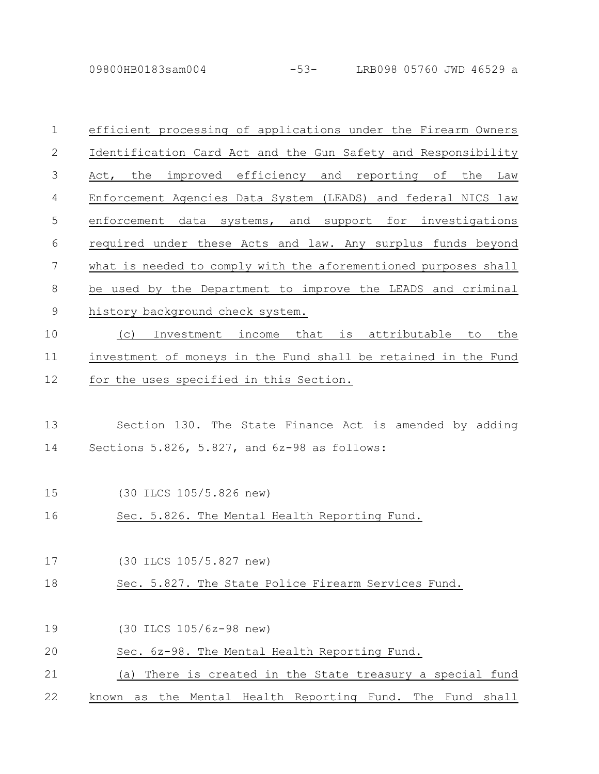09800HB0183sam004 -53- LRB098 05760 JWD 46529 a

| $\mathbf 1$    | efficient processing of applications under the Firearm Owners   |
|----------------|-----------------------------------------------------------------|
| $\mathbf{2}$   | Identification Card Act and the Gun Safety and Responsibility   |
| $\mathfrak{Z}$ | Act, the improved efficiency and reporting of the Law           |
| 4              | Enforcement Agencies Data System (LEADS) and federal NICS law   |
| 5              | enforcement data systems, and support for investigations        |
| 6              | required under these Acts and law. Any surplus funds beyond     |
| 7              | what is needed to comply with the aforementioned purposes shall |
| $8\,$          | be used by the Department to improve the LEADS and criminal     |
| $\mathsf 9$    | history background check system.                                |
| 10             | Investment income that is attributable to<br>the<br>(C)         |
| 11             | investment of moneys in the Fund shall be retained in the Fund  |
| 12             | for the uses specified in this Section.                         |
|                |                                                                 |
| 13             | Section 130. The State Finance Act is amended by adding         |
| 14             | Sections 5.826, 5.827, and 6z-98 as follows:                    |
|                |                                                                 |
| 15             | (30 ILCS 105/5.826 new)                                         |
| 16             | Sec. 5.826. The Mental Health Reporting Fund.                   |
|                |                                                                 |
| 17             | (30 ILCS 105/5.827 new)                                         |
| 18             | Sec. 5.827. The State Police Firearm Services Fund.             |
|                |                                                                 |
| 19             | (30 ILCS 105/6z-98 new)                                         |
| 20             | Sec. 6z-98. The Mental Health Reporting Fund.                   |
| 21             | (a) There is created in the State treasury a special fund       |
| 22             | as the Mental Health Reporting Fund. The Fund shall<br>known    |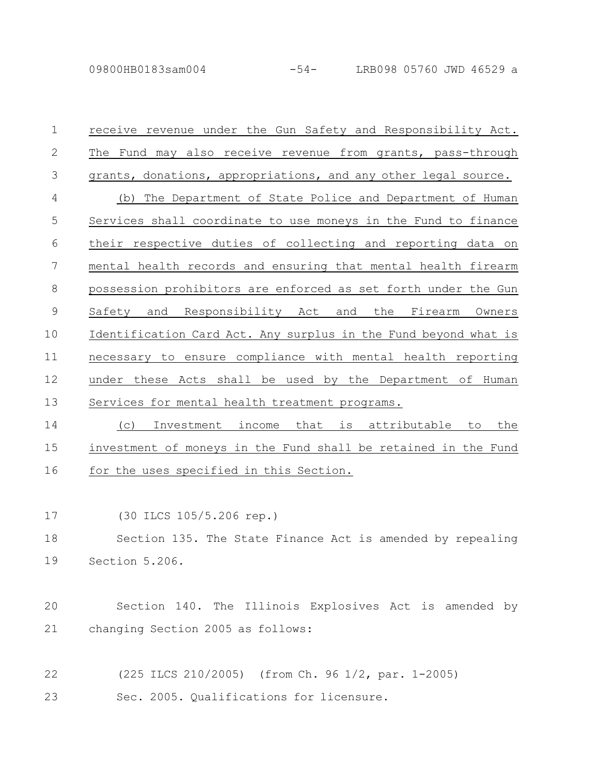09800HB0183sam004 -54- LRB098 05760 JWD 46529 a

receive revenue under the Gun Safety and Responsibility Act. The Fund may also receive revenue from grants, pass-through grants, donations, appropriations, and any other legal source. (b) The Department of State Police and Department of Human Services shall coordinate to use moneys in the Fund to finance their respective duties of collecting and reporting data on mental health records and ensuring that mental health firearm possession prohibitors are enforced as set forth under the Gun Safety and Responsibility Act and the Firearm Owners Identification Card Act. Any surplus in the Fund beyond what is necessary to ensure compliance with mental health reporting under these Acts shall be used by the Department of Human Services for mental health treatment programs. (c) Investment income that is attributable to the 1 2 3 4 5 6 7 8 9 10 11 12 13 14

investment of moneys in the Fund shall be retained in the Fund for the uses specified in this Section. 15 16

(30 ILCS 105/5.206 rep.) 17

Section 135. The State Finance Act is amended by repealing Section 5.206. 18 19

Section 140. The Illinois Explosives Act is amended by changing Section 2005 as follows: 20 21

(225 ILCS 210/2005) (from Ch. 96 1/2, par. 1-2005) Sec. 2005. Qualifications for licensure. 22 23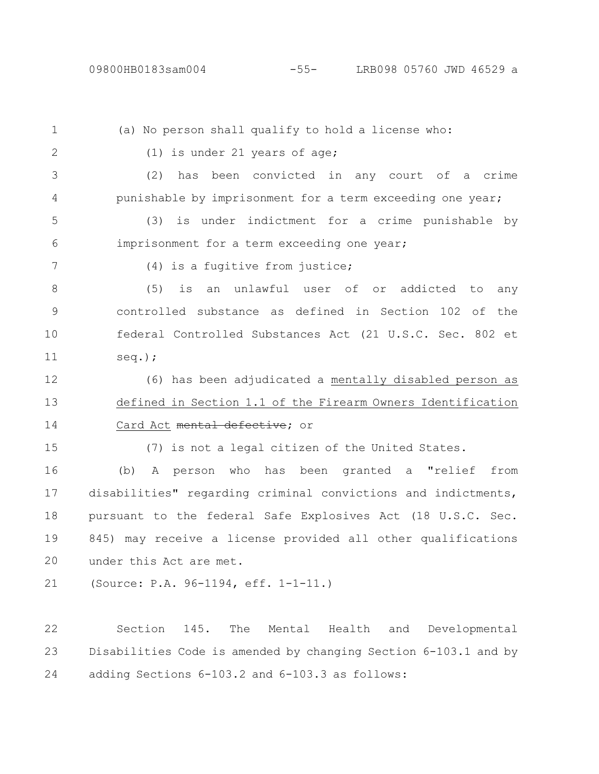(a) No person shall qualify to hold a license who: (1) is under 21 years of age; (2) has been convicted in any court of a crime punishable by imprisonment for a term exceeding one year; (3) is under indictment for a crime punishable by imprisonment for a term exceeding one year; (4) is a fugitive from justice; (5) is an unlawful user of or addicted to any controlled substance as defined in Section 102 of the federal Controlled Substances Act (21 U.S.C. Sec. 802 et seq.); (6) has been adjudicated a mentally disabled person as defined in Section 1.1 of the Firearm Owners Identification Card Act mental defective; or (7) is not a legal citizen of the United States. (b) A person who has been granted a "relief from disabilities" regarding criminal convictions and indictments, 1 2 3 4 5 6 7 8 9 10 11 12 13 14 15 16 17

pursuant to the federal Safe Explosives Act (18 U.S.C. Sec. 845) may receive a license provided all other qualifications under this Act are met. 18 19 20

(Source: P.A. 96-1194, eff. 1-1-11.) 21

Section 145. The Mental Health and Developmental Disabilities Code is amended by changing Section 6-103.1 and by adding Sections 6-103.2 and 6-103.3 as follows: 22 23 24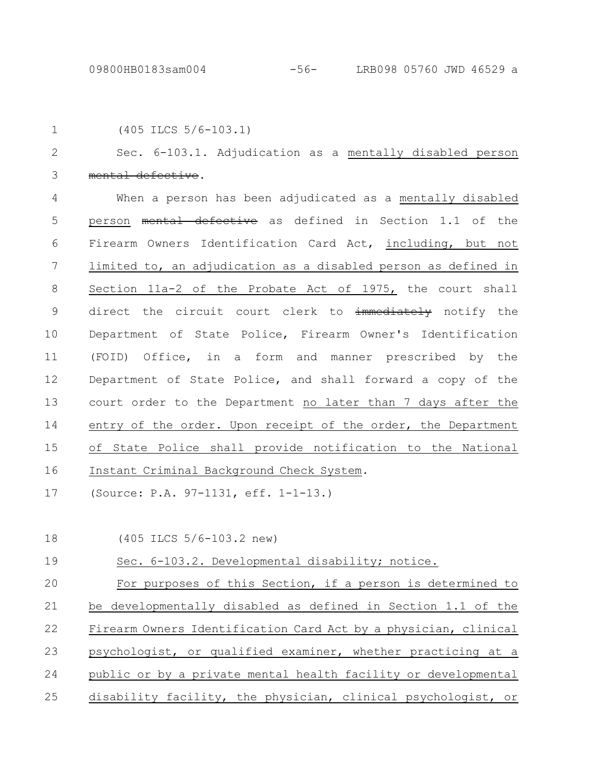|  | $(405$ ILCS $5/6 - 103.1)$ |  |  |
|--|----------------------------|--|--|

Sec. 6-103.1. Adjudication as a mentally disabled person ental defective. 2 3

When a person has been adjudicated as a mentally disabled person mental defective as defined in Section 1.1 of the Firearm Owners Identification Card Act, including, but not limited to, an adjudication as a disabled person as defined in Section 11a-2 of the Probate Act of 1975, the court shall direct the circuit court clerk to immediately notify the Department of State Police, Firearm Owner's Identification (FOID) Office, in a form and manner prescribed by the Department of State Police, and shall forward a copy of the court order to the Department no later than 7 days after the entry of the order. Upon receipt of the order, the Department of State Police shall provide notification to the National Instant Criminal Background Check System. 4 5 6 7 8 9 10 11 12 13 14 15 16

(Source: P.A. 97-1131, eff. 1-1-13.) 17

(405 ILCS 5/6-103.2 new) 18

Sec. 6-103.2. Developmental disability; notice. 19

For purposes of this Section, if a person is determined to be developmentally disabled as defined in Section 1.1 of the Firearm Owners Identification Card Act by a physician, clinical psychologist, or qualified examiner, whether practicing at a public or by a private mental health facility or developmental disability facility, the physician, clinical psychologist, or 20 21 22 23 24 25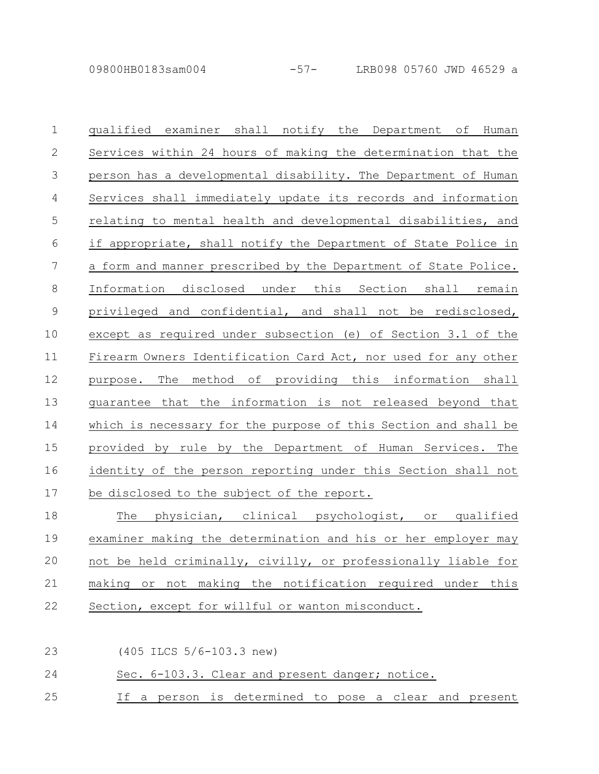qualified examiner shall notify the Department of Human Services within 24 hours of making the determination that the person has a developmental disability. The Department of Human Services shall immediately update its records and information relating to mental health and developmental disabilities, and if appropriate, shall notify the Department of State Police in a form and manner prescribed by the Department of State Police. Information disclosed under this Section shall remain privileged and confidential, and shall not be redisclosed, except as required under subsection (e) of Section 3.1 of the Firearm Owners Identification Card Act, nor used for any other purpose. The method of providing this information shall guarantee that the information is not released beyond that which is necessary for the purpose of this Section and shall be provided by rule by the Department of Human Services. The identity of the person reporting under this Section shall not be disclosed to the subject of the report. The physician, clinical psychologist, or qualified 1 2 3 4 5 6 7 8 9 10 11 12 13 14 15 16 17 18

examiner making the determination and his or her employer may not be held criminally, civilly, or professionally liable for making or not making the notification required under this Section, except for willful or wanton misconduct. 19 20 21 22

(405 ILCS 5/6-103.3 new) 23

## Sec. 6-103.3. Clear and present danger; notice. 24

If a person is determined to pose a clear and present 25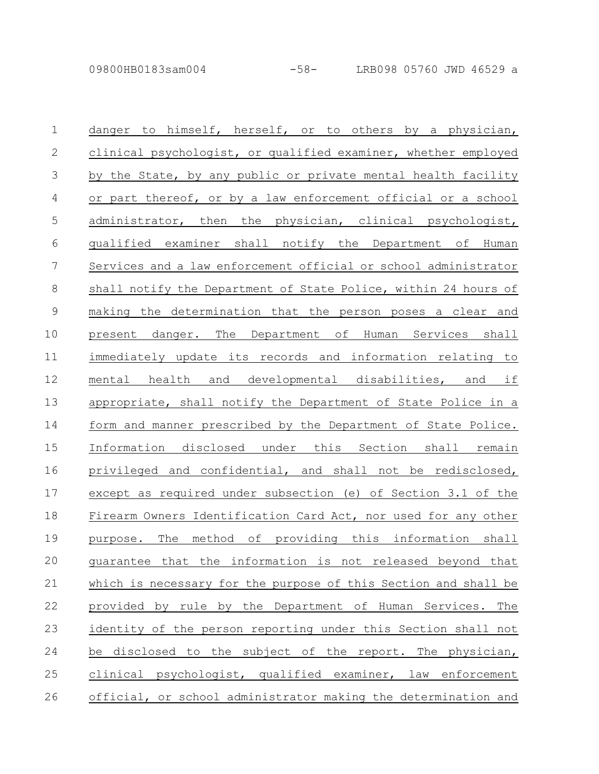| $\mathbf{1}$   | danger to himself, herself, or to others by a physician,        |
|----------------|-----------------------------------------------------------------|
| $\mathbf{2}$   | clinical psychologist, or qualified examiner, whether employed  |
| 3              | by the State, by any public or private mental health facility   |
| $\overline{4}$ | or part thereof, or by a law enforcement official or a school   |
| 5              | administrator, then the physician, clinical psychologist,       |
| 6              | qualified examiner shall notify the Department of Human         |
| 7              | Services and a law enforcement official or school administrator |
| $\,8\,$        | shall notify the Department of State Police, within 24 hours of |
| $\overline{9}$ | making the determination that the person poses a clear and      |
| 10             | present danger. The Department of Human Services shall          |
| 11             | immediately update its records and information relating to      |
| 12             | mental health and developmental disabilities, and if            |
| 13             | appropriate, shall notify the Department of State Police in a   |
| 14             | form and manner prescribed by the Department of State Police.   |
| 15             | Information disclosed under this Section shall remain           |
| 16             | privileged and confidential, and shall not be redisclosed,      |
| 17             | except as required under subsection (e) of Section 3.1 of the   |
| 18             | Firearm Owners Identification Card Act, nor used for any other  |
| 19             | purpose. The method of providing this information shall         |
| 20             | guarantee that the information is not released beyond that      |
| 21             | which is necessary for the purpose of this Section and shall be |
| 22             | provided by rule by the Department of Human Services.<br>The    |
| 23             | identity of the person reporting under this Section shall not   |
| 24             | disclosed to the subject of the report. The physician,<br>be    |
| 25             | clinical psychologist, qualified examiner, law enforcement      |
| 26             | official, or school administrator making the determination and  |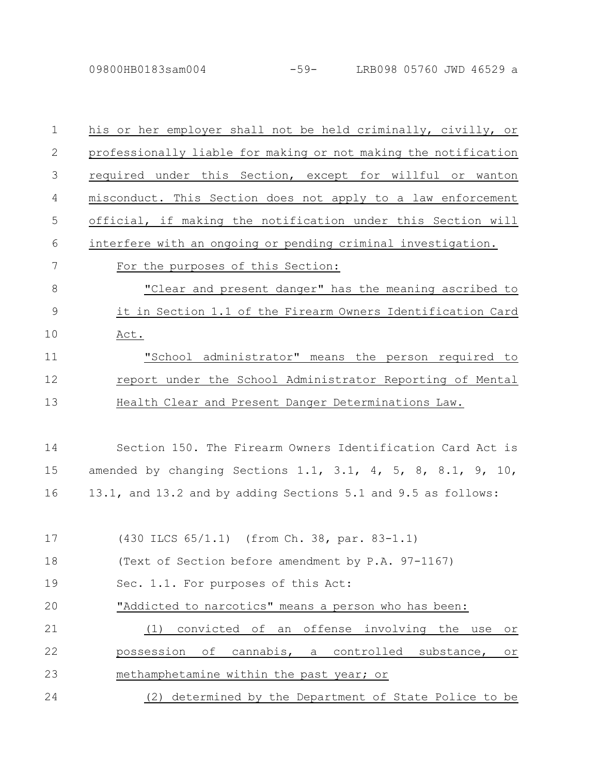| $\mathbf 1$    | his or her employer shall not be held criminally, civilly, or      |
|----------------|--------------------------------------------------------------------|
| $\mathbf{2}$   | professionally liable for making or not making the notification    |
| 3              | required under this Section, except for willful or wanton          |
| 4              | misconduct. This Section does not apply to a law enforcement       |
| 5              | official, if making the notification under this Section will       |
| 6              | interfere with an ongoing or pending criminal investigation.       |
| 7              | For the purposes of this Section:                                  |
| 8              | "Clear and present danger" has the meaning ascribed to             |
| $\overline{9}$ | it in Section 1.1 of the Firearm Owners Identification Card        |
| 10             | Act.                                                               |
| 11             | "School administrator" means the person required to                |
| 12             | report under the School Administrator Reporting of Mental          |
| 13             | Health Clear and Present Danger Determinations Law.                |
|                |                                                                    |
| 14             | Section 150. The Firearm Owners Identification Card Act is         |
| 15             | amended by changing Sections 1.1, 3.1, 4, 5, 8, 8.1, 9, 10,        |
| 16             | 13.1, and 13.2 and by adding Sections 5.1 and 9.5 as follows:      |
|                |                                                                    |
| 17             | (430 ILCS 65/1.1) (from Ch. 38, par. 83-1.1)                       |
| 18             | (Text of Section before amendment by P.A. 97-1167)                 |
| 19             | Sec. 1.1. For purposes of this Act:                                |
| 20             | "Addicted to narcotics" means a person who has been:               |
| 21             | convicted of an offense involving the use<br>(1)<br>O <sub>T</sub> |
| 22             | possession of cannabis, a controlled substance,<br>Оr              |
| 23             | methamphetamine within the past year; or                           |
| 24             | (2) determined by the Department of State Police to be             |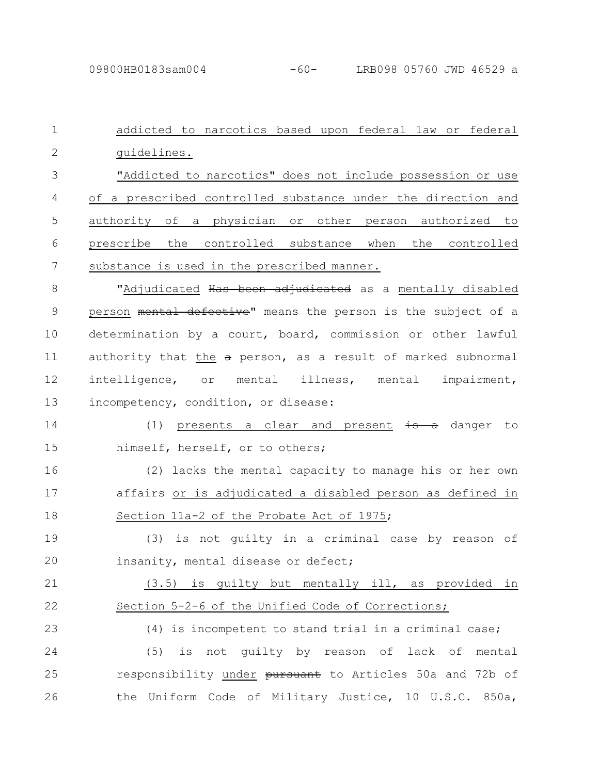addicted to narcotics based upon federal law or federal guidelines. "Addicted to narcotics" does not include possession or use of a prescribed controlled substance under the direction and authority of a physician or other person authorized to prescribe the controlled substance when the controlled substance is used in the prescribed manner. "Adjudicated Has been adjudicated as a mentally disabled person mental defective" means the person is the subject of a determination by a court, board, commission or other lawful authority that the  $a$  person, as a result of marked subnormal intelligence, or mental illness, mental impairment, incompetency, condition, or disease: (1) presents a clear and present  $\frac{1}{13}$  a danger to himself, herself, or to others; (2) lacks the mental capacity to manage his or her own affairs or is adjudicated a disabled person as defined in Section 11a-2 of the Probate Act of 1975; (3) is not guilty in a criminal case by reason of insanity, mental disease or defect; (3.5) is guilty but mentally ill, as provided in Section 5-2-6 of the Unified Code of Corrections; (4) is incompetent to stand trial in a criminal case; (5) is not guilty by reason of lack of mental responsibility under pursuant to Articles 50a and 72b of the Uniform Code of Military Justice, 10 U.S.C. 850a, 1 2 3 4 5 6 7 8 9 10 11 12 13 14 15 16 17 18 19 20 21 22 23 24 25 26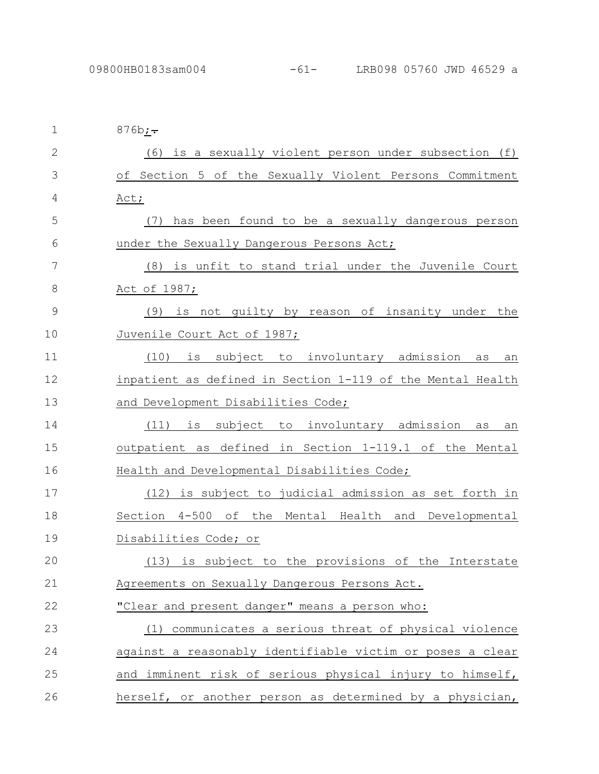| 1             | $876b; -$                                                  |
|---------------|------------------------------------------------------------|
| $\mathbf{2}$  | $(6)$ is a sexually violent person under subsection $(f)$  |
| 3             | of Section 5 of the Sexually Violent Persons Commitment    |
| 4             | Act;                                                       |
| 5             | has been found to be a sexually dangerous person<br>(7)    |
| 6             | under the Sexually Dangerous Persons Act;                  |
| 7             | (8) is unfit to stand trial under the Juvenile Court       |
| 8             | <u>Act of 1987;</u>                                        |
| $\mathcal{G}$ | is not guilty by reason of insanity under the<br>(9)       |
| 10            | Juvenile Court Act of 1987;                                |
| 11            | (10)<br>subject to involuntary admission<br>is<br>as<br>an |
| 12            | inpatient as defined in Section 1-119 of the Mental Health |
| 13            | and Development Disabilities Code;                         |
| 14            | subject to involuntary admission<br>(11)<br>is<br>as<br>an |
| 15            | outpatient as defined in Section 1-119.1 of the Mental     |
| 16            | Health and Developmental Disabilities Code;                |
| 17            | (12) is subject to judicial admission as set forth in      |
| 18            | 4-500 of the Mental Health and Developmental<br>Section    |
| 19            | Disabilities Code; or                                      |
| 20            | (13) is subject to the provisions of the Interstate        |
| 21            | Agreements on Sexually Dangerous Persons Act.              |
| 22            | "Clear and present danger" means a person who:             |
| 23            | (1) communicates a serious threat of physical violence     |
| 24            | against a reasonably identifiable victim or poses a clear  |
| 25            | and imminent risk of serious physical injury to himself,   |
| 26            | herself, or another person as determined by a physician,   |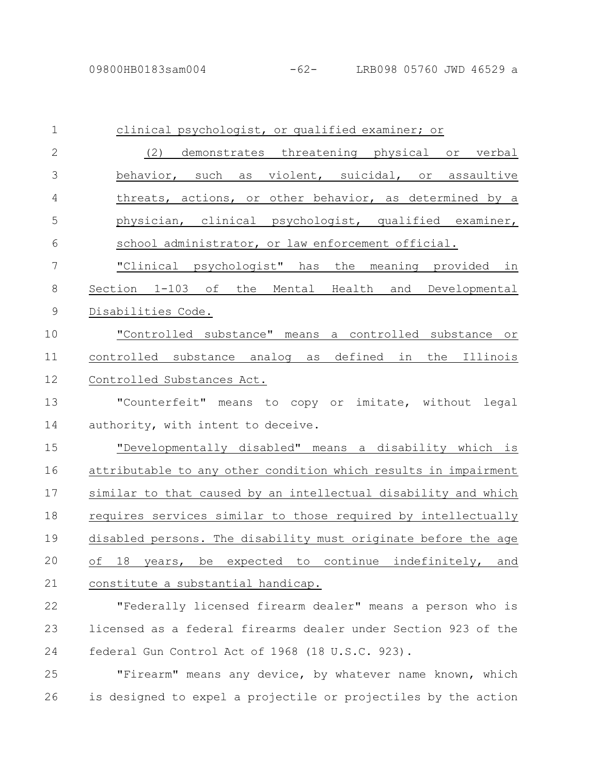| $\mathbf 1$    | clinical psychologist, or qualified examiner; or                |
|----------------|-----------------------------------------------------------------|
| $\mathbf{2}$   | (2) demonstrates threatening physical or verbal                 |
| 3              | behavior, such as violent, suicidal, or assaultive              |
| 4              | threats, actions, or other behavior, as determined by a         |
| 5              | physician, clinical psychologist, qualified examiner,           |
| 6              | school administrator, or law enforcement official.              |
| $\overline{7}$ | "Clinical psychologist" has the meaning provided in             |
| 8              | Section 1-103 of the Mental Health and Developmental            |
| 9              | Disabilities Code.                                              |
| 10             | "Controlled substance" means a controlled substance or          |
| 11             | controlled substance analog as defined in the Illinois          |
| 12             | Controlled Substances Act.                                      |
| 13             | "Counterfeit" means to copy or imitate, without legal           |
| 14             | authority, with intent to deceive.                              |
| 15             | "Developmentally disabled" means a disability which is          |
| 16             | attributable to any other condition which results in impairment |
| 17             | similar to that caused by an intellectual disability and which  |
| 18             | requires services similar to those required by intellectually   |
| 19             | disabled persons. The disability must originate before the age  |
| 20             | of 18 years, be expected to continue indefinitely, and          |
| 21             | constitute a substantial handicap.                              |
| 22             | "Federally licensed firearm dealer" means a person who is       |
| 23             | licensed as a federal firearms dealer under Section 923 of the  |
| 24             | federal Gun Control Act of 1968 (18 U.S.C. 923).                |
| 25             | "Firearm" means any device, by whatever name known, which       |
| 26             | is designed to expel a projectile or projectiles by the action  |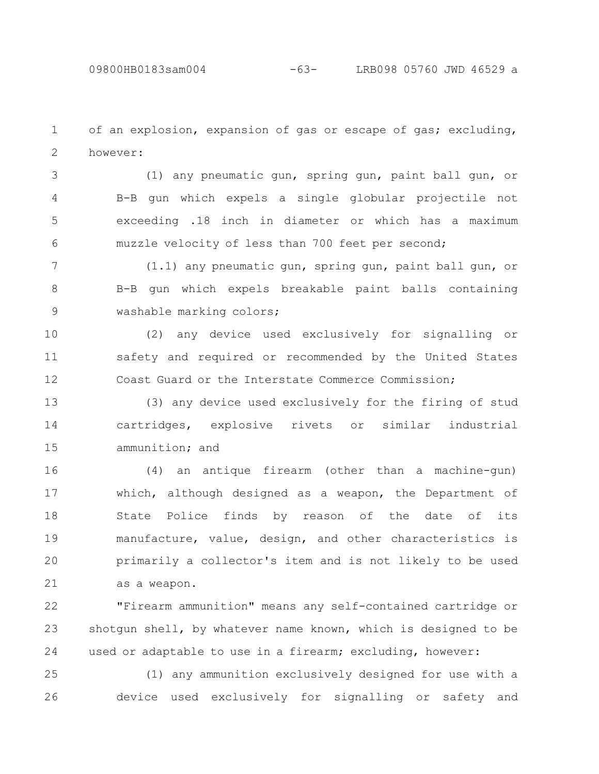of an explosion, expansion of gas or escape of gas; excluding, however: 1 2

(1) any pneumatic gun, spring gun, paint ball gun, or B-B gun which expels a single globular projectile not exceeding .18 inch in diameter or which has a maximum muzzle velocity of less than 700 feet per second; 3 4 5 6

(1.1) any pneumatic gun, spring gun, paint ball gun, or B-B gun which expels breakable paint balls containing washable marking colors; 7 8 9

(2) any device used exclusively for signalling or safety and required or recommended by the United States Coast Guard or the Interstate Commerce Commission; 10 11 12

(3) any device used exclusively for the firing of stud cartridges, explosive rivets or similar industrial ammunition; and 13 14 15

(4) an antique firearm (other than a machine-gun) which, although designed as a weapon, the Department of State Police finds by reason of the date of its manufacture, value, design, and other characteristics is primarily a collector's item and is not likely to be used as a weapon. 16 17 18 19 20 21

"Firearm ammunition" means any self-contained cartridge or shotgun shell, by whatever name known, which is designed to be used or adaptable to use in a firearm; excluding, however: 22 23 24

(1) any ammunition exclusively designed for use with a device used exclusively for signalling or safety and 25 26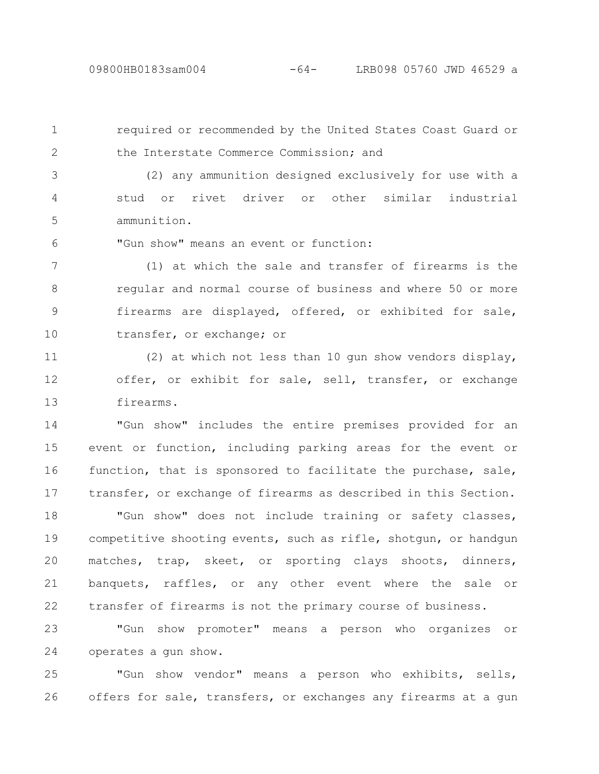1

2

required or recommended by the United States Coast Guard or

the Interstate Commerce Commission; and

(2) any ammunition designed exclusively for use with a stud or rivet driver or other similar industrial ammunition. 3 4 5

"Gun show" means an event or function: 6

(1) at which the sale and transfer of firearms is the regular and normal course of business and where 50 or more firearms are displayed, offered, or exhibited for sale, transfer, or exchange; or 7 8 9 10

(2) at which not less than 10 gun show vendors display, offer, or exhibit for sale, sell, transfer, or exchange firearms. 11 12 13

"Gun show" includes the entire premises provided for an event or function, including parking areas for the event or function, that is sponsored to facilitate the purchase, sale, transfer, or exchange of firearms as described in this Section. 14 15 16 17

"Gun show" does not include training or safety classes, competitive shooting events, such as rifle, shotgun, or handgun matches, trap, skeet, or sporting clays shoots, dinners, banquets, raffles, or any other event where the sale or transfer of firearms is not the primary course of business. 18 19 20 21 22

"Gun show promoter" means a person who organizes or operates a gun show. 23 24

"Gun show vendor" means a person who exhibits, sells, offers for sale, transfers, or exchanges any firearms at a gun 25 26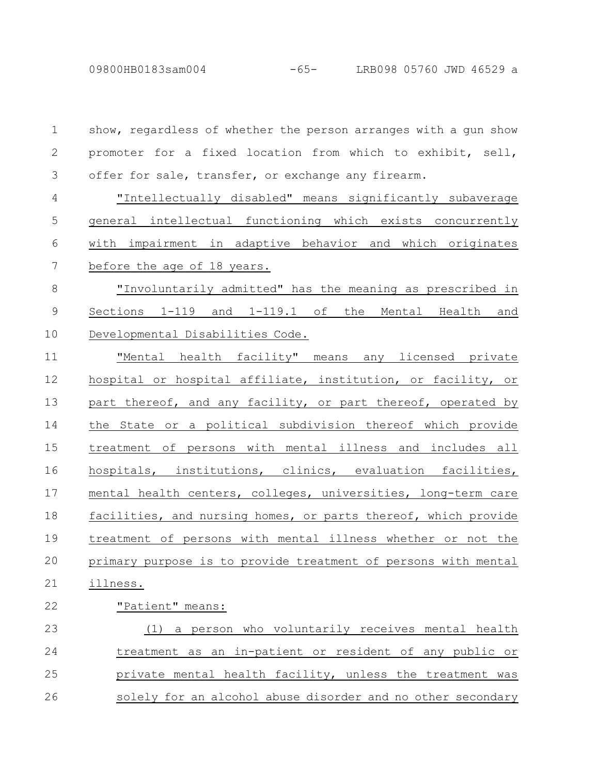09800HB0183sam004 -65- LRB098 05760 JWD 46529 a

show, regardless of whether the person arranges with a gun show promoter for a fixed location from which to exhibit, sell, offer for sale, transfer, or exchange any firearm. "Intellectually disabled" means significantly subaverage general intellectual functioning which exists concurrently with impairment in adaptive behavior and which originates before the age of 18 years. "Involuntarily admitted" has the meaning as prescribed in Sections 1-119 and 1-119.1 of the Mental Health and Developmental Disabilities Code. "Mental health facility" means any licensed private hospital or hospital affiliate, institution, or facility, or part thereof, and any facility, or part thereof, operated by the State or a political subdivision thereof which provide treatment of persons with mental illness and includes all hospitals, institutions, clinics, evaluation facilities, mental health centers, colleges, universities, long-term care facilities, and nursing homes, or parts thereof, which provide treatment of persons with mental illness whether or not the primary purpose is to provide treatment of persons with mental illness. "Patient" means: (1) a person who voluntarily receives mental health treatment as an in-patient or resident of any public or private mental health facility, unless the treatment was solely for an alcohol abuse disorder and no other secondary 1 2 3 4 5 6 7 8 9 10 11 12 13 14 15 16 17 18 19 20 21 22 23 24 25 26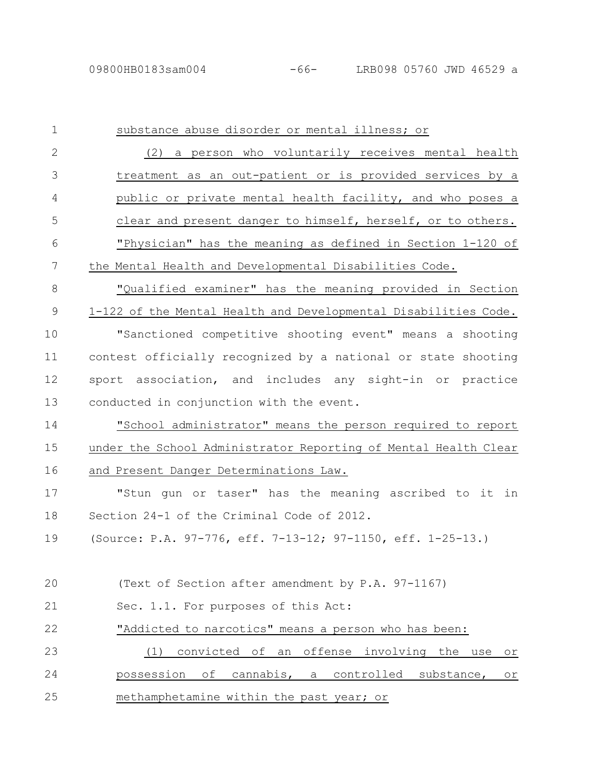| $\mathbf 1$  | substance abuse disorder or mental illness; or                     |
|--------------|--------------------------------------------------------------------|
| $\mathbf{2}$ | (2) a person who voluntarily receives mental health                |
| 3            | treatment as an out-patient or is provided services by a           |
| 4            | public or private mental health facility, and who poses a          |
| 5            | clear and present danger to himself, herself, or to others.        |
| 6            | "Physician" has the meaning as defined in Section 1-120 of         |
| 7            | the Mental Health and Developmental Disabilities Code.             |
| 8            | "Qualified examiner" has the meaning provided in Section           |
| 9            | 1-122 of the Mental Health and Developmental Disabilities Code.    |
| 10           | "Sanctioned competitive shooting event" means a shooting           |
| 11           | contest officially recognized by a national or state shooting      |
| 12           | sport association, and includes any sight-in or practice           |
| 13           | conducted in conjunction with the event.                           |
| 14           | "School administrator" means the person required to report         |
| 15           | under the School Administrator Reporting of Mental Health Clear    |
| 16           | and Present Danger Determinations Law.                             |
| 17           | "Stun gun or taser" has the meaning ascribed to it in              |
| 18           | Section 24-1 of the Criminal Code of 2012.                         |
| 19           | (Source: P.A. 97-776, eff. 7-13-12; 97-1150, eff. 1-25-13.)        |
|              |                                                                    |
| 20           | (Text of Section after amendment by P.A. 97-1167)                  |
| 21           | Sec. 1.1. For purposes of this Act:                                |
| 22           | "Addicted to narcotics" means a person who has been:               |
| 23           | convicted of an offense involving the use<br>(1)<br>O <sub>T</sub> |
| 24           | of cannabis, a controlled substance,<br>possession<br>or           |
| 25           | methamphetamine within the past year; or                           |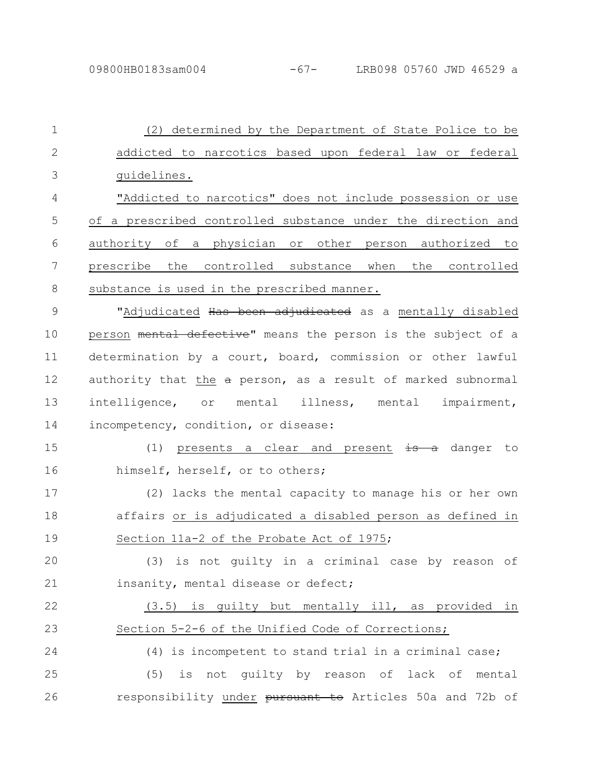(2) determined by the Department of State Police to be addicted to narcotics based upon federal law or federal guidelines. "Addicted to narcotics" does not include possession or use of a prescribed controlled substance under the direction and authority of a physician or other person authorized to prescribe the controlled substance when the controlled substance is used in the prescribed manner. "Adjudicated Has been adjudicated as a mentally disabled person mental defective" means the person is the subject of a determination by a court, board, commission or other lawful authority that the a person, as a result of marked subnormal intelligence, or mental illness, mental impairment, incompetency, condition, or disease: (1) presents a clear and present  $\frac{1}{18}$  a danger to himself, herself, or to others; (2) lacks the mental capacity to manage his or her own affairs or is adjudicated a disabled person as defined in Section 11a-2 of the Probate Act of 1975; (3) is not guilty in a criminal case by reason of insanity, mental disease or defect; (3.5) is guilty but mentally ill, as provided in Section 5-2-6 of the Unified Code of Corrections; (4) is incompetent to stand trial in a criminal case; (5) is not guilty by reason of lack of mental responsibility under pursuant to Articles 50a and 72b of 1 2 3 4 5 6 7 8 9 10 11 12 13 14 15 16 17 18 19 20 21 22 23 24 25 26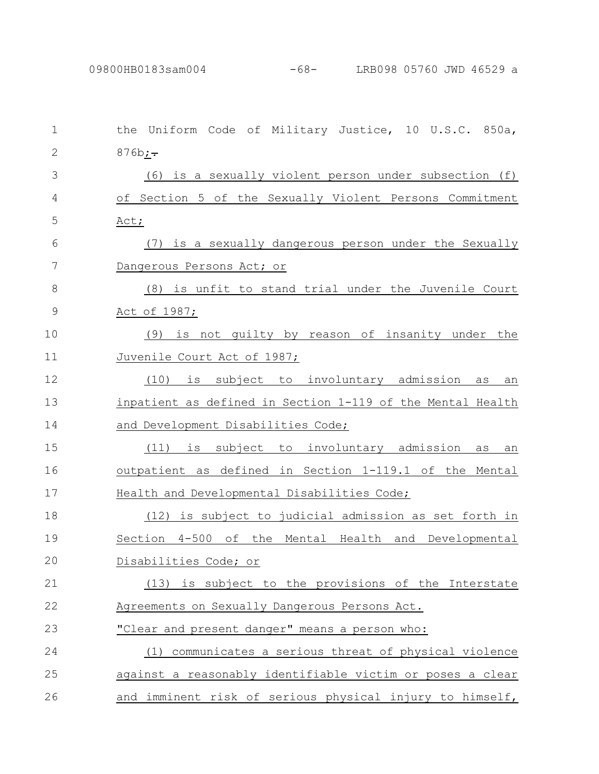| 1             | Uniform Code of Military Justice, 10 U.S.C. 850a,<br>the   |
|---------------|------------------------------------------------------------|
| $\mathbf{2}$  | $876b_{i}$ .                                               |
| 3             | (6) is a sexually violent person under subsection (f)      |
| 4             | of Section 5 of the Sexually Violent Persons Commitment    |
| 5             | Act;                                                       |
| 6             | (7) is a sexually dangerous person under the Sexually      |
| 7             | Dangerous Persons Act; or                                  |
| 8             | (8) is unfit to stand trial under the Juvenile Court       |
| $\mathcal{G}$ | <u>Act of 1987;</u>                                        |
| 10            | (9) is not guilty by reason of insanity under the          |
| 11            | Juvenile Court Act of 1987;                                |
| 12            | is subject to involuntary admission<br>(10)<br>as<br>an    |
| 13            | inpatient as defined in Section 1-119 of the Mental Health |
| 14            | and Development Disabilities Code;                         |
| 15            | (11) is subject to involuntary admission<br>as<br>an       |
| 16            | outpatient as defined in Section 1-119.1 of the Mental     |
| 17            | Health and Developmental Disabilities Code;                |
| 18            | (12) is subject to judicial admission as set forth in      |
| 19            | Section 4-500 of the Mental Health and Developmental       |
| 20            | Disabilities Code; or                                      |
| 21            | (13) is subject to the provisions of the Interstate        |
| 22            | Agreements on Sexually Dangerous Persons Act.              |
| 23            | "Clear and present danger" means a person who:             |
| 24            | (1) communicates a serious threat of physical violence     |
| 25            | against a reasonably identifiable victim or poses a clear  |
| 26            | and imminent risk of serious physical injury to himself,   |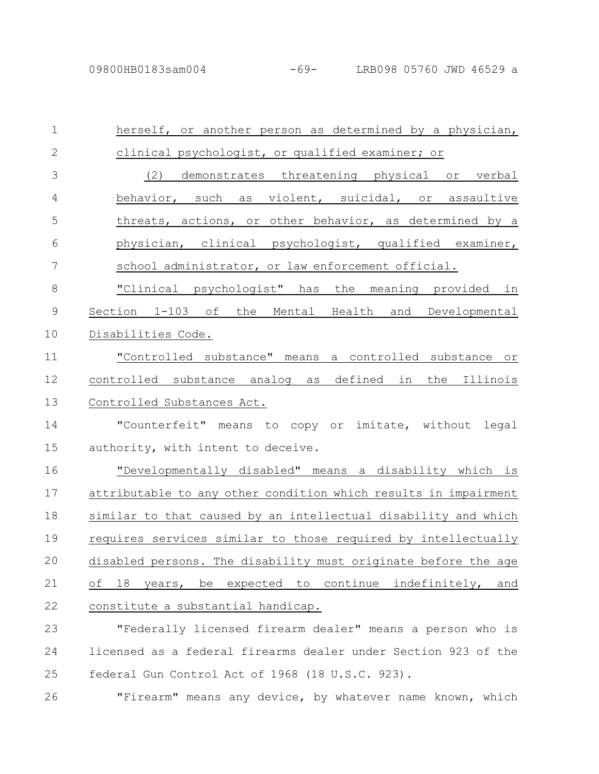| $\mathbf 1$    | herself, or another person as determined by a physician,        |
|----------------|-----------------------------------------------------------------|
| $\mathbf{2}$   | clinical psychologist, or qualified examiner; or                |
| 3              | (2) demonstrates threatening physical or verbal                 |
| $\overline{4}$ | behavior, such as violent, suicidal, or assaultive              |
| 5              | threats, actions, or other behavior, as determined by a         |
| 6              | physician, clinical psychologist, qualified examiner,           |
| $\overline{7}$ | school administrator, or law enforcement official.              |
| $8\,$          | "Clinical psychologist" has the meaning provided in             |
| $\mathcal{G}$  | Section 1-103 of the Mental Health and Developmental            |
| 10             | Disabilities Code.                                              |
| 11             | "Controlled substance" means a controlled substance or          |
| 12             | controlled substance analog as defined in the Illinois          |
| 13             | Controlled Substances Act.                                      |
| 14             | "Counterfeit" means to copy or imitate, without legal           |
| 15             | authority, with intent to deceive.                              |
| 16             | "Developmentally disabled" means a disability which is          |
| 17             | attributable to any other condition which results in impairment |
| 18             | similar to that caused by an intellectual disability and which  |
| 19             | requires services similar to those required by intellectually   |
| 20             | disabled persons. The disability must originate before the age  |
| 21             | of<br>18 years, be expected to continue indefinitely,<br>and    |
| 22             | constitute a substantial handicap.                              |
| 23             | "Federally licensed firearm dealer" means a person who is       |
| 24             | licensed as a federal firearms dealer under Section 923 of the  |
| 25             | federal Gun Control Act of 1968 (18 U.S.C. 923).                |

26 **The "Firearm"** means any device, by whatever name known, which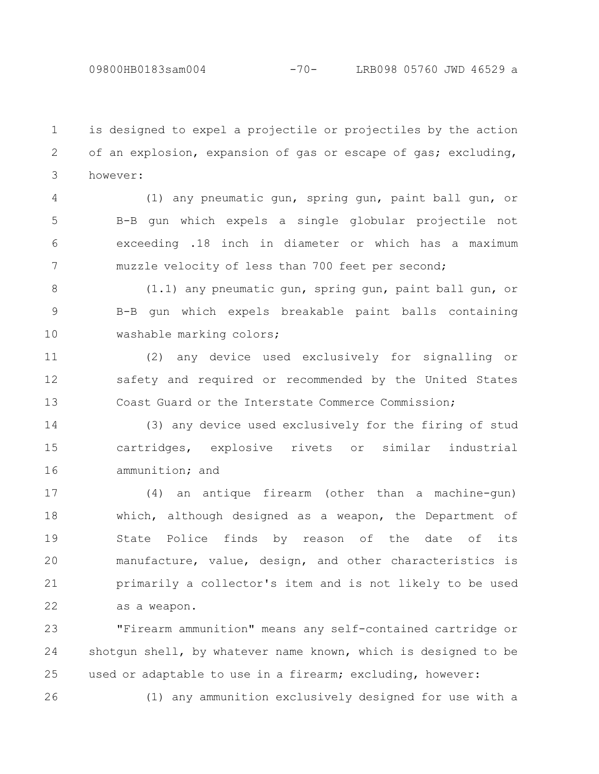26

is designed to expel a projectile or projectiles by the action of an explosion, expansion of gas or escape of gas; excluding, however: 1 2 3

(1) any pneumatic gun, spring gun, paint ball gun, or B-B gun which expels a single globular projectile not exceeding .18 inch in diameter or which has a maximum muzzle velocity of less than 700 feet per second; 4 5 6 7

(1.1) any pneumatic gun, spring gun, paint ball gun, or B-B gun which expels breakable paint balls containing washable marking colors; 8 9 10

(2) any device used exclusively for signalling or safety and required or recommended by the United States Coast Guard or the Interstate Commerce Commission; 11 12 13

(3) any device used exclusively for the firing of stud cartridges, explosive rivets or similar industrial ammunition; and 14 15 16

(4) an antique firearm (other than a machine-gun) which, although designed as a weapon, the Department of State Police finds by reason of the date of its manufacture, value, design, and other characteristics is primarily a collector's item and is not likely to be used as a weapon. 17 18 19 20 21 22

"Firearm ammunition" means any self-contained cartridge or shotgun shell, by whatever name known, which is designed to be used or adaptable to use in a firearm; excluding, however: 23 24 25

(1) any ammunition exclusively designed for use with a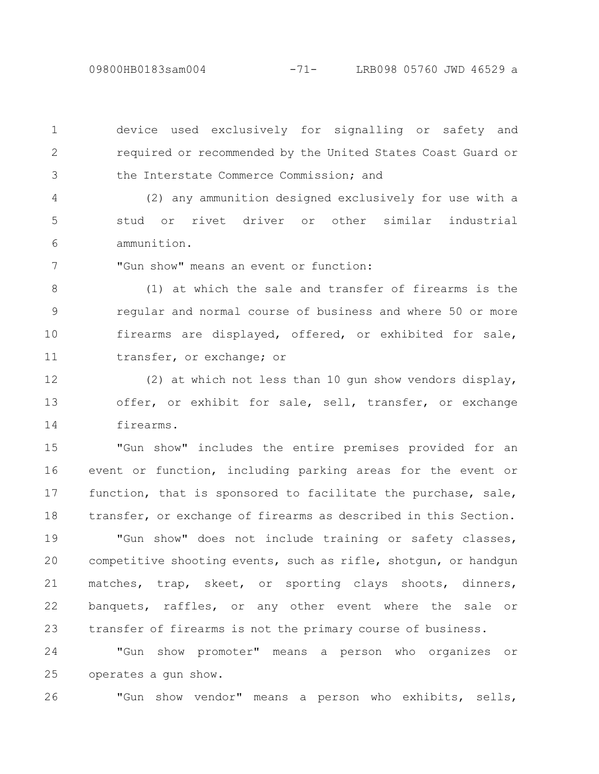09800HB0183sam004 -71- LRB098 05760 JWD 46529 a

device used exclusively for signalling or safety and required or recommended by the United States Coast Guard or the Interstate Commerce Commission; and 1 2 3

(2) any ammunition designed exclusively for use with a stud or rivet driver or other similar industrial ammunition. 4 5 6

"Gun show" means an event or function: 7

(1) at which the sale and transfer of firearms is the regular and normal course of business and where 50 or more firearms are displayed, offered, or exhibited for sale, transfer, or exchange; or 8 9 10 11

(2) at which not less than 10 gun show vendors display, offer, or exhibit for sale, sell, transfer, or exchange firearms. 12 13 14

"Gun show" includes the entire premises provided for an event or function, including parking areas for the event or function, that is sponsored to facilitate the purchase, sale, transfer, or exchange of firearms as described in this Section. 15 16 17 18

"Gun show" does not include training or safety classes, competitive shooting events, such as rifle, shotgun, or handgun matches, trap, skeet, or sporting clays shoots, dinners, banquets, raffles, or any other event where the sale or transfer of firearms is not the primary course of business. 19 20 21 22 23

"Gun show promoter" means a person who organizes or operates a gun show. 24 25

"Gun show vendor" means a person who exhibits, sells, 26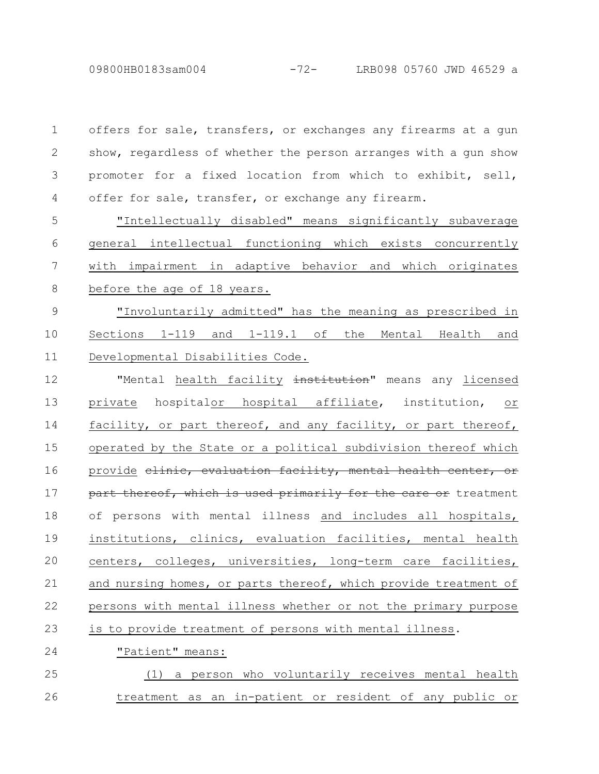| $\mathbf{1}$   | offers for sale, transfers, or exchanges any firearms at a gun      |
|----------------|---------------------------------------------------------------------|
| 2              | show, regardless of whether the person arranges with a gun show     |
| 3              | promoter for a fixed location from which to exhibit, sell,          |
| $\overline{4}$ | offer for sale, transfer, or exchange any firearm.                  |
| 5              | "Intellectually disabled" means significantly subaverage            |
| 6              | general intellectual functioning which exists concurrently          |
| 7              | with impairment in adaptive behavior and which originates           |
| 8              | before the age of 18 years.                                         |
| $\mathsf 9$    | "Involuntarily admitted" has the meaning as prescribed in           |
| 10             | Sections 1-119 and 1-119.1 of the Mental Health and                 |
| 11             | Developmental Disabilities Code.                                    |
| 12             | "Mental health facility <del>institution</del> " means any licensed |
| 13             | private hospitalor hospital affiliate, institution, or              |
| 14             | facility, or part thereof, and any facility, or part thereof,       |
| 15             | operated by the State or a political subdivision thereof which      |
| 16             | provide elinic, evaluation facility, mental health center, or       |
| 17             | part thereof, which is used primarily for the care or treatment     |
| 18             | of persons with mental illness and includes all hospitals,          |
| 19             | institutions, clinics, evaluation facilities, mental health         |
| 20             | centers, colleges, universities, long-term care facilities,         |
| 21             | and nursing homes, or parts thereof, which provide treatment of     |
| 22             | persons with mental illness whether or not the primary purpose      |
| 23             | is to provide treatment of persons with mental illness.             |
| 24             | "Patient" means:                                                    |
| 25             | a person who voluntarily receives mental health<br>(1)              |
| 26             | treatment as an in-patient or resident of any public or             |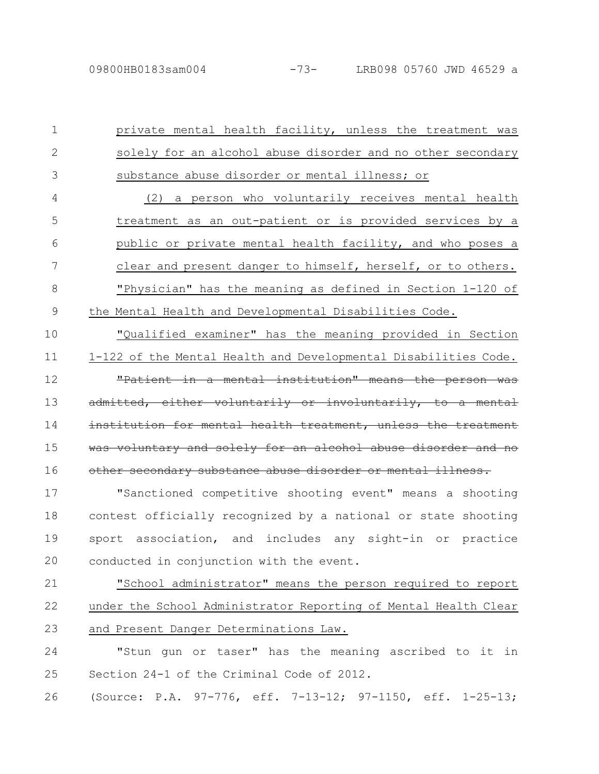private mental health facility, unless the treatment was solely for an alcohol abuse disorder and no other secondary substance abuse disorder or mental illness; or 1 2 3

(2) a person who voluntarily receives mental health treatment as an out-patient or is provided services by a public or private mental health facility, and who poses a clear and present danger to himself, herself, or to others. "Physician" has the meaning as defined in Section 1-120 of the Mental Health and Developmental Disabilities Code. 4 5 6 7 8 9

"Qualified examiner" has the meaning provided in Section 1-122 of the Mental Health and Developmental Disabilities Code. "Patient in a mental institution" means the person was mitted, either voluntarily or involuntarily, stitution for mental health treatment, unless woluntary and solely for an alcohol abuse other secondary substance abuse disorder or mental illness. 10 11 12 13 14 15 16

"Sanctioned competitive shooting event" means a shooting contest officially recognized by a national or state shooting sport association, and includes any sight-in or practice conducted in conjunction with the event. 17 18 19 20

"School administrator" means the person required to report under the School Administrator Reporting of Mental Health Clear and Present Danger Determinations Law. 21 22 23

"Stun gun or taser" has the meaning ascribed to it in Section 24-1 of the Criminal Code of 2012. 24 25

(Source: P.A. 97-776, eff. 7-13-12; 97-1150, eff. 1-25-13; 26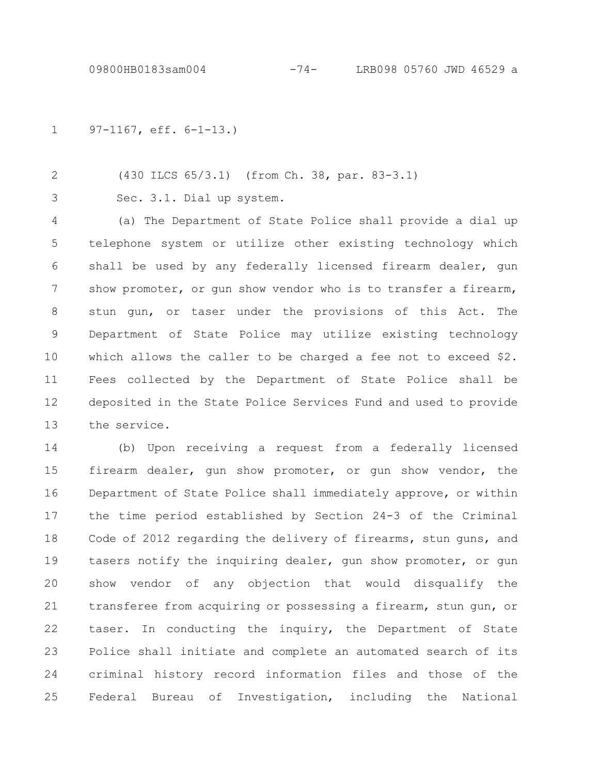97-1167, eff. 6-1-13.) 1

(430 ILCS 65/3.1) (from Ch. 38, par. 83-3.1) 2

3

Sec. 3.1. Dial up system.

(a) The Department of State Police shall provide a dial up telephone system or utilize other existing technology which shall be used by any federally licensed firearm dealer, gun show promoter, or gun show vendor who is to transfer a firearm, stun gun, or taser under the provisions of this Act. The Department of State Police may utilize existing technology which allows the caller to be charged a fee not to exceed \$2. Fees collected by the Department of State Police shall be deposited in the State Police Services Fund and used to provide the service. 4 5 6 7 8 9 10 11 12 13

(b) Upon receiving a request from a federally licensed firearm dealer, gun show promoter, or gun show vendor, the Department of State Police shall immediately approve, or within the time period established by Section 24-3 of the Criminal Code of 2012 regarding the delivery of firearms, stun guns, and tasers notify the inquiring dealer, gun show promoter, or gun show vendor of any objection that would disqualify the transferee from acquiring or possessing a firearm, stun gun, or taser. In conducting the inquiry, the Department of State Police shall initiate and complete an automated search of its criminal history record information files and those of the Federal Bureau of Investigation, including the National 14 15 16 17 18 19 20 21 22 23 24 25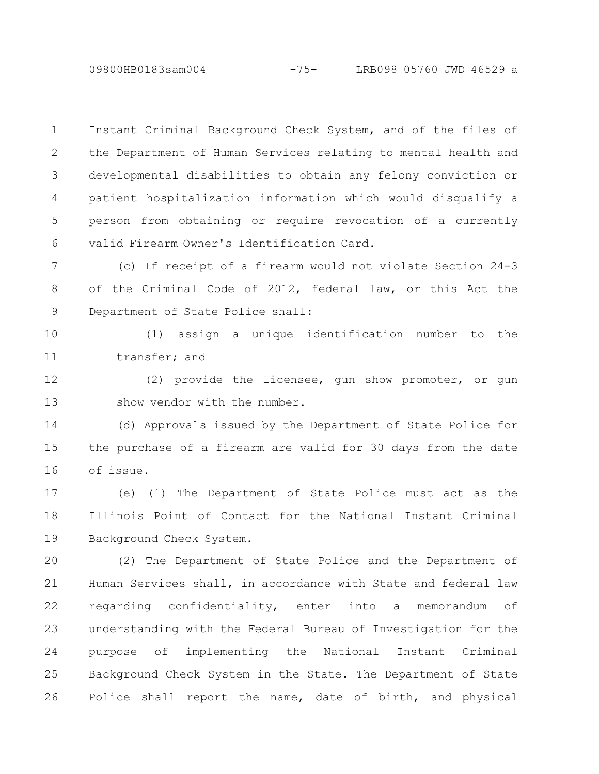09800HB0183sam004 -75- LRB098 05760 JWD 46529 a

Instant Criminal Background Check System, and of the files of the Department of Human Services relating to mental health and developmental disabilities to obtain any felony conviction or patient hospitalization information which would disqualify a person from obtaining or require revocation of a currently valid Firearm Owner's Identification Card. 1 2 3 4 5 6

(c) If receipt of a firearm would not violate Section 24-3 of the Criminal Code of 2012, federal law, or this Act the Department of State Police shall: 7 8 9

(1) assign a unique identification number to the transfer; and 10 11

(2) provide the licensee, gun show promoter, or gun show vendor with the number. 12 13

(d) Approvals issued by the Department of State Police for the purchase of a firearm are valid for 30 days from the date of issue. 14 15 16

(e) (1) The Department of State Police must act as the Illinois Point of Contact for the National Instant Criminal Background Check System. 17 18 19

(2) The Department of State Police and the Department of Human Services shall, in accordance with State and federal law regarding confidentiality, enter into a memorandum of understanding with the Federal Bureau of Investigation for the purpose of implementing the National Instant Criminal Background Check System in the State. The Department of State Police shall report the name, date of birth, and physical 20 21 22 23 24 25 26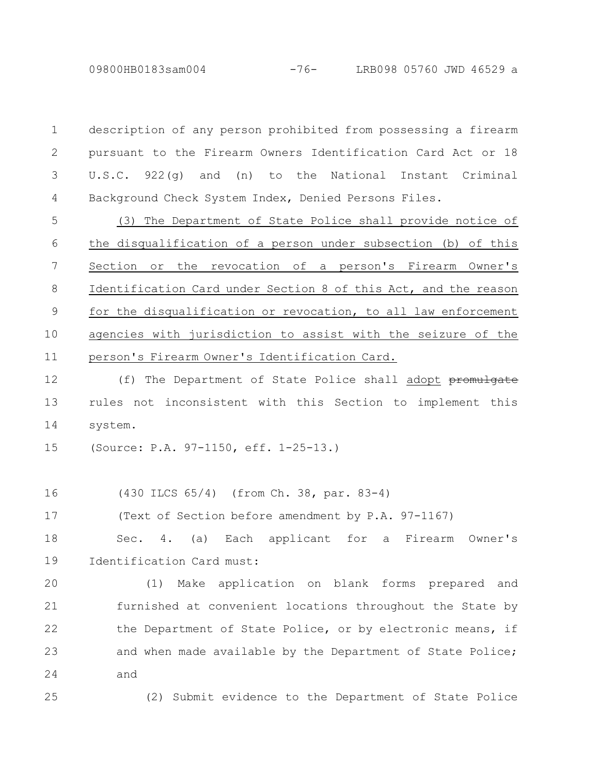09800HB0183sam004 -76- LRB098 05760 JWD 46529 a

description of any person prohibited from possessing a firearm pursuant to the Firearm Owners Identification Card Act or 18 U.S.C. 922(g) and (n) to the National Instant Criminal Background Check System Index, Denied Persons Files. 1 2 3 4

(3) The Department of State Police shall provide notice of the disqualification of a person under subsection (b) of this Section or the revocation of a person's Firearm Owner's Identification Card under Section 8 of this Act, and the reason for the disqualification or revocation, to all law enforcement agencies with jurisdiction to assist with the seizure of the person's Firearm Owner's Identification Card. 5 6 7 8 9 10 11

(f) The Department of State Police shall adopt promulgate rules not inconsistent with this Section to implement this system. 12 13 14

(Source: P.A. 97-1150, eff. 1-25-13.) 15

25

(430 ILCS 65/4) (from Ch. 38, par. 83-4) 16

(Text of Section before amendment by P.A. 97-1167) 17

Sec. 4. (a) Each applicant for a Firearm Owner's Identification Card must: 18 19

(1) Make application on blank forms prepared and furnished at convenient locations throughout the State by the Department of State Police, or by electronic means, if and when made available by the Department of State Police; and 20 21 22 23 24

(2) Submit evidence to the Department of State Police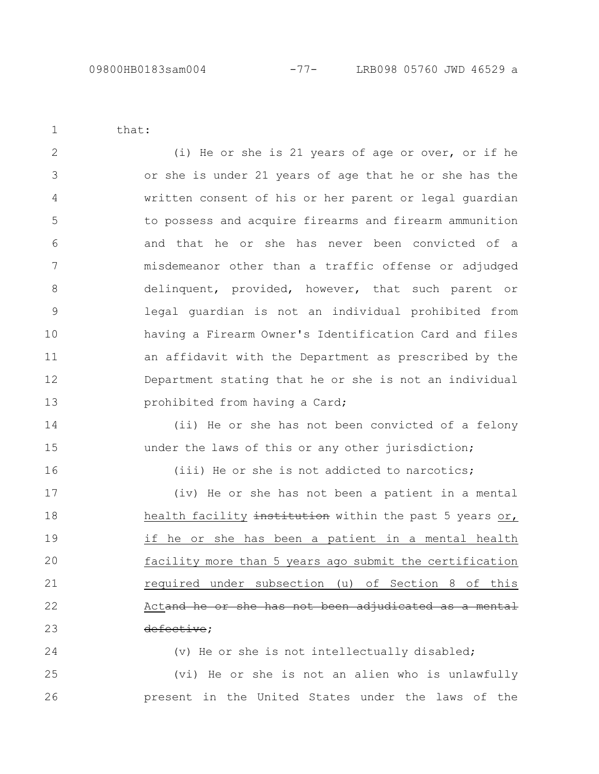that:

1

14

15

16

24

(i) He or she is 21 years of age or over, or if he or she is under 21 years of age that he or she has the written consent of his or her parent or legal guardian to possess and acquire firearms and firearm ammunition and that he or she has never been convicted of a misdemeanor other than a traffic offense or adjudged delinquent, provided, however, that such parent or legal guardian is not an individual prohibited from having a Firearm Owner's Identification Card and files an affidavit with the Department as prescribed by the Department stating that he or she is not an individual prohibited from having a Card; 2 3 4 5 6 7 8 9 10 11 12 13

(ii) He or she has not been convicted of a felony under the laws of this or any other jurisdiction;

(iii) He or she is not addicted to narcotics;

(iv) He or she has not been a patient in a mental health facility institution within the past 5 years or, if he or she has been a patient in a mental health facility more than 5 years ago submit the certification required under subsection (u) of Section 8 of this Actand he or she has not been adjudicated as defective; 17 18 19 20 21 22 23

(v) He or she is not intellectually disabled;

(vi) He or she is not an alien who is unlawfully present in the United States under the laws of the 25 26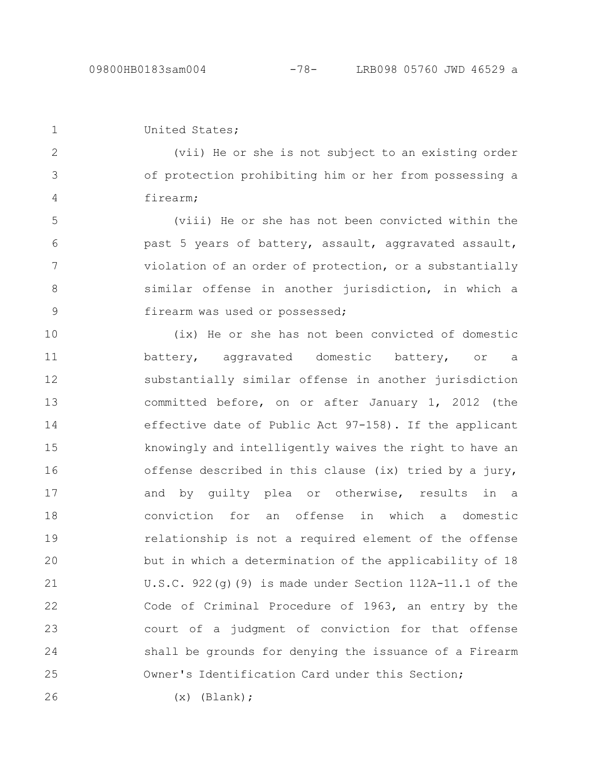```
United States;
1
```
2

3

4

(vii) He or she is not subject to an existing order of protection prohibiting him or her from possessing a firearm;

(viii) He or she has not been convicted within the past 5 years of battery, assault, aggravated assault, violation of an order of protection, or a substantially similar offense in another jurisdiction, in which a firearm was used or possessed; 5 6 7 8 9

(ix) He or she has not been convicted of domestic battery, aggravated domestic battery, or a substantially similar offense in another jurisdiction committed before, on or after January 1, 2012 (the effective date of Public Act 97-158). If the applicant knowingly and intelligently waives the right to have an offense described in this clause (ix) tried by a jury, and by guilty plea or otherwise, results in a conviction for an offense in which a domestic relationship is not a required element of the offense but in which a determination of the applicability of 18 U.S.C. 922 $(q)$ (9) is made under Section 112A-11.1 of the Code of Criminal Procedure of 1963, an entry by the court of a judgment of conviction for that offense shall be grounds for denying the issuance of a Firearm Owner's Identification Card under this Section; 10 11 12 13 14 15 16 17 18 19 20 21 22 23 24 25

26

 $(x)$  (Blank);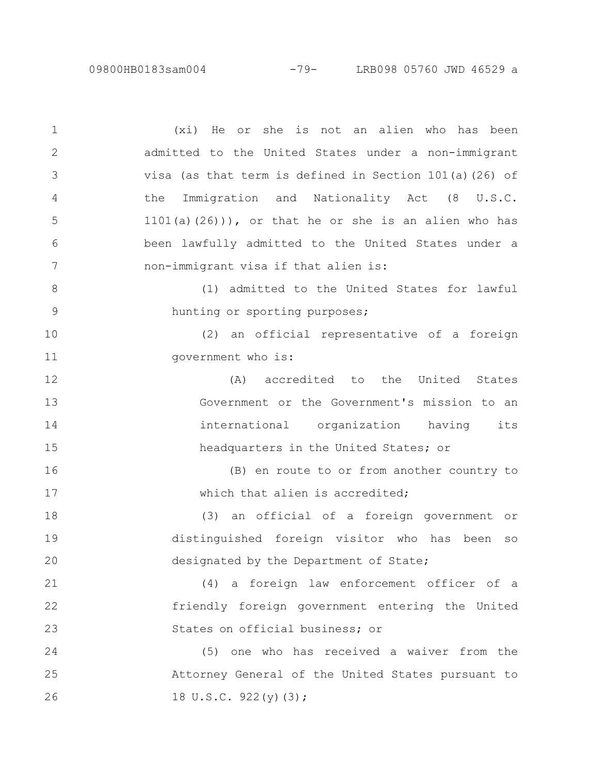(xi) He or she is not an alien who has been admitted to the United States under a non-immigrant visa (as that term is defined in Section 101(a)(26) of the Immigration and Nationality Act (8 U.S.C. 1101(a)(26))), or that he or she is an alien who has been lawfully admitted to the United States under a non-immigrant visa if that alien is: (1) admitted to the United States for lawful hunting or sporting purposes; (2) an official representative of a foreign government who is: (A) accredited to the United States Government or the Government's mission to an international organization having its headquarters in the United States; or (B) en route to or from another country to which that alien is accredited: (3) an official of a foreign government or distinguished foreign visitor who has been so designated by the Department of State; (4) a foreign law enforcement officer of a friendly foreign government entering the United States on official business; or (5) one who has received a waiver from the Attorney General of the United States pursuant to 18 U.S.C. 922(y)(3); 1 2 3 4 5 6 7 8 9 10 11 12 13 14 15 16 17 18 19 20 21 22 23 24 25 26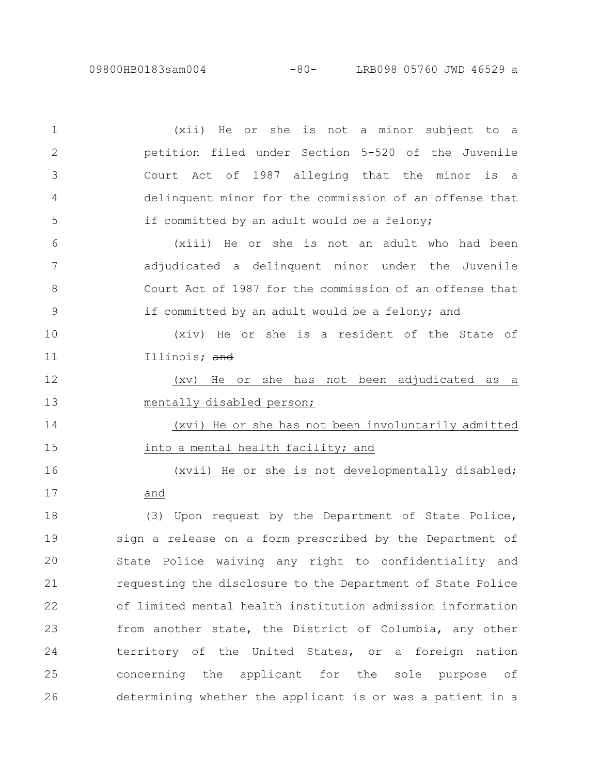(xii) He or she is not a minor subject to a petition filed under Section 5-520 of the Juvenile Court Act of 1987 alleging that the minor is a delinquent minor for the commission of an offense that if committed by an adult would be a felony; (xiii) He or she is not an adult who had been adjudicated a delinquent minor under the Juvenile Court Act of 1987 for the commission of an offense that if committed by an adult would be a felony; and (xiv) He or she is a resident of the State of Illinois; and (xv) He or she has not been adjudicated as a mentally disabled person; (xvi) He or she has not been involuntarily admitted into a mental health facility; and (xvii) He or she is not developmentally disabled; and (3) Upon request by the Department of State Police, sign a release on a form prescribed by the Department of State Police waiving any right to confidentiality and requesting the disclosure to the Department of State Police of limited mental health institution admission information from another state, the District of Columbia, any other territory of the United States, or a foreign nation concerning the applicant for the sole purpose of determining whether the applicant is or was a patient in a 1 2 3 4 5 6 7 8 9 10 11 12 13 14 15 16 17 18 19 20 21 22 23 24 25 26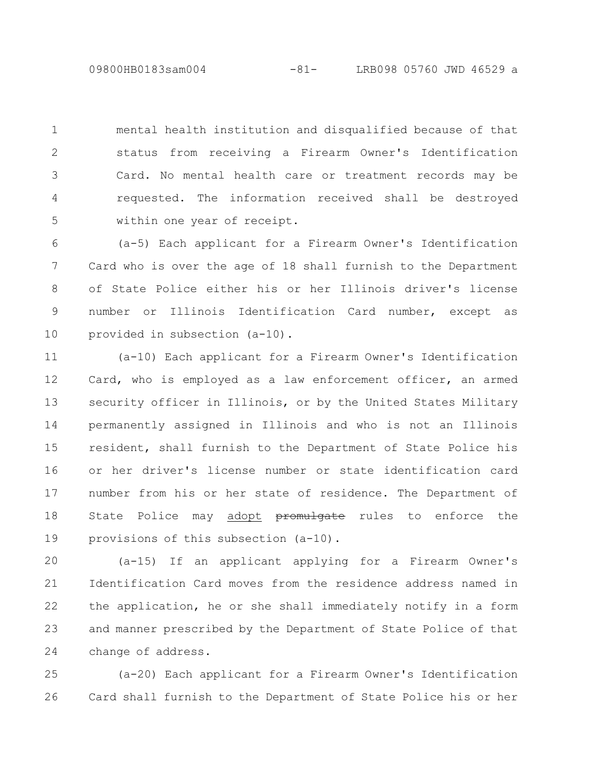09800HB0183sam004 -81- LRB098 05760 JWD 46529 a

mental health institution and disqualified because of that status from receiving a Firearm Owner's Identification Card. No mental health care or treatment records may be requested. The information received shall be destroyed within one year of receipt. 1 2 3 4 5

(a-5) Each applicant for a Firearm Owner's Identification Card who is over the age of 18 shall furnish to the Department of State Police either his or her Illinois driver's license number or Illinois Identification Card number, except as provided in subsection (a-10). 6 7 8 9 10

(a-10) Each applicant for a Firearm Owner's Identification Card, who is employed as a law enforcement officer, an armed security officer in Illinois, or by the United States Military permanently assigned in Illinois and who is not an Illinois resident, shall furnish to the Department of State Police his or her driver's license number or state identification card number from his or her state of residence. The Department of State Police may adopt **promulgate** rules to enforce the provisions of this subsection (a-10). 11 12 13 14 15 16 17 18 19

(a-15) If an applicant applying for a Firearm Owner's Identification Card moves from the residence address named in the application, he or she shall immediately notify in a form and manner prescribed by the Department of State Police of that change of address. 20 21 22 23 24

(a-20) Each applicant for a Firearm Owner's Identification Card shall furnish to the Department of State Police his or her 25 26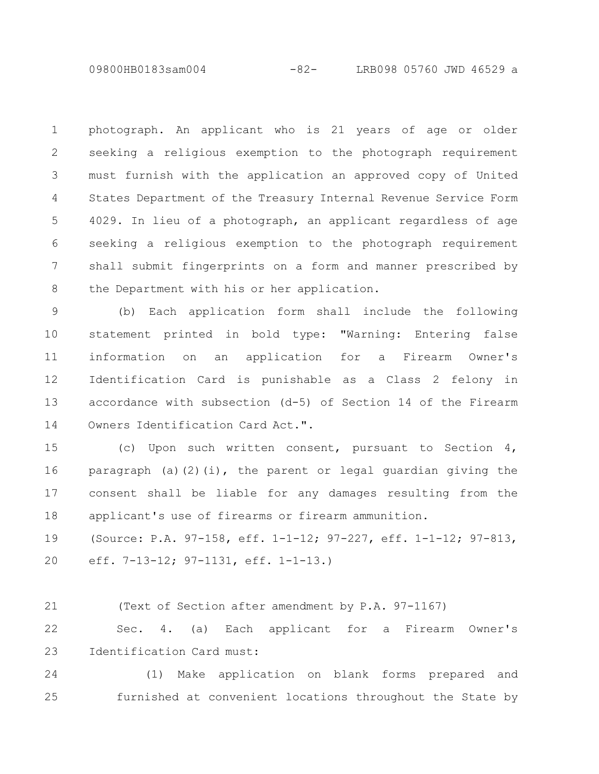09800HB0183sam004 -82- LRB098 05760 JWD 46529 a

photograph. An applicant who is 21 years of age or older seeking a religious exemption to the photograph requirement must furnish with the application an approved copy of United States Department of the Treasury Internal Revenue Service Form 4029. In lieu of a photograph, an applicant regardless of age seeking a religious exemption to the photograph requirement shall submit fingerprints on a form and manner prescribed by the Department with his or her application. 1 2 3 4 5 6 7 8

(b) Each application form shall include the following statement printed in bold type: "Warning: Entering false information on an application for a Firearm Owner's Identification Card is punishable as a Class 2 felony in accordance with subsection (d-5) of Section 14 of the Firearm Owners Identification Card Act.". 9 10 11 12 13 14

(c) Upon such written consent, pursuant to Section 4, paragraph (a)(2)(i), the parent or legal guardian giving the consent shall be liable for any damages resulting from the applicant's use of firearms or firearm ammunition. 15 16 17 18

(Source: P.A. 97-158, eff. 1-1-12; 97-227, eff. 1-1-12; 97-813, eff. 7-13-12; 97-1131, eff. 1-1-13.) 19 20

(Text of Section after amendment by P.A. 97-1167) 21

Sec. 4. (a) Each applicant for a Firearm Owner's Identification Card must: 22 23

(1) Make application on blank forms prepared and furnished at convenient locations throughout the State by 24 25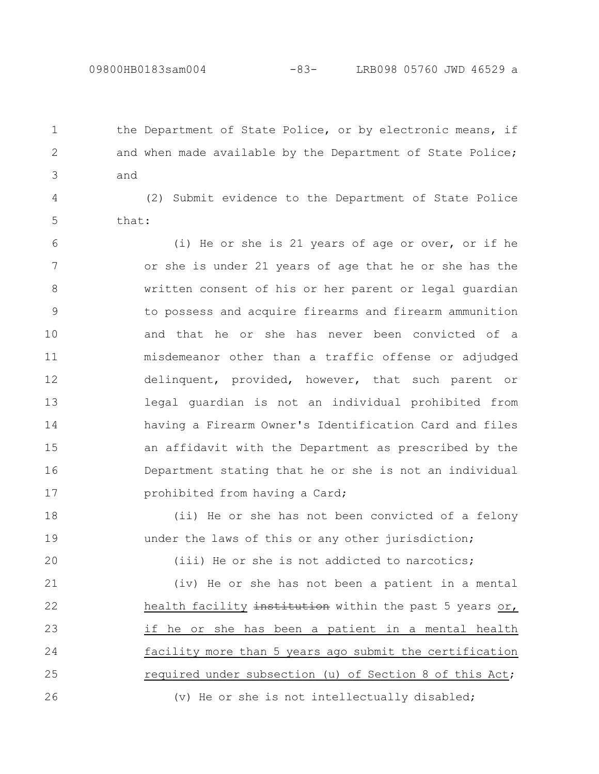the Department of State Police, or by electronic means, if and when made available by the Department of State Police; and

(2) Submit evidence to the Department of State Police that: 4 5

(i) He or she is 21 years of age or over, or if he or she is under 21 years of age that he or she has the written consent of his or her parent or legal guardian to possess and acquire firearms and firearm ammunition and that he or she has never been convicted of a misdemeanor other than a traffic offense or adjudged delinquent, provided, however, that such parent or legal guardian is not an individual prohibited from having a Firearm Owner's Identification Card and files an affidavit with the Department as prescribed by the Department stating that he or she is not an individual prohibited from having a Card; 6 7 8 9 10 11 12 13 14 15 16 17

(ii) He or she has not been convicted of a felony under the laws of this or any other jurisdiction; 18 19

20

1

2

3

(iii) He or she is not addicted to narcotics;

(iv) He or she has not been a patient in a mental health facility institution within the past 5 years or, if he or she has been a patient in a mental health facility more than 5 years ago submit the certification required under subsection (u) of Section 8 of this Act; (v) He or she is not intellectually disabled; 21 22 23 24 25 26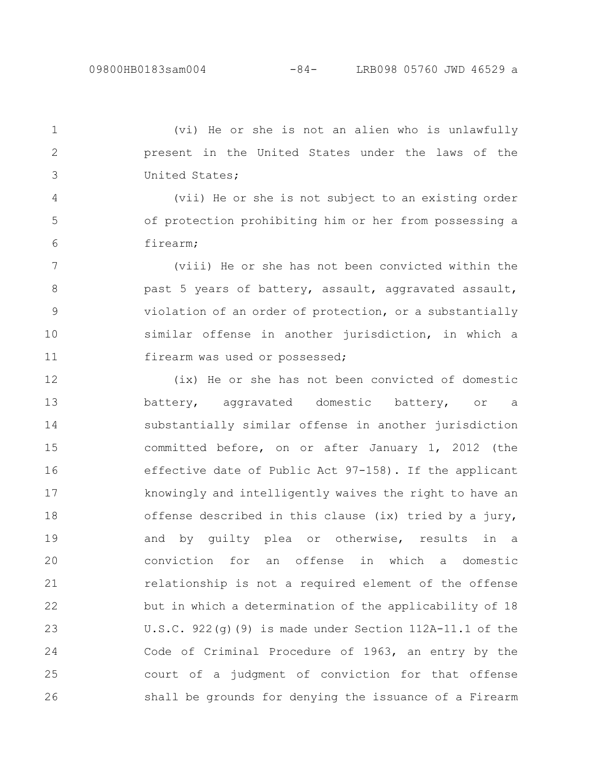(vi) He or she is not an alien who is unlawfully present in the United States under the laws of the United States; 1 2 3

(vii) He or she is not subject to an existing order of protection prohibiting him or her from possessing a firearm; 4 5 6

(viii) He or she has not been convicted within the past 5 years of battery, assault, aggravated assault, violation of an order of protection, or a substantially similar offense in another jurisdiction, in which a firearm was used or possessed; 7 8 9 10 11

(ix) He or she has not been convicted of domestic battery, aggravated domestic battery, or a substantially similar offense in another jurisdiction committed before, on or after January 1, 2012 (the effective date of Public Act 97-158). If the applicant knowingly and intelligently waives the right to have an offense described in this clause (ix) tried by a jury, and by guilty plea or otherwise, results in a conviction for an offense in which a domestic relationship is not a required element of the offense but in which a determination of the applicability of 18 U.S.C. 922(g)(9) is made under Section 112A-11.1 of the Code of Criminal Procedure of 1963, an entry by the court of a judgment of conviction for that offense shall be grounds for denying the issuance of a Firearm 12 13 14 15 16 17 18 19 20 21 22 23 24 25 26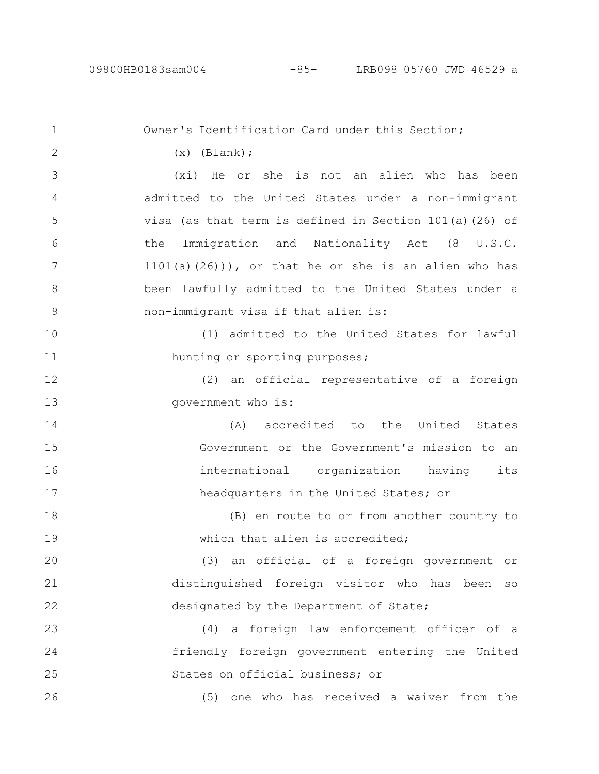Owner's Identification Card under this Section;  $(x)$  (Blank); (xi) He or she is not an alien who has been admitted to the United States under a non-immigrant visa (as that term is defined in Section 101(a)(26) of the Immigration and Nationality Act (8 U.S.C.  $1101(a)(26))$ , or that he or she is an alien who has been lawfully admitted to the United States under a non-immigrant visa if that alien is: (1) admitted to the United States for lawful hunting or sporting purposes; (2) an official representative of a foreign government who is: (A) accredited to the United States Government or the Government's mission to an international organization having its headquarters in the United States; or (B) en route to or from another country to which that alien is accredited; (3) an official of a foreign government or distinguished foreign visitor who has been so designated by the Department of State; (4) a foreign law enforcement officer of a friendly foreign government entering the United States on official business; or (5) one who has received a waiver from the 1 2 3 4 5 6 7 8 9 10 11 12 13 14 15 16 17 18 19 20 21 22 23 24 25 26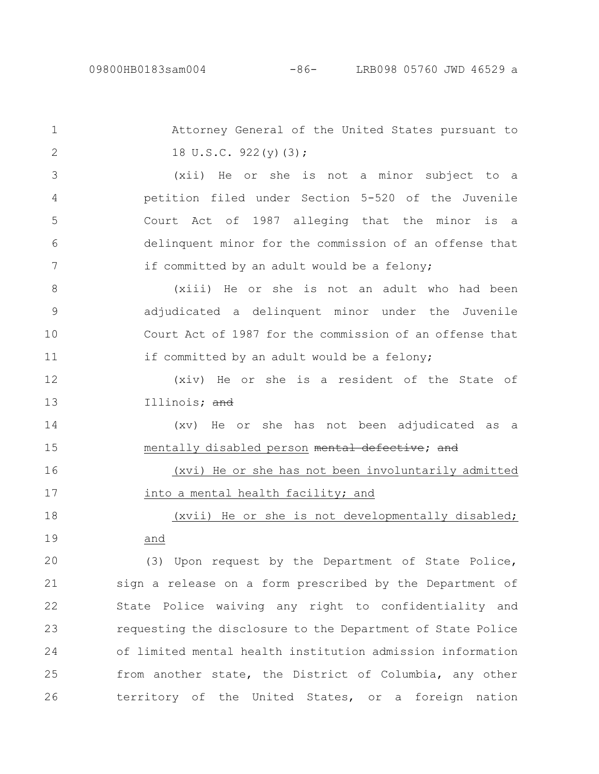Attorney General of the United States pursuant to 18 U.S.C. 922(y)(3); (xii) He or she is not a minor subject to a petition filed under Section 5-520 of the Juvenile Court Act of 1987 alleging that the minor is a delinquent minor for the commission of an offense that if committed by an adult would be a felony; (xiii) He or she is not an adult who had been adjudicated a delinquent minor under the Juvenile Court Act of 1987 for the commission of an offense that if committed by an adult would be a felony; (xiv) He or she is a resident of the State of Illinois; and (xv) He or she has not been adjudicated as a mentally disabled person mental defective; and (xvi) He or she has not been involuntarily admitted into a mental health facility; and (xvii) He or she is not developmentally disabled; and (3) Upon request by the Department of State Police, sign a release on a form prescribed by the Department of State Police waiving any right to confidentiality and requesting the disclosure to the Department of State Police of limited mental health institution admission information from another state, the District of Columbia, any other territory of the United States, or a foreign nation 1 2 3 4 5 6 7 8 9 10 11 12 13 14 15 16 17 18 19 20 21 22 23 24 25 26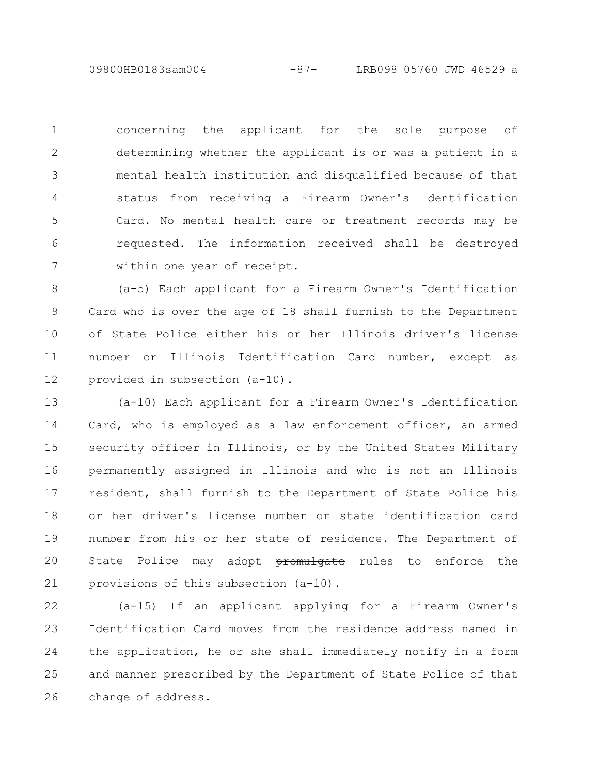09800HB0183sam004 -87- LRB098 05760 JWD 46529 a

concerning the applicant for the sole purpose of determining whether the applicant is or was a patient in a mental health institution and disqualified because of that status from receiving a Firearm Owner's Identification Card. No mental health care or treatment records may be requested. The information received shall be destroyed within one year of receipt. 1 2 3 4 5 6 7

(a-5) Each applicant for a Firearm Owner's Identification Card who is over the age of 18 shall furnish to the Department of State Police either his or her Illinois driver's license number or Illinois Identification Card number, except as provided in subsection (a-10). 8 9 10 11 12

(a-10) Each applicant for a Firearm Owner's Identification Card, who is employed as a law enforcement officer, an armed security officer in Illinois, or by the United States Military permanently assigned in Illinois and who is not an Illinois resident, shall furnish to the Department of State Police his or her driver's license number or state identification card number from his or her state of residence. The Department of State Police may adopt promulgate rules to enforce the provisions of this subsection (a-10). 13 14 15 16 17 18 19 20 21

(a-15) If an applicant applying for a Firearm Owner's Identification Card moves from the residence address named in the application, he or she shall immediately notify in a form and manner prescribed by the Department of State Police of that change of address. 22 23 24 25 26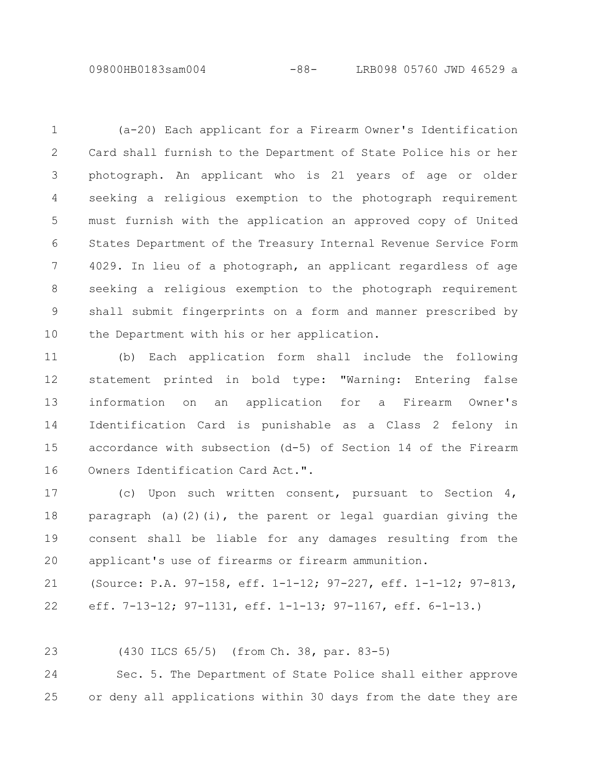09800HB0183sam004 -88- LRB098 05760 JWD 46529 a

(a-20) Each applicant for a Firearm Owner's Identification Card shall furnish to the Department of State Police his or her photograph. An applicant who is 21 years of age or older seeking a religious exemption to the photograph requirement must furnish with the application an approved copy of United States Department of the Treasury Internal Revenue Service Form 4029. In lieu of a photograph, an applicant regardless of age seeking a religious exemption to the photograph requirement shall submit fingerprints on a form and manner prescribed by the Department with his or her application. 1 2 3 4 5 6 7 8 9 10

(b) Each application form shall include the following statement printed in bold type: "Warning: Entering false information on an application for a Firearm Owner's Identification Card is punishable as a Class 2 felony in accordance with subsection (d-5) of Section 14 of the Firearm Owners Identification Card Act.". 11 12 13 14 15 16

(c) Upon such written consent, pursuant to Section 4, paragraph (a)(2)(i), the parent or legal quardian giving the consent shall be liable for any damages resulting from the applicant's use of firearms or firearm ammunition. 17 18 19 20

(Source: P.A. 97-158, eff. 1-1-12; 97-227, eff. 1-1-12; 97-813, eff. 7-13-12; 97-1131, eff. 1-1-13; 97-1167, eff. 6-1-13.) 21 22

(430 ILCS 65/5) (from Ch. 38, par. 83-5) 23

Sec. 5. The Department of State Police shall either approve or deny all applications within 30 days from the date they are 24 25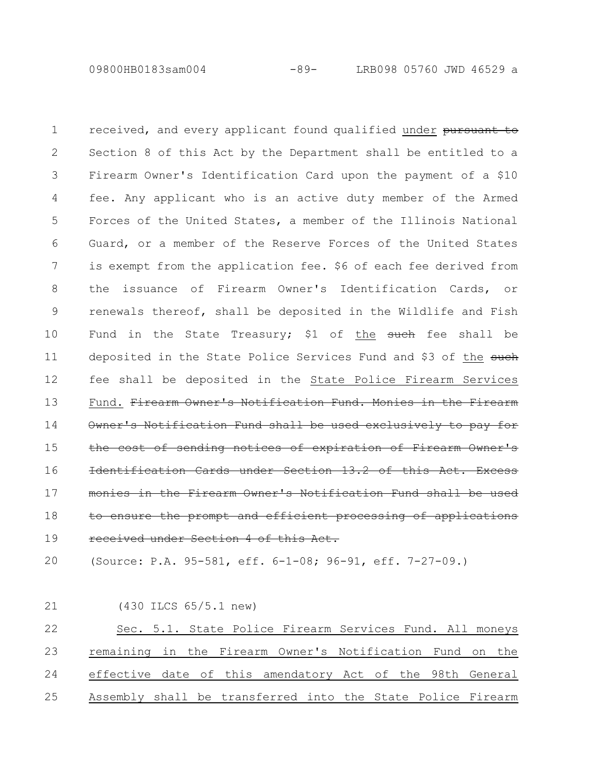09800HB0183sam004 -89- LRB098 05760 JWD 46529 a

received, and every applicant found qualified under pursuant to Section 8 of this Act by the Department shall be entitled to a Firearm Owner's Identification Card upon the payment of a \$10 fee. Any applicant who is an active duty member of the Armed Forces of the United States, a member of the Illinois National Guard, or a member of the Reserve Forces of the United States is exempt from the application fee. \$6 of each fee derived from the issuance of Firearm Owner's Identification Cards, or renewals thereof, shall be deposited in the Wildlife and Fish Fund in the State Treasury; \$1 of the  $\frac{1}{2}$  for the shall be deposited in the State Police Services Fund and \$3 of the such fee shall be deposited in the State Police Firearm Services Fund. Firearm Owner's Notification Fund. Monies in the Firearm Notification Fund shall be used exclusively sending notices of expiration Identification Cards under Section 13.2 of in the Firearm Owner's Notification Fund ensure the prompt and efficient processing of received under Section 4 of this Act. 1 2 3 4 5 6 7 8 9 10 11 12 13 14 15 16 17 18 19

(Source: P.A. 95-581, eff. 6-1-08; 96-91, eff. 7-27-09.) 20

(430 ILCS 65/5.1 new) Sec. 5.1. State Police Firearm Services Fund. All moneys remaining in the Firearm Owner's Notification Fund on the effective date of this amendatory Act of the 98th General Assembly shall be transferred into the State Police Firearm 21 22 23 24 25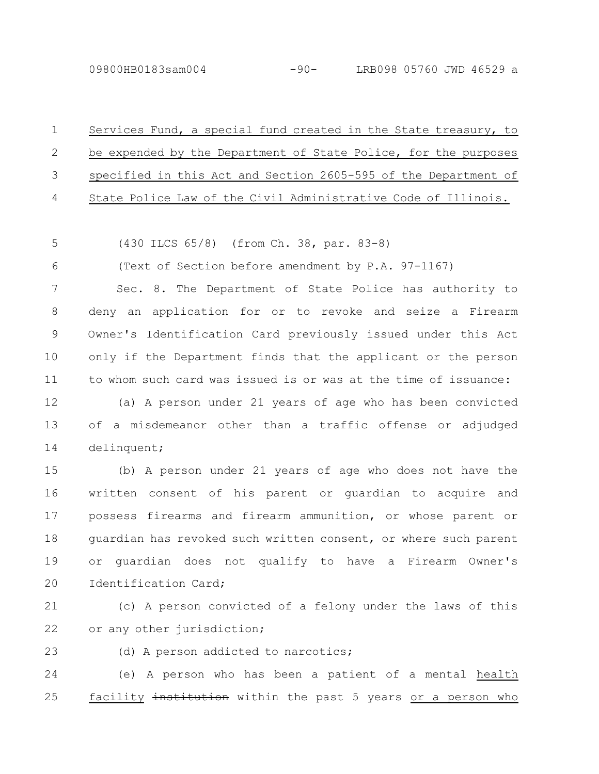6

| $1 \quad \cdots$ | Services Fund, a special fund created in the State treasury, to   |
|------------------|-------------------------------------------------------------------|
|                  | 2 be expended by the Department of State Police, for the purposes |
|                  | 3 specified in this Act and Section 2605-595 of the Department of |
|                  | 4 State Police Law of the Civil Administrative Code of Illinois.  |

(430 ILCS 65/8) (from Ch. 38, par. 83-8) 5

(Text of Section before amendment by P.A. 97-1167)

Sec. 8. The Department of State Police has authority to deny an application for or to revoke and seize a Firearm Owner's Identification Card previously issued under this Act only if the Department finds that the applicant or the person to whom such card was issued is or was at the time of issuance: 7 8 9 10 11

(a) A person under 21 years of age who has been convicted of a misdemeanor other than a traffic offense or adjudged delinquent; 12 13 14

(b) A person under 21 years of age who does not have the written consent of his parent or guardian to acquire and possess firearms and firearm ammunition, or whose parent or guardian has revoked such written consent, or where such parent or guardian does not qualify to have a Firearm Owner's Identification Card; 15 16 17 18 19 20

(c) A person convicted of a felony under the laws of this or any other jurisdiction; 21 22

(d) A person addicted to narcotics; 23

(e) A person who has been a patient of a mental health facility institution within the past 5 years or a person who 24 25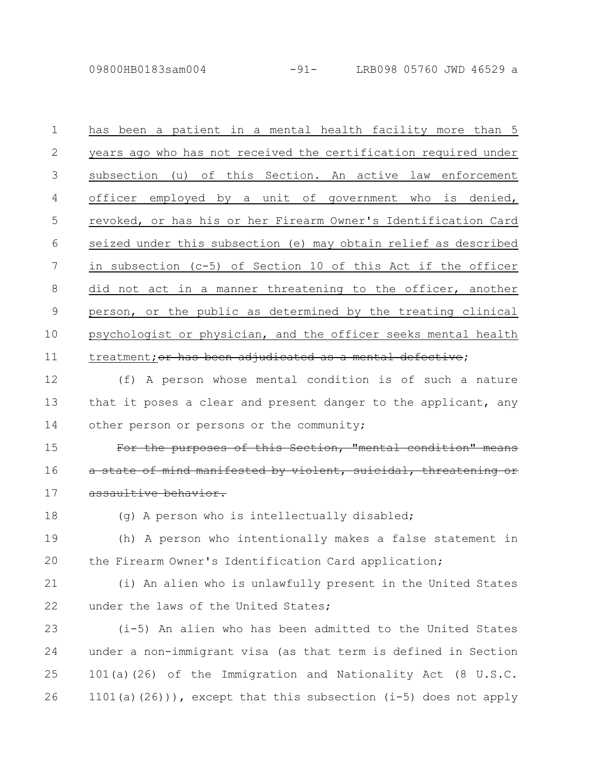09800HB0183sam004 -91- LRB098 05760 JWD 46529 a

has been a patient in a mental health facility more than 5 years ago who has not received the certification required under subsection (u) of this Section. An active law enforcement officer employed by a unit of government who is denied, revoked, or has his or her Firearm Owner's Identification Card seized under this subsection (e) may obtain relief as described in subsection (c-5) of Section 10 of this Act if the officer did not act in a manner threatening to the officer, another person, or the public as determined by the treating clinical psychologist or physician, and the officer seeks mental health treatment; or has been adjudicated as a mental defective; 1 2 3 4 5 6 7 8 9 10 11

(f) A person whose mental condition is of such a nature that it poses a clear and present danger to the applicant, any other person or persons or the community; 12 13 14

purposes of this Section, "mental atate of mind manifested by violent, suicidal, threatenin assaultive behavior. 15 16 17

18

(g) A person who is intellectually disabled;

(h) A person who intentionally makes a false statement in the Firearm Owner's Identification Card application; 19 20

(i) An alien who is unlawfully present in the United States under the laws of the United States; 21 22

(i-5) An alien who has been admitted to the United States under a non-immigrant visa (as that term is defined in Section 101(a)(26) of the Immigration and Nationality Act (8 U.S.C. 1101(a)(26))), except that this subsection (i-5) does not apply 23 24 25 26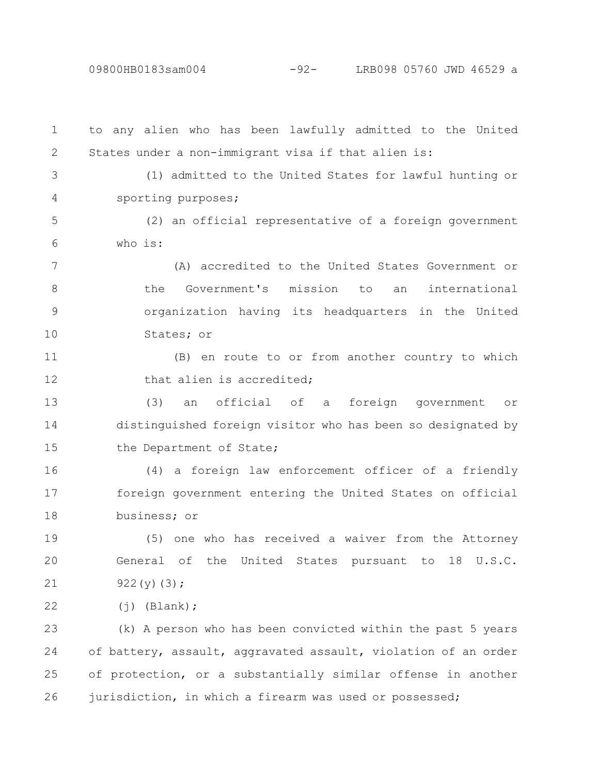09800HB0183sam004 -92- LRB098 05760 JWD 46529 a

to any alien who has been lawfully admitted to the United States under a non-immigrant visa if that alien is: (1) admitted to the United States for lawful hunting or sporting purposes; (2) an official representative of a foreign government who is: (A) accredited to the United States Government or the Government's mission to an international organization having its headquarters in the United States; or (B) en route to or from another country to which that alien is accredited; (3) an official of a foreign government or distinguished foreign visitor who has been so designated by the Department of State; (4) a foreign law enforcement officer of a friendly foreign government entering the United States on official business; or (5) one who has received a waiver from the Attorney General of the United States pursuant to 18 U.S.C. 922(y)(3);  $(j)$  (Blank); (k) A person who has been convicted within the past 5 years of battery, assault, aggravated assault, violation of an order of protection, or a substantially similar offense in another jurisdiction, in which a firearm was used or possessed; 1 2 3 4 5 6 7 8 9 10 11 12 13 14 15 16 17 18 19 20 21 22 23 24 25 26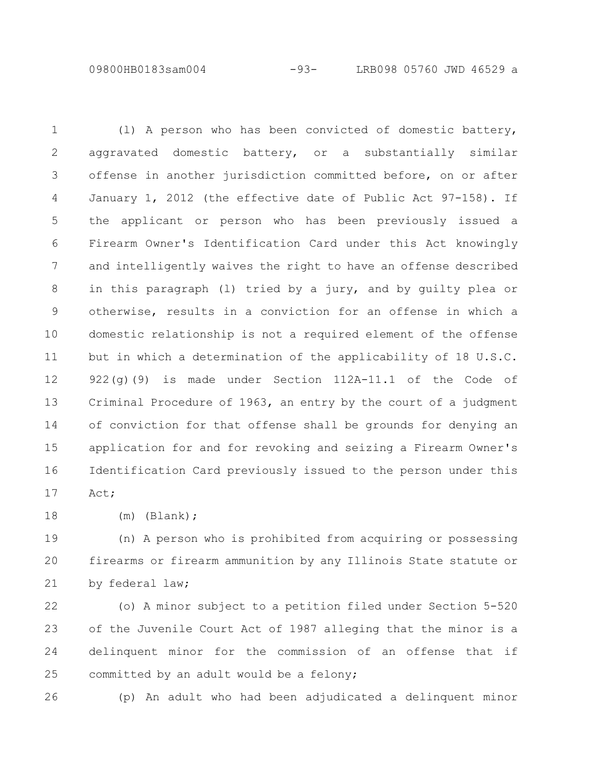09800HB0183sam004 -93- LRB098 05760 JWD 46529 a

(l) A person who has been convicted of domestic battery, aggravated domestic battery, or a substantially similar offense in another jurisdiction committed before, on or after January 1, 2012 (the effective date of Public Act 97-158). If the applicant or person who has been previously issued a Firearm Owner's Identification Card under this Act knowingly and intelligently waives the right to have an offense described in this paragraph (l) tried by a jury, and by guilty plea or otherwise, results in a conviction for an offense in which a domestic relationship is not a required element of the offense but in which a determination of the applicability of 18 U.S.C. 922(g)(9) is made under Section 112A-11.1 of the Code of Criminal Procedure of 1963, an entry by the court of a judgment of conviction for that offense shall be grounds for denying an application for and for revoking and seizing a Firearm Owner's Identification Card previously issued to the person under this Act; 1 2 3 4 5 6 7 8 9 10 11 12 13 14 15 16 17

(m) (Blank); 18

(n) A person who is prohibited from acquiring or possessing firearms or firearm ammunition by any Illinois State statute or by federal law; 19 20 21

(o) A minor subject to a petition filed under Section 5-520 of the Juvenile Court Act of 1987 alleging that the minor is a delinquent minor for the commission of an offense that if committed by an adult would be a felony; 22 23 24 25

26

(p) An adult who had been adjudicated a delinquent minor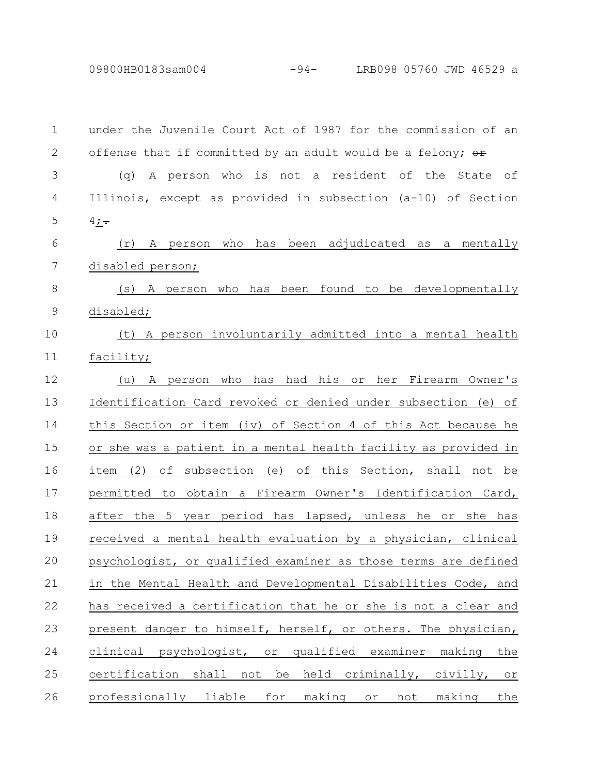09800HB0183sam004 -94- LRB098 05760 JWD 46529 a

under the Juvenile Court Act of 1987 for the commission of an offense that if committed by an adult would be a felony;  $\Theta$ <sup>+</sup> (q) A person who is not a resident of the State of Illinois, except as provided in subsection (a-10) of Section  $4; -$ (r) A person who has been adjudicated as a mentally disabled person; (s) A person who has been found to be developmentally disabled; (t) A person involuntarily admitted into a mental health facility; (u) A person who has had his or her Firearm Owner's Identification Card revoked or denied under subsection (e) of this Section or item (iv) of Section 4 of this Act because he or she was a patient in a mental health facility as provided in item (2) of subsection (e) of this Section, shall not be permitted to obtain a Firearm Owner's Identification Card, after the 5 year period has lapsed, unless he or she has received a mental health evaluation by a physician, clinical psychologist, or qualified examiner as those terms are defined in the Mental Health and Developmental Disabilities Code, and has received a certification that he or she is not a clear and present danger to himself, herself, or others. The physician, clinical psychologist, or qualified examiner making the certification shall not be held criminally, civilly, or professionally liable for making or not making the 1 2 3 4 5 6 7 8 9 10 11 12 13 14 15 16 17 18 19 20 21 22 23 24 25 26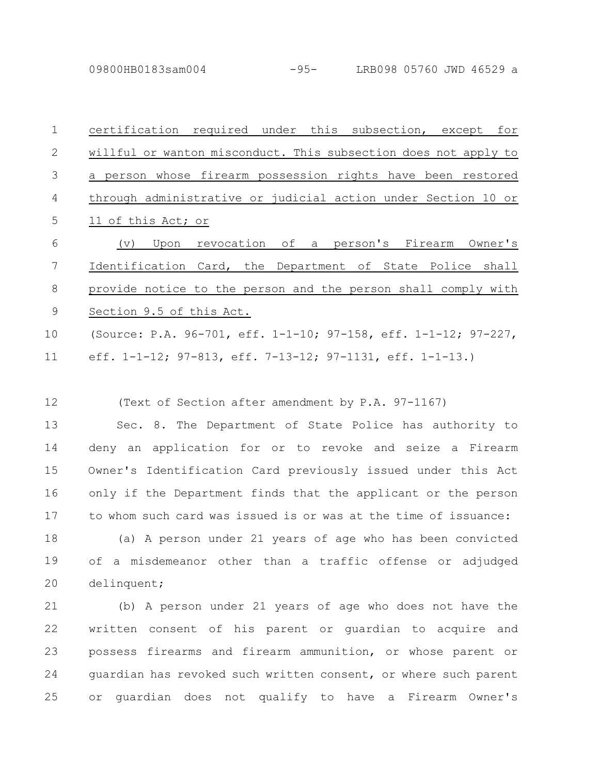09800HB0183sam004 -95- LRB098 05760 JWD 46529 a

| $\mathbf{1}$   | certification required under this subsection, except for                |
|----------------|-------------------------------------------------------------------------|
| $\mathbf{2}$   | willful or wanton misconduct. This subsection does not apply to         |
| $\mathfrak{Z}$ | a person whose firearm possession rights have been restored             |
| 4              | through administrative or judicial action under Section 10 or           |
| 5              | 11 of this Act; or                                                      |
| 6              | (v) Upon revocation of a person's Firearm Owner's                       |
| $\overline{7}$ | Identification Card, the Department of State Police shall               |
| $8\,$          | provide notice to the person and the person shall comply with           |
| $\mathsf 9$    | Section 9.5 of this Act.                                                |
| 10             | (Source: P.A. 96-701, eff. 1-1-10; 97-158, eff. 1-1-12; 97-227,         |
| 11             | eff. $1-1-12$ ; $97-813$ , eff. $7-13-12$ ; $97-1131$ , eff. $1-1-13$ . |
|                |                                                                         |
| 12             | (Text of Section after amendment by P.A. 97-1167)                       |
| 13             | Sec. 8. The Department of State Police has authority to                 |
| 14             | deny an application for or to revoke and seize a Firearm                |
| 15             | Owner's Identification Card previously issued under this Act            |
| 16             | only if the Department finds that the applicant or the person           |
| 17             | to whom such card was issued is or was at the time of issuance:         |
| 18             | (a) A person under 21 years of age who has been convicted               |
| 19             | of a misdemeanor other than a traffic offense or adjudged               |
| 20             | delinquent;                                                             |
| 21             | (b) A person under 21 years of age who does not have the                |
| 22             | written consent of his parent or guardian to acquire and                |
| 23             | possess firearms and firearm ammunition, or whose parent or             |
| 24             | guardian has revoked such written consent, or where such parent         |

or guardian does not qualify to have a Firearm Owner's 25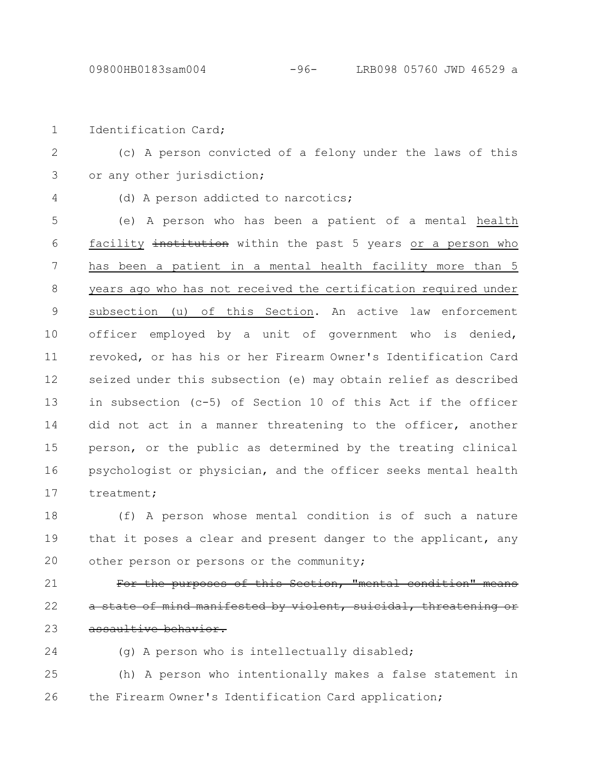Identification Card; 1

- (c) A person convicted of a felony under the laws of this or any other jurisdiction; 2 3
- 4
- (d) A person addicted to narcotics;

(e) A person who has been a patient of a mental health facility institution within the past 5 years or a person who has been a patient in a mental health facility more than 5 years ago who has not received the certification required under subsection (u) of this Section. An active law enforcement officer employed by a unit of government who is denied, revoked, or has his or her Firearm Owner's Identification Card seized under this subsection (e) may obtain relief as described in subsection (c-5) of Section 10 of this Act if the officer did not act in a manner threatening to the officer, another person, or the public as determined by the treating clinical psychologist or physician, and the officer seeks mental health treatment; 5 6 7 8 9 10 11 12 13 14 15 16 17

(f) A person whose mental condition is of such a nature that it poses a clear and present danger to the applicant, any other person or persons or the community; 18 19 20

For the purposes of this Section, "mental condition" state of mind manifested by violent, suicidal, assaultive behavior. 21 22 23

(g) A person who is intellectually disabled; 24

(h) A person who intentionally makes a false statement in the Firearm Owner's Identification Card application; 25 26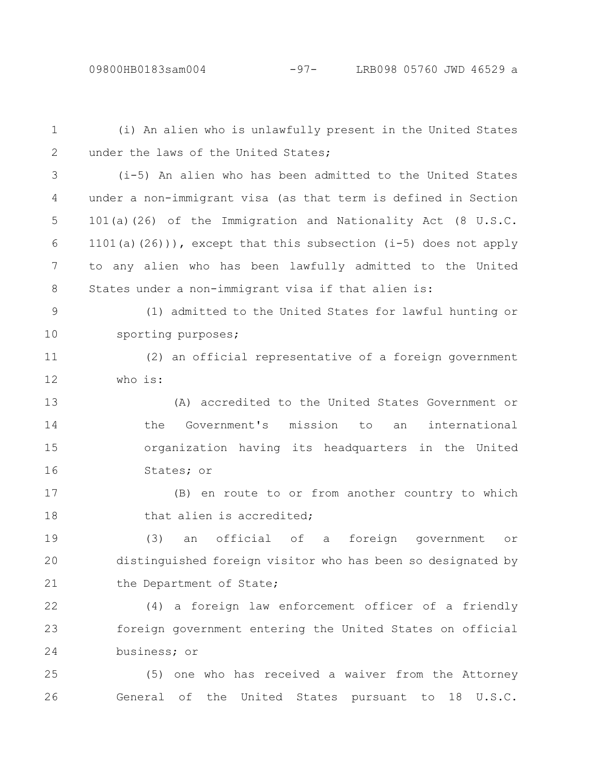26

(i) An alien who is unlawfully present in the United States under the laws of the United States: (i-5) An alien who has been admitted to the United States under a non-immigrant visa (as that term is defined in Section 101(a)(26) of the Immigration and Nationality Act (8 U.S.C. 1101(a)(26))), except that this subsection (i-5) does not apply to any alien who has been lawfully admitted to the United States under a non-immigrant visa if that alien is: (1) admitted to the United States for lawful hunting or sporting purposes; (2) an official representative of a foreign government who is: (A) accredited to the United States Government or the Government's mission to an international organization having its headquarters in the United States; or (B) en route to or from another country to which that alien is accredited; (3) an official of a foreign government or distinguished foreign visitor who has been so designated by the Department of State; (4) a foreign law enforcement officer of a friendly foreign government entering the United States on official business; or (5) one who has received a waiver from the Attorney 1 2 3 4 5 6 7 8 9 10 11 12 13 14 15 16 17 18 19 20 21 22 23 24 25

General of the United States pursuant to 18 U.S.C.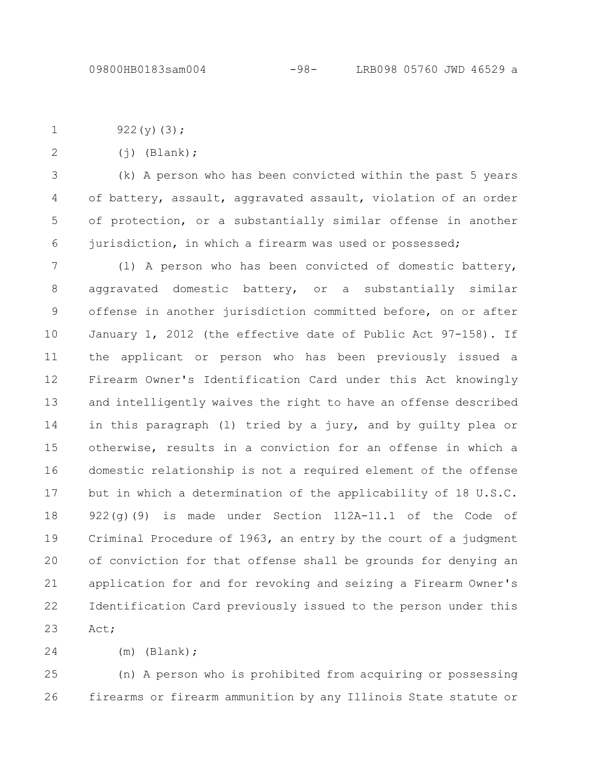922 $(y)(3)$ ; 1

2

 $(i)$  (Blank);

(k) A person who has been convicted within the past 5 years of battery, assault, aggravated assault, violation of an order of protection, or a substantially similar offense in another jurisdiction, in which a firearm was used or possessed; 3 4 5 6

(l) A person who has been convicted of domestic battery, aggravated domestic battery, or a substantially similar offense in another jurisdiction committed before, on or after January 1, 2012 (the effective date of Public Act 97-158). If the applicant or person who has been previously issued a Firearm Owner's Identification Card under this Act knowingly and intelligently waives the right to have an offense described in this paragraph (l) tried by a jury, and by guilty plea or otherwise, results in a conviction for an offense in which a domestic relationship is not a required element of the offense but in which a determination of the applicability of 18 U.S.C. 922(g)(9) is made under Section 112A-11.1 of the Code of Criminal Procedure of 1963, an entry by the court of a judgment of conviction for that offense shall be grounds for denying an application for and for revoking and seizing a Firearm Owner's Identification Card previously issued to the person under this Act; 7 8 9 10 11 12 13 14 15 16 17 18 19 20 21 22 23

(m) (Blank); 24

(n) A person who is prohibited from acquiring or possessing firearms or firearm ammunition by any Illinois State statute or 25 26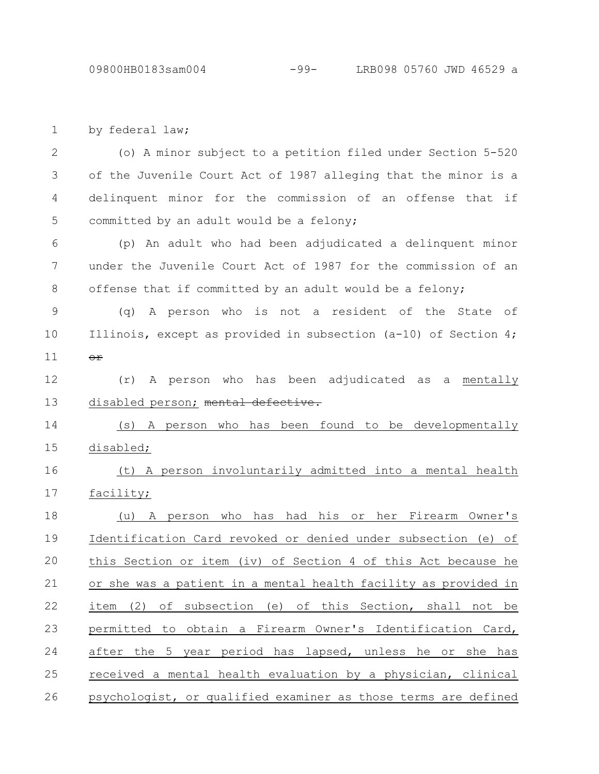by federal law; 1

(o) A minor subject to a petition filed under Section 5-520 of the Juvenile Court Act of 1987 alleging that the minor is a delinquent minor for the commission of an offense that if committed by an adult would be a felony; 2 3 4 5

(p) An adult who had been adjudicated a delinquent minor under the Juvenile Court Act of 1987 for the commission of an offense that if committed by an adult would be a felony; 6 7 8

(q) A person who is not a resident of the State of Illinois, except as provided in subsection (a-10) of Section 4; or 9 10 11

(r) A person who has been adjudicated as a mentally disabled person; mental defective. 12 13

(s) A person who has been found to be developmentally disabled; 14 15

(t) A person involuntarily admitted into a mental health facility; 16 17

(u) A person who has had his or her Firearm Owner's Identification Card revoked or denied under subsection (e) of this Section or item (iv) of Section 4 of this Act because he or she was a patient in a mental health facility as provided in item (2) of subsection (e) of this Section, shall not be permitted to obtain a Firearm Owner's Identification Card, after the 5 year period has lapsed, unless he or she has received a mental health evaluation by a physician, clinical psychologist, or qualified examiner as those terms are defined 18 19 20 21 22 23 24 25 26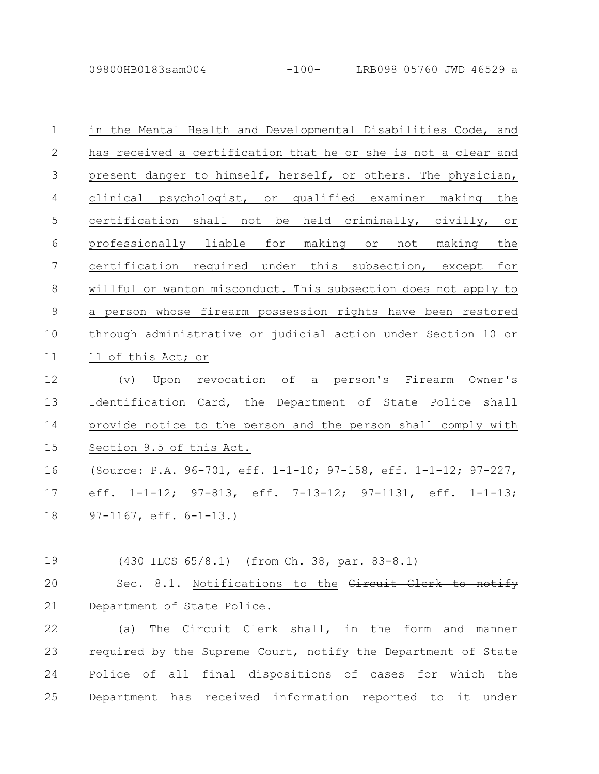09800HB0183sam004 -100- LRB098 05760 JWD 46529 a

| $\mathbf 1$    | in the Mental Health and Developmental Disabilities Code, and           |
|----------------|-------------------------------------------------------------------------|
| $\mathbf{2}$   | has received a certification that he or she is not a clear and          |
| 3              | present danger to himself, herself, or others. The physician,           |
| $\overline{4}$ | clinical psychologist, or qualified examiner making the                 |
| 5              | certification shall not be held criminally, civilly, or                 |
| 6              | professionally liable for making or not making the                      |
| 7              | certification required under this subsection, except for                |
| 8              | willful or wanton misconduct. This subsection does not apply to         |
| 9              | a person whose firearm possession rights have been restored             |
| 10             | through administrative or judicial action under Section 10 or           |
| 11             | 11 of this Act; or                                                      |
| 12             | (v) Upon revocation of a person's Firearm Owner's                       |
| 13             | Identification Card, the Department of State Police shall               |
| 14             | provide notice to the person and the person shall comply with           |
| 15             | Section 9.5 of this Act.                                                |
| 16             | (Source: P.A. 96-701, eff. 1-1-10; 97-158, eff. 1-1-12; 97-227,         |
| 17             | eff. $1-1-12$ ; $97-813$ , eff. $7-13-12$ ; $97-1131$ , eff. $1-1-13$ ; |
| 18             | $97-1167$ , eff. $6-1-13$ .)                                            |
|                |                                                                         |
| 19             | (430 ILCS 65/8.1) (from Ch. 38, par. 83-8.1)                            |
| 20             | Sec. 8.1. Notifications to the Circuit Clerk to notify                  |
| 21             | Department of State Police.                                             |
| $\sim$ $\sim$  |                                                                         |

(a) The Circuit Clerk shall, in the form and manner required by the Supreme Court, notify the Department of State Police of all final dispositions of cases for which the Department has received information reported to it under 22 23 24 25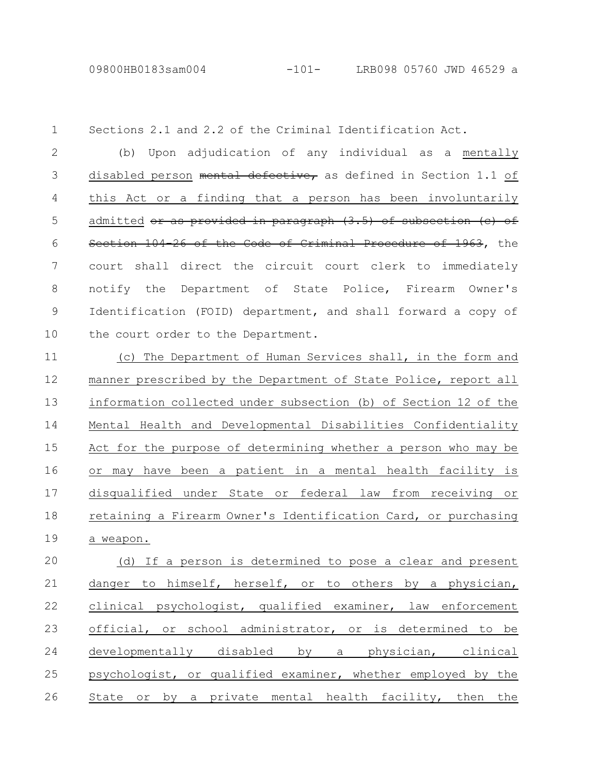09800HB0183sam004 -101- LRB098 05760 JWD 46529 a

Sections 2.1 and 2.2 of the Criminal Identification Act. 1

(b) Upon adjudication of any individual as a mentally disabled person mental defective, as defined in Section 1.1 of this Act or a finding that a person has been involuntarily admitted or as provided in paragraph (3.5) of subsection (c) of Section 104-26 of the Code of Criminal Procedure of 1963, the court shall direct the circuit court clerk to immediately notify the Department of State Police, Firearm Owner's Identification (FOID) department, and shall forward a copy of the court order to the Department. 2 3 4 5 6 7 8 9 10

(c) The Department of Human Services shall, in the form and manner prescribed by the Department of State Police, report all information collected under subsection (b) of Section 12 of the Mental Health and Developmental Disabilities Confidentiality Act for the purpose of determining whether a person who may be or may have been a patient in a mental health facility is disqualified under State or federal law from receiving or retaining a Firearm Owner's Identification Card, or purchasing a weapon. 11 12 13 14 15 16 17 18 19

(d) If a person is determined to pose a clear and present danger to himself, herself, or to others by a physician, clinical psychologist, qualified examiner, law enforcement official, or school administrator, or is determined to be developmentally disabled by a physician, clinical psychologist, or qualified examiner, whether employed by the State or by a private mental health facility, then the 20 21 22 23 24 25 26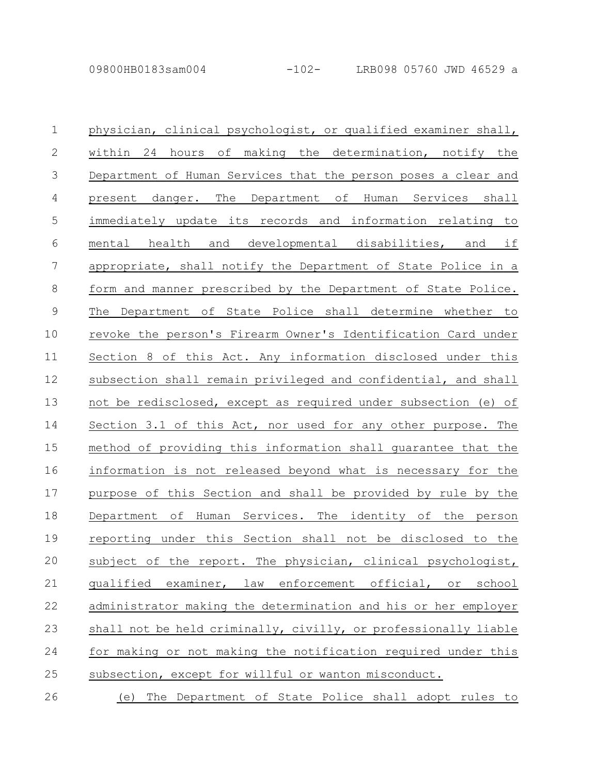| $\mathbf{1}$ | physician, clinical psychologist, or qualified examiner shall,  |
|--------------|-----------------------------------------------------------------|
| $\mathbf{2}$ | within 24 hours of making the determination, notify the         |
| 3            | Department of Human Services that the person poses a clear and  |
| 4            | present danger. The Department of Human Services shall          |
| 5            | immediately update its records and information relating to      |
| 6            | mental health and developmental disabilities, and if            |
| 7            | appropriate, shall notify the Department of State Police in a   |
| $8\,$        | form and manner prescribed by the Department of State Police.   |
| $\mathsf 9$  | The Department of State Police shall determine whether to       |
| 10           | revoke the person's Firearm Owner's Identification Card under   |
| 11           | Section 8 of this Act. Any information disclosed under this     |
| 12           | subsection shall remain privileged and confidential, and shall  |
| 13           | not be redisclosed, except as required under subsection (e) of  |
| 14           | Section 3.1 of this Act, nor used for any other purpose. The    |
| 15           | method of providing this information shall quarantee that the   |
| 16           | information is not released beyond what is necessary for the    |
| 17           | purpose of this Section and shall be provided by rule by the    |
| 18           | Department of Human Services. The identity of the person        |
| 19           | reporting under this Section shall not be disclosed to the      |
| 20           | subject of the report. The physician, clinical psychologist,    |
| 21           | examiner, law enforcement official, or<br>qualified<br>school   |
| 22           | administrator making the determination and his or her employer  |
| 23           | shall not be held criminally, civilly, or professionally liable |
| 24           | for making or not making the notification required under this   |
| 25           | subsection, except for willful or wanton misconduct.            |
| 26           | The Department of State Police shall adopt rules to<br>(e)      |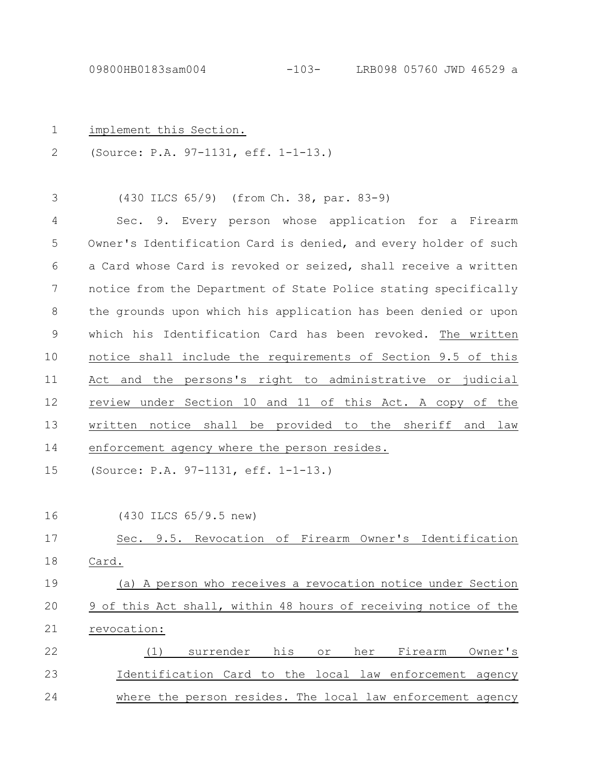| $\mathbf 1$  | implement this Section.                                                              |
|--------------|--------------------------------------------------------------------------------------|
| $\mathbf{2}$ | (Source: P.A. 97-1131, eff. 1-1-13.)                                                 |
| 3            | (430 ILCS 65/9) (from Ch. 38, par. 83-9)                                             |
| 4            | Sec. 9. Every person whose application for a Firearm                                 |
| 5            | Owner's Identification Card is denied, and every holder of such                      |
| 6            | a Card whose Card is revoked or seized, shall receive a written                      |
| 7            | notice from the Department of State Police stating specifically                      |
| 8            | the grounds upon which his application has been denied or upon                       |
| $\mathsf 9$  | which his Identification Card has been revoked. The written                          |
| 10           | notice shall include the requirements of Section 9.5 of this                         |
| 11           | Act and the persons's right to administrative or judicial                            |
| 12           | review under Section 10 and 11 of this Act. A copy of the                            |
| 13           | written notice shall be provided to the sheriff and law                              |
| 14           | enforcement agency where the person resides.                                         |
| 15           | (Source: P.A. 97-1131, eff. 1-1-13.)                                                 |
| 16           | (430 ILCS 65/9.5 new)                                                                |
| 17           | Sec. 9.5. Revocation of Firearm Owner's Identification                               |
| 18           | Card.                                                                                |
| 19           | (a) A person who receives a revocation notice under Section                          |
| 20           | 9 of this Act shall, within 48 hours of receiving notice of the                      |
| 21           | revocation:                                                                          |
| 22           | her<br>Firearm<br><u>surrender</u><br><u>his l</u><br>Owner's<br>(1)<br>$\circ$ $\,$ |
| 23           | Identification Card to the local law enforcement agency                              |
| 24           | where the person resides. The local law enforcement agency                           |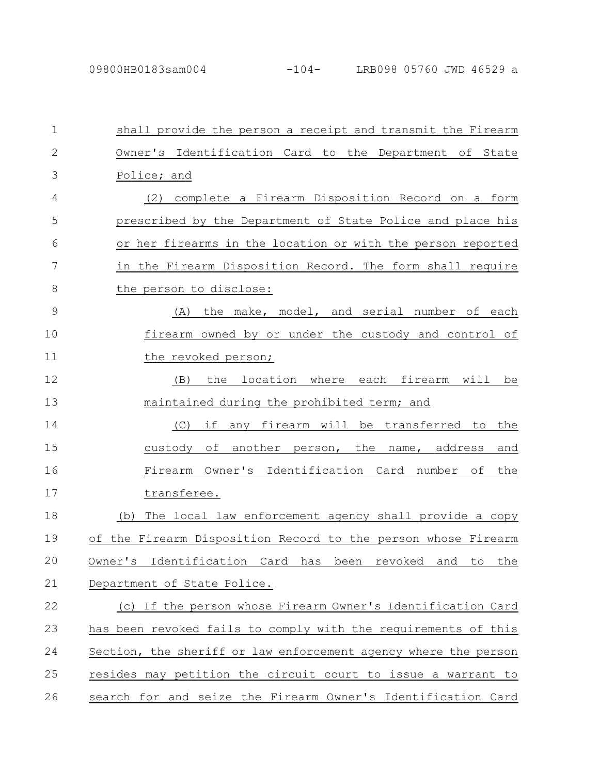| $\mathbf 1$  | shall provide the person a receipt and transmit the Firearm               |
|--------------|---------------------------------------------------------------------------|
| $\mathbf{2}$ | Owner's Identification Card to the Department of State                    |
| 3            | Police; and                                                               |
| 4            | complete a Firearm Disposition Record on a form<br>(2)                    |
| 5            | prescribed by the Department of State Police and place his                |
| 6            | or her firearms in the location or with the person reported               |
| 7            | in the Firearm Disposition Record. The form shall require                 |
| 8            | the person to disclose:                                                   |
| 9            | the make, model, and serial number of each<br>(A)                         |
| 10           | firearm owned by or under the custody and control of                      |
| 11           | the revoked person;                                                       |
| 12           | the location where each firearm will be<br>(B)                            |
| 13           | maintained during the prohibited term; and                                |
| 14           | if<br>any firearm will be transferred to<br>(C)<br>the                    |
| 15           | custody of another person, the name, address<br>and                       |
| 16           | Firearm Owner's Identification Card number of<br>the                      |
| 17           | transferee.                                                               |
| 18           | The local law enforcement agency shall provide a copy<br>(b)              |
| 19           | of the Firearm Disposition Record to the person whose Firearm             |
| 20           | Identification Card has<br>Owner's<br>been<br>revoked<br>and<br>the<br>to |
| 21           | Department of State Police.                                               |
| 22           | (c) If the person whose Firearm Owner's Identification Card               |
| 23           | has been revoked fails to comply with the requirements of this            |
| 24           | Section, the sheriff or law enforcement agency where the person           |
| 25           | resides may petition the circuit court to issue a warrant to              |
| 26           | search for and seize the Firearm Owner's Identification Card              |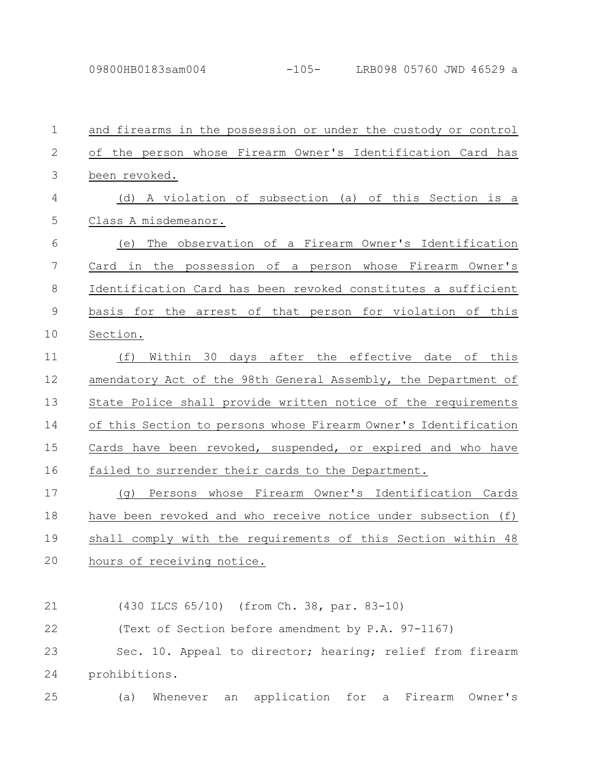| $\mathbf 1$    | and firearms in the possession or under the custody or control         |
|----------------|------------------------------------------------------------------------|
| $\overline{2}$ | of the person whose Firearm Owner's Identification Card has            |
| 3              | been revoked.                                                          |
| 4              | (d) A violation of subsection (a) of this Section is a                 |
| 5              | Class A misdemeanor.                                                   |
| 6              | The observation of a Firearm Owner's Identification<br>(e)             |
| 7              | Card in the possession of a person whose Firearm Owner's               |
| 8              | Identification Card has been revoked constitutes a sufficient          |
| $\mathsf 9$    | basis for the arrest of that person for violation of this              |
| 10             | Section.                                                               |
| 11             | (f)<br>Within 30 days after the effective date of this                 |
| 12             | amendatory Act of the 98th General Assembly, the Department of         |
| 13             | State Police shall provide written notice of the requirements          |
| 14             | of this Section to persons whose Firearm Owner's Identification        |
| 15             | Cards have been revoked, suspended, or expired and who have            |
| 16             | failed to surrender their cards to the Department.                     |
| 17             | Persons whose Firearm Owner's Identification Cards<br>(q)              |
| 18             | have been revoked and who receive notice under subsection (f)          |
| 19             | shall comply with the requirements of this Section within 48           |
| 20             | hours of receiving notice.                                             |
|                |                                                                        |
| 21             | (430 ILCS 65/10) (from Ch. 38, par. 83-10)                             |
| 22             | (Text of Section before amendment by P.A. 97-1167)                     |
| 23             | Sec. 10. Appeal to director; hearing; relief from firearm              |
| 24             | prohibitions.                                                          |
| 25             | application<br>Firearm<br>Whenever<br>for<br>Owner's<br>(a)<br>a<br>an |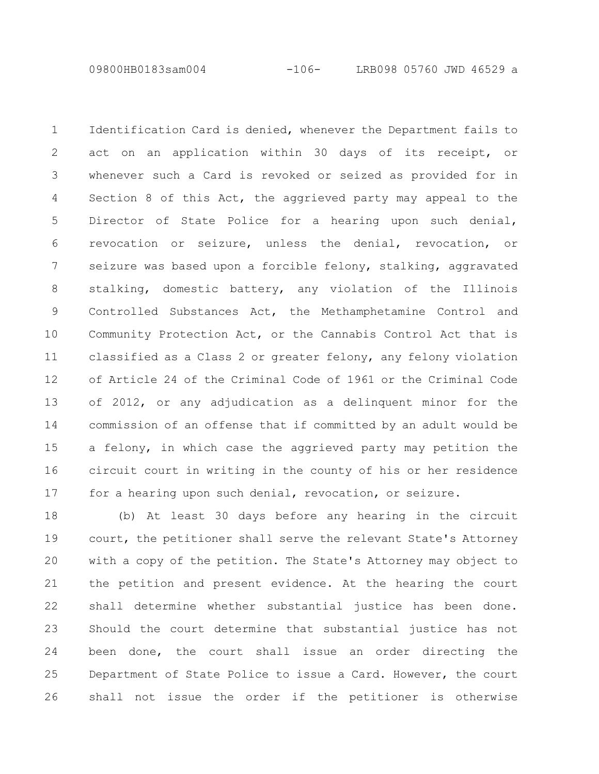09800HB0183sam004 -106- LRB098 05760 JWD 46529 a

Identification Card is denied, whenever the Department fails to act on an application within 30 days of its receipt, or whenever such a Card is revoked or seized as provided for in Section 8 of this Act, the aggrieved party may appeal to the Director of State Police for a hearing upon such denial, revocation or seizure, unless the denial, revocation, or seizure was based upon a forcible felony, stalking, aggravated stalking, domestic battery, any violation of the Illinois Controlled Substances Act, the Methamphetamine Control and Community Protection Act, or the Cannabis Control Act that is classified as a Class 2 or greater felony, any felony violation of Article 24 of the Criminal Code of 1961 or the Criminal Code of 2012, or any adjudication as a delinquent minor for the commission of an offense that if committed by an adult would be a felony, in which case the aggrieved party may petition the circuit court in writing in the county of his or her residence for a hearing upon such denial, revocation, or seizure. 1 2 3 4 5 6 7 8 9 10 11 12 13 14 15 16 17

(b) At least 30 days before any hearing in the circuit court, the petitioner shall serve the relevant State's Attorney with a copy of the petition. The State's Attorney may object to the petition and present evidence. At the hearing the court shall determine whether substantial justice has been done. Should the court determine that substantial justice has not been done, the court shall issue an order directing the Department of State Police to issue a Card. However, the court shall not issue the order if the petitioner is otherwise 18 19 20 21 22 23 24 25 26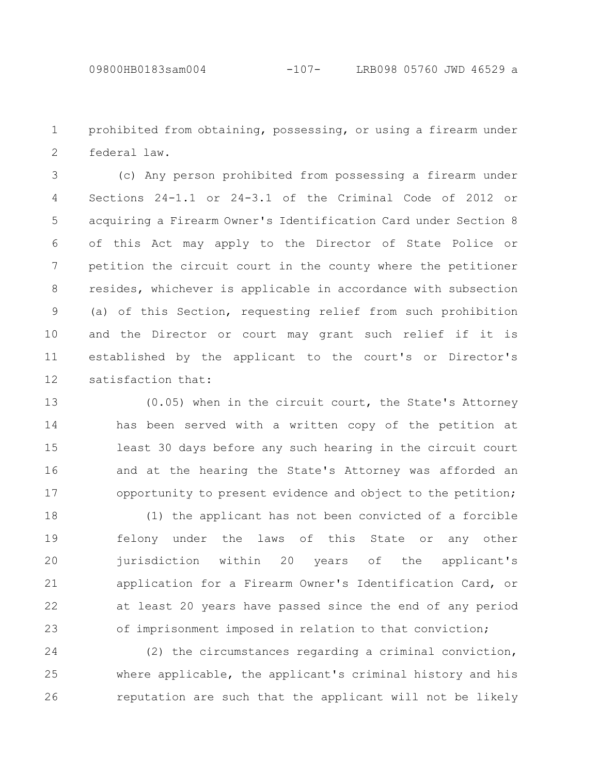prohibited from obtaining, possessing, or using a firearm under federal law. 1 2

(c) Any person prohibited from possessing a firearm under Sections 24-1.1 or 24-3.1 of the Criminal Code of 2012 or acquiring a Firearm Owner's Identification Card under Section 8 of this Act may apply to the Director of State Police or petition the circuit court in the county where the petitioner resides, whichever is applicable in accordance with subsection (a) of this Section, requesting relief from such prohibition and the Director or court may grant such relief if it is established by the applicant to the court's or Director's satisfaction that: 3 4 5 6 7 8 9 10 11 12

(0.05) when in the circuit court, the State's Attorney has been served with a written copy of the petition at least 30 days before any such hearing in the circuit court and at the hearing the State's Attorney was afforded an opportunity to present evidence and object to the petition; 13 14 15 16 17

(1) the applicant has not been convicted of a forcible felony under the laws of this State or any other jurisdiction within 20 years of the applicant's application for a Firearm Owner's Identification Card, or at least 20 years have passed since the end of any period of imprisonment imposed in relation to that conviction; 18 19 20 21 22 23

(2) the circumstances regarding a criminal conviction, where applicable, the applicant's criminal history and his reputation are such that the applicant will not be likely 24 25 26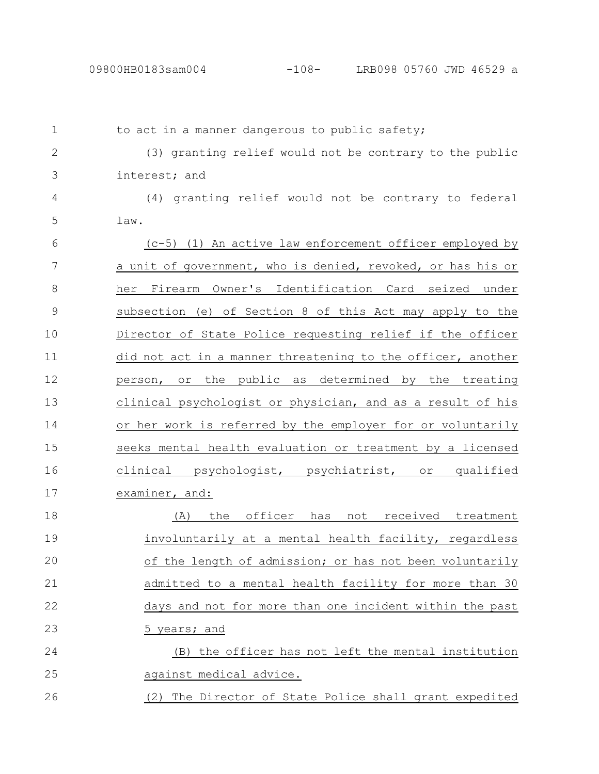| $\mathbf 1$  | to act in a manner dangerous to public safety;              |
|--------------|-------------------------------------------------------------|
| $\mathbf{2}$ | (3) granting relief would not be contrary to the public     |
| 3            | interest; and                                               |
| 4            | (4) granting relief would not be contrary to federal        |
| 5            | law.                                                        |
| 6            | (c-5) (1) An active law enforcement officer employed by     |
| 7            | a unit of government, who is denied, revoked, or has his or |
| 8            | Firearm Owner's Identification Card seized under<br>her     |
| 9            | subsection (e) of Section 8 of this Act may apply to the    |
| 10           | Director of State Police requesting relief if the officer   |
| 11           | did not act in a manner threatening to the officer, another |
| 12           | public as determined by the treating<br>or the<br>person,   |
| 13           | clinical psychologist or physician, and as a result of his  |
| 14           | or her work is referred by the employer for or voluntarily  |
| 15           | seeks mental health evaluation or treatment by a licensed   |
| 16           | clinical psychologist, psychiatrist, or qualified           |
| 17           | examiner, and:                                              |
| 18           | the officer has<br>not<br>received treatment<br>(A)         |
| 19           | involuntarily at a mental health facility, regardless       |
| 20           | of the length of admission; or has not been voluntarily     |
| 21           | admitted to a mental health facility for more than 30       |
| 22           | days and not for more than one incident within the past     |
| 23           | 5 years; and                                                |
| 24           | (B) the officer has not left the mental institution         |
| 25           | against medical advice.                                     |
| 26           | (2) The Director of State Police shall grant expedited      |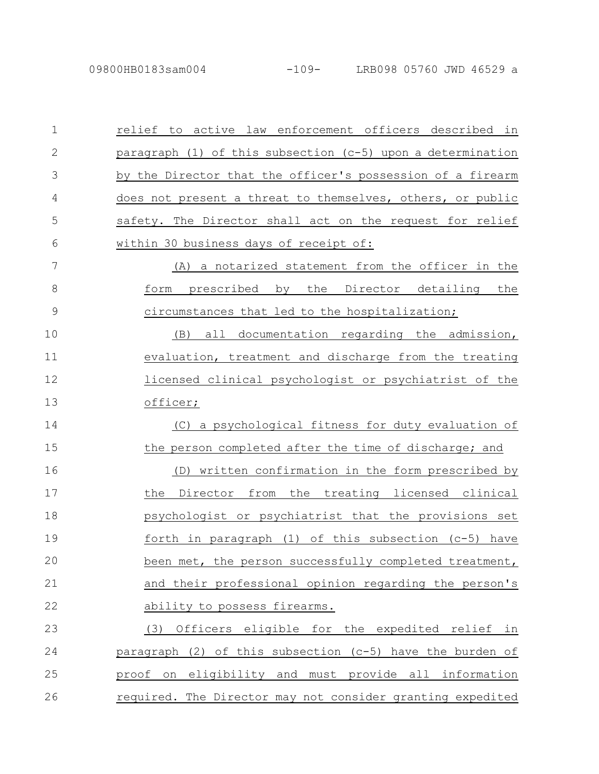| $\mathbf 1$   | relief to active law enforcement officers described in      |
|---------------|-------------------------------------------------------------|
| 2             | paragraph (1) of this subsection (c-5) upon a determination |
| 3             | by the Director that the officer's possession of a firearm  |
| 4             | does not present a threat to themselves, others, or public  |
| 5             | safety. The Director shall act on the request for relief    |
| 6             | within 30 business days of receipt of:                      |
| 7             | (A) a notarized statement from the officer in the           |
| 8             | form prescribed by the Director detailing the               |
| $\mathcal{G}$ | circumstances that led to the hospitalization;              |
| 10            | all documentation regarding the admission,<br>(B)           |
| 11            | evaluation, treatment and discharge from the treating       |
| 12            | licensed clinical psychologist or psychiatrist of the       |
| 13            | officer;                                                    |
| 14            | (C) a psychological fitness for duty evaluation of          |
| 15            | the person completed after the time of discharge; and       |
| 16            | (D) written confirmation in the form prescribed by          |
| 17            | the Director from the treating licensed clinical            |
| 18            | psychologist or psychiatrist that the provisions set        |
| 19            | forth in paragraph $(1)$ of this subsection $(c-5)$ have    |
| 20            | been met, the person successfully completed treatment,      |
| 21            | and their professional opinion regarding the person's       |
| 22            | ability to possess firearms.                                |
| 23            | (3) Officers eligible for the expedited relief in           |
| 24            | paragraph (2) of this subsection (c-5) have the burden of   |
| 25            | proof on eligibility and must provide all information       |
| 26            | required. The Director may not consider granting expedited  |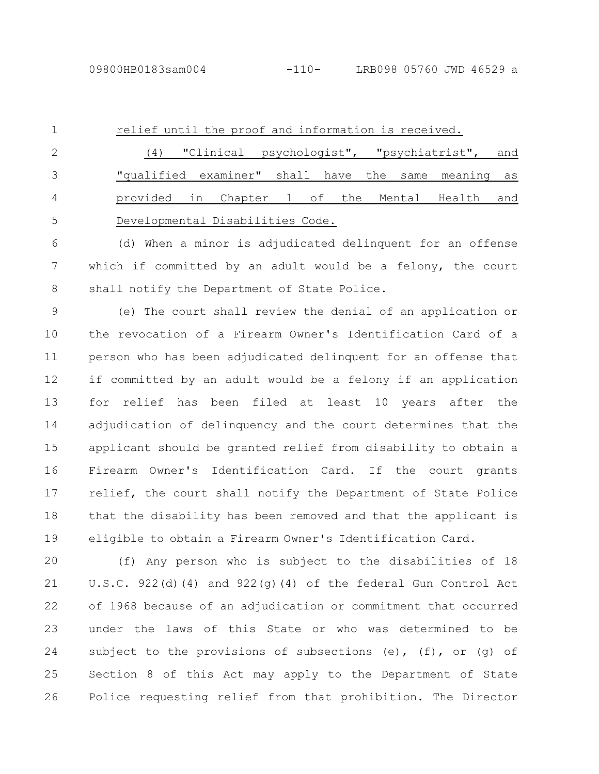relief until the proof and information is received. (4) "Clinical psychologist", "psychiatrist", and 1 2

"qualified examiner" shall have the same meaning as provided in Chapter 1 of the Mental Health and Developmental Disabilities Code. 3 4 5

(d) When a minor is adjudicated delinquent for an offense which if committed by an adult would be a felony, the court shall notify the Department of State Police. 6 7 8

(e) The court shall review the denial of an application or the revocation of a Firearm Owner's Identification Card of a person who has been adjudicated delinquent for an offense that if committed by an adult would be a felony if an application for relief has been filed at least 10 years after the adjudication of delinquency and the court determines that the applicant should be granted relief from disability to obtain a Firearm Owner's Identification Card. If the court grants relief, the court shall notify the Department of State Police that the disability has been removed and that the applicant is eligible to obtain a Firearm Owner's Identification Card. 9 10 11 12 13 14 15 16 17 18 19

(f) Any person who is subject to the disabilities of 18 U.S.C. 922(d)(4) and 922(g)(4) of the federal Gun Control Act of 1968 because of an adjudication or commitment that occurred under the laws of this State or who was determined to be subject to the provisions of subsections (e), (f), or (q) of Section 8 of this Act may apply to the Department of State Police requesting relief from that prohibition. The Director 20 21 22 23 24 25 26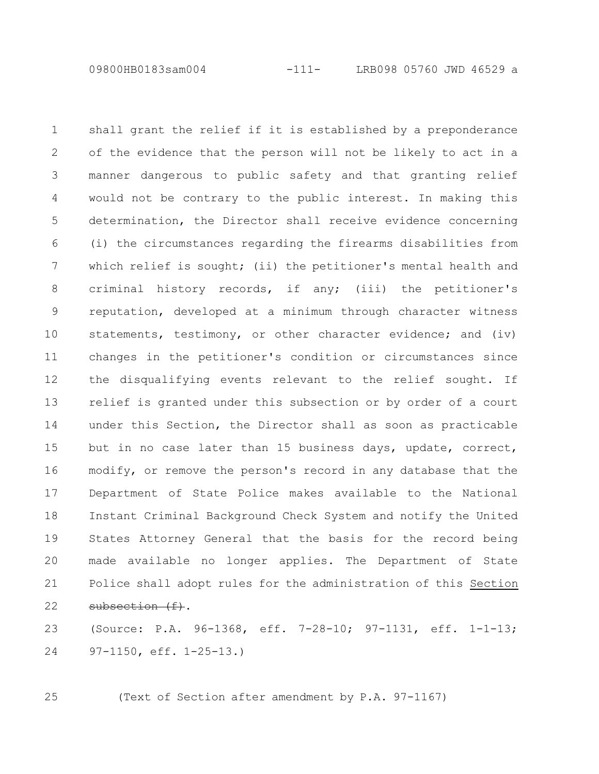09800HB0183sam004 -111- LRB098 05760 JWD 46529 a

shall grant the relief if it is established by a preponderance of the evidence that the person will not be likely to act in a manner dangerous to public safety and that granting relief would not be contrary to the public interest. In making this determination, the Director shall receive evidence concerning (i) the circumstances regarding the firearms disabilities from which relief is sought; (ii) the petitioner's mental health and criminal history records, if any; (iii) the petitioner's reputation, developed at a minimum through character witness statements, testimony, or other character evidence; and (iv) changes in the petitioner's condition or circumstances since the disqualifying events relevant to the relief sought. If relief is granted under this subsection or by order of a court under this Section, the Director shall as soon as practicable but in no case later than 15 business days, update, correct, modify, or remove the person's record in any database that the Department of State Police makes available to the National Instant Criminal Background Check System and notify the United States Attorney General that the basis for the record being made available no longer applies. The Department of State Police shall adopt rules for the administration of this Section subsection (f). 1 2 3 4 5 6 7 8 9 10 11 12 13 14 15 16 17 18 19 20 21 22

(Source: P.A. 96-1368, eff. 7-28-10; 97-1131, eff. 1-1-13; 97-1150, eff. 1-25-13.) 23 24

25

(Text of Section after amendment by P.A. 97-1167)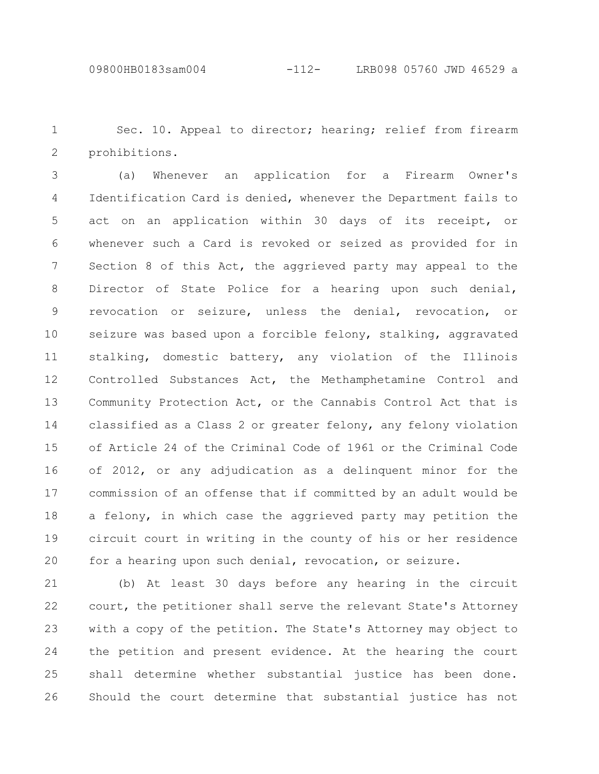Sec. 10. Appeal to director; hearing; relief from firearm prohibitions. 1 2

(a) Whenever an application for a Firearm Owner's Identification Card is denied, whenever the Department fails to act on an application within 30 days of its receipt, or whenever such a Card is revoked or seized as provided for in Section 8 of this Act, the aggrieved party may appeal to the Director of State Police for a hearing upon such denial, revocation or seizure, unless the denial, revocation, or seizure was based upon a forcible felony, stalking, aggravated stalking, domestic battery, any violation of the Illinois Controlled Substances Act, the Methamphetamine Control and Community Protection Act, or the Cannabis Control Act that is classified as a Class 2 or greater felony, any felony violation of Article 24 of the Criminal Code of 1961 or the Criminal Code of 2012, or any adjudication as a delinquent minor for the commission of an offense that if committed by an adult would be a felony, in which case the aggrieved party may petition the circuit court in writing in the county of his or her residence for a hearing upon such denial, revocation, or seizure. 3 4 5 6 7 8 9 10 11 12 13 14 15 16 17 18 19 20

(b) At least 30 days before any hearing in the circuit court, the petitioner shall serve the relevant State's Attorney with a copy of the petition. The State's Attorney may object to the petition and present evidence. At the hearing the court shall determine whether substantial justice has been done. Should the court determine that substantial justice has not 21 22 23 24 25 26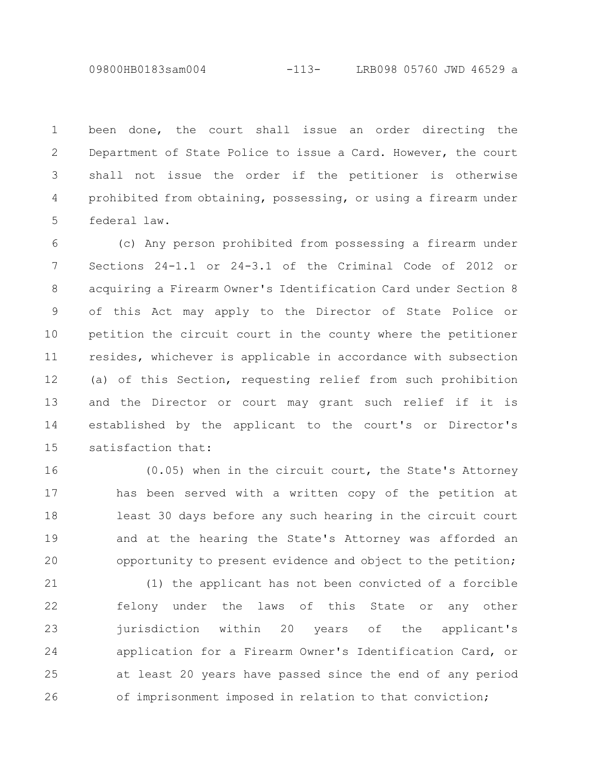09800HB0183sam004 -113- LRB098 05760 JWD 46529 a

been done, the court shall issue an order directing the Department of State Police to issue a Card. However, the court shall not issue the order if the petitioner is otherwise prohibited from obtaining, possessing, or using a firearm under federal law. 1 2 3 4 5

(c) Any person prohibited from possessing a firearm under Sections 24-1.1 or 24-3.1 of the Criminal Code of 2012 or acquiring a Firearm Owner's Identification Card under Section 8 of this Act may apply to the Director of State Police or petition the circuit court in the county where the petitioner resides, whichever is applicable in accordance with subsection (a) of this Section, requesting relief from such prohibition and the Director or court may grant such relief if it is established by the applicant to the court's or Director's satisfaction that: 6 7 8 9 10 11 12 13 14 15

(0.05) when in the circuit court, the State's Attorney has been served with a written copy of the petition at least 30 days before any such hearing in the circuit court and at the hearing the State's Attorney was afforded an opportunity to present evidence and object to the petition; 16 17 18 19 20

(1) the applicant has not been convicted of a forcible felony under the laws of this State or any other jurisdiction within 20 years of the applicant's application for a Firearm Owner's Identification Card, or at least 20 years have passed since the end of any period of imprisonment imposed in relation to that conviction; 21 22 23 24 25 26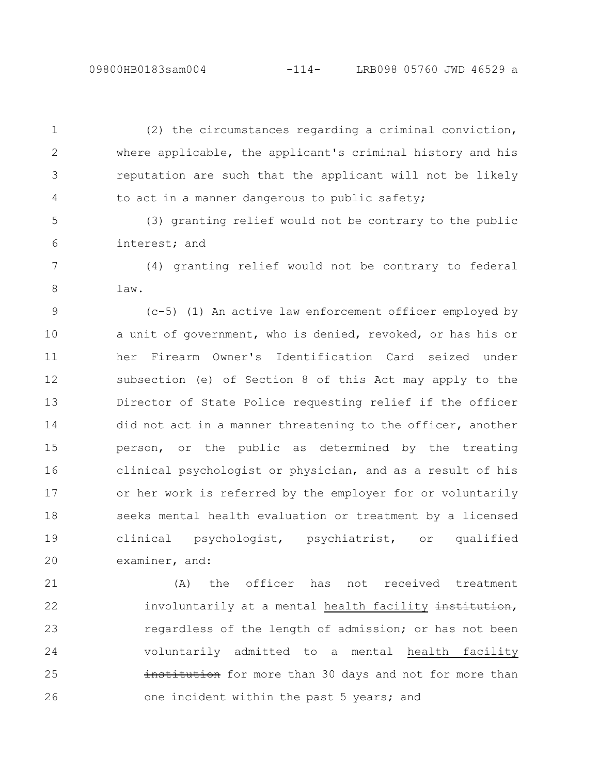(2) the circumstances regarding a criminal conviction, where applicable, the applicant's criminal history and his reputation are such that the applicant will not be likely to act in a manner dangerous to public safety; 1 2 3 4

(3) granting relief would not be contrary to the public interest; and 5 6

(4) granting relief would not be contrary to federal law. 7 8

(c-5) (1) An active law enforcement officer employed by a unit of government, who is denied, revoked, or has his or her Firearm Owner's Identification Card seized under subsection (e) of Section 8 of this Act may apply to the Director of State Police requesting relief if the officer did not act in a manner threatening to the officer, another person, or the public as determined by the treating clinical psychologist or physician, and as a result of his or her work is referred by the employer for or voluntarily seeks mental health evaluation or treatment by a licensed clinical psychologist, psychiatrist, or qualified examiner, and: 9 10 11 12 13 14 15 16 17 18 19 20

(A) the officer has not received treatment involuntarily at a mental health facility institution, regardless of the length of admission; or has not been voluntarily admitted to a mental health facility institution for more than 30 days and not for more than one incident within the past 5 years; and 21 22 23 24 25 26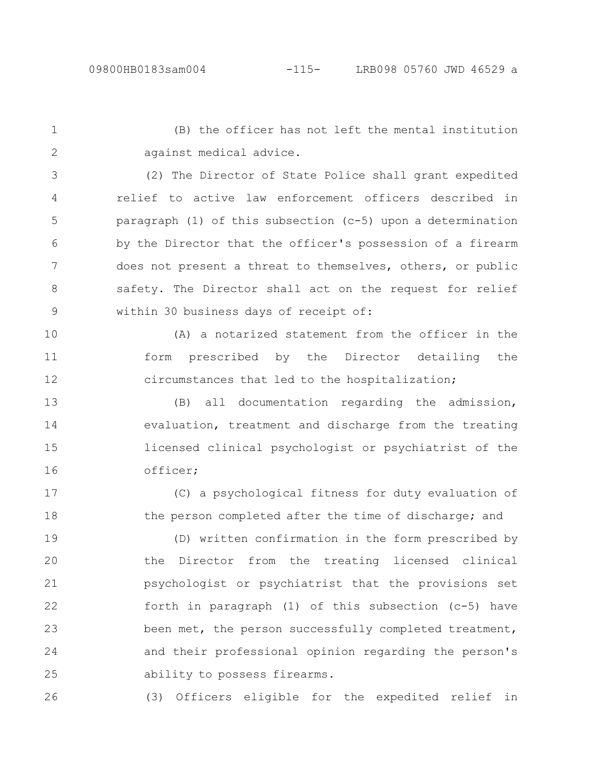(B) the officer has not left the mental institution against medical advice. 1 2

(2) The Director of State Police shall grant expedited relief to active law enforcement officers described in paragraph (1) of this subsection (c-5) upon a determination by the Director that the officer's possession of a firearm does not present a threat to themselves, others, or public safety. The Director shall act on the request for relief within 30 business days of receipt of: 3 4 5 6 7 8 9

(A) a notarized statement from the officer in the form prescribed by the Director detailing the circumstances that led to the hospitalization; 10 11 12

(B) all documentation regarding the admission, evaluation, treatment and discharge from the treating licensed clinical psychologist or psychiatrist of the officer; 13 14 15 16

(C) a psychological fitness for duty evaluation of the person completed after the time of discharge; and 17 18

(D) written confirmation in the form prescribed by the Director from the treating licensed clinical psychologist or psychiatrist that the provisions set forth in paragraph (1) of this subsection (c-5) have been met, the person successfully completed treatment, and their professional opinion regarding the person's ability to possess firearms. 19 20 21 22 23 24 25

(3) Officers eligible for the expedited relief in 26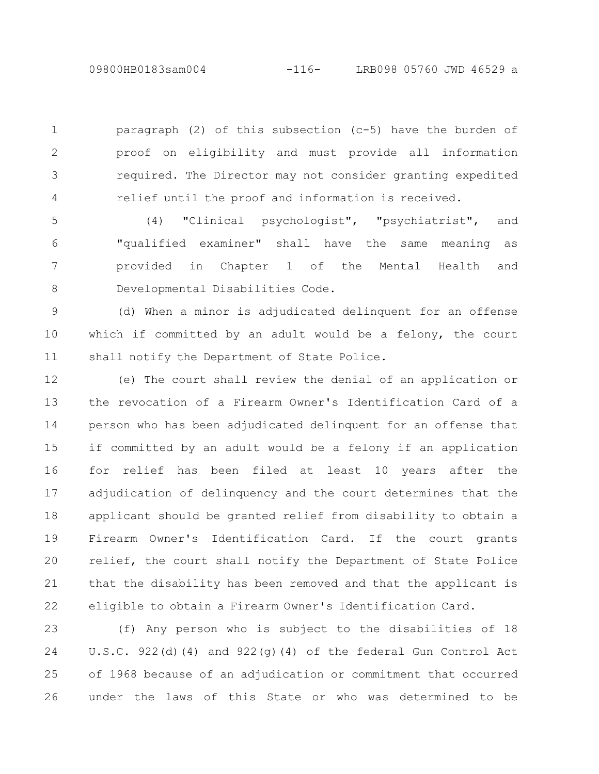paragraph (2) of this subsection  $(c-5)$  have the burden of proof on eligibility and must provide all information required. The Director may not consider granting expedited relief until the proof and information is received. 1 2 3 4

(4) "Clinical psychologist", "psychiatrist", and "qualified examiner" shall have the same meaning as provided in Chapter 1 of the Mental Health and Developmental Disabilities Code. 5 6 7 8

(d) When a minor is adjudicated delinquent for an offense which if committed by an adult would be a felony, the court shall notify the Department of State Police. 9 10 11

(e) The court shall review the denial of an application or the revocation of a Firearm Owner's Identification Card of a person who has been adjudicated delinquent for an offense that if committed by an adult would be a felony if an application for relief has been filed at least 10 years after the adjudication of delinquency and the court determines that the applicant should be granted relief from disability to obtain a Firearm Owner's Identification Card. If the court grants relief, the court shall notify the Department of State Police that the disability has been removed and that the applicant is eligible to obtain a Firearm Owner's Identification Card. 12 13 14 15 16 17 18 19 20 21 22

(f) Any person who is subject to the disabilities of 18 U.S.C. 922(d)(4) and 922(q)(4) of the federal Gun Control Act of 1968 because of an adjudication or commitment that occurred under the laws of this State or who was determined to be 23 24 25 26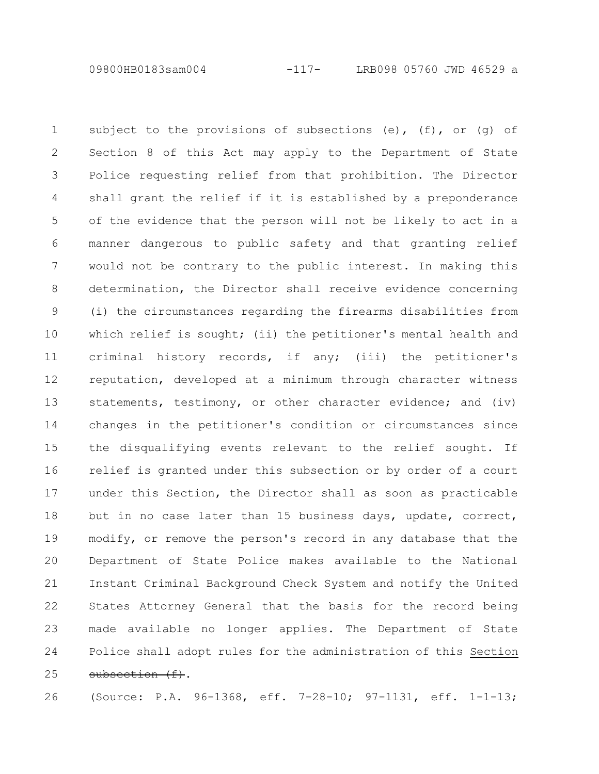09800HB0183sam004 -117- LRB098 05760 JWD 46529 a

subject to the provisions of subsections  $(e)$ ,  $(f)$ , or  $(q)$  of Section 8 of this Act may apply to the Department of State Police requesting relief from that prohibition. The Director shall grant the relief if it is established by a preponderance of the evidence that the person will not be likely to act in a manner dangerous to public safety and that granting relief would not be contrary to the public interest. In making this determination, the Director shall receive evidence concerning (i) the circumstances regarding the firearms disabilities from which relief is sought; (ii) the petitioner's mental health and criminal history records, if any; (iii) the petitioner's reputation, developed at a minimum through character witness statements, testimony, or other character evidence; and (iv) changes in the petitioner's condition or circumstances since the disqualifying events relevant to the relief sought. If relief is granted under this subsection or by order of a court under this Section, the Director shall as soon as practicable but in no case later than 15 business days, update, correct, modify, or remove the person's record in any database that the Department of State Police makes available to the National Instant Criminal Background Check System and notify the United States Attorney General that the basis for the record being made available no longer applies. The Department of State Police shall adopt rules for the administration of this Section subsection (f). 1 2 3 4 5 6 7 8 9 10 11 12 13 14 15 16 17 18 19 20 21 22 23 24 25

26

(Source: P.A. 96-1368, eff. 7-28-10; 97-1131, eff. 1-1-13;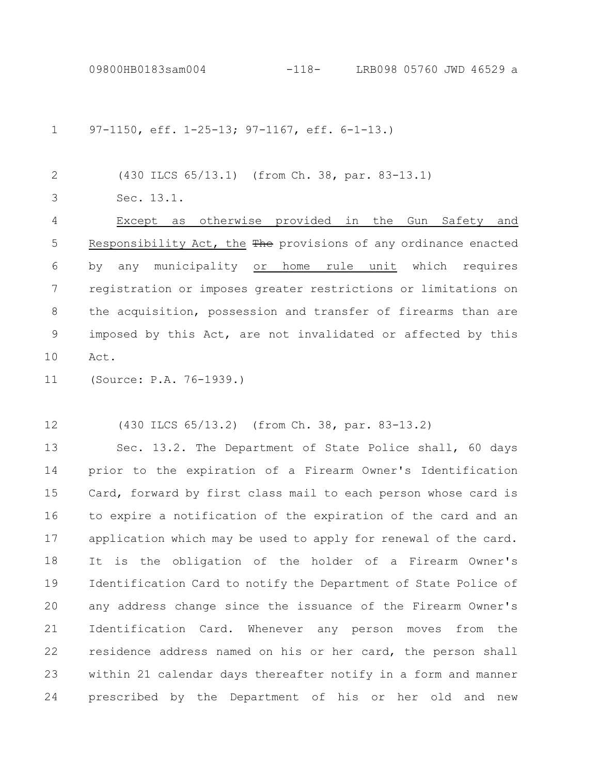97-1150, eff. 1-25-13; 97-1167, eff. 6-1-13.) 1

(430 ILCS 65/13.1) (from Ch. 38, par. 83-13.1) 2

Sec. 13.1. 3

Except as otherwise provided in the Gun Safety and Responsibility Act, the The provisions of any ordinance enacted by any municipality or home rule unit which requires registration or imposes greater restrictions or limitations on the acquisition, possession and transfer of firearms than are imposed by this Act, are not invalidated or affected by this Act. 4 5 6 7 8 9 10

(Source: P.A. 76-1939.) 11

(430 ILCS 65/13.2) (from Ch. 38, par. 83-13.2) 12

Sec. 13.2. The Department of State Police shall, 60 days prior to the expiration of a Firearm Owner's Identification Card, forward by first class mail to each person whose card is to expire a notification of the expiration of the card and an application which may be used to apply for renewal of the card. It is the obligation of the holder of a Firearm Owner's Identification Card to notify the Department of State Police of any address change since the issuance of the Firearm Owner's Identification Card. Whenever any person moves from the residence address named on his or her card, the person shall within 21 calendar days thereafter notify in a form and manner prescribed by the Department of his or her old and new 13 14 15 16 17 18 19 20 21 22 23 24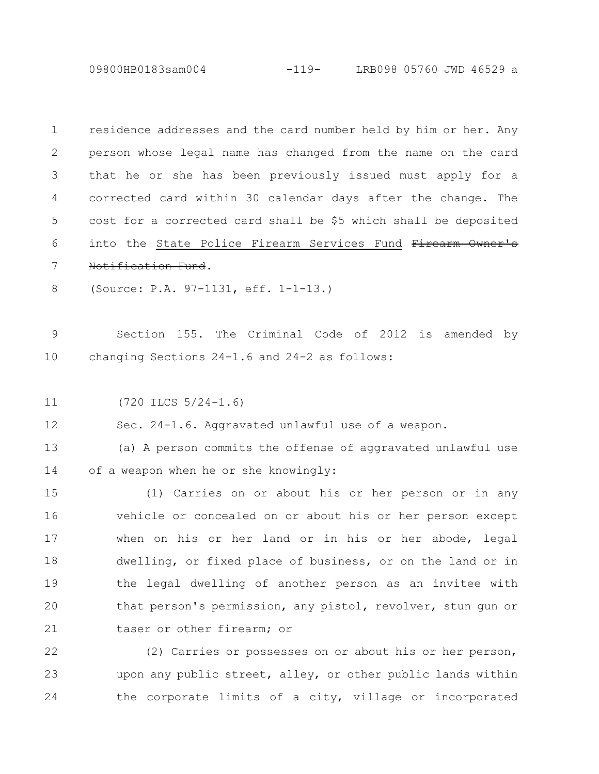09800HB0183sam004 -119- LRB098 05760 JWD 46529 a

| $\mathbf 1$ | residence addresses and the card number held by him or her. Any |
|-------------|-----------------------------------------------------------------|
| 2           | person whose legal name has changed from the name on the card   |
| 3           | that he or she has been previously issued must apply for a      |
| 4           | corrected card within 30 calendar days after the change. The    |
| 5           | cost for a corrected card shall be \$5 which shall be deposited |
| 6           | into the State Police Firearm Services Fund Firearm Owner's     |
| 7           | Notification Fund.                                              |
| 8           | (Source: P.A. 97-1131, eff. 1-1-13.)                            |
|             |                                                                 |
| 9           | Section 155. The Criminal Code of 2012 is amended<br>by         |
| 10          | changing Sections 24-1.6 and 24-2 as follows:                   |
|             |                                                                 |
| 11          | $(720$ ILCS $5/24-1.6)$                                         |
| 12          | Sec. 24-1.6. Aggravated unlawful use of a weapon.               |
| 13          | (a) A person commits the offense of aggravated unlawful use     |
| 14          | of a weapon when he or she knowingly:                           |
| 15          | (1) Carries on or about his or her person or in any             |
| 16          | vehicle or concealed on or about his or her person except       |
| 17          | when on his or her land or in his or her abode, legal           |
| 18          | dwelling, or fixed place of business, or on the land or in      |
| 19          | the legal dwelling of another person as an invitee with         |
| 20          | that person's permission, any pistol, revolver, stun qun or     |
| 21          | taser or other firearm; or                                      |
| 22          | (2) Carries or possesses on or about his or her person,         |
| 23          | upon any public street, alley, or other public lands within     |
| 24          | the corporate limits of a city, village or incorporated         |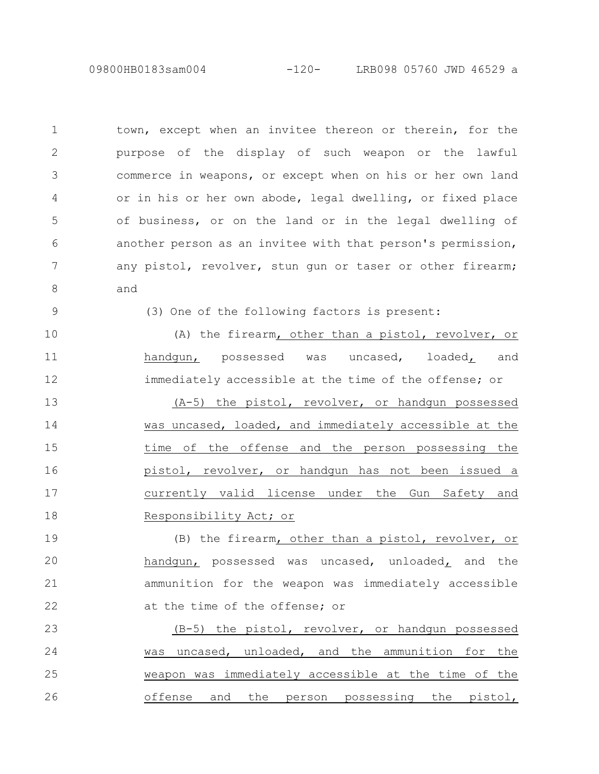09800HB0183sam004 -120- LRB098 05760 JWD 46529 a

town, except when an invitee thereon or therein, for the purpose of the display of such weapon or the lawful commerce in weapons, or except when on his or her own land or in his or her own abode, legal dwelling, or fixed place of business, or on the land or in the legal dwelling of another person as an invitee with that person's permission, any pistol, revolver, stun gun or taser or other firearm; and 1 2 3 4 5 6 7 8

9

(3) One of the following factors is present:

(A) the firearm, other than a pistol, revolver, or handgun, possessed was uncased, loaded, and immediately accessible at the time of the offense; or (A-5) the pistol, revolver, or handgun possessed was uncased, loaded, and immediately accessible at the time of the offense and the person possessing the pistol, revolver, or handgun has not been issued a currently valid license under the Gun Safety and Responsibility Act; or 10 11 12 13 14 15 16 17 18

(B) the firearm, other than a pistol, revolver, or handgun, possessed was uncased, unloaded, and the ammunition for the weapon was immediately accessible at the time of the offense; or 19 20 21 22

(B-5) the pistol, revolver, or handgun possessed was uncased, unloaded, and the ammunition for the weapon was immediately accessible at the time of the offense and the person possessing the pistol, 23 24 25 26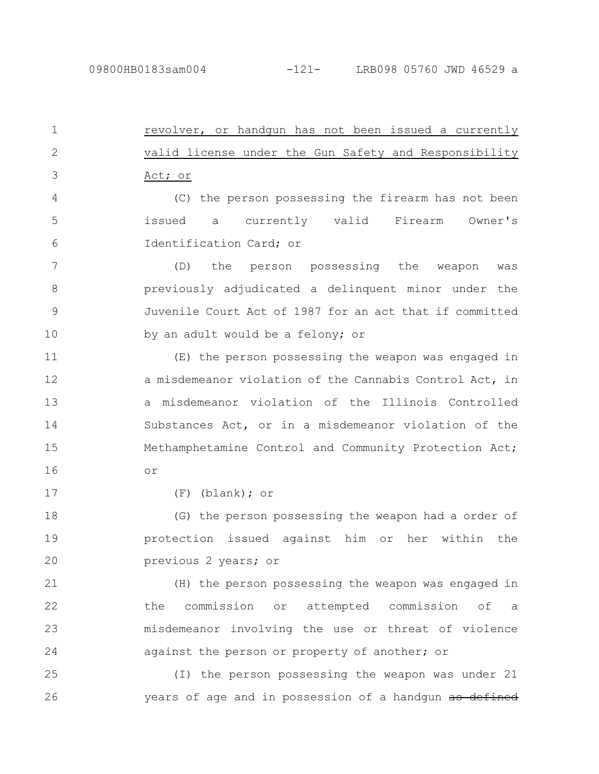revolver, or handgun has not been issued a currently valid license under the Gun Safety and Responsibility Act; or 1 2 3

(C) the person possessing the firearm has not been issued a currently valid Firearm Owner's Identification Card; or 4 5 6

(D) the person possessing the weapon was previously adjudicated a delinquent minor under the Juvenile Court Act of 1987 for an act that if committed by an adult would be a felony; or 7 8 9 10

(E) the person possessing the weapon was engaged in a misdemeanor violation of the Cannabis Control Act, in a misdemeanor violation of the Illinois Controlled Substances Act, or in a misdemeanor violation of the Methamphetamine Control and Community Protection Act; or 11 12 13 14 15 16

17

(F) (blank); or

(G) the person possessing the weapon had a order of protection issued against him or her within the previous 2 years; or 18 19 20

(H) the person possessing the weapon was engaged in the commission or attempted commission of a misdemeanor involving the use or threat of violence against the person or property of another; or 21 22 23 24

(I) the person possessing the weapon was under 21 years of age and in possession of a handgun as defined 25 26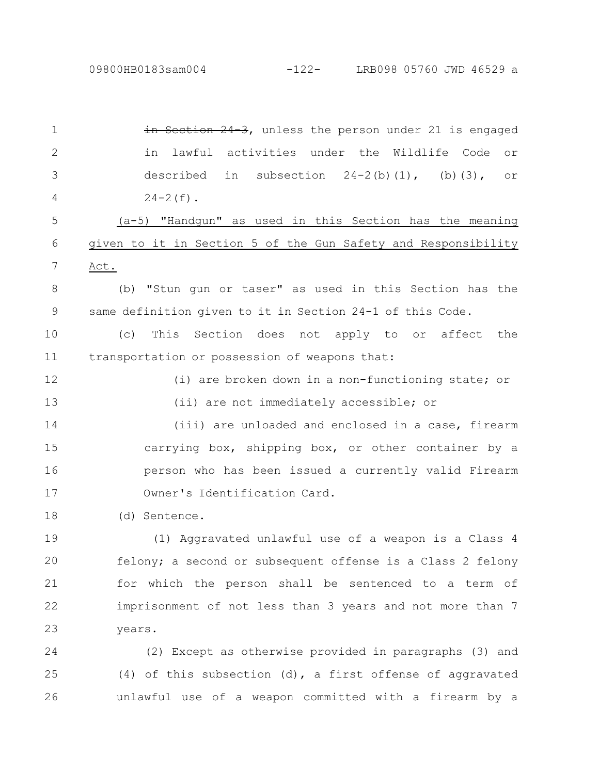in Section 24-3, unless the person under 21 is engaged in lawful activities under the Wildlife Code or described in subsection  $24-2(b)(1)$ , (b)(3), or  $24-2(f)$ . (a-5) "Handgun" as used in this Section has the meaning given to it in Section 5 of the Gun Safety and Responsibility Act. (b) "Stun gun or taser" as used in this Section has the same definition given to it in Section 24-1 of this Code. (c) This Section does not apply to or affect the transportation or possession of weapons that: (i) are broken down in a non-functioning state; or (ii) are not immediately accessible; or (iii) are unloaded and enclosed in a case, firearm carrying box, shipping box, or other container by a person who has been issued a currently valid Firearm Owner's Identification Card. (d) Sentence. (1) Aggravated unlawful use of a weapon is a Class 4 felony; a second or subsequent offense is a Class 2 felony for which the person shall be sentenced to a term of imprisonment of not less than 3 years and not more than 7 years. (2) Except as otherwise provided in paragraphs (3) and (4) of this subsection (d), a first offense of aggravated unlawful use of a weapon committed with a firearm by a 1 2 3 4 5 6 7 8 9 10 11 12 13 14 15 16 17 18 19 20 21 22 23 24 25 26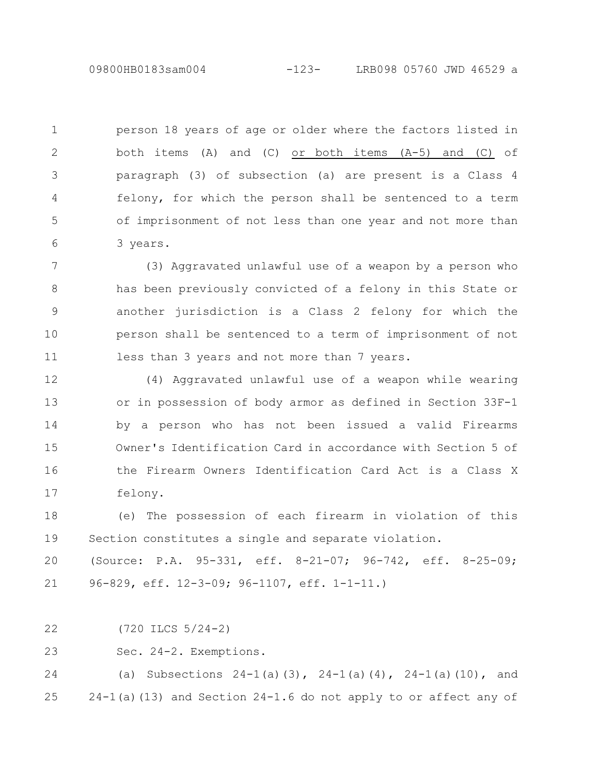person 18 years of age or older where the factors listed in both items (A) and (C) or both items (A-5) and (C) of paragraph (3) of subsection (a) are present is a Class 4 felony, for which the person shall be sentenced to a term of imprisonment of not less than one year and not more than 3 years. 1 2 3 4 5 6

(3) Aggravated unlawful use of a weapon by a person who has been previously convicted of a felony in this State or another jurisdiction is a Class 2 felony for which the person shall be sentenced to a term of imprisonment of not less than 3 years and not more than 7 years. 7 8 9 10 11

(4) Aggravated unlawful use of a weapon while wearing or in possession of body armor as defined in Section 33F-1 by a person who has not been issued a valid Firearms Owner's Identification Card in accordance with Section 5 of the Firearm Owners Identification Card Act is a Class X felony. 12 13 14 15 16 17

(e) The possession of each firearm in violation of this Section constitutes a single and separate violation. 18 19

(Source: P.A. 95-331, eff. 8-21-07; 96-742, eff. 8-25-09; 96-829, eff. 12-3-09; 96-1107, eff. 1-1-11.) 20 21

(720 ILCS 5/24-2) 22

Sec. 24-2. Exemptions. 23

(a) Subsections  $24-1$  (a)(3),  $24-1$  (a)(4),  $24-1$  (a)(10), and  $24-1$ (a)(13) and Section  $24-1.6$  do not apply to or affect any of 24 25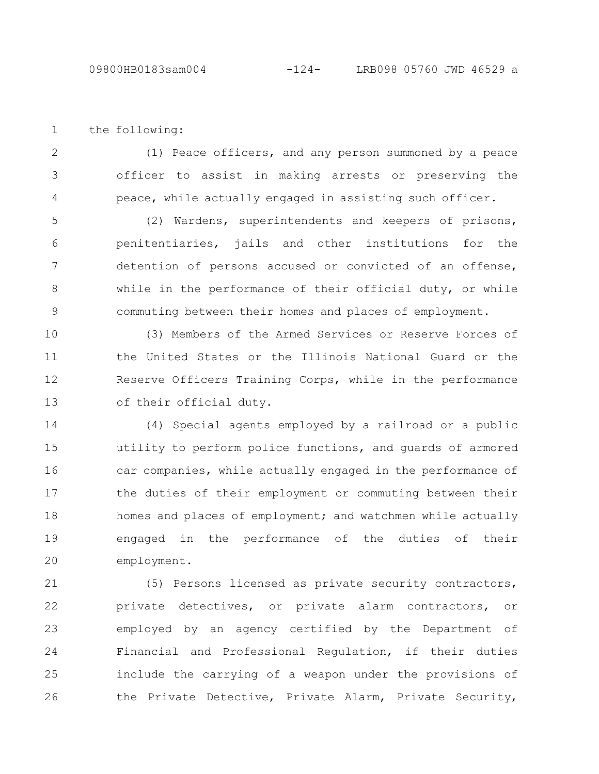the following: 1

(1) Peace officers, and any person summoned by a peace officer to assist in making arrests or preserving the peace, while actually engaged in assisting such officer. 2 3 4

(2) Wardens, superintendents and keepers of prisons, penitentiaries, jails and other institutions for the detention of persons accused or convicted of an offense, while in the performance of their official duty, or while commuting between their homes and places of employment. 5 6 7 8 9

(3) Members of the Armed Services or Reserve Forces of the United States or the Illinois National Guard or the Reserve Officers Training Corps, while in the performance of their official duty. 10 11 12 13

(4) Special agents employed by a railroad or a public utility to perform police functions, and guards of armored car companies, while actually engaged in the performance of the duties of their employment or commuting between their homes and places of employment; and watchmen while actually engaged in the performance of the duties of their employment. 14 15 16 17 18 19 20

(5) Persons licensed as private security contractors, private detectives, or private alarm contractors, or employed by an agency certified by the Department of Financial and Professional Regulation, if their duties include the carrying of a weapon under the provisions of the Private Detective, Private Alarm, Private Security, 21 22 23 24 25 26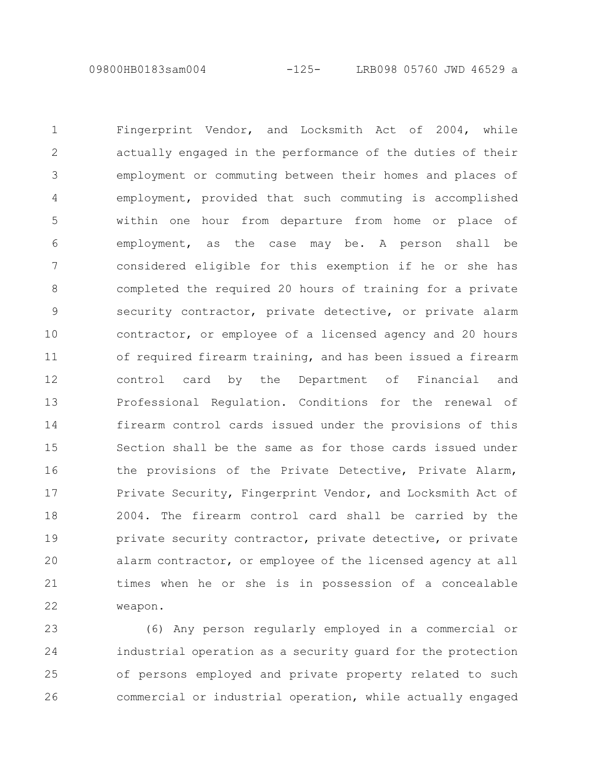09800HB0183sam004 -125- LRB098 05760 JWD 46529 a

Fingerprint Vendor, and Locksmith Act of 2004, while actually engaged in the performance of the duties of their employment or commuting between their homes and places of employment, provided that such commuting is accomplished within one hour from departure from home or place of employment, as the case may be. A person shall be considered eligible for this exemption if he or she has completed the required 20 hours of training for a private security contractor, private detective, or private alarm contractor, or employee of a licensed agency and 20 hours of required firearm training, and has been issued a firearm control card by the Department of Financial and Professional Regulation. Conditions for the renewal of firearm control cards issued under the provisions of this Section shall be the same as for those cards issued under the provisions of the Private Detective, Private Alarm, Private Security, Fingerprint Vendor, and Locksmith Act of 2004. The firearm control card shall be carried by the private security contractor, private detective, or private alarm contractor, or employee of the licensed agency at all times when he or she is in possession of a concealable weapon. 1 2 3 4 5 6 7 8 9 10 11 12 13 14 15 16 17 18 19 20 21 22

(6) Any person regularly employed in a commercial or industrial operation as a security guard for the protection of persons employed and private property related to such commercial or industrial operation, while actually engaged 23 24 25 26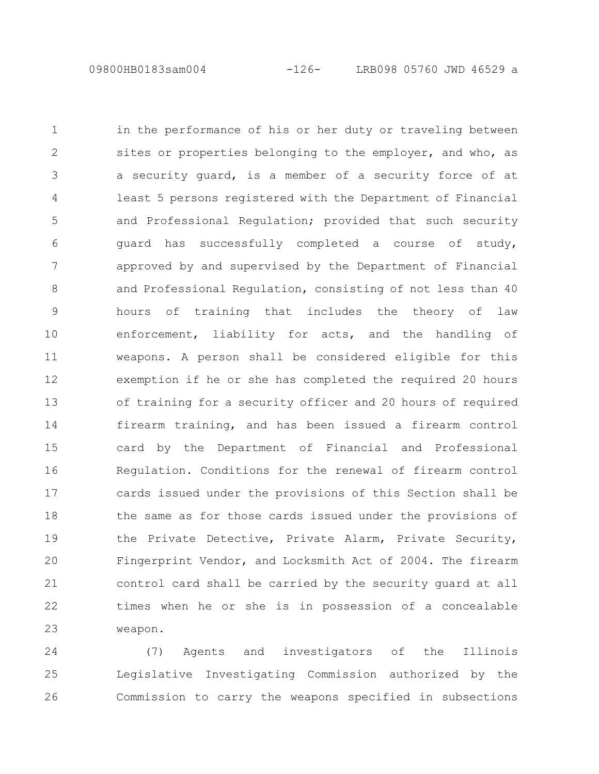09800HB0183sam004 -126- LRB098 05760 JWD 46529 a

in the performance of his or her duty or traveling between sites or properties belonging to the employer, and who, as a security guard, is a member of a security force of at least 5 persons registered with the Department of Financial and Professional Regulation; provided that such security guard has successfully completed a course of study, approved by and supervised by the Department of Financial and Professional Regulation, consisting of not less than 40 hours of training that includes the theory of law enforcement, liability for acts, and the handling of weapons. A person shall be considered eligible for this exemption if he or she has completed the required 20 hours of training for a security officer and 20 hours of required firearm training, and has been issued a firearm control card by the Department of Financial and Professional Regulation. Conditions for the renewal of firearm control cards issued under the provisions of this Section shall be the same as for those cards issued under the provisions of the Private Detective, Private Alarm, Private Security, Fingerprint Vendor, and Locksmith Act of 2004. The firearm control card shall be carried by the security guard at all times when he or she is in possession of a concealable weapon. 1 2 3 4 5 6 7 8 9 10 11 12 13 14 15 16 17 18 19 20 21 22 23

(7) Agents and investigators of the Illinois Legislative Investigating Commission authorized by the Commission to carry the weapons specified in subsections 24 25 26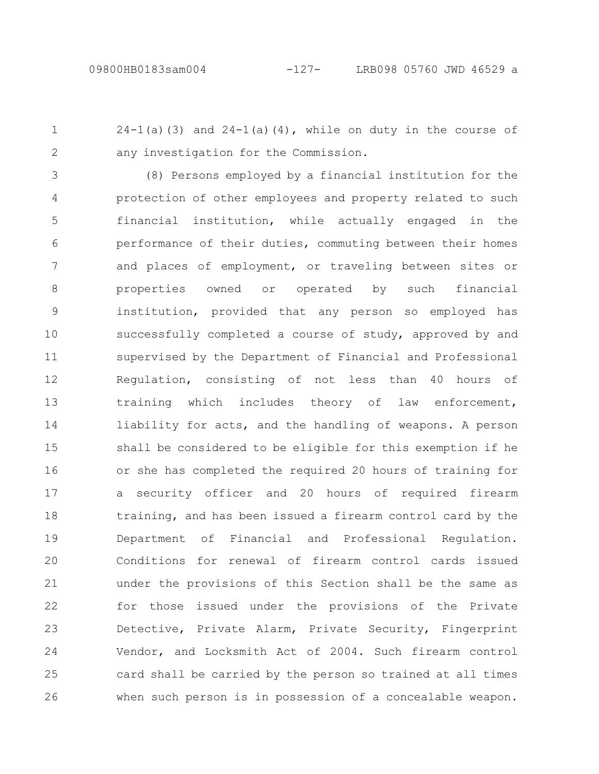$24-1$ (a)(3) and  $24-1$ (a)(4), while on duty in the course of any investigation for the Commission. 1 2

(8) Persons employed by a financial institution for the protection of other employees and property related to such financial institution, while actually engaged in the performance of their duties, commuting between their homes and places of employment, or traveling between sites or properties owned or operated by such financial institution, provided that any person so employed has successfully completed a course of study, approved by and supervised by the Department of Financial and Professional Regulation, consisting of not less than 40 hours of training which includes theory of law enforcement, liability for acts, and the handling of weapons. A person shall be considered to be eligible for this exemption if he or she has completed the required 20 hours of training for a security officer and 20 hours of required firearm training, and has been issued a firearm control card by the Department of Financial and Professional Regulation. Conditions for renewal of firearm control cards issued under the provisions of this Section shall be the same as for those issued under the provisions of the Private Detective, Private Alarm, Private Security, Fingerprint Vendor, and Locksmith Act of 2004. Such firearm control card shall be carried by the person so trained at all times when such person is in possession of a concealable weapon. 3 4 5 6 7 8 9 10 11 12 13 14 15 16 17 18 19 20 21 22 23 24 25 26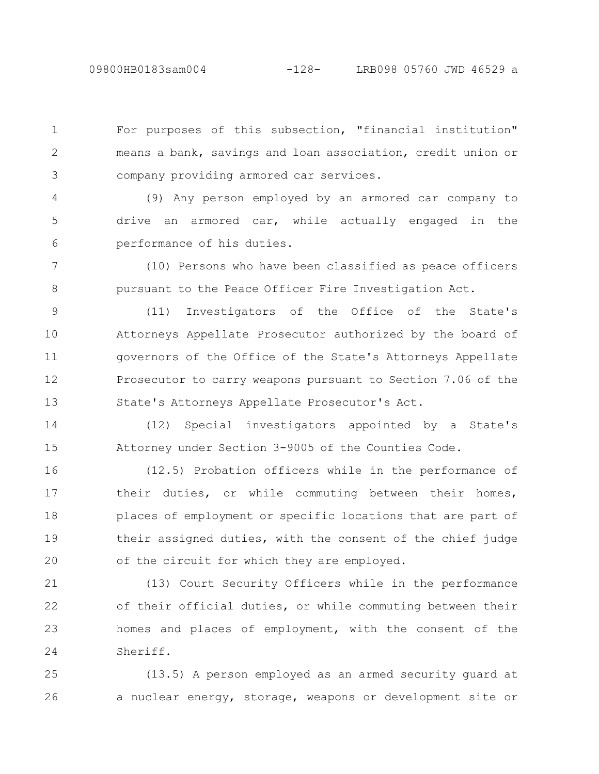For purposes of this subsection, "financial institution" means a bank, savings and loan association, credit union or company providing armored car services. 1 2 3

(9) Any person employed by an armored car company to drive an armored car, while actually engaged in the performance of his duties. 4 5 6

(10) Persons who have been classified as peace officers pursuant to the Peace Officer Fire Investigation Act. 7 8

(11) Investigators of the Office of the State's Attorneys Appellate Prosecutor authorized by the board of governors of the Office of the State's Attorneys Appellate Prosecutor to carry weapons pursuant to Section 7.06 of the State's Attorneys Appellate Prosecutor's Act. 9 10 11 12 13

(12) Special investigators appointed by a State's Attorney under Section 3-9005 of the Counties Code. 14 15

(12.5) Probation officers while in the performance of their duties, or while commuting between their homes, places of employment or specific locations that are part of their assigned duties, with the consent of the chief judge of the circuit for which they are employed. 16 17 18 19 20

(13) Court Security Officers while in the performance of their official duties, or while commuting between their homes and places of employment, with the consent of the Sheriff. 21 22 23 24

(13.5) A person employed as an armed security guard at a nuclear energy, storage, weapons or development site or 25 26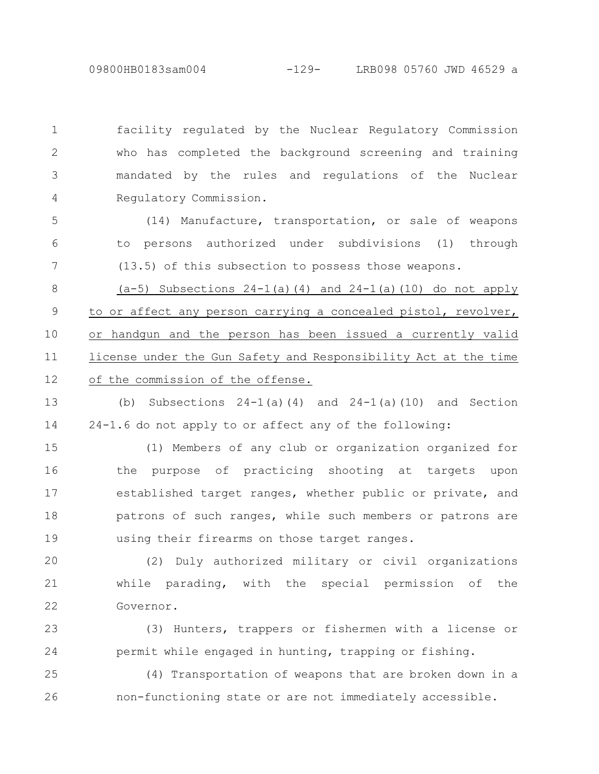09800HB0183sam004 -129- LRB098 05760 JWD 46529 a

facility regulated by the Nuclear Regulatory Commission who has completed the background screening and training mandated by the rules and regulations of the Nuclear Regulatory Commission. 1 2 3 4

(14) Manufacture, transportation, or sale of weapons to persons authorized under subdivisions (1) through (13.5) of this subsection to possess those weapons. 5 6 7

 $(a-5)$  Subsections  $24-1(a)(4)$  and  $24-1(a)(10)$  do not apply to or affect any person carrying a concealed pistol, revolver, or handgun and the person has been issued a currently valid license under the Gun Safety and Responsibility Act at the time of the commission of the offense. 8 9 10 11 12

(b) Subsections  $24-1$  (a) (4) and  $24-1$  (a) (10) and Section 24-1.6 do not apply to or affect any of the following: 13 14

(1) Members of any club or organization organized for the purpose of practicing shooting at targets upon established target ranges, whether public or private, and patrons of such ranges, while such members or patrons are using their firearms on those target ranges. 15 16 17 18 19

(2) Duly authorized military or civil organizations while parading, with the special permission of the Governor. 20 21 22

(3) Hunters, trappers or fishermen with a license or permit while engaged in hunting, trapping or fishing. 23 24

(4) Transportation of weapons that are broken down in a non-functioning state or are not immediately accessible. 25 26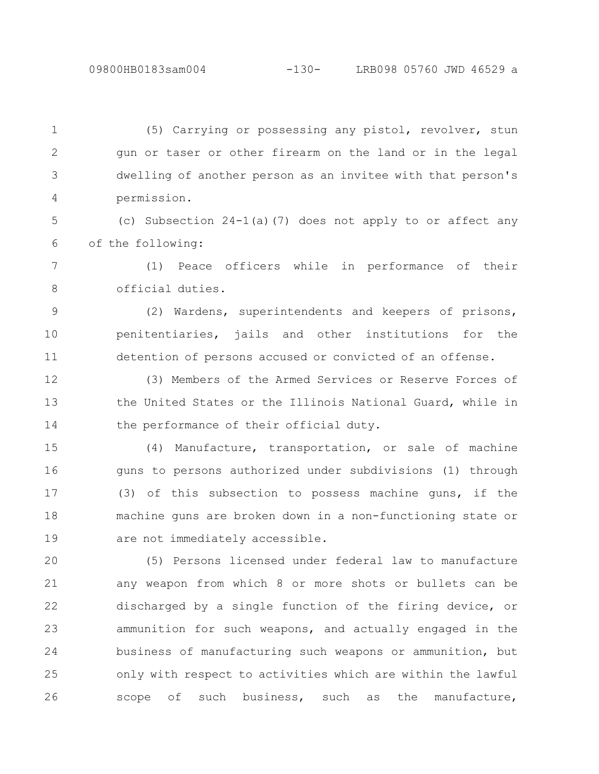(5) Carrying or possessing any pistol, revolver, stun gun or taser or other firearm on the land or in the legal dwelling of another person as an invitee with that person's permission. 1 2 3 4

(c) Subsection 24-1(a)(7) does not apply to or affect any of the following: 5 6

(1) Peace officers while in performance of their official duties. 7 8

(2) Wardens, superintendents and keepers of prisons, penitentiaries, jails and other institutions for the detention of persons accused or convicted of an offense. 9 10 11

(3) Members of the Armed Services or Reserve Forces of the United States or the Illinois National Guard, while in the performance of their official duty. 12 13 14

(4) Manufacture, transportation, or sale of machine guns to persons authorized under subdivisions (1) through (3) of this subsection to possess machine guns, if the machine guns are broken down in a non-functioning state or are not immediately accessible. 15 16 17 18 19

(5) Persons licensed under federal law to manufacture any weapon from which 8 or more shots or bullets can be discharged by a single function of the firing device, or ammunition for such weapons, and actually engaged in the business of manufacturing such weapons or ammunition, but only with respect to activities which are within the lawful scope of such business, such as the manufacture, 20 21 22 23 24 25 26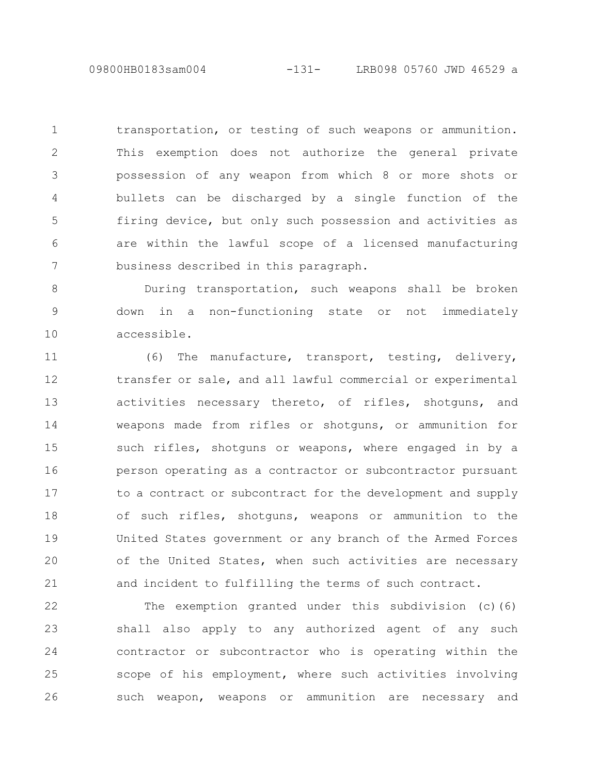09800HB0183sam004 -131- LRB098 05760 JWD 46529 a

transportation, or testing of such weapons or ammunition. This exemption does not authorize the general private possession of any weapon from which 8 or more shots or bullets can be discharged by a single function of the firing device, but only such possession and activities as are within the lawful scope of a licensed manufacturing business described in this paragraph. 1 2 3 4 5 6 7

During transportation, such weapons shall be broken down in a non-functioning state or not immediately accessible. 8 9 10

(6) The manufacture, transport, testing, delivery, transfer or sale, and all lawful commercial or experimental activities necessary thereto, of rifles, shotguns, and weapons made from rifles or shotguns, or ammunition for such rifles, shotguns or weapons, where engaged in by a person operating as a contractor or subcontractor pursuant to a contract or subcontract for the development and supply of such rifles, shotguns, weapons or ammunition to the United States government or any branch of the Armed Forces of the United States, when such activities are necessary and incident to fulfilling the terms of such contract. 11 12 13 14 15 16 17 18 19 20 21

The exemption granted under this subdivision  $(c)$  (6) shall also apply to any authorized agent of any such contractor or subcontractor who is operating within the scope of his employment, where such activities involving such weapon, weapons or ammunition are necessary and 22 23 24 25 26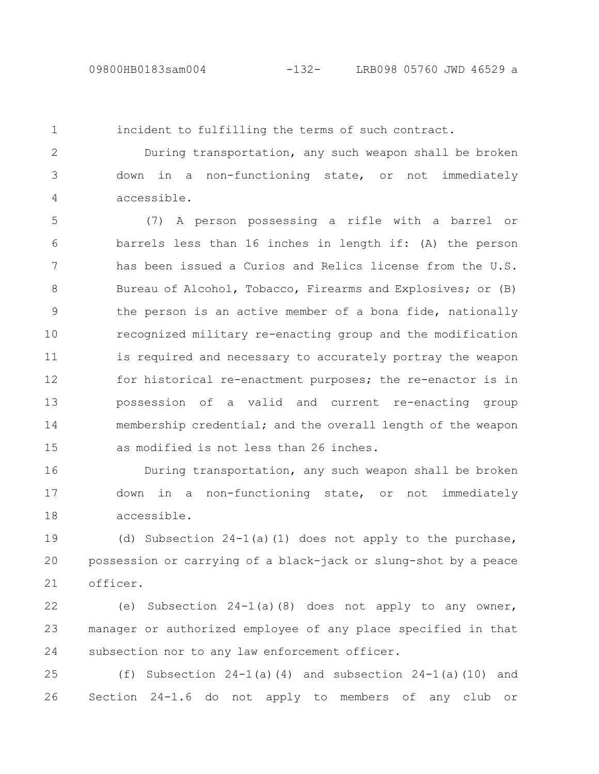1

incident to fulfilling the terms of such contract.

During transportation, any such weapon shall be broken down in a non-functioning state, or not immediately accessible. 2 3 4

(7) A person possessing a rifle with a barrel or barrels less than 16 inches in length if: (A) the person has been issued a Curios and Relics license from the U.S. Bureau of Alcohol, Tobacco, Firearms and Explosives; or (B) the person is an active member of a bona fide, nationally recognized military re-enacting group and the modification is required and necessary to accurately portray the weapon for historical re-enactment purposes; the re-enactor is in possession of a valid and current re-enacting group membership credential; and the overall length of the weapon as modified is not less than 26 inches. 5 6 7 8 9 10 11 12 13 14 15

During transportation, any such weapon shall be broken down in a non-functioning state, or not immediately accessible. 16 17 18

(d) Subsection  $24-1$ (a)(1) does not apply to the purchase, possession or carrying of a black-jack or slung-shot by a peace officer. 19 20 21

(e) Subsection  $24-1$  (a) (8) does not apply to any owner, manager or authorized employee of any place specified in that subsection nor to any law enforcement officer. 22 23 24

(f) Subsection  $24-1$  (a)(4) and subsection  $24-1$  (a)(10) and Section 24-1.6 do not apply to members of any club or 25 26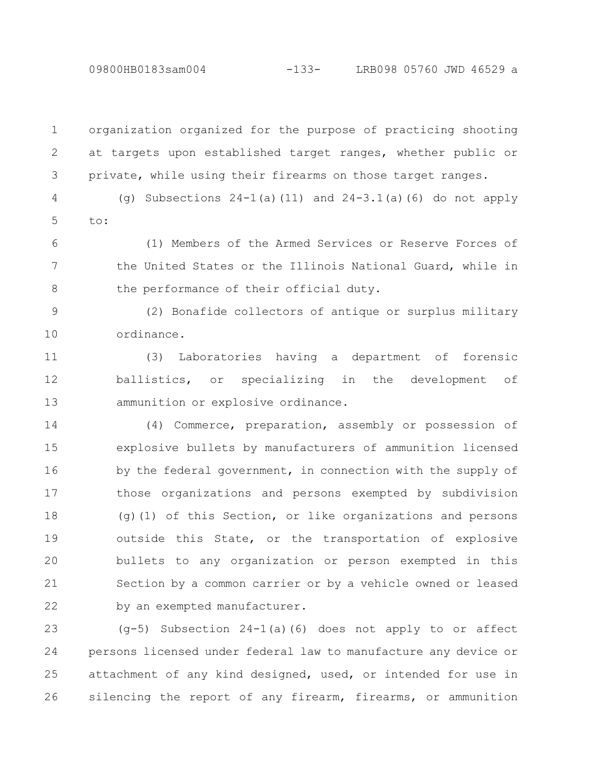09800HB0183sam004 -133- LRB098 05760 JWD 46529 a

organization organized for the purpose of practicing shooting at targets upon established target ranges, whether public or private, while using their firearms on those target ranges. 1 2 3

(g) Subsections  $24-1$  (a) (11) and  $24-3.1$  (a) (6) do not apply to: 4 5

(1) Members of the Armed Services or Reserve Forces of the United States or the Illinois National Guard, while in the performance of their official duty. 6 7 8

(2) Bonafide collectors of antique or surplus military ordinance. 9 10

(3) Laboratories having a department of forensic ballistics, or specializing in the development of ammunition or explosive ordinance. 11 12 13

(4) Commerce, preparation, assembly or possession of explosive bullets by manufacturers of ammunition licensed by the federal government, in connection with the supply of those organizations and persons exempted by subdivision (g)(1) of this Section, or like organizations and persons outside this State, or the transportation of explosive bullets to any organization or person exempted in this Section by a common carrier or by a vehicle owned or leased by an exempted manufacturer. 14 15 16 17 18 19 20 21 22

(g-5) Subsection 24-1(a)(6) does not apply to or affect persons licensed under federal law to manufacture any device or attachment of any kind designed, used, or intended for use in silencing the report of any firearm, firearms, or ammunition 23 24 25 26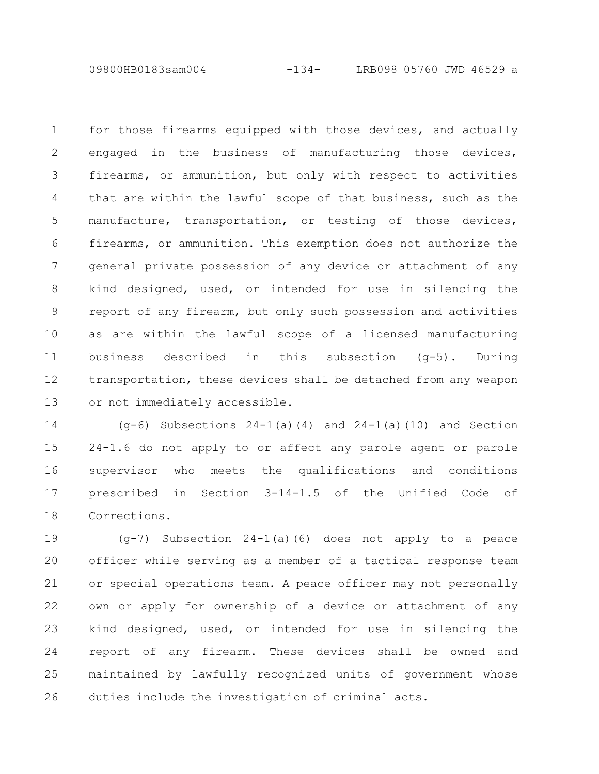09800HB0183sam004 -134- LRB098 05760 JWD 46529 a

for those firearms equipped with those devices, and actually engaged in the business of manufacturing those devices, firearms, or ammunition, but only with respect to activities that are within the lawful scope of that business, such as the manufacture, transportation, or testing of those devices, firearms, or ammunition. This exemption does not authorize the general private possession of any device or attachment of any kind designed, used, or intended for use in silencing the report of any firearm, but only such possession and activities as are within the lawful scope of a licensed manufacturing business described in this subsection (g-5). During transportation, these devices shall be detached from any weapon or not immediately accessible. 1 2 3 4 5 6 7 8 9 10 11 12 13

(g-6) Subsections 24-1(a)(4) and 24-1(a)(10) and Section 24-1.6 do not apply to or affect any parole agent or parole supervisor who meets the qualifications and conditions prescribed in Section 3-14-1.5 of the Unified Code of Corrections. 14 15 16 17 18

 $(q-7)$  Subsection 24-1(a)(6) does not apply to a peace officer while serving as a member of a tactical response team or special operations team. A peace officer may not personally own or apply for ownership of a device or attachment of any kind designed, used, or intended for use in silencing the report of any firearm. These devices shall be owned and maintained by lawfully recognized units of government whose duties include the investigation of criminal acts. 19 20 21 22 23 24 25 26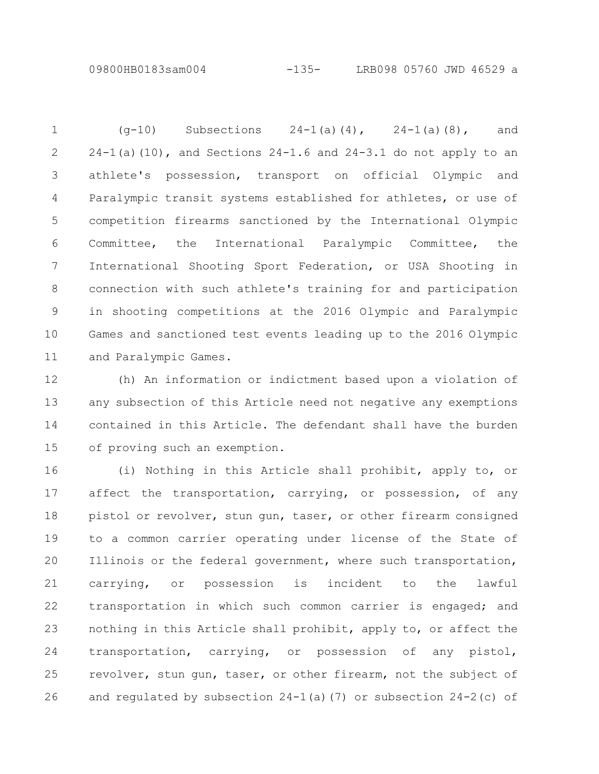09800HB0183sam004 -135- LRB098 05760 JWD 46529 a

 $(q-10)$  Subsections  $24-1(a)(4)$ ,  $24-1(a)(8)$ , and  $24-1$ (a)(10), and Sections  $24-1.6$  and  $24-3.1$  do not apply to an athlete's possession, transport on official Olympic and Paralympic transit systems established for athletes, or use of competition firearms sanctioned by the International Olympic Committee, the International Paralympic Committee, the International Shooting Sport Federation, or USA Shooting in connection with such athlete's training for and participation in shooting competitions at the 2016 Olympic and Paralympic Games and sanctioned test events leading up to the 2016 Olympic and Paralympic Games. 1 2 3 4 5 6 7 8 9 10 11

(h) An information or indictment based upon a violation of any subsection of this Article need not negative any exemptions contained in this Article. The defendant shall have the burden of proving such an exemption. 12 13 14 15

(i) Nothing in this Article shall prohibit, apply to, or affect the transportation, carrying, or possession, of any pistol or revolver, stun gun, taser, or other firearm consigned to a common carrier operating under license of the State of Illinois or the federal government, where such transportation, carrying, or possession is incident to the lawful transportation in which such common carrier is engaged; and nothing in this Article shall prohibit, apply to, or affect the transportation, carrying, or possession of any pistol, revolver, stun gun, taser, or other firearm, not the subject of and regulated by subsection  $24-1$  (a) (7) or subsection  $24-2$  (c) of 16 17 18 19 20 21 22 23 24 25 26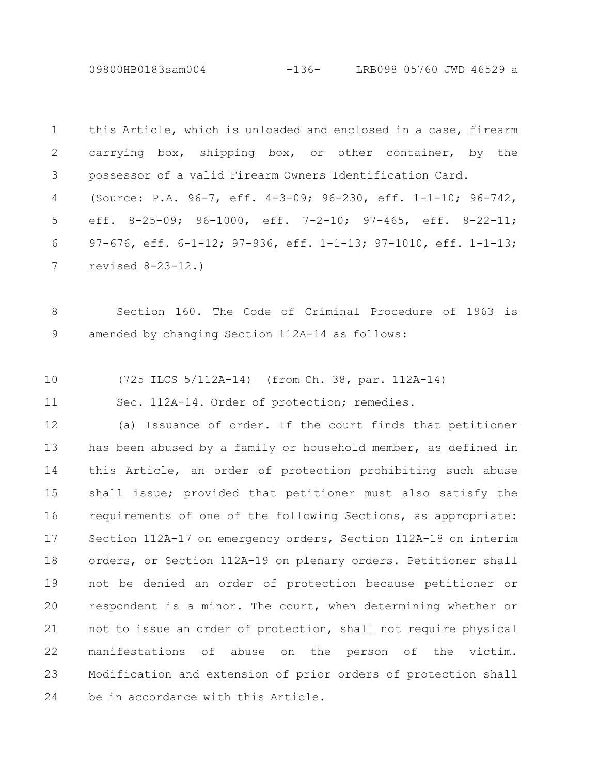09800HB0183sam004 -136- LRB098 05760 JWD 46529 a

|   | 1 this Article, which is unloaded and enclosed in a case, firearm |
|---|-------------------------------------------------------------------|
|   | 2 carrying box, shipping box, or other container, by the          |
|   | 3 possessor of a valid Firearm Owners Identification Card.        |
|   | 4 (Source: P.A. 96-7, eff. 4-3-09; 96-230, eff. 1-1-10; 96-742,   |
|   | 5 eff. 8-25-09; 96-1000, eff. 7-2-10; 97-465, eff. 8-22-11;       |
| 6 | 97-676, eff. 6-1-12; 97-936, eff. 1-1-13; 97-1010, eff. 1-1-13;   |
|   | 7 revised $8-23-12.$                                              |
|   |                                                                   |

Section 160. The Code of Criminal Procedure of 1963 is amended by changing Section 112A-14 as follows: 8 9

(725 ILCS 5/112A-14) (from Ch. 38, par. 112A-14) 10

Sec. 112A-14. Order of protection; remedies. 11

(a) Issuance of order. If the court finds that petitioner has been abused by a family or household member, as defined in this Article, an order of protection prohibiting such abuse shall issue; provided that petitioner must also satisfy the requirements of one of the following Sections, as appropriate: Section 112A-17 on emergency orders, Section 112A-18 on interim orders, or Section 112A-19 on plenary orders. Petitioner shall not be denied an order of protection because petitioner or respondent is a minor. The court, when determining whether or not to issue an order of protection, shall not require physical manifestations of abuse on the person of the victim. Modification and extension of prior orders of protection shall be in accordance with this Article. 12 13 14 15 16 17 18 19 20 21 22 23 24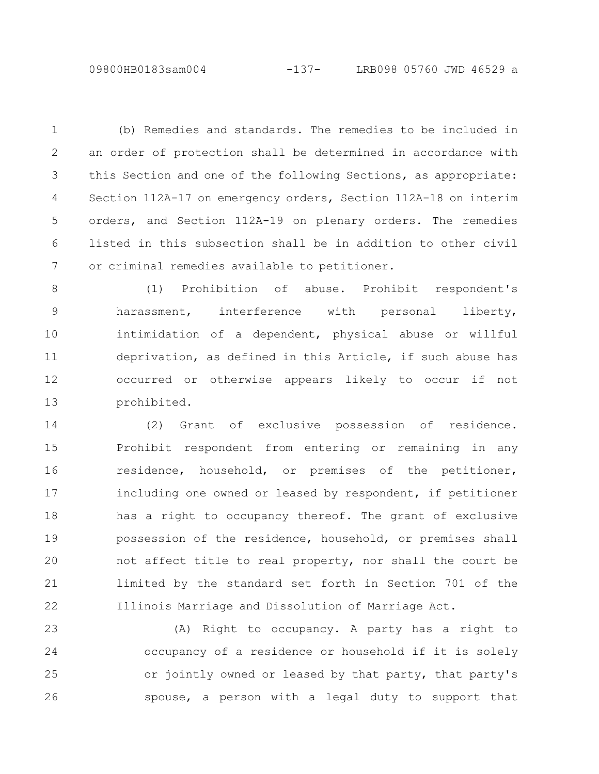(b) Remedies and standards. The remedies to be included in an order of protection shall be determined in accordance with this Section and one of the following Sections, as appropriate: Section 112A-17 on emergency orders, Section 112A-18 on interim orders, and Section 112A-19 on plenary orders. The remedies listed in this subsection shall be in addition to other civil or criminal remedies available to petitioner. 1 2 3 4 5 6 7

(1) Prohibition of abuse. Prohibit respondent's harassment, interference with personal liberty, intimidation of a dependent, physical abuse or willful deprivation, as defined in this Article, if such abuse has occurred or otherwise appears likely to occur if not prohibited. 8 9 10 11 12 13

(2) Grant of exclusive possession of residence. Prohibit respondent from entering or remaining in any residence, household, or premises of the petitioner, including one owned or leased by respondent, if petitioner has a right to occupancy thereof. The grant of exclusive possession of the residence, household, or premises shall not affect title to real property, nor shall the court be limited by the standard set forth in Section 701 of the Illinois Marriage and Dissolution of Marriage Act. 14 15 16 17 18 19 20 21 22

(A) Right to occupancy. A party has a right to occupancy of a residence or household if it is solely or jointly owned or leased by that party, that party's spouse, a person with a legal duty to support that 23 24 25 26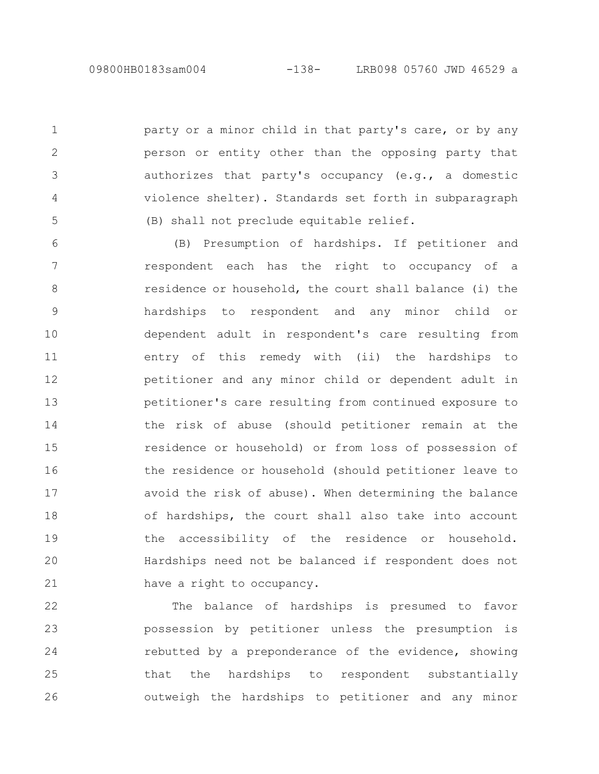1

2

3

4

5

party or a minor child in that party's care, or by any person or entity other than the opposing party that authorizes that party's occupancy (e.g., a domestic violence shelter). Standards set forth in subparagraph (B) shall not preclude equitable relief.

(B) Presumption of hardships. If petitioner and respondent each has the right to occupancy of a residence or household, the court shall balance (i) the hardships to respondent and any minor child or dependent adult in respondent's care resulting from entry of this remedy with (ii) the hardships to petitioner and any minor child or dependent adult in petitioner's care resulting from continued exposure to the risk of abuse (should petitioner remain at the residence or household) or from loss of possession of the residence or household (should petitioner leave to avoid the risk of abuse). When determining the balance of hardships, the court shall also take into account the accessibility of the residence or household. Hardships need not be balanced if respondent does not have a right to occupancy. 6 7 8 9 10 11 12 13 14 15 16 17 18 19 20 21

The balance of hardships is presumed to favor possession by petitioner unless the presumption is rebutted by a preponderance of the evidence, showing that the hardships to respondent substantially outweigh the hardships to petitioner and any minor 22 23 24 25 26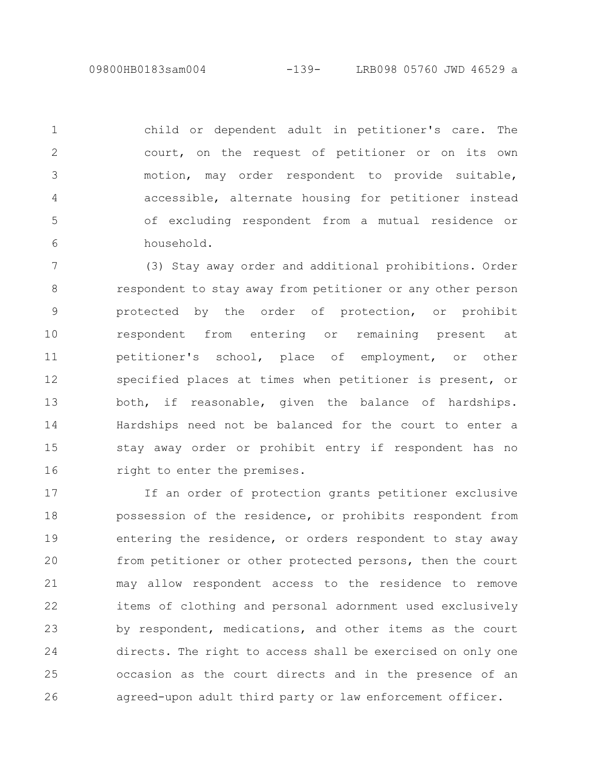09800HB0183sam004 -139- LRB098 05760 JWD 46529 a

child or dependent adult in petitioner's care. The court, on the request of petitioner or on its own motion, may order respondent to provide suitable, accessible, alternate housing for petitioner instead of excluding respondent from a mutual residence or household. 1 2 3 4 5 6

(3) Stay away order and additional prohibitions. Order respondent to stay away from petitioner or any other person protected by the order of protection, or prohibit respondent from entering or remaining present at petitioner's school, place of employment, or other specified places at times when petitioner is present, or both, if reasonable, given the balance of hardships. Hardships need not be balanced for the court to enter a stay away order or prohibit entry if respondent has no right to enter the premises. 7 8 9 10 11 12 13 14 15 16

If an order of protection grants petitioner exclusive possession of the residence, or prohibits respondent from entering the residence, or orders respondent to stay away from petitioner or other protected persons, then the court may allow respondent access to the residence to remove items of clothing and personal adornment used exclusively by respondent, medications, and other items as the court directs. The right to access shall be exercised on only one occasion as the court directs and in the presence of an agreed-upon adult third party or law enforcement officer. 17 18 19 20 21 22 23 24 25 26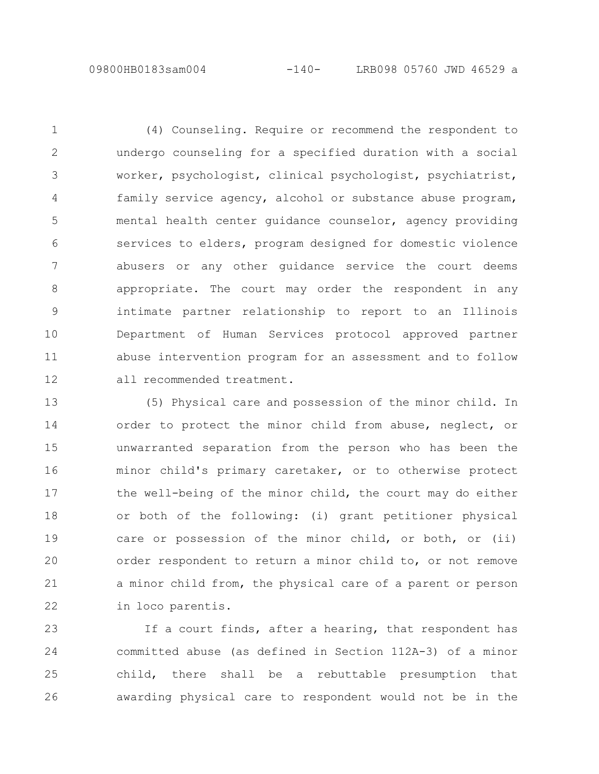(4) Counseling. Require or recommend the respondent to undergo counseling for a specified duration with a social worker, psychologist, clinical psychologist, psychiatrist, family service agency, alcohol or substance abuse program, mental health center guidance counselor, agency providing services to elders, program designed for domestic violence abusers or any other guidance service the court deems appropriate. The court may order the respondent in any intimate partner relationship to report to an Illinois Department of Human Services protocol approved partner abuse intervention program for an assessment and to follow all recommended treatment. 1 2 3 4 5 6 7 8 9 10 11 12

(5) Physical care and possession of the minor child. In order to protect the minor child from abuse, neglect, or unwarranted separation from the person who has been the minor child's primary caretaker, or to otherwise protect the well-being of the minor child, the court may do either or both of the following: (i) grant petitioner physical care or possession of the minor child, or both, or (ii) order respondent to return a minor child to, or not remove a minor child from, the physical care of a parent or person in loco parentis. 13 14 15 16 17 18 19 20 21 22

If a court finds, after a hearing, that respondent has committed abuse (as defined in Section 112A-3) of a minor child, there shall be a rebuttable presumption that awarding physical care to respondent would not be in the 23 24 25 26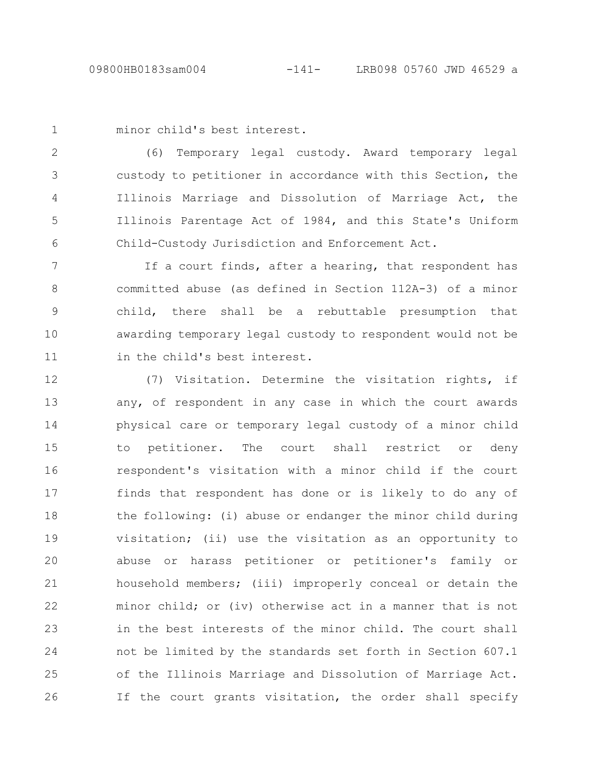```
minor child's best interest.
1
```
(6) Temporary legal custody. Award temporary legal custody to petitioner in accordance with this Section, the Illinois Marriage and Dissolution of Marriage Act, the Illinois Parentage Act of 1984, and this State's Uniform Child-Custody Jurisdiction and Enforcement Act. 2 3 4 5 6

If a court finds, after a hearing, that respondent has committed abuse (as defined in Section 112A-3) of a minor child, there shall be a rebuttable presumption that awarding temporary legal custody to respondent would not be in the child's best interest. 7 8 9 10 11

(7) Visitation. Determine the visitation rights, if any, of respondent in any case in which the court awards physical care or temporary legal custody of a minor child to petitioner. The court shall restrict or deny respondent's visitation with a minor child if the court finds that respondent has done or is likely to do any of the following: (i) abuse or endanger the minor child during visitation; (ii) use the visitation as an opportunity to abuse or harass petitioner or petitioner's family or household members; (iii) improperly conceal or detain the minor child; or (iv) otherwise act in a manner that is not in the best interests of the minor child. The court shall not be limited by the standards set forth in Section 607.1 of the Illinois Marriage and Dissolution of Marriage Act. If the court grants visitation, the order shall specify 12 13 14 15 16 17 18 19 20 21 22 23 24 25 26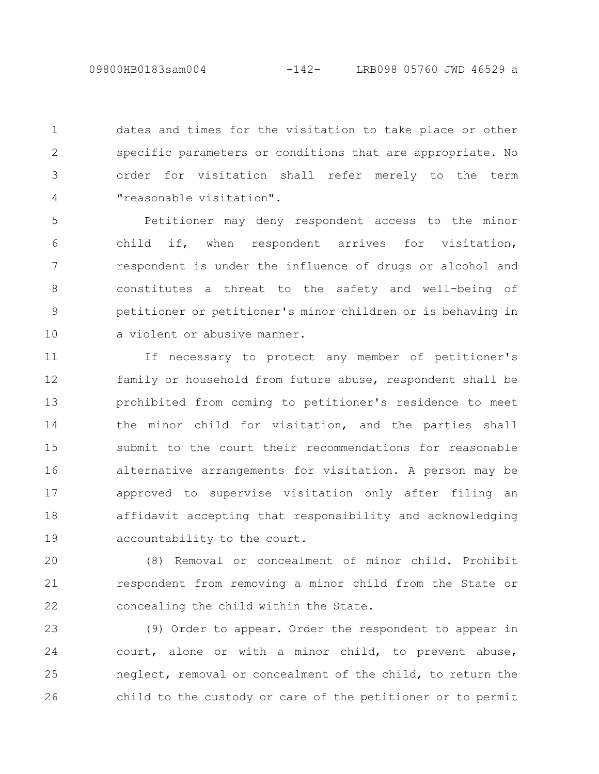dates and times for the visitation to take place or other specific parameters or conditions that are appropriate. No order for visitation shall refer merely to the term "reasonable visitation". 1 2 3 4

Petitioner may deny respondent access to the minor child if, when respondent arrives for visitation, respondent is under the influence of drugs or alcohol and constitutes a threat to the safety and well-being of petitioner or petitioner's minor children or is behaving in a violent or abusive manner. 5 6 7 8 9 10

If necessary to protect any member of petitioner's family or household from future abuse, respondent shall be prohibited from coming to petitioner's residence to meet the minor child for visitation, and the parties shall submit to the court their recommendations for reasonable alternative arrangements for visitation. A person may be approved to supervise visitation only after filing an affidavit accepting that responsibility and acknowledging accountability to the court. 11 12 13 14 15 16 17 18 19

(8) Removal or concealment of minor child. Prohibit respondent from removing a minor child from the State or concealing the child within the State. 20 21 22

(9) Order to appear. Order the respondent to appear in court, alone or with a minor child, to prevent abuse, neglect, removal or concealment of the child, to return the child to the custody or care of the petitioner or to permit 23 24 25 26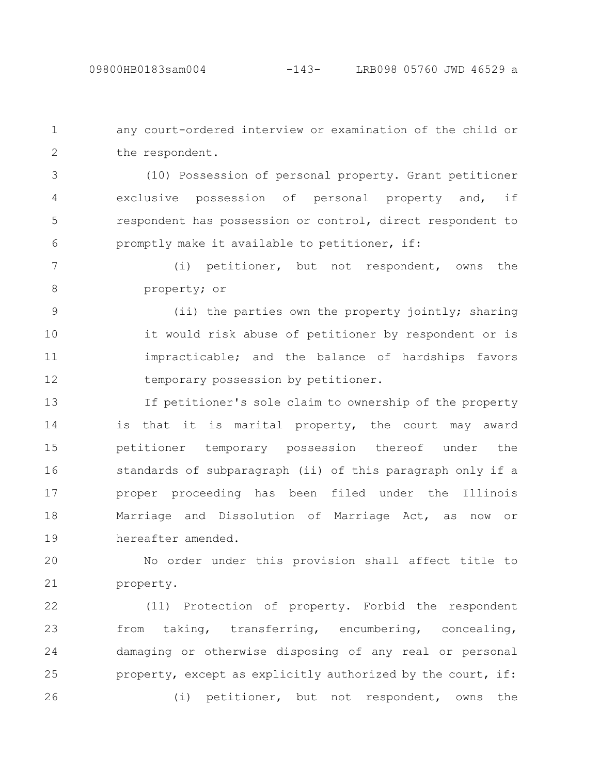any court-ordered interview or examination of the child or the respondent. 1 2

(10) Possession of personal property. Grant petitioner exclusive possession of personal property and, if respondent has possession or control, direct respondent to promptly make it available to petitioner, if: 3 4 5 6

(i) petitioner, but not respondent, owns the property; or 7 8

(ii) the parties own the property jointly; sharing it would risk abuse of petitioner by respondent or is impracticable; and the balance of hardships favors temporary possession by petitioner. 9 10 11 12

If petitioner's sole claim to ownership of the property is that it is marital property, the court may award petitioner temporary possession thereof under the standards of subparagraph (ii) of this paragraph only if a proper proceeding has been filed under the Illinois Marriage and Dissolution of Marriage Act, as now or hereafter amended. 13 14 15 16 17 18 19

No order under this provision shall affect title to property. 20 21

(11) Protection of property. Forbid the respondent from taking, transferring, encumbering, concealing, damaging or otherwise disposing of any real or personal property, except as explicitly authorized by the court, if: (i) petitioner, but not respondent, owns the 22 23 24 25 26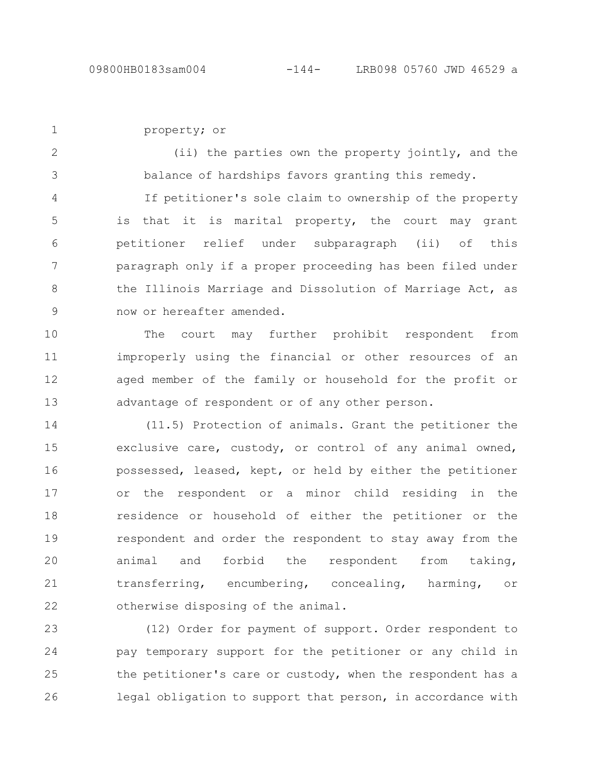property; or 1

(ii) the parties own the property jointly, and the balance of hardships favors granting this remedy. 2 3

If petitioner's sole claim to ownership of the property is that it is marital property, the court may grant petitioner relief under subparagraph (ii) of this paragraph only if a proper proceeding has been filed under the Illinois Marriage and Dissolution of Marriage Act, as now or hereafter amended. 4 5 6 7 8 9

The court may further prohibit respondent from improperly using the financial or other resources of an aged member of the family or household for the profit or advantage of respondent or of any other person. 10 11 12 13

(11.5) Protection of animals. Grant the petitioner the exclusive care, custody, or control of any animal owned, possessed, leased, kept, or held by either the petitioner or the respondent or a minor child residing in the residence or household of either the petitioner or the respondent and order the respondent to stay away from the animal and forbid the respondent from taking, transferring, encumbering, concealing, harming, or otherwise disposing of the animal. 14 15 16 17 18 19 20 21 22

(12) Order for payment of support. Order respondent to pay temporary support for the petitioner or any child in the petitioner's care or custody, when the respondent has a legal obligation to support that person, in accordance with 23 24 25 26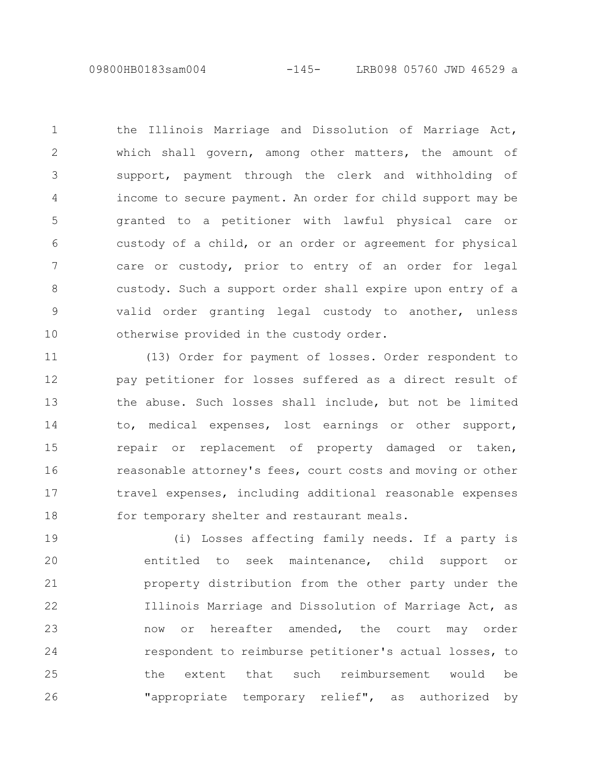09800HB0183sam004 -145- LRB098 05760 JWD 46529 a

the Illinois Marriage and Dissolution of Marriage Act, which shall govern, among other matters, the amount of support, payment through the clerk and withholding of income to secure payment. An order for child support may be granted to a petitioner with lawful physical care or custody of a child, or an order or agreement for physical care or custody, prior to entry of an order for legal custody. Such a support order shall expire upon entry of a valid order granting legal custody to another, unless otherwise provided in the custody order. 1 2 3 4 5 6 7 8 9 10

(13) Order for payment of losses. Order respondent to pay petitioner for losses suffered as a direct result of the abuse. Such losses shall include, but not be limited to, medical expenses, lost earnings or other support, repair or replacement of property damaged or taken, reasonable attorney's fees, court costs and moving or other travel expenses, including additional reasonable expenses for temporary shelter and restaurant meals. 11 12 13 14 15 16 17 18

(i) Losses affecting family needs. If a party is entitled to seek maintenance, child support or property distribution from the other party under the Illinois Marriage and Dissolution of Marriage Act, as now or hereafter amended, the court may order respondent to reimburse petitioner's actual losses, to the extent that such reimbursement would be "appropriate temporary relief", as authorized by 19 20 21 22 23 24 25 26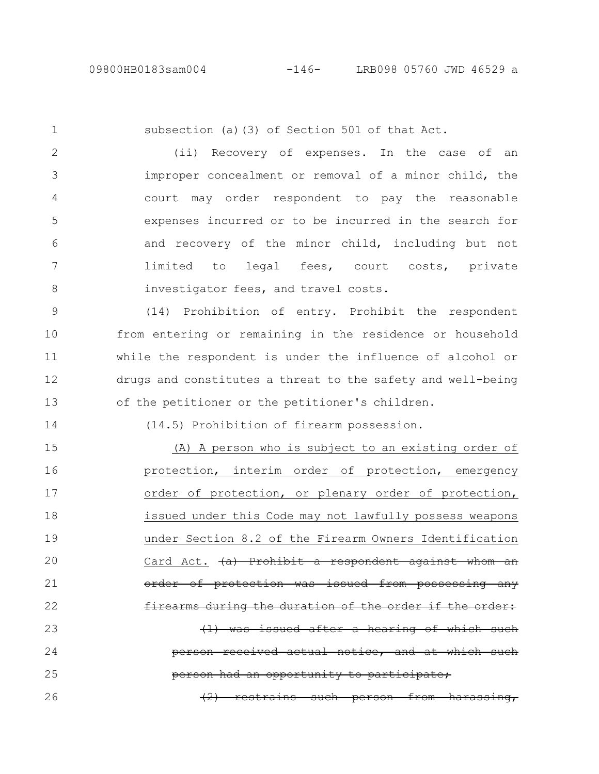subsection (a)(3) of Section 501 of that Act. (ii) Recovery of expenses. In the case of an improper concealment or removal of a minor child, the court may order respondent to pay the reasonable expenses incurred or to be incurred in the search for and recovery of the minor child, including but not limited to legal fees, court costs, private investigator fees, and travel costs. (14) Prohibition of entry. Prohibit the respondent from entering or remaining in the residence or household while the respondent is under the influence of alcohol or drugs and constitutes a threat to the safety and well-being of the petitioner or the petitioner's children. (14.5) Prohibition of firearm possession. 1 2 3 4 5 6 7 8 9 10 11 12 13 14

(A) A person who is subject to an existing order of protection, interim order of protection, emergency order of protection, or plenary order of protection, issued under this Code may not lawfully possess weapons under Section 8.2 of the Firearm Owners Identification Card Act.  $(a)$  Prohibit a respondent against whom protection was issued from possessing any firearms during the duration of the issued after a hearing of received actual notice, and at which such opportunity to participate; (2) restrains such person from harassing, 15 16 17 18 19 20 21 22 23 24 25 26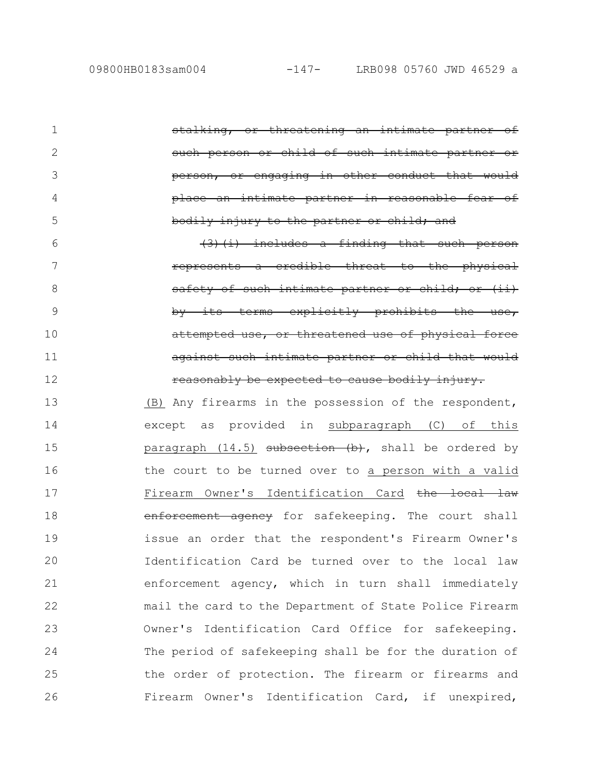or threatening an intimate partner of person or child of such intimate partner engaging in other conduct place an intimate partner in reasonable fear of injury to the partner includes a finding that such represents a credible threat to the physical of such intimate partner by terms explicitly prohibi attempted use, or threatened use of physical against such intimate partner or child that would reasonably be expected to cause bodily injury. (B) Any firearms in the possession of the respondent, except as provided in subparagraph (C) of this paragraph  $(14.5)$  subsection  $(b)$ , shall be ordered by the court to be turned over to a person with a valid Firearm Owner's Identification Card the local law enforcement agency for safekeeping. The court shall issue an order that the respondent's Firearm Owner's Identification Card be turned over to the local law enforcement agency, which in turn shall immediately mail the card to the Department of State Police Firearm Owner's Identification Card Office for safekeeping. The period of safekeeping shall be for the duration of the order of protection. The firearm or firearms and Firearm Owner's Identification Card, if unexpired, 1 2 3 4 5 6 7 8 9 10 11 12 13 14 15 16 17 18 19 20 21 22 23 24 25 26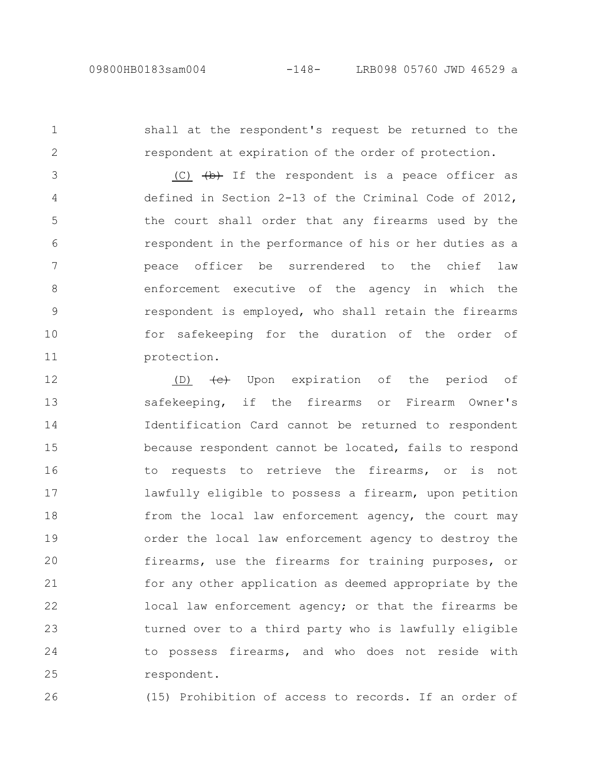protection.

shall at the respondent's request be returned to the respondent at expiration of the order of protection. (C)  $\overline{(b)}$  If the respondent is a peace officer as defined in Section 2-13 of the Criminal Code of 2012, the court shall order that any firearms used by the respondent in the performance of his or her duties as a peace officer be surrendered to the chief law enforcement executive of the agency in which the respondent is employed, who shall retain the firearms for safekeeping for the duration of the order of 1 2 3 4 5 6 7 8 9 10

(D)  $\leftarrow$  Upon expiration of the period of safekeeping, if the firearms or Firearm Owner's Identification Card cannot be returned to respondent because respondent cannot be located, fails to respond to requests to retrieve the firearms, or is not lawfully eligible to possess a firearm, upon petition from the local law enforcement agency, the court may order the local law enforcement agency to destroy the firearms, use the firearms for training purposes, or for any other application as deemed appropriate by the local law enforcement agency; or that the firearms be turned over to a third party who is lawfully eligible to possess firearms, and who does not reside with respondent. 12 13 14 15 16 17 18 19 20 21 22 23 24 25

26

11

(15) Prohibition of access to records. If an order of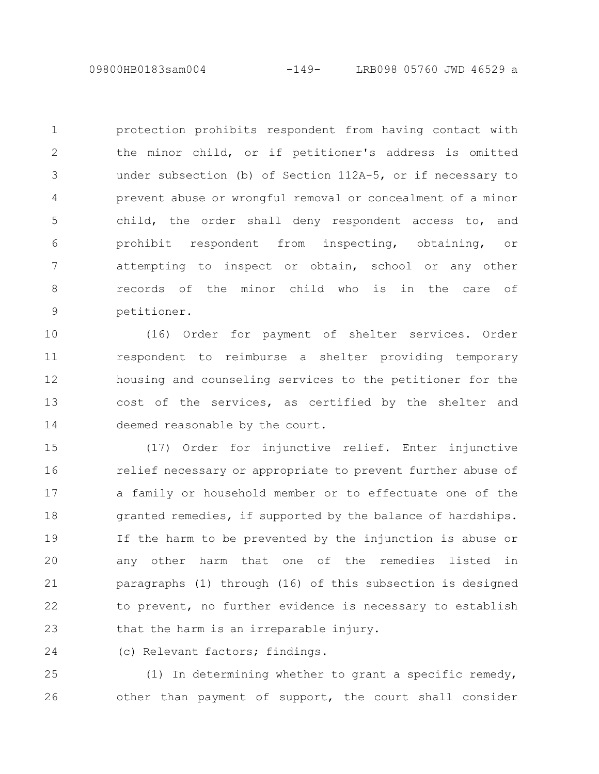protection prohibits respondent from having contact with the minor child, or if petitioner's address is omitted under subsection (b) of Section 112A-5, or if necessary to prevent abuse or wrongful removal or concealment of a minor child, the order shall deny respondent access to, and prohibit respondent from inspecting, obtaining, or attempting to inspect or obtain, school or any other records of the minor child who is in the care of petitioner. 1 2 3 4 5 6 7 8 9

(16) Order for payment of shelter services. Order respondent to reimburse a shelter providing temporary housing and counseling services to the petitioner for the cost of the services, as certified by the shelter and deemed reasonable by the court. 10 11 12 13 14

(17) Order for injunctive relief. Enter injunctive relief necessary or appropriate to prevent further abuse of a family or household member or to effectuate one of the granted remedies, if supported by the balance of hardships. If the harm to be prevented by the injunction is abuse or any other harm that one of the remedies listed in paragraphs (1) through (16) of this subsection is designed to prevent, no further evidence is necessary to establish that the harm is an irreparable injury. 15 16 17 18 19 20 21 22 23

(c) Relevant factors; findings. 24

(1) In determining whether to grant a specific remedy, other than payment of support, the court shall consider 25 26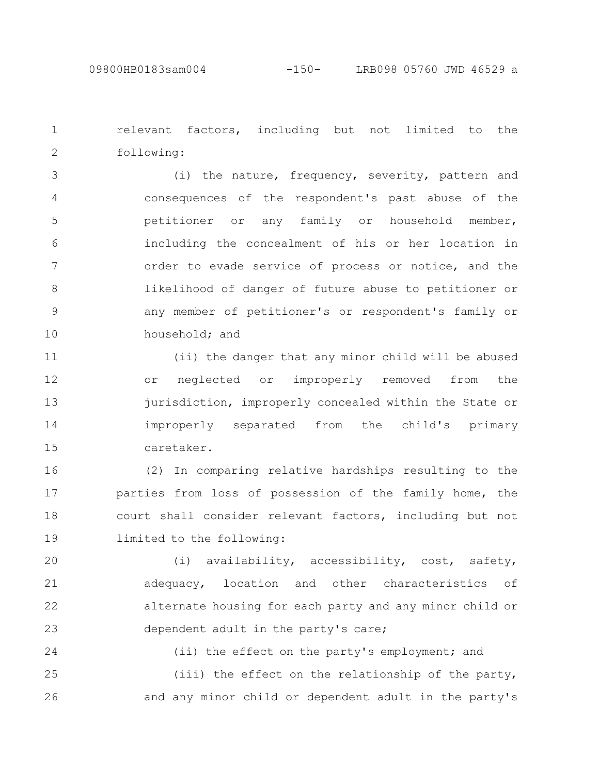relevant factors, including but not limited to the following: 1 2

(i) the nature, frequency, severity, pattern and consequences of the respondent's past abuse of the petitioner or any family or household member, including the concealment of his or her location in order to evade service of process or notice, and the likelihood of danger of future abuse to petitioner or any member of petitioner's or respondent's family or household; and 3 4 5 6 7 8 9 10

(ii) the danger that any minor child will be abused or neglected or improperly removed from the jurisdiction, improperly concealed within the State or improperly separated from the child's primary caretaker. 11 12 13 14 15

(2) In comparing relative hardships resulting to the parties from loss of possession of the family home, the court shall consider relevant factors, including but not limited to the following: 16 17 18 19

(i) availability, accessibility, cost, safety, adequacy, location and other characteristics of alternate housing for each party and any minor child or dependent adult in the party's care; 20 21 22 23

(ii) the effect on the party's employment; and (iii) the effect on the relationship of the party, and any minor child or dependent adult in the party's 24 25 26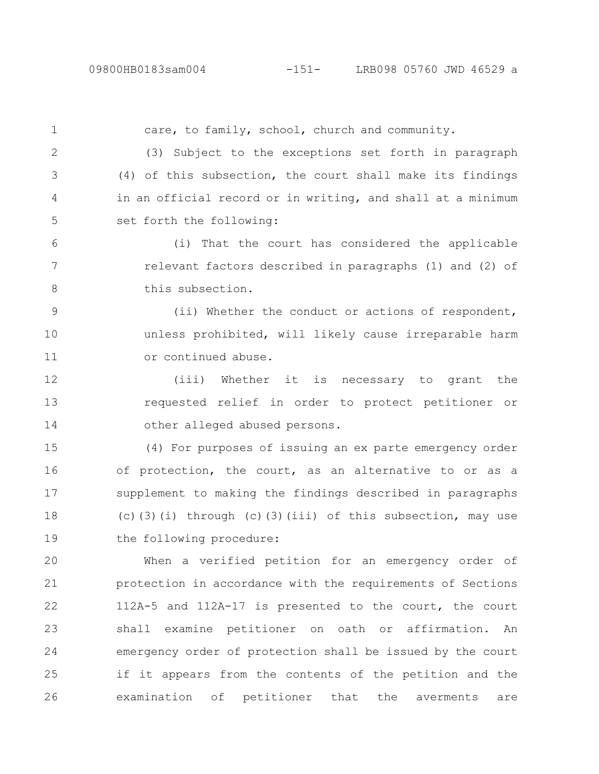care, to family, school, church and community. (3) Subject to the exceptions set forth in paragraph (4) of this subsection, the court shall make its findings in an official record or in writing, and shall at a minimum set forth the following: (i) That the court has considered the applicable relevant factors described in paragraphs (1) and (2) of this subsection. (ii) Whether the conduct or actions of respondent, unless prohibited, will likely cause irreparable harm or continued abuse. (iii) Whether it is necessary to grant the requested relief in order to protect petitioner or other alleged abused persons. (4) For purposes of issuing an ex parte emergency order of protection, the court, as an alternative to or as a supplement to making the findings described in paragraphs (c)(3)(i) through (c)(3)(iii) of this subsection, may use the following procedure: When a verified petition for an emergency order of protection in accordance with the requirements of Sections 112A-5 and 112A-17 is presented to the court, the court 1 2 3 4 5 6 7 8 9 10 11 12 13 14 15 16 17 18 19 20 21 22

shall examine petitioner on oath or affirmation. An emergency order of protection shall be issued by the court if it appears from the contents of the petition and the examination of petitioner that the averments are 23 24 25 26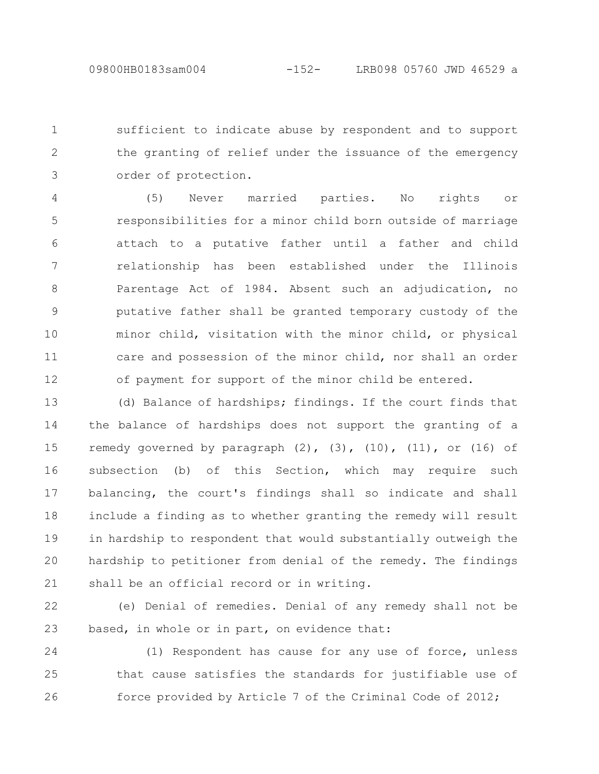sufficient to indicate abuse by respondent and to support the granting of relief under the issuance of the emergency order of protection. 1 2 3

(5) Never married parties. No rights or responsibilities for a minor child born outside of marriage attach to a putative father until a father and child relationship has been established under the Illinois Parentage Act of 1984. Absent such an adjudication, no putative father shall be granted temporary custody of the minor child, visitation with the minor child, or physical care and possession of the minor child, nor shall an order of payment for support of the minor child be entered. 4 5 6 7 8 9 10 11 12

(d) Balance of hardships; findings. If the court finds that the balance of hardships does not support the granting of a remedy governed by paragraph  $(2)$ ,  $(3)$ ,  $(10)$ ,  $(11)$ , or  $(16)$  of subsection (b) of this Section, which may require such balancing, the court's findings shall so indicate and shall include a finding as to whether granting the remedy will result in hardship to respondent that would substantially outweigh the hardship to petitioner from denial of the remedy. The findings shall be an official record or in writing. 13 14 15 16 17 18 19 20 21

(e) Denial of remedies. Denial of any remedy shall not be based, in whole or in part, on evidence that: 22 23

(1) Respondent has cause for any use of force, unless that cause satisfies the standards for justifiable use of force provided by Article 7 of the Criminal Code of 2012; 24 25 26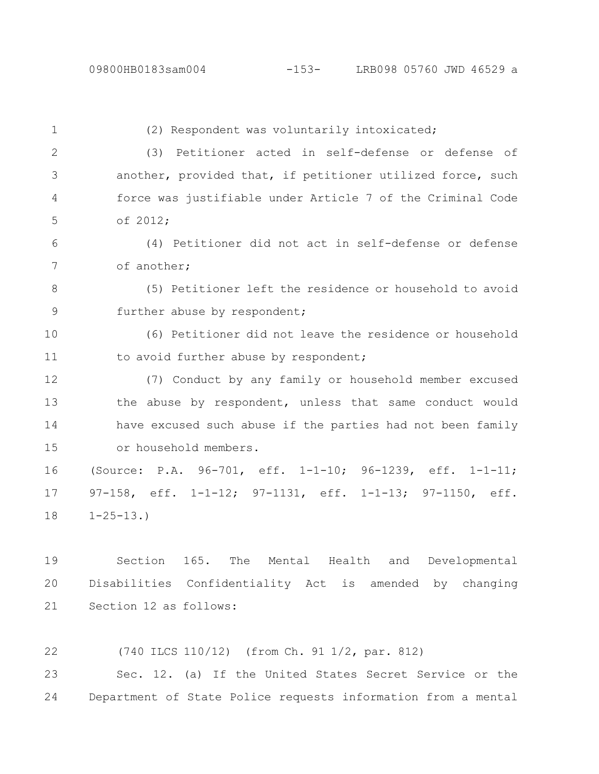(2) Respondent was voluntarily intoxicated; (3) Petitioner acted in self-defense or defense of another, provided that, if petitioner utilized force, such force was justifiable under Article 7 of the Criminal Code of 2012; (4) Petitioner did not act in self-defense or defense of another; (5) Petitioner left the residence or household to avoid further abuse by respondent; (6) Petitioner did not leave the residence or household to avoid further abuse by respondent; (7) Conduct by any family or household member excused the abuse by respondent, unless that same conduct would have excused such abuse if the parties had not been family or household members. (Source: P.A. 96-701, eff. 1-1-10; 96-1239, eff. 1-1-11; 97-158, eff. 1-1-12; 97-1131, eff. 1-1-13; 97-1150, eff.  $1 - 25 - 13.$ 1 2 3 4 5 6 7 8 9 10 11 12 13 14 15 16 17 18

Section 165. The Mental Health and Developmental Disabilities Confidentiality Act is amended by changing Section 12 as follows: 19 20 21

(740 ILCS 110/12) (from Ch. 91 1/2, par. 812) 22

Sec. 12. (a) If the United States Secret Service or the Department of State Police requests information from a mental 23 24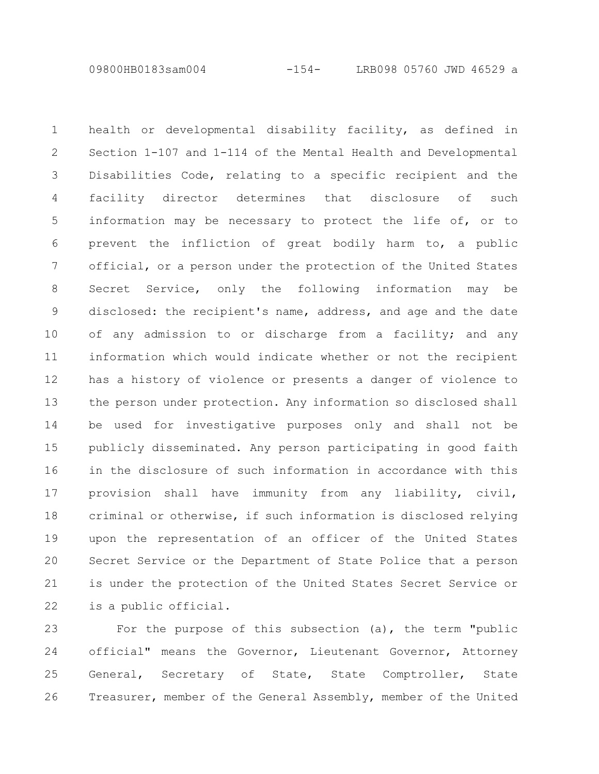09800HB0183sam004 -154- LRB098 05760 JWD 46529 a

health or developmental disability facility, as defined in Section 1-107 and 1-114 of the Mental Health and Developmental Disabilities Code, relating to a specific recipient and the facility director determines that disclosure of such information may be necessary to protect the life of, or to prevent the infliction of great bodily harm to, a public official, or a person under the protection of the United States Secret Service, only the following information may be disclosed: the recipient's name, address, and age and the date of any admission to or discharge from a facility; and any information which would indicate whether or not the recipient has a history of violence or presents a danger of violence to the person under protection. Any information so disclosed shall be used for investigative purposes only and shall not be publicly disseminated. Any person participating in good faith in the disclosure of such information in accordance with this provision shall have immunity from any liability, civil, criminal or otherwise, if such information is disclosed relying upon the representation of an officer of the United States Secret Service or the Department of State Police that a person is under the protection of the United States Secret Service or is a public official. 1 2 3 4 5 6 7 8 9 10 11 12 13 14 15 16 17 18 19 20 21 22

For the purpose of this subsection (a), the term "public official" means the Governor, Lieutenant Governor, Attorney General, Secretary of State, State Comptroller, State Treasurer, member of the General Assembly, member of the United 23 24 25 26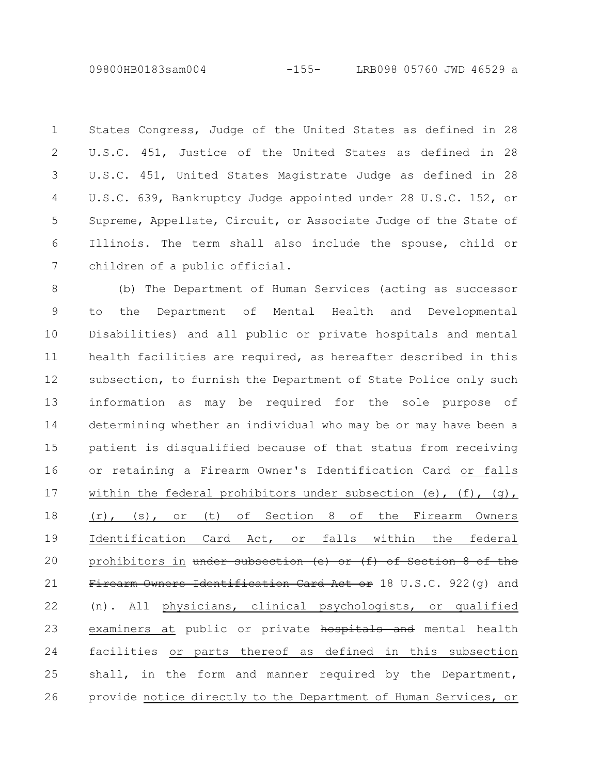09800HB0183sam004 -155- LRB098 05760 JWD 46529 a

States Congress, Judge of the United States as defined in 28 U.S.C. 451, Justice of the United States as defined in 28 U.S.C. 451, United States Magistrate Judge as defined in 28 U.S.C. 639, Bankruptcy Judge appointed under 28 U.S.C. 152, or Supreme, Appellate, Circuit, or Associate Judge of the State of Illinois. The term shall also include the spouse, child or children of a public official. 1 2 3 4 5 6 7

(b) The Department of Human Services (acting as successor to the Department of Mental Health and Developmental Disabilities) and all public or private hospitals and mental health facilities are required, as hereafter described in this subsection, to furnish the Department of State Police only such information as may be required for the sole purpose of determining whether an individual who may be or may have been a patient is disqualified because of that status from receiving or retaining a Firearm Owner's Identification Card or falls within the federal prohibitors under subsection (e),  $(f)$ ,  $(q)$ , (r), (s), or (t) of Section 8 of the Firearm Owners Identification Card Act, or falls within the federal prohibitors in under subsection (e) or (f) of Section 8 of the Firearm Owners Identification Card Act or 18 U.S.C. 922(q) and (n). All physicians, clinical psychologists, or qualified examiners at public or private hospitals and mental health facilities or parts thereof as defined in this subsection shall, in the form and manner required by the Department, provide notice directly to the Department of Human Services, or 8 9 10 11 12 13 14 15 16 17 18 19 20 21 22 23 24 25 26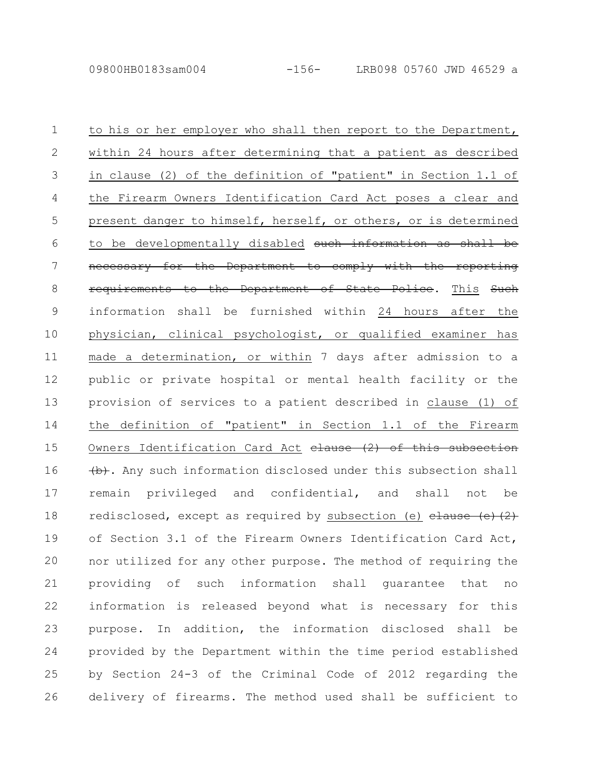to his or her employer who shall then report to the Department, within 24 hours after determining that a patient as described in clause (2) of the definition of "patient" in Section 1.1 of the Firearm Owners Identification Card Act poses a clear and present danger to himself, herself, or others, or is determined to be developmentally disabled such information as necessary for the Department to comply with the reporting requirements to the Department of State Police. This Such information shall be furnished within 24 hours after the physician, clinical psychologist, or qualified examiner has made a determination, or within 7 days after admission to a public or private hospital or mental health facility or the provision of services to a patient described in clause (1) of the definition of "patient" in Section 1.1 of the Firearm Owners Identification Card Act  $e$  and  $e$  of this subsection  $(b)$ . Any such information disclosed under this subsection shall remain privileged and confidential, and shall not be redisclosed, except as required by subsection (e)  $clause(e)$  (2) of Section 3.1 of the Firearm Owners Identification Card Act, nor utilized for any other purpose. The method of requiring the providing of such information shall guarantee that no information is released beyond what is necessary for this purpose. In addition, the information disclosed shall be provided by the Department within the time period established by Section 24-3 of the Criminal Code of 2012 regarding the delivery of firearms. The method used shall be sufficient to 1 2 3 4 5 6 7 8 9 10 11 12 13 14 15 16 17 18 19 20 21 22 23 24 25 26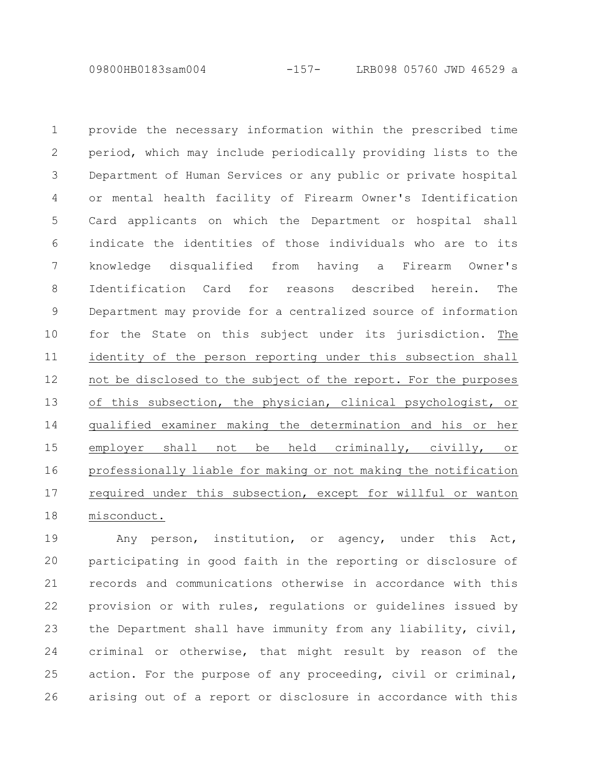09800HB0183sam004 -157- LRB098 05760 JWD 46529 a

provide the necessary information within the prescribed time period, which may include periodically providing lists to the Department of Human Services or any public or private hospital or mental health facility of Firearm Owner's Identification Card applicants on which the Department or hospital shall indicate the identities of those individuals who are to its knowledge disqualified from having a Firearm Owner's Identification Card for reasons described herein. The Department may provide for a centralized source of information for the State on this subject under its jurisdiction. The identity of the person reporting under this subsection shall not be disclosed to the subject of the report. For the purposes of this subsection, the physician, clinical psychologist, or qualified examiner making the determination and his or her employer shall not be held criminally, civilly, or professionally liable for making or not making the notification required under this subsection, except for willful or wanton misconduct. 1 2 3 4 5 6 7 8 9 10 11 12 13 14 15 16 17 18

Any person, institution, or agency, under this Act, participating in good faith in the reporting or disclosure of records and communications otherwise in accordance with this provision or with rules, regulations or guidelines issued by the Department shall have immunity from any liability, civil, criminal or otherwise, that might result by reason of the action. For the purpose of any proceeding, civil or criminal, arising out of a report or disclosure in accordance with this 19 20 21 22 23 24 25 26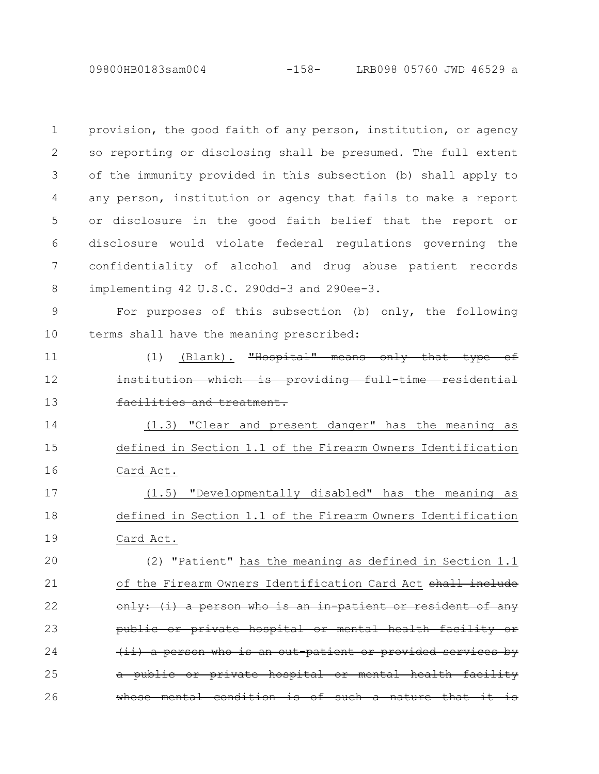provision, the good faith of any person, institution, or agency so reporting or disclosing shall be presumed. The full extent of the immunity provided in this subsection (b) shall apply to any person, institution or agency that fails to make a report or disclosure in the good faith belief that the report or disclosure would violate federal regulations governing the confidentiality of alcohol and drug abuse patient records implementing 42 U.S.C. 290dd-3 and 290ee-3. 1 2 3 4 5 6 7 8

For purposes of this subsection (b) only, the following terms shall have the meaning prescribed: 9 10

11

12

13

 $(1)$  (Blank). "Hospital" means only that institution which is providing full-time facilities and treatment.

(1.3) "Clear and present danger" has the meaning as defined in Section 1.1 of the Firearm Owners Identification Card Act. 14 15 16

(1.5) "Developmentally disabled" has the meaning as defined in Section 1.1 of the Firearm Owners Identification Card Act. 17 18 19

(2) "Patient" has the meaning as defined in Section 1.1 of the Firearm Owners Identification Card Act shall include  $\langle i \rangle$  a person who is an in-patient private hospital or mental health <u>person who is an out-patient or provided</u> a public or private hospital or mental health facility whose mental condition is of such a nature that it is 20 21 22 23 24 25 26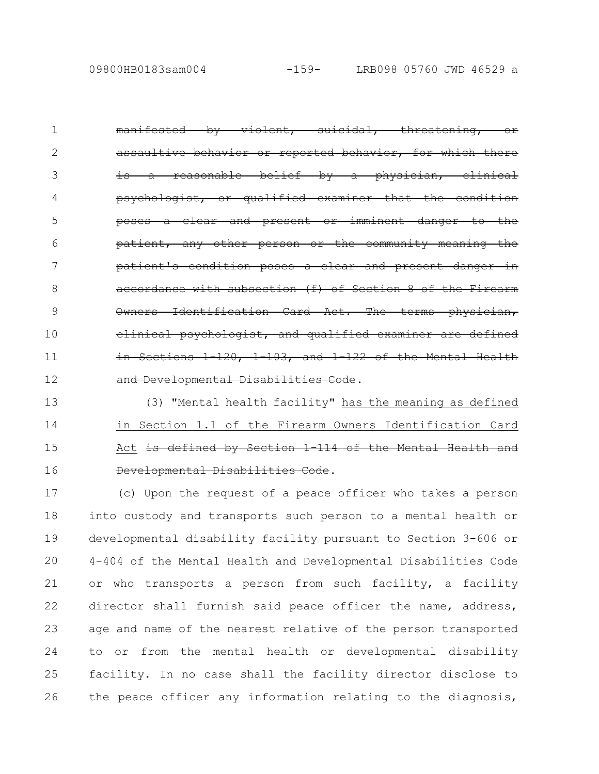manifested by violent, suicidal, threatening, or or reported behav: is a reasonable belief by a physician, clinical psychologist, or qualified examiner that the condition poses a clear and present or imminent danger to the patient, any other person or the community meaning the patient's condition poses a clear and present with subsection (f) of Section 8 of the ification Card Act. Th psychologist, and qualified  $-120, -1-103,$  and  $1-122$ and Developmental Disabilities Code. 1 2 3 4 5 6 7 8 9 10 11 12

(3) "Mental health facility" has the meaning as defined in Section 1.1 of the Firearm Owners Identification Card Act is defined by Section 1 114 of the Mental Health Developmental Disabilities Code. 13 14 15 16

(c) Upon the request of a peace officer who takes a person into custody and transports such person to a mental health or developmental disability facility pursuant to Section 3-606 or 4-404 of the Mental Health and Developmental Disabilities Code or who transports a person from such facility, a facility director shall furnish said peace officer the name, address, age and name of the nearest relative of the person transported to or from the mental health or developmental disability facility. In no case shall the facility director disclose to the peace officer any information relating to the diagnosis, 17 18 19 20 21 22 23 24 25 26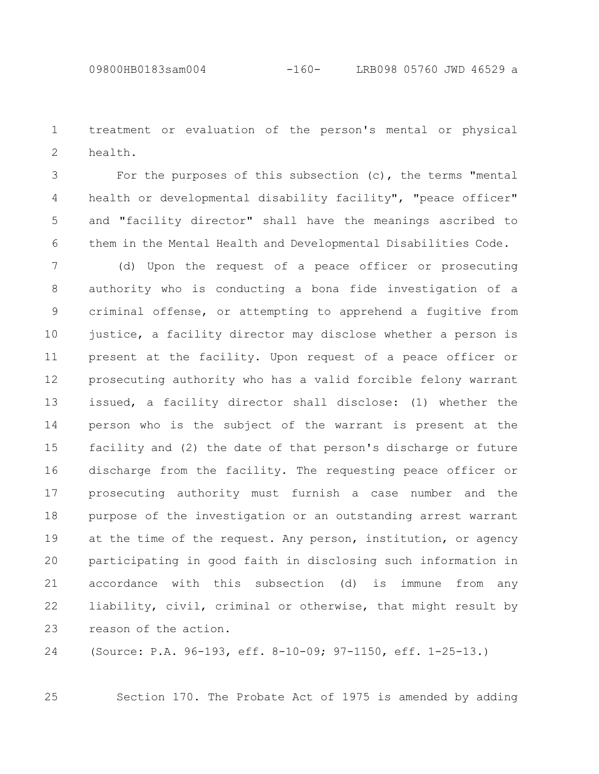treatment or evaluation of the person's mental or physical health. 1 2

For the purposes of this subsection (c), the terms "mental health or developmental disability facility", "peace officer" and "facility director" shall have the meanings ascribed to them in the Mental Health and Developmental Disabilities Code. 3 4 5 6

(d) Upon the request of a peace officer or prosecuting authority who is conducting a bona fide investigation of a criminal offense, or attempting to apprehend a fugitive from justice, a facility director may disclose whether a person is present at the facility. Upon request of a peace officer or prosecuting authority who has a valid forcible felony warrant issued, a facility director shall disclose: (1) whether the person who is the subject of the warrant is present at the facility and (2) the date of that person's discharge or future discharge from the facility. The requesting peace officer or prosecuting authority must furnish a case number and the purpose of the investigation or an outstanding arrest warrant at the time of the request. Any person, institution, or agency participating in good faith in disclosing such information in accordance with this subsection (d) is immune from any liability, civil, criminal or otherwise, that might result by reason of the action. 7 8 9 10 11 12 13 14 15 16 17 18 19 20 21 22 23

(Source: P.A. 96-193, eff. 8-10-09; 97-1150, eff. 1-25-13.) 24

25

Section 170. The Probate Act of 1975 is amended by adding